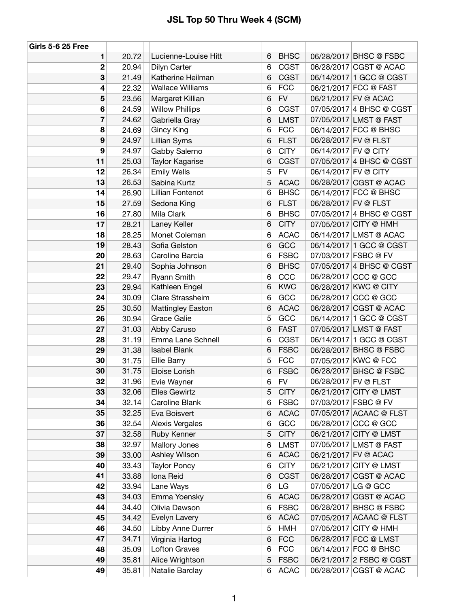| Girls 5-6 25 Free |       |                          |   |             |                      |                          |
|-------------------|-------|--------------------------|---|-------------|----------------------|--------------------------|
| 1                 | 20.72 | Lucienne-Louise Hitt     | 6 | <b>BHSC</b> |                      | 06/28/2017 BHSC @ FSBC   |
| $\overline{2}$    | 20.94 | Dilyn Carter             | 6 | <b>CGST</b> |                      | 06/28/2017 CGST @ ACAC   |
| 3                 | 21.49 | Katherine Heilman        | 6 | <b>CGST</b> |                      | 06/14/2017 1 GCC @ CGST  |
| 4                 | 22.32 | <b>Wallace Williams</b>  | 6 | <b>FCC</b>  |                      | 06/21/2017 FCC @ FAST    |
| 5                 | 23.56 | Margaret Killian         | 6 | <b>FV</b>   |                      | 06/21/2017 FV @ ACAC     |
| 6                 | 24.59 | <b>Willow Phillips</b>   | 6 | <b>CGST</b> |                      | 07/05/2017 4 BHSC @ CGST |
| 7                 | 24.62 | Gabriella Gray           | 6 | <b>LMST</b> |                      | 07/05/2017 LMST @ FAST   |
| 8                 | 24.69 | <b>Gincy King</b>        | 6 | <b>FCC</b>  |                      | 06/14/2017 FCC @ BHSC    |
| 9                 | 24.97 | <b>Lillian Syms</b>      | 6 | <b>FLST</b> | 06/28/2017 FV @ FLST |                          |
| 9                 | 24.97 | Gabby Salerno            | 6 | <b>CITY</b> | 06/14/2017 FV @ CITY |                          |
| 11                | 25.03 | Taylor Kagarise          | 6 | <b>CGST</b> |                      | 07/05/2017 4 BHSC @ CGST |
| 12                | 26.34 | <b>Emily Wells</b>       | 5 | <b>FV</b>   | 06/14/2017 FV @ CITY |                          |
| 13                | 26.53 | Sabina Kurtz             | 5 | <b>ACAC</b> |                      | 06/28/2017 CGST @ ACAC   |
| 14                | 26.90 | <b>Lillian Fontenot</b>  | 6 | <b>BHSC</b> |                      | 06/14/2017 FCC @ BHSC    |
| 15                | 27.59 | Sedona King              | 6 | <b>FLST</b> | 06/28/2017 FV @ FLST |                          |
| 16                | 27.80 | Mila Clark               | 6 | <b>BHSC</b> |                      | 07/05/2017 4 BHSC @ CGST |
| 17                | 28.21 | Laney Keller             | 6 | <b>CITY</b> |                      | 07/05/2017 CITY @ HMH    |
| 18                | 28.25 | Monet Coleman            | 6 | <b>ACAC</b> |                      | 06/14/2017 LMST @ ACAC   |
| 19                | 28.43 | Sofia Gelston            | 6 | GCC         |                      | 06/14/2017 1 GCC @ CGST  |
| 20                | 28.63 | Caroline Barcia          | 6 | <b>FSBC</b> |                      | 07/03/2017 FSBC @ FV     |
| 21                | 29.40 | Sophia Johnson           | 6 | <b>BHSC</b> |                      | 07/05/2017 4 BHSC @ CGST |
| 22                | 29.47 | Ryann Smith              | 6 | CCC         |                      | 06/28/2017 CCC @ GCC     |
| 23                | 29.94 | Kathleen Engel           | 6 | <b>KWC</b>  |                      | 06/28/2017 KWC @ CITY    |
| 24                | 30.09 | Clare Strassheim         | 6 | GCC         |                      | 06/28/2017 CCC @ GCC     |
| 25                | 30.50 | <b>Mattingley Easton</b> | 6 | <b>ACAC</b> |                      | 06/28/2017 CGST @ ACAC   |
| 26                | 30.94 | Grace Galie              | 5 | GCC         |                      | 06/14/2017 1 GCC @ CGST  |
| 27                | 31.03 | Abby Caruso              | 6 | <b>FAST</b> |                      | 07/05/2017 LMST @ FAST   |
| 28                | 31.19 | Emma Lane Schnell        | 6 | <b>CGST</b> |                      | 06/14/2017 1 GCC @ CGST  |
| 29                | 31.38 | <b>Isabel Blank</b>      | 6 | <b>FSBC</b> |                      | 06/28/2017 BHSC @ FSBC   |
| 30                | 31.75 | <b>Ellie Barry</b>       | 5 | <b>FCC</b>  |                      | 07/05/2017 KWC @ FCC     |
| 30                | 31.75 | Eloise Lorish            | 6 | <b>FSBC</b> |                      | 06/28/2017 BHSC @ FSBC   |
| 32                | 31.96 | Evie Wayner              | 6 | <b>FV</b>   | 06/28/2017 FV @ FLST |                          |
| 33                | 32.06 | <b>Elles Gewirtz</b>     | 5 | <b>CITY</b> |                      | 06/21/2017 CITY @ LMST   |
| 34                | 32.14 | Caroline Blank           | 6 | <b>FSBC</b> |                      | 07/03/2017 FSBC @ FV     |
| 35                | 32.25 | Eva Boisvert             | 6 | <b>ACAC</b> |                      | 07/05/2017 ACAAC @ FLST  |
| 36                | 32.54 | <b>Alexis Vergales</b>   | 6 | GCC         |                      | 06/28/2017 CCC @ GCC     |
| 37                | 32.58 | Ruby Kenner              | 5 | <b>CITY</b> |                      | 06/21/2017 CITY @ LMST   |
| 38                | 32.97 | Mallory Jones            | 6 | <b>LMST</b> |                      | 07/05/2017 LMST @ FAST   |
| 39                | 33.00 | Ashley Wilson            | 6 | <b>ACAC</b> |                      | 06/21/2017 FV @ ACAC     |
| 40                | 33.43 | <b>Taylor Poncy</b>      | 6 | <b>CITY</b> |                      | 06/21/2017 CITY @ LMST   |
| 41                | 33.88 | Iona Reid                | 6 | <b>CGST</b> |                      | 06/28/2017 CGST @ ACAC   |
| 42                | 33.94 | Lane Ways                | 6 | LG          | 07/05/2017 LG @ GCC  |                          |
| 43                | 34.03 | Emma Yoensky             | 6 | <b>ACAC</b> |                      | 06/28/2017 CGST @ ACAC   |
| 44                | 34.40 | Olivia Dawson            | 6 | <b>FSBC</b> |                      | 06/28/2017 BHSC @ FSBC   |
| 45                | 34.42 | Evelyn Lavery            | 6 | <b>ACAC</b> |                      | 07/05/2017 ACAAC @ FLST  |
| 46                | 34.50 | Libby Anne Durrer        | 5 | HMH         |                      | 07/05/2017 CITY @ HMH    |
| 47                | 34.71 | Virginia Hartog          | 6 | <b>FCC</b>  |                      | 06/28/2017 FCC @ LMST    |
| 48                | 35.09 | <b>Lofton Graves</b>     | 6 | <b>FCC</b>  |                      | 06/14/2017 FCC @ BHSC    |
| 49                | 35.81 | Alice Wrightson          | 5 | <b>FSBC</b> |                      | 06/21/2017 2 FSBC @ CGST |
| 49                | 35.81 | Natalie Barclay          | 6 | <b>ACAC</b> |                      | 06/28/2017 CGST @ ACAC   |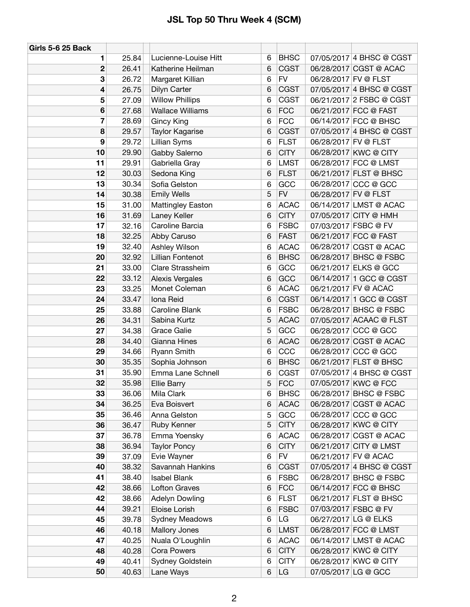| <b>Girls 5-6 25 Back</b> |       |                          |   |             |                      |                          |
|--------------------------|-------|--------------------------|---|-------------|----------------------|--------------------------|
| 1                        | 25.84 | Lucienne-Louise Hitt     | 6 | <b>BHSC</b> |                      | 07/05/2017 4 BHSC @ CGST |
| $\mathbf 2$              | 26.41 | Katherine Heilman        | 6 | <b>CGST</b> |                      | 06/28/2017 CGST @ ACAC   |
| 3                        | 26.72 | Margaret Killian         | 6 | <b>FV</b>   | 06/28/2017 FV @ FLST |                          |
| 4                        | 26.75 | Dilyn Carter             | 6 | <b>CGST</b> |                      | 07/05/2017 4 BHSC @ CGST |
| 5                        | 27.09 | <b>Willow Phillips</b>   | 6 | <b>CGST</b> |                      | 06/21/2017 2 FSBC @ CGST |
| 6                        | 27.68 | <b>Wallace Williams</b>  | 6 | <b>FCC</b>  |                      | 06/21/2017 FCC @ FAST    |
| 7                        | 28.69 | Gincy King               | 6 | <b>FCC</b>  |                      | 06/14/2017 FCC @ BHSC    |
| 8                        | 29.57 | Taylor Kagarise          | 6 | <b>CGST</b> |                      | 07/05/2017 4 BHSC @ CGST |
| 9                        | 29.72 | Lillian Syms             | 6 | <b>FLST</b> | 06/28/2017 FV @ FLST |                          |
| 10                       | 29.90 | Gabby Salerno            | 6 | <b>CITY</b> |                      | 06/28/2017 KWC @ CITY    |
| 11                       | 29.91 | Gabriella Gray           | 6 | <b>LMST</b> |                      | 06/28/2017 FCC @ LMST    |
| 12                       | 30.03 | Sedona King              | 6 | <b>FLST</b> |                      | 06/21/2017 FLST @ BHSC   |
| 13                       | 30.34 | Sofia Gelston            | 6 | GCC         |                      | 06/28/2017 CCC @ GCC     |
| 14                       | 30.38 | <b>Emily Wells</b>       | 5 | <b>FV</b>   |                      | 06/28/2017 FV @ FLST     |
| 15                       | 31.00 | <b>Mattingley Easton</b> | 6 | <b>ACAC</b> |                      | 06/14/2017 LMST @ ACAC   |
| 16                       | 31.69 | Laney Keller             | 6 | <b>CITY</b> |                      | 07/05/2017 CITY @ HMH    |
| 17                       | 32.16 | Caroline Barcia          | 6 | <b>FSBC</b> |                      | 07/03/2017 FSBC @ FV     |
| 18                       | 32.25 | Abby Caruso              | 6 | <b>FAST</b> |                      | 06/21/2017 FCC @ FAST    |
| 19                       | 32.40 | Ashley Wilson            | 6 | <b>ACAC</b> |                      | 06/28/2017 CGST @ ACAC   |
| 20                       | 32.92 | Lillian Fontenot         | 6 | <b>BHSC</b> |                      | 06/28/2017 BHSC @ FSBC   |
| 21                       | 33.00 | Clare Strassheim         | 6 | GCC         |                      | 06/21/2017 ELKS @ GCC    |
| 22                       | 33.12 | <b>Alexis Vergales</b>   | 6 | GCC         |                      | 06/14/2017 1 GCC @ CGST  |
| 23                       | 33.25 | Monet Coleman            | 6 | <b>ACAC</b> |                      | 06/21/2017 FV @ ACAC     |
| 24                       | 33.47 | Iona Reid                | 6 | <b>CGST</b> |                      | 06/14/2017 1 GCC @ CGST  |
| 25                       | 33.88 | Caroline Blank           | 6 | <b>FSBC</b> |                      | 06/28/2017 BHSC @ FSBC   |
| 26                       | 34.31 | Sabina Kurtz             | 5 | <b>ACAC</b> |                      | 07/05/2017 ACAAC @ FLST  |
| 27                       | 34.38 | <b>Grace Galie</b>       | 5 | GCC         |                      | 06/28/2017 CCC @ GCC     |
| 28                       | 34.40 | Gianna Hines             | 6 | <b>ACAC</b> |                      | 06/28/2017 CGST @ ACAC   |
| 29                       | 34.66 | Ryann Smith              | 6 | CCC         |                      | 06/28/2017 CCC @ GCC     |
| 30                       | 35.35 | Sophia Johnson           | 6 | <b>BHSC</b> |                      | 06/21/2017 FLST @ BHSC   |
| 31                       | 35.90 | Emma Lane Schnell        | 6 | <b>CGST</b> |                      | 07/05/2017 4 BHSC @ CGST |
| 32                       | 35.98 | <b>Ellie Barry</b>       | 5 | <b>FCC</b>  |                      | 07/05/2017 KWC @ FCC     |
| 33                       | 36.06 | Mila Clark               | 6 | <b>BHSC</b> |                      | 06/28/2017 BHSC @ FSBC   |
| 34                       | 36.25 | Eva Boisvert             | 6 | <b>ACAC</b> |                      | 06/28/2017 CGST @ ACAC   |
| 35                       | 36.46 | Anna Gelston             | 5 | GCC         |                      | 06/28/2017 CCC @ GCC     |
| 36                       | 36.47 | Ruby Kenner              | 5 | <b>CITY</b> |                      | 06/28/2017 KWC @ CITY    |
| 37                       | 36.78 | Emma Yoensky             | 6 | <b>ACAC</b> |                      | 06/28/2017 CGST @ ACAC   |
| 38                       | 36.94 | <b>Taylor Poncy</b>      | 6 | <b>CITY</b> |                      | 06/21/2017 CITY @ LMST   |
| 39                       | 37.09 | Evie Wayner              | 6 | <b>FV</b>   |                      | 06/21/2017 FV @ ACAC     |
| 40                       | 38.32 | Savannah Hankins         | 6 | <b>CGST</b> |                      | 07/05/2017 4 BHSC @ CGST |
| 41                       | 38.40 | <b>Isabel Blank</b>      | 6 | <b>FSBC</b> |                      | 06/28/2017 BHSC @ FSBC   |
| 42                       | 38.66 | <b>Lofton Graves</b>     | 6 | <b>FCC</b>  |                      | 06/14/2017 FCC @ BHSC    |
| 42                       | 38.66 | <b>Adelyn Dowling</b>    | 6 | <b>FLST</b> |                      | 06/21/2017 FLST @ BHSC   |
| 44                       | 39.21 | Eloise Lorish            | 6 | <b>FSBC</b> |                      | 07/03/2017 FSBC @ FV     |
| 45                       | 39.78 | <b>Sydney Meadows</b>    | 6 | LG          |                      | 06/27/2017 LG @ ELKS     |
| 46                       | 40.18 | Mallory Jones            | 6 | <b>LMST</b> |                      | 06/28/2017 FCC @ LMST    |
| 47                       | 40.25 | Nuala O'Loughlin         | 6 | <b>ACAC</b> |                      | 06/14/2017 LMST @ ACAC   |
| 48                       | 40.28 | Cora Powers              | 6 | <b>CITY</b> |                      | 06/28/2017 KWC @ CITY    |
| 49                       | 40.41 | Sydney Goldstein         | 6 | <b>CITY</b> |                      | 06/28/2017 KWC @ CITY    |
| 50                       | 40.63 | Lane Ways                | 6 | LG          |                      | 07/05/2017 LG @ GCC      |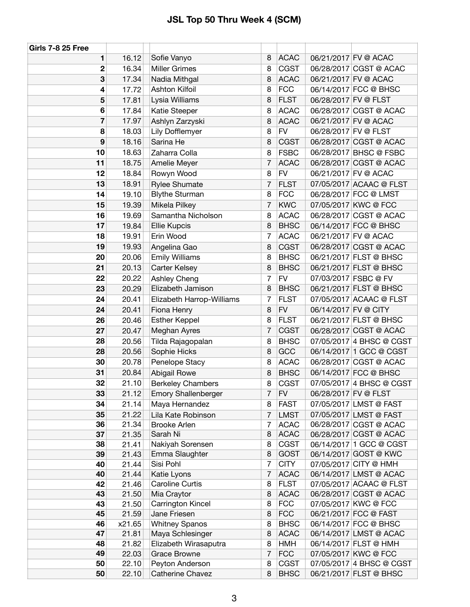| <b>Girls 7-8 25 Free</b> |                |                                     |                |                            |                      |                                                    |
|--------------------------|----------------|-------------------------------------|----------------|----------------------------|----------------------|----------------------------------------------------|
| 1                        | 16.12          | Sofie Vanyo                         | 8              | <b>ACAC</b>                | 06/21/2017 FV @ ACAC |                                                    |
| $\mathbf{2}$             | 16.34          | <b>Miller Grimes</b>                | 8              | <b>CGST</b>                |                      | 06/28/2017 CGST @ ACAC                             |
| 3                        | 17.34          | Nadia Mithgal                       | 8              | <b>ACAC</b>                | 06/21/2017 FV @ ACAC |                                                    |
| 4                        | 17.72          | Ashton Kilfoil                      | 8              | <b>FCC</b>                 |                      | 06/14/2017 FCC @ BHSC                              |
| 5                        | 17.81          | Lysia Williams                      | 8              | <b>FLST</b>                | 06/28/2017 FV @ FLST |                                                    |
| 6                        | 17.84          | Katie Steeper                       | 8              | <b>ACAC</b>                |                      | 06/28/2017 CGST @ ACAC                             |
| $\overline{\mathbf{r}}$  | 17.97          | Ashlyn Zarzyski                     | 8              | <b>ACAC</b>                | 06/21/2017 FV @ ACAC |                                                    |
| 8                        | 18.03          | Lily Dofflemyer                     | 8              | <b>FV</b>                  | 06/28/2017 FV @ FLST |                                                    |
| 9                        | 18.16          | Sarina He                           | 8              | <b>CGST</b>                |                      | 06/28/2017 CGST @ ACAC                             |
| 10                       | 18.63          | Zaharra Colla                       | 8              | <b>FSBC</b>                |                      | 06/28/2017 BHSC @ FSBC                             |
| 11                       | 18.75          | Amelie Meyer                        | 7              | <b>ACAC</b>                |                      | 06/28/2017 CGST @ ACAC                             |
| 12                       | 18.84          | Rowyn Wood                          | 8              | <b>FV</b>                  | 06/21/2017 FV @ ACAC |                                                    |
| 13                       | 18.91          | <b>Rylee Shumate</b>                | 7              | <b>FLST</b>                |                      | 07/05/2017 ACAAC @ FLST                            |
| 14                       | 19.10          | <b>Blythe Sturman</b>               | 8              | <b>FCC</b>                 |                      | 06/28/2017 FCC @ LMST                              |
| 15                       | 19.39          | Mikela Pilkey                       | 7              | <b>KWC</b>                 |                      | 07/05/2017 KWC @ FCC                               |
| 16                       | 19.69          | Samantha Nicholson                  | 8              | <b>ACAC</b>                |                      | 06/28/2017 CGST @ ACAC                             |
| 17                       | 19.84          | Ellie Kupcis                        | 8              | <b>BHSC</b>                |                      | 06/14/2017 FCC @ BHSC                              |
| 18                       | 19.91          | Erin Wood                           | 7              | <b>ACAC</b>                | 06/21/2017 FV @ ACAC |                                                    |
| 19                       | 19.93          | Angelina Gao                        | 8              | <b>CGST</b>                |                      | 06/28/2017 CGST @ ACAC                             |
| 20                       | 20.06          | <b>Emily Williams</b>               | 8              | <b>BHSC</b>                |                      | 06/21/2017 FLST @ BHSC                             |
| 21                       | 20.13          | Carter Kelsey                       | 8              | <b>BHSC</b>                |                      | 06/21/2017 FLST @ BHSC                             |
| 22                       | 20.22          | Ashley Cheng                        | 7              | <b>FV</b>                  | 07/03/2017 FSBC @ FV |                                                    |
| 23                       | 20.29          | Elizabeth Jamison                   | 8              | <b>BHSC</b>                |                      | 06/21/2017 FLST @ BHSC                             |
| 24                       | 20.41          | Elizabeth Harrop-Williams           | 7              | <b>FLST</b>                |                      | 07/05/2017 ACAAC @ FLST                            |
| 24                       | 20.41          | Fiona Henry                         | 8              | <b>FV</b>                  | 06/14/2017 FV @ CITY |                                                    |
| 26                       | 20.46          | <b>Esther Keppel</b>                | 8              | <b>FLST</b>                |                      | 06/21/2017 FLST @ BHSC                             |
| 27                       | 20.47          | Meghan Ayres                        | 7              | <b>CGST</b>                |                      | 06/28/2017 CGST @ ACAC                             |
| 28                       | 20.56          | Tilda Rajagopalan                   | 8              | <b>BHSC</b>                |                      | 07/05/2017 4 BHSC @ CGST                           |
| 28                       | 20.56          | Sophie Hicks                        | 8              | GCC                        |                      | 06/14/2017 1 GCC @ CGST                            |
| 30                       | 20.78          | Penelope Stacy                      | 8              | <b>ACAC</b>                |                      | 06/28/2017 CGST @ ACAC                             |
| 31                       | 20.84          | Abigail Rowe                        | 8              | <b>BHSC</b>                |                      | 06/14/2017 FCC @ BHSC                              |
| 32                       | 21.10          | <b>Berkeley Chambers</b>            | 8              | <b>CGST</b>                |                      | 07/05/2017 4 BHSC @ CGST                           |
| 33                       | 21.12          | <b>Emory Shallenberger</b>          | 7              | <b>FV</b>                  | 06/28/2017 FV @ FLST |                                                    |
| 34                       | 21.14          | Maya Hernandez                      | 8              | <b>FAST</b>                |                      | 07/05/2017 LMST @ FAST                             |
| 35                       | 21.22          | Lila Kate Robinson                  | 7              | <b>LMST</b>                |                      | 07/05/2017 LMST @ FAST                             |
| 36<br>37                 | 21.34          | <b>Brooke Arlen</b><br>Sarah Ni     | 7<br>8         | <b>ACAC</b><br><b>ACAC</b> |                      | 06/28/2017 CGST @ ACAC<br>06/28/2017 CGST @ ACAC   |
| 38                       | 21.35<br>21.41 | Nakiyah Sorensen                    | 8              | <b>CGST</b>                |                      | 06/14/2017 1 GCC @ CGST                            |
| 39                       | 21.43          | Emma Slaughter                      | 8              | <b>GOST</b>                |                      | 06/14/2017 GOST @ KWC                              |
| 40                       | 21.44          | Sisi Pohl                           | $\overline{7}$ | <b>CITY</b>                |                      | 07/05/2017 CITY @ HMH                              |
| 40                       | 21.44          | Katie Lyons                         | $\overline{7}$ | <b>ACAC</b>                |                      | 06/14/2017 LMST @ ACAC                             |
| 42                       | 21.46          | Caroline Curtis                     | 8              | <b>FLST</b>                |                      | 07/05/2017 ACAAC @ FLST                            |
| 43                       | 21.50          | Mia Craytor                         | 8              | <b>ACAC</b>                |                      | 06/28/2017 CGST @ ACAC                             |
| 43                       | 21.50          | Carrington Kincel                   | 8              | <b>FCC</b>                 |                      | 07/05/2017 KWC @ FCC                               |
| 45                       | 21.59          | Jane Friesen                        | 8              | <b>FCC</b>                 |                      | 06/21/2017 FCC @ FAST                              |
| 46                       | x21.65         | <b>Whitney Spanos</b>               | 8              | <b>BHSC</b>                |                      | 06/14/2017 FCC @ BHSC                              |
| 47                       | 21.81          | Maya Schlesinger                    | 8              | <b>ACAC</b>                |                      | 06/14/2017 LMST @ ACAC                             |
| 48                       | 21.82          | Elizabeth Wirasaputra               | 8              | <b>HMH</b>                 |                      | 06/14/2017 FLST @ HMH                              |
| 49                       | 22.03          | <b>Grace Browne</b>                 | 7              | <b>FCC</b>                 |                      | 07/05/2017 KWC @ FCC                               |
| 50<br>50                 | 22.10<br>22.10 | Peyton Anderson<br>Catherine Chavez | 8<br>8         | <b>CGST</b><br><b>BHSC</b> |                      | 07/05/2017 4 BHSC @ CGST<br>06/21/2017 FLST @ BHSC |
|                          |                |                                     |                |                            |                      |                                                    |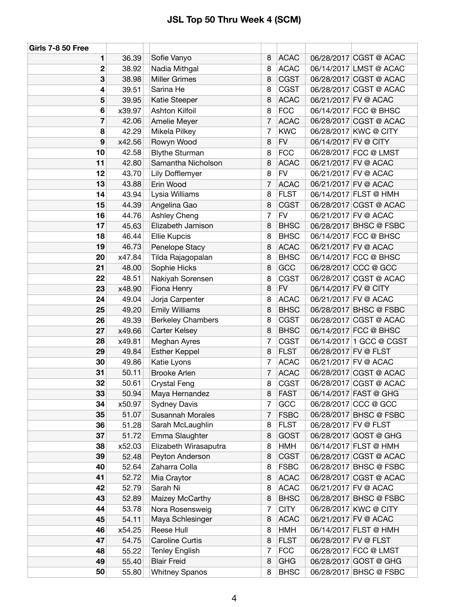| <b>Girls 7-8 50 Free</b> |        |                          |                |             |                      |                         |
|--------------------------|--------|--------------------------|----------------|-------------|----------------------|-------------------------|
| 1                        | 36.39  | Sofie Vanyo              | 8              | <b>ACAC</b> |                      | 06/28/2017 CGST @ ACAC  |
| 2                        | 38.92  | Nadia Mithgal            | 8              | <b>ACAC</b> |                      | 06/14/2017 LMST @ ACAC  |
| 3                        | 38.98  | <b>Miller Grimes</b>     | 8              | <b>CGST</b> |                      | 06/28/2017 CGST @ ACAC  |
| 4                        | 39.51  | Sarina He                | 8              | <b>CGST</b> |                      | 06/28/2017 CGST @ ACAC  |
| 5                        | 39.95  | Katie Steeper            | 8              | <b>ACAC</b> |                      | 06/21/2017 FV @ ACAC    |
| 6                        | x39.97 | Ashton Kilfoil           | 8              | <b>FCC</b>  |                      | 06/14/2017 FCC @ BHSC   |
| 7                        | 42.06  | Amelie Meyer             | $\overline{7}$ | <b>ACAC</b> |                      | 06/28/2017 CGST @ ACAC  |
| 8                        | 42.29  | Mikela Pilkey            | $\overline{7}$ | <b>KWC</b>  |                      | 06/28/2017 KWC @ CITY   |
| 9                        | x42.56 | Rowyn Wood               | 8              | <b>FV</b>   | 06/14/2017 FV @ CITY |                         |
| 10                       | 42.58  | <b>Blythe Sturman</b>    | 8              | <b>FCC</b>  |                      | 06/28/2017 FCC @ LMST   |
| 11                       | 42.80  | Samantha Nicholson       | 8              | <b>ACAC</b> |                      | 06/21/2017 FV @ ACAC    |
| 12                       | 43.70  | Lily Dofflemyer          | 8              | <b>FV</b>   |                      | 06/21/2017 FV @ ACAC    |
| 13                       | 43.88  | Erin Wood                | $\overline{7}$ | <b>ACAC</b> |                      | 06/21/2017 FV @ ACAC    |
| 14                       | 43.94  | Lysia Williams           | 8              | <b>FLST</b> |                      | 06/14/2017 FLST @ HMH   |
| 15                       | 44.39  | Angelina Gao             | 8              | <b>CGST</b> |                      | 06/28/2017 CGST @ ACAC  |
| 16                       | 44.76  | Ashley Cheng             | $\overline{7}$ | <b>FV</b>   |                      | 06/21/2017 FV @ ACAC    |
| 17                       | 45.63  | Elizabeth Jamison        | 8              | <b>BHSC</b> |                      | 06/28/2017 BHSC @ FSBC  |
| 18                       | 46.44  | Ellie Kupcis             | 8              | <b>BHSC</b> |                      | 06/14/2017 FCC @ BHSC   |
| 19                       | 46.73  | Penelope Stacy           | 8              | <b>ACAC</b> |                      | 06/21/2017 FV @ ACAC    |
| 20                       | x47.84 | Tilda Rajagopalan        | 8              | <b>BHSC</b> |                      | 06/14/2017 FCC @ BHSC   |
| 21                       | 48.00  | Sophie Hicks             | 8              | GCC         |                      | 06/28/2017 CCC @ GCC    |
| 22                       | 48.51  | Nakiyah Sorensen         | 8              | <b>CGST</b> |                      | 06/28/2017 CGST @ ACAC  |
| 23                       | x48.90 | Fiona Henry              | 8              | <b>FV</b>   | 06/14/2017 FV @ CITY |                         |
| 24                       | 49.04  | Jorja Carpenter          | 8              | <b>ACAC</b> |                      | 06/21/2017 FV @ ACAC    |
| 25                       | 49.20  | <b>Emily Williams</b>    | 8              | <b>BHSC</b> |                      | 06/28/2017 BHSC @ FSBC  |
| 26                       | 49.39  | <b>Berkeley Chambers</b> | 8              | <b>CGST</b> |                      | 06/28/2017 CGST @ ACAC  |
| 27                       | x49.66 | Carter Kelsey            | 8              | <b>BHSC</b> |                      | 06/14/2017 FCC @ BHSC   |
| 28                       | x49.81 | Meghan Ayres             | $\overline{7}$ | <b>CGST</b> |                      | 06/14/2017 1 GCC @ CGST |
| 29                       | 49.84  | <b>Esther Keppel</b>     | 8              | <b>FLST</b> | 06/28/2017 FV @ FLST |                         |
| 30                       | 49.86  | Katie Lyons              | 7              | <b>ACAC</b> |                      | 06/21/2017 FV @ ACAC    |
| 31                       | 50.11  | <b>Brooke Arlen</b>      | $\overline{7}$ | <b>ACAC</b> |                      | 06/28/2017 CGST @ ACAC  |
| 32                       | 50.61  | <b>Crystal Feng</b>      | 8              | <b>CGST</b> |                      | 06/28/2017 CGST @ ACAC  |
| 33                       | 50.94  | Maya Hernandez           | 8              | <b>FAST</b> |                      | 06/14/2017 FAST @ GHG   |
| 34                       | x50.97 | <b>Sydney Davis</b>      | $\overline{7}$ | GCC         |                      | 06/28/2017 CCC @ GCC    |
| 35                       | 51.07  | <b>Susannah Morales</b>  | 7              | <b>FSBC</b> |                      | 06/28/2017 BHSC @ FSBC  |
| 36                       | 51.28  | Sarah McLaughlin         | 8              | <b>FLST</b> | 06/28/2017 FV @ FLST |                         |
| 37                       | 51.72  | Emma Slaughter           | 8              | <b>GOST</b> |                      | 06/28/2017 GOST @ GHG   |
| 38                       | x52.03 | Elizabeth Wirasaputra    | 8              | <b>HMH</b>  |                      | 06/14/2017 FLST @ HMH   |
| 39                       | 52.48  | Peyton Anderson          | 8              | <b>CGST</b> |                      | 06/28/2017 CGST @ ACAC  |
| 40                       | 52.64  | Zaharra Colla            | 8              | <b>FSBC</b> |                      | 06/28/2017 BHSC @ FSBC  |
| 41                       | 52.72  | Mia Craytor              | 8              | <b>ACAC</b> |                      | 06/28/2017 CGST @ ACAC  |
| 42                       | 52.79  | Sarah Ni                 | 8              | <b>ACAC</b> |                      | 06/21/2017 FV @ ACAC    |
| 43                       | 52.89  | Maizey McCarthy          | 8              | <b>BHSC</b> |                      | 06/28/2017 BHSC @ FSBC  |
| 44                       | 53.78  | Nora Rosensweig          | 7              | <b>CITY</b> |                      | 06/28/2017 KWC @ CITY   |
| 45                       | 54.11  | Maya Schlesinger         | 8              | <b>ACAC</b> |                      | 06/21/2017 FV @ ACAC    |
| 46                       | x54.25 | Reese Hull               | 8              | <b>HMH</b>  |                      | 06/14/2017 FLST @ HMH   |
| 47                       | 54.75  | Caroline Curtis          | 8              | <b>FLST</b> | 06/28/2017 FV @ FLST |                         |
| 48                       | 55.22  | <b>Tenley English</b>    | 7              | <b>FCC</b>  |                      | 06/28/2017 FCC @ LMST   |
| 49                       | 55.40  | <b>Blair Freid</b>       | 8              | <b>GHG</b>  |                      | 06/28/2017 GOST @ GHG   |
| 50                       | 55.80  | <b>Whitney Spanos</b>    | 8              | <b>BHSC</b> |                      | 06/28/2017 BHSC @ FSBC  |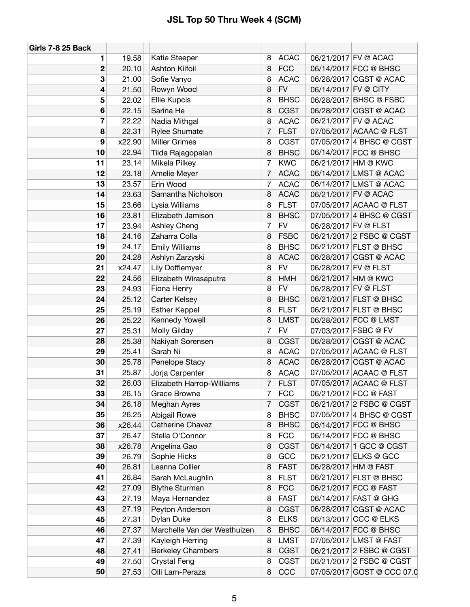| Girls 7-8 25 Back |        |                              |   |             |                      |                            |
|-------------------|--------|------------------------------|---|-------------|----------------------|----------------------------|
| 1                 | 19.58  | Katie Steeper                | 8 | <b>ACAC</b> |                      | 06/21/2017 FV @ ACAC       |
| $\overline{2}$    | 20.10  | <b>Ashton Kilfoil</b>        | 8 | <b>FCC</b>  |                      | 06/14/2017 FCC @ BHSC      |
| 3                 | 21.00  | Sofie Vanyo                  | 8 | <b>ACAC</b> |                      | 06/28/2017 CGST @ ACAC     |
| 4                 | 21.50  | Rowyn Wood                   | 8 | <b>FV</b>   | 06/14/2017 FV @ CITY |                            |
| 5                 | 22.02  | <b>Ellie Kupcis</b>          | 8 | <b>BHSC</b> |                      | 06/28/2017 BHSC @ FSBC     |
| 6                 | 22.15  | Sarina He                    | 8 | <b>CGST</b> |                      | 06/28/2017 CGST @ ACAC     |
| 7                 | 22.22  | Nadia Mithgal                | 8 | <b>ACAC</b> |                      | 06/21/2017 FV @ ACAC       |
| 8                 | 22.31  | <b>Rylee Shumate</b>         | 7 | <b>FLST</b> |                      | 07/05/2017 ACAAC @ FLST    |
| 9                 | x22.90 | <b>Miller Grimes</b>         | 8 | <b>CGST</b> |                      | 07/05/2017 4 BHSC @ CGST   |
| 10                | 22.94  | Tilda Rajagopalan            | 8 | <b>BHSC</b> |                      | 06/14/2017 FCC @ BHSC      |
| 11                | 23.14  | Mikela Pilkey                | 7 | <b>KWC</b>  |                      | 06/21/2017 HM @ KWC        |
| 12                | 23.18  | Amelie Meyer                 | 7 | <b>ACAC</b> |                      | 06/14/2017 LMST @ ACAC     |
| 13                | 23.57  | Erin Wood                    | 7 | <b>ACAC</b> |                      | 06/14/2017 LMST @ ACAC     |
| 14                | 23.63  | Samantha Nicholson           | 8 | <b>ACAC</b> |                      | 06/21/2017 FV @ ACAC       |
| 15                | 23.66  | Lysia Williams               | 8 | <b>FLST</b> |                      | 07/05/2017 ACAAC @ FLST    |
| 16                | 23.81  | Elizabeth Jamison            | 8 | <b>BHSC</b> |                      | 07/05/2017 4 BHSC @ CGST   |
| 17                | 23.94  | Ashley Cheng                 | 7 | <b>FV</b>   | 06/28/2017 FV @ FLST |                            |
| 18                | 24.16  | Zaharra Colla                | 8 | <b>FSBC</b> |                      | 06/21/2017 2 FSBC @ CGST   |
| 19                | 24.17  | <b>Emily Williams</b>        | 8 | <b>BHSC</b> |                      | 06/21/2017 FLST @ BHSC     |
| 20                | 24.28  | Ashlyn Zarzyski              | 8 | <b>ACAC</b> |                      | 06/28/2017 CGST @ ACAC     |
| 21                | x24.47 | Lily Dofflemyer              | 8 | <b>FV</b>   | 06/28/2017 FV @ FLST |                            |
| 22                | 24.56  | Elizabeth Wirasaputra        | 8 | <b>HMH</b>  |                      | 06/21/2017 HM @ KWC        |
| 23                | 24.93  | Fiona Henry                  | 8 | <b>FV</b>   | 06/28/2017 FV @ FLST |                            |
| 24                | 25.12  | <b>Carter Kelsey</b>         | 8 | <b>BHSC</b> |                      | 06/21/2017 FLST @ BHSC     |
| 25                | 25.19  | <b>Esther Keppel</b>         | 8 | <b>FLST</b> |                      | 06/21/2017 FLST @ BHSC     |
| 26                | 25.22  | Kennedy Yowell               | 8 | <b>LMST</b> |                      | 06/28/2017 FCC @ LMST      |
| 27                | 25.31  | Molly Gilday                 | 7 | <b>FV</b>   |                      | 07/03/2017 FSBC @ FV       |
| 28                | 25.38  | Nakiyah Sorensen             | 8 | <b>CGST</b> |                      | 06/28/2017 CGST @ ACAC     |
| 29                | 25.41  | Sarah Ni                     | 8 | <b>ACAC</b> |                      | 07/05/2017 ACAAC @ FLST    |
| 30                | 25.78  | Penelope Stacy               | 8 | <b>ACAC</b> |                      | 06/28/2017 CGST @ ACAC     |
| 31                | 25.87  | Jorja Carpenter              | 8 | <b>ACAC</b> |                      | 07/05/2017 ACAAC @ FLST    |
| 32                | 26.03  | Elizabeth Harrop-Williams    | 7 | <b>FLST</b> |                      | 07/05/2017 ACAAC @ FLST    |
| 33                | 26.15  | Grace Browne                 | 7 | <b>FCC</b>  |                      | 06/21/2017 FCC @ FAST      |
| 34                | 26.18  | Meghan Ayres                 | 7 | <b>CGST</b> |                      | 06/21/2017 2 FSBC @ CGST   |
| 35                | 26.25  | Abigail Rowe                 | 8 | <b>BHSC</b> |                      | 07/05/2017 4 BHSC @ CGST   |
| 36                | x26.44 | Catherine Chavez             | 8 | <b>BHSC</b> |                      | 06/14/2017 FCC @ BHSC      |
| 37                | 26.47  | Stella O'Connor              | 8 | <b>FCC</b>  |                      | 06/14/2017 FCC @ BHSC      |
| 38                | x26.78 | Angelina Gao                 | 8 | <b>CGST</b> |                      | 06/14/2017 1 GCC @ CGST    |
| 39                | 26.79  | Sophie Hicks                 | 8 | GCC         |                      | 06/21/2017 ELKS @ GCC      |
| 40                | 26.81  | Leanna Collier               | 8 | <b>FAST</b> |                      | 06/28/2017 HM @ FAST       |
| 41                | 26.84  | Sarah McLaughlin             | 8 | <b>FLST</b> |                      | 06/21/2017 FLST @ BHSC     |
| 42                | 27.09  | <b>Blythe Sturman</b>        | 8 | <b>FCC</b>  |                      | 06/21/2017 FCC @ FAST      |
| 43                | 27.19  | Maya Hernandez               | 8 | <b>FAST</b> |                      | 06/14/2017 FAST @ GHG      |
| 43                | 27.19  | Peyton Anderson              | 8 | <b>CGST</b> |                      | 06/28/2017 CGST @ ACAC     |
| 45                | 27.31  | Dylan Duke                   | 8 | <b>ELKS</b> |                      | 06/13/2017 CCC @ ELKS      |
| 46                | 27.37  | Marchelle Van der Westhuizen | 8 | <b>BHSC</b> |                      | 06/14/2017 FCC @ BHSC      |
| 47                | 27.39  | Kayleigh Herring             | 8 | <b>LMST</b> |                      | 07/05/2017 LMST @ FAST     |
| 48                | 27.41  | <b>Berkeley Chambers</b>     | 8 | <b>CGST</b> |                      | 06/21/2017 2 FSBC @ CGST   |
| 49                | 27.50  | <b>Crystal Feng</b>          | 8 | <b>CGST</b> |                      | 06/21/2017 2 FSBC @ CGST   |
| 50                | 27.53  | Olli Lam-Peraza              | 8 | CCC         |                      | 07/05/2017 GOST @ CCC 07.0 |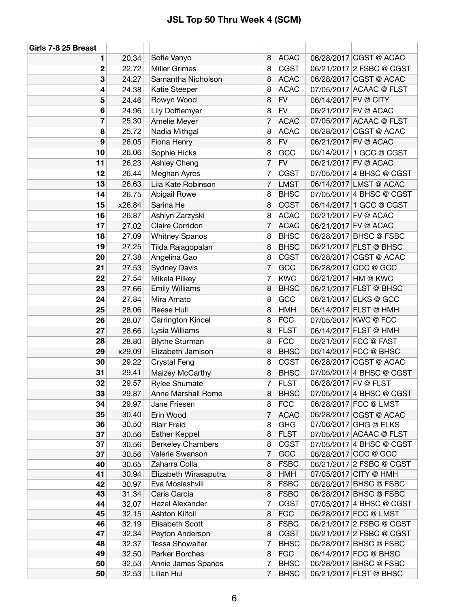| Girls 7-8 25 Breast |                |                                           |                |                            |                      |                                                      |
|---------------------|----------------|-------------------------------------------|----------------|----------------------------|----------------------|------------------------------------------------------|
| 1                   | 20.34          | Sofie Vanyo                               | 8              | <b>ACAC</b>                |                      | 06/28/2017 CGST @ ACAC                               |
| 2                   | 22.72          | <b>Miller Grimes</b>                      | 8              | <b>CGST</b>                |                      | 06/21/2017 2 FSBC @ CGST                             |
| 3                   | 24.27          | Samantha Nicholson                        | 8              | <b>ACAC</b>                |                      | 06/28/2017 CGST @ ACAC                               |
| 4                   | 24.38          | Katie Steeper                             | 8              | <b>ACAC</b>                |                      | 07/05/2017 ACAAC @ FLST                              |
| 5                   | 24.46          | Rowyn Wood                                | 8              | <b>FV</b>                  | 06/14/2017 FV @ CITY |                                                      |
| 6                   | 24.96          | Lily Dofflemyer                           | 8              | <b>FV</b>                  |                      | 06/21/2017 FV @ ACAC                                 |
| 7                   | 25.30          | Amelie Meyer                              | 7              | <b>ACAC</b>                |                      | 07/05/2017 ACAAC @ FLST                              |
| 8                   | 25.72          | Nadia Mithgal                             | 8              | <b>ACAC</b>                |                      | 06/28/2017 CGST @ ACAC                               |
| 9                   | 26.05          | Fiona Henry                               | 8              | <b>FV</b>                  |                      | 06/21/2017 FV @ ACAC                                 |
| 10                  | 26.06          | Sophie Hicks                              | 8              | GCC                        |                      | 06/14/2017 1 GCC @ CGST                              |
| 11                  | 26.23          | Ashley Cheng                              | 7              | <b>FV</b>                  |                      | 06/21/2017 FV @ ACAC                                 |
| 12                  | 26.44          | Meghan Ayres                              | 7              | <b>CGST</b>                |                      | 07/05/2017 4 BHSC @ CGST                             |
| 13                  | 26.63          | Lila Kate Robinson                        | $\overline{7}$ | <b>LMST</b>                |                      | 06/14/2017 LMST @ ACAC                               |
| 14                  | 26.75          | Abigail Rowe                              | 8              | <b>BHSC</b>                |                      | 07/05/2017 4 BHSC @ CGST                             |
| 15                  | x26.84         | Sarina He                                 | 8              | <b>CGST</b>                |                      | 06/14/2017 1 GCC @ CGST                              |
| 16                  | 26.87          | Ashlyn Zarzyski                           | 8              | <b>ACAC</b>                |                      | 06/21/2017 FV @ ACAC                                 |
| 17                  | 27.02          | Claire Corridon                           | 7              | <b>ACAC</b>                |                      | 06/21/2017 FV @ ACAC                                 |
| 18                  | 27.09          | <b>Whitney Spanos</b>                     | 8              | <b>BHSC</b>                |                      | 06/28/2017 BHSC @ FSBC                               |
| 19                  | 27.25          | Tilda Rajagopalan                         | 8              | <b>BHSC</b>                |                      | 06/21/2017 FLST @ BHSC                               |
| 20                  | 27.38          | Angelina Gao                              | 8              | <b>CGST</b>                |                      | 06/28/2017 CGST @ ACAC                               |
| 21                  | 27.53          | <b>Sydney Davis</b>                       | 7              | GCC                        |                      | 06/28/2017 CCC @ GCC                                 |
| 22                  | 27.54          | Mikela Pilkey                             | 7              | <b>KWC</b>                 |                      | 06/21/2017 HM @ KWC                                  |
| 23                  | 27.66          | <b>Emily Williams</b>                     | 8              | <b>BHSC</b>                |                      | 06/21/2017 FLST @ BHSC                               |
| 24                  | 27.84          | Mira Amato                                | 8              | GCC                        |                      | 06/21/2017 ELKS @ GCC                                |
| 25                  | 28.06          | Reese Hull                                | 8              | <b>HMH</b>                 |                      | 06/14/2017 FLST @ HMH                                |
| 26                  | 28.07          | Carrington Kincel                         | 8              | <b>FCC</b>                 |                      | 07/05/2017 KWC @ FCC                                 |
| 27                  | 28.66          | Lysia Williams                            | 8              | <b>FLST</b>                |                      | 06/14/2017 FLST @ HMH                                |
| 28                  | 28.80          | <b>Blythe Sturman</b>                     | 8              | <b>FCC</b>                 |                      | 06/21/2017 FCC @ FAST                                |
| 29                  | x29.09         | Elizabeth Jamison                         | 8              | <b>BHSC</b>                |                      | 06/14/2017 FCC @ BHSC                                |
| 30                  | 29.22          | <b>Crystal Feng</b>                       | 8              | <b>CGST</b>                |                      | 06/28/2017 CGST @ ACAC                               |
| 31                  | 29.41          | Maizey McCarthy                           | 8              | <b>BHSC</b>                |                      | 07/05/2017 4 BHSC @ CGST                             |
| 32                  | 29.57          | <b>Rylee Shumate</b>                      | 7              | <b>FLST</b>                | 06/28/2017 FV @ FLST |                                                      |
| 33                  | 29.87          | Anne Marshall Rome                        | 8              | <b>BHSC</b>                |                      | 07/05/2017 4 BHSC @ CGST                             |
| 34                  | 29.97          | Jane Friesen                              | 8              | <b>FCC</b>                 |                      | 06/28/2017 FCC @ LMST                                |
| 35                  | 30.40          | Erin Wood                                 | 7              | <b>ACAC</b>                |                      | 06/28/2017 CGST @ ACAC                               |
| 36                  | 30.50          | <b>Blair Freid</b>                        | 8              | <b>GHG</b>                 |                      | 07/06/2017 GHG @ ELKS                                |
| 37                  | 30.56          | <b>Esther Keppel</b>                      | 8              | <b>FLST</b>                |                      | 07/05/2017 ACAAC @ FLST                              |
| 37                  | 30.56          | <b>Berkeley Chambers</b>                  | 8              | <b>CGST</b>                |                      | 07/05/2017 4 BHSC @ CGST                             |
| 37                  | 30.56          | Valerie Swanson                           | 7              | GCC                        |                      | 06/28/2017 CCC @ GCC                                 |
| 40                  | 30.65          | Zaharra Colla                             | 8              | <b>FSBC</b>                |                      | 06/21/2017 2 FSBC @ CGST                             |
| 41                  | 30.94          | Elizabeth Wirasaputra                     | 8              | HMH                        |                      | 07/05/2017 CITY @ HMH                                |
| 42                  | 30.97          | Eva Mosiashvili                           | 8              | <b>FSBC</b>                |                      | 06/28/2017 BHSC @ FSBC                               |
| 43                  | 31.34          | Caris Garcia                              | 8              | <b>FSBC</b>                |                      | 06/28/2017 BHSC @ FSBC                               |
| 44                  | 32.07          | Hazel Alexander                           | 7              | <b>CGST</b>                |                      | 07/05/2017 4 BHSC @ CGST                             |
| 45                  | 32.15          | Ashton Kilfoil                            | 8              | <b>FCC</b>                 |                      | 06/28/2017 FCC @ LMST                                |
| 46<br>47            | 32.19          | Elisabeth Scott                           | 8              | <b>FSBC</b>                |                      | 06/21/2017 2 FSBC @ CGST<br>06/21/2017 2 FSBC @ CGST |
| 48                  | 32.34<br>32.37 | Peyton Anderson<br><b>Tessa Showalter</b> | 8<br>7         | <b>CGST</b><br><b>BHSC</b> |                      | 06/28/2017 BHSC @ FSBC                               |
| 49                  | 32.50          | Parker Borches                            | 8              | <b>FCC</b>                 |                      | 06/14/2017 FCC @ BHSC                                |
| 50                  | 32.53          | Annie James Spanos                        | 7              | <b>BHSC</b>                |                      | 06/28/2017 BHSC @ FSBC                               |
| 50                  | 32.53          | Lilian Hui                                | $\overline{7}$ | <b>BHSC</b>                |                      | 06/21/2017 FLST @ BHSC                               |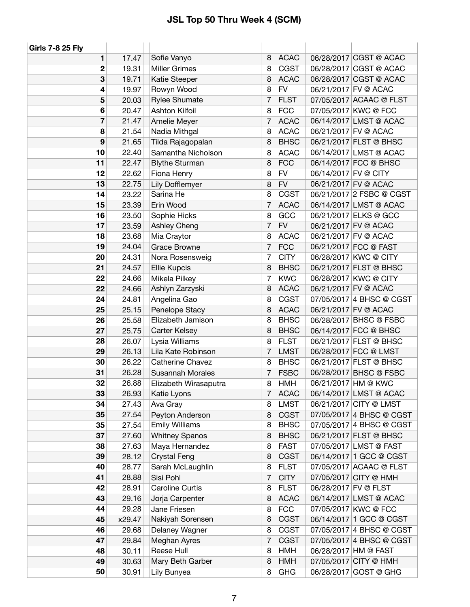| <b>Girls 7-8 25 Fly</b> |        |                         |                |             |                      |                          |
|-------------------------|--------|-------------------------|----------------|-------------|----------------------|--------------------------|
| 1                       | 17.47  | Sofie Vanyo             | 8              | <b>ACAC</b> |                      | 06/28/2017 CGST @ ACAC   |
| 2                       | 19.31  | <b>Miller Grimes</b>    | 8              | <b>CGST</b> |                      | 06/28/2017 CGST @ ACAC   |
| 3                       | 19.71  | Katie Steeper           | 8              | <b>ACAC</b> |                      | 06/28/2017 CGST @ ACAC   |
| 4                       | 19.97  | Rowyn Wood              | 8              | <b>FV</b>   |                      | 06/21/2017 FV @ ACAC     |
| 5                       | 20.03  | <b>Rylee Shumate</b>    | 7              | <b>FLST</b> |                      | 07/05/2017 ACAAC @ FLST  |
| 6                       | 20.47  | Ashton Kilfoil          | 8              | <b>FCC</b>  |                      | 07/05/2017 KWC @ FCC     |
| $\overline{\mathbf{z}}$ | 21.47  | Amelie Meyer            | $\overline{7}$ | <b>ACAC</b> |                      | 06/14/2017 LMST @ ACAC   |
| 8                       | 21.54  | Nadia Mithgal           | 8              | <b>ACAC</b> |                      | 06/21/2017 FV @ ACAC     |
| 9                       | 21.65  | Tilda Rajagopalan       | 8              | <b>BHSC</b> |                      | 06/21/2017 FLST @ BHSC   |
| 10                      | 22.40  | Samantha Nicholson      | 8              | <b>ACAC</b> |                      | 06/14/2017 LMST @ ACAC   |
| 11                      | 22.47  | <b>Blythe Sturman</b>   | 8              | <b>FCC</b>  |                      | 06/14/2017 FCC @ BHSC    |
| 12                      | 22.62  | Fiona Henry             | 8              | <b>FV</b>   | 06/14/2017 FV @ CITY |                          |
| 13                      | 22.75  | Lily Dofflemyer         | 8              | <b>FV</b>   |                      | 06/21/2017 FV @ ACAC     |
| 14                      | 23.22  | Sarina He               | 8              | <b>CGST</b> |                      | 06/21/2017 2 FSBC @ CGST |
| 15                      | 23.39  | Erin Wood               | 7              | <b>ACAC</b> |                      | 06/14/2017 LMST @ ACAC   |
| 16                      | 23.50  | Sophie Hicks            | 8              | GCC         |                      | 06/21/2017 ELKS @ GCC    |
| 17                      | 23.59  | Ashley Cheng            | 7              | <b>FV</b>   |                      | 06/21/2017 FV @ ACAC     |
| 18                      | 23.68  | Mia Craytor             | 8              | <b>ACAC</b> |                      | 06/21/2017 FV @ ACAC     |
| 19                      | 24.04  | Grace Browne            | 7              | <b>FCC</b>  |                      | 06/21/2017 FCC @ FAST    |
| 20                      | 24.31  | Nora Rosensweig         | 7              | <b>CITY</b> |                      | 06/28/2017 KWC @ CITY    |
| 21                      | 24.57  | <b>Ellie Kupcis</b>     | 8              | <b>BHSC</b> |                      | 06/21/2017 FLST @ BHSC   |
| 22                      | 24.66  | Mikela Pilkey           | 7              | <b>KWC</b>  |                      | 06/28/2017 KWC @ CITY    |
| 22                      | 24.66  | Ashlyn Zarzyski         | 8              | <b>ACAC</b> |                      | 06/21/2017 FV @ ACAC     |
| 24                      | 24.81  | Angelina Gao            | 8              | <b>CGST</b> |                      | 07/05/2017 4 BHSC @ CGST |
| 25                      | 25.15  | Penelope Stacy          | 8              | <b>ACAC</b> |                      | 06/21/2017 FV @ ACAC     |
| 26                      | 25.58  | Elizabeth Jamison       | 8              | <b>BHSC</b> |                      | 06/28/2017 BHSC @ FSBC   |
| 27                      | 25.75  | Carter Kelsey           | 8              | <b>BHSC</b> |                      | 06/14/2017 FCC @ BHSC    |
| 28                      | 26.07  | Lysia Williams          | 8              | <b>FLST</b> |                      | 06/21/2017 FLST @ BHSC   |
| 29                      | 26.13  | Lila Kate Robinson      | $\overline{7}$ | <b>LMST</b> |                      | 06/28/2017 FCC @ LMST    |
| 30                      | 26.22  | <b>Catherine Chavez</b> | 8              | <b>BHSC</b> |                      | 06/21/2017 FLST @ BHSC   |
| 31                      | 26.28  | <b>Susannah Morales</b> | 7              | <b>FSBC</b> |                      | 06/28/2017 BHSC @ FSBC   |
| 32                      | 26.88  | Elizabeth Wirasaputra   | 8              | <b>HMH</b>  |                      | 06/21/2017 HM @ KWC      |
| 33                      | 26.93  | Katie Lyons             | 7              | <b>ACAC</b> |                      | 06/14/2017 LMST @ ACAC   |
| 34                      | 27.43  | Ava Gray                | 8              | <b>LMST</b> |                      | 06/21/2017 CITY @ LMST   |
| 35                      | 27.54  | Peyton Anderson         | 8              | <b>CGST</b> |                      | 07/05/2017 4 BHSC @ CGST |
| 35                      | 27.54  | <b>Emily Williams</b>   | 8              | <b>BHSC</b> |                      | 07/05/2017 4 BHSC @ CGST |
| 37                      | 27.60  | <b>Whitney Spanos</b>   | 8              | <b>BHSC</b> |                      | 06/21/2017 FLST @ BHSC   |
| 38                      | 27.63  | Maya Hernandez          | 8              | <b>FAST</b> |                      | 07/05/2017 LMST @ FAST   |
| 39                      | 28.12  | <b>Crystal Feng</b>     | 8              | <b>CGST</b> |                      | 06/14/2017 1 GCC @ CGST  |
| 40                      | 28.77  | Sarah McLaughlin        | 8              | <b>FLST</b> |                      | 07/05/2017 ACAAC @ FLST  |
| 41                      | 28.88  | Sisi Pohl               | $\overline{7}$ | <b>CITY</b> |                      | 07/05/2017 CITY @ HMH    |
| 42                      | 28.91  | Caroline Curtis         | 8              | <b>FLST</b> | 06/28/2017 FV @ FLST |                          |
| 43                      | 29.16  | Jorja Carpenter         | 8              | <b>ACAC</b> |                      | 06/14/2017 LMST @ ACAC   |
| 44                      | 29.28  | Jane Friesen            | 8              | <b>FCC</b>  |                      | 07/05/2017 KWC @ FCC     |
| 45                      | x29.47 | Nakiyah Sorensen        | 8              | <b>CGST</b> |                      | 06/14/2017 1 GCC @ CGST  |
| 46                      | 29.68  | Delaney Wagner          | 8              | <b>CGST</b> |                      | 07/05/2017 4 BHSC @ CGST |
| 47                      | 29.84  | Meghan Ayres            | 7              | <b>CGST</b> |                      | 07/05/2017 4 BHSC @ CGST |
| 48                      | 30.11  | Reese Hull              | 8              | <b>HMH</b>  |                      | 06/28/2017 HM @ FAST     |
| 49                      | 30.63  | Mary Beth Garber        | 8              | <b>HMH</b>  |                      | 07/05/2017 CITY @ HMH    |
| 50                      | 30.91  | Lily Bunyea             | 8              | <b>GHG</b>  |                      | 06/28/2017 GOST @ GHG    |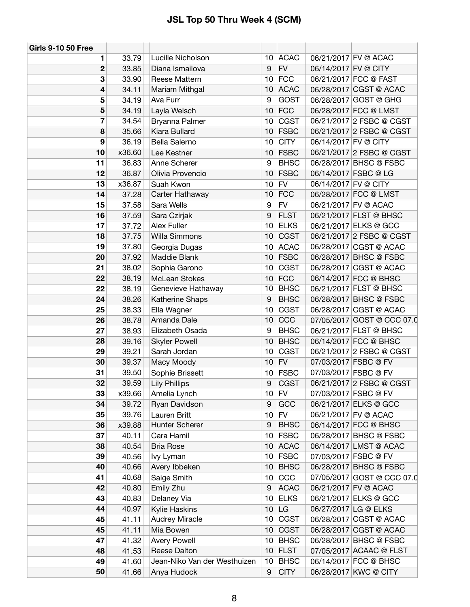| <b>Girls 9-10 50 Free</b> |        |                              |                 |             |                      |                            |
|---------------------------|--------|------------------------------|-----------------|-------------|----------------------|----------------------------|
| 1                         | 33.79  | Lucille Nicholson            |                 | 10 ACAC     |                      | 06/21/2017 FV @ ACAC       |
| $\mathbf 2$               | 33.85  | Diana Ismailova              | 9               | ${\sf FV}$  | 06/14/2017 FV @ CITY |                            |
| 3                         | 33.90  | Reese Mattern                | 10              | <b>FCC</b>  |                      | 06/21/2017 FCC @ FAST      |
| 4                         | 34.11  | Mariam Mithgal               | 10              | <b>ACAC</b> |                      | 06/28/2017 CGST @ ACAC     |
| 5                         | 34.19  | Ava Furr                     | 9               | <b>GOST</b> |                      | 06/28/2017 GOST @ GHG      |
| 5                         | 34.19  | Layla Welsch                 | 10              | <b>FCC</b>  |                      | 06/28/2017 FCC @ LMST      |
| 7                         | 34.54  | Bryanna Palmer               | 10              | <b>CGST</b> |                      | 06/21/2017 2 FSBC @ CGST   |
| 8                         | 35.66  | Kiara Bullard                | 10              | <b>FSBC</b> |                      | 06/21/2017 2 FSBC @ CGST   |
| 9                         | 36.19  | Bella Salerno                | 10              | <b>CITY</b> | 06/14/2017 FV @ CITY |                            |
| 10                        | x36.60 | Lee Kestner                  | 10              | <b>FSBC</b> |                      | 06/21/2017 2 FSBC @ CGST   |
| 11                        | 36.83  | Anne Scherer                 | 9               | <b>BHSC</b> |                      | 06/28/2017 BHSC @ FSBC     |
| 12                        | 36.87  | Olivia Provencio             | 10              | <b>FSBC</b> |                      | 06/14/2017 FSBC @ LG       |
| 13                        | x36.87 | Suah Kwon                    | 10 <sup>1</sup> | <b>FV</b>   | 06/14/2017 FV @ CITY |                            |
| 14                        | 37.28  | Carter Hathaway              | 10              | <b>FCC</b>  |                      | 06/28/2017 FCC @ LMST      |
| 15                        | 37.58  | Sara Wells                   | 9               | <b>FV</b>   |                      | 06/21/2017 FV @ ACAC       |
| 16                        | 37.59  | Sara Czirjak                 | 9               | <b>FLST</b> |                      | 06/21/2017 FLST @ BHSC     |
| 17                        | 37.72  | Alex Fuller                  | 10              | <b>ELKS</b> |                      | 06/21/2017 ELKS @ GCC      |
| 18                        | 37.75  | Willa Simmons                | 10              | <b>CGST</b> |                      | 06/21/2017 2 FSBC @ CGST   |
| 19                        | 37.80  | Georgia Dugas                | 10              | <b>ACAC</b> |                      | 06/28/2017 CGST @ ACAC     |
| 20                        | 37.92  | Maddie Blank                 | 10              | <b>FSBC</b> |                      | 06/28/2017 BHSC @ FSBC     |
| 21                        | 38.02  | Sophia Garono                | 10              | <b>CGST</b> |                      | 06/28/2017 CGST @ ACAC     |
| 22                        | 38.19  | <b>McLean Stokes</b>         | 10              | <b>FCC</b>  |                      | 06/14/2017 FCC @ BHSC      |
| 22                        | 38.19  | Genevieve Hathaway           | 10 <sub>1</sub> | <b>BHSC</b> |                      | 06/21/2017 FLST @ BHSC     |
| 24                        | 38.26  | Katherine Shaps              | 9               | <b>BHSC</b> |                      | 06/28/2017 BHSC @ FSBC     |
| 25                        | 38.33  | Ella Wagner                  | 10              | <b>CGST</b> |                      | 06/28/2017 CGST @ ACAC     |
| 26                        | 38.78  | Amanda Dale                  | 10              | CCC         |                      | 07/05/2017 GOST @ CCC 07.0 |
| 27                        | 38.93  | Elizabeth Osada              | 9               | <b>BHSC</b> |                      | 06/21/2017 FLST @ BHSC     |
| 28                        | 39.16  | <b>Skyler Powell</b>         | 10              | <b>BHSC</b> |                      | 06/14/2017 FCC @ BHSC      |
| 29                        | 39.21  | Sarah Jordan                 | 10              | <b>CGST</b> |                      | 06/21/2017 2 FSBC @ CGST   |
| 30                        | 39.37  | Macy Moody                   | 10              | <b>FV</b>   |                      | 07/03/2017 FSBC @ FV       |
| 31                        | 39.50  | Sophie Brissett              | 10              | <b>FSBC</b> |                      | 07/03/2017 FSBC @ FV       |
| 32                        | 39.59  | <b>Lily Phillips</b>         | 9               | <b>CGST</b> |                      | 06/21/2017 2 FSBC @ CGST   |
| 33                        | x39.66 | Amelia Lynch                 |                 | $10$ FV     |                      | 07/03/2017 FSBC @ FV       |
| 34                        | 39.72  | Ryan Davidson                | 9               | GCC         |                      | 06/21/2017 ELKS @ GCC      |
| 35                        | 39.76  | Lauren Britt                 | 10              | <b>FV</b>   |                      | 06/21/2017 FV @ ACAC       |
| 36                        | x39.88 | Hunter Scherer               | 9               | <b>BHSC</b> |                      | 06/14/2017 FCC @ BHSC      |
| 37                        | 40.11  | Cara Hamil                   | 10 <sup>1</sup> | <b>FSBC</b> |                      | 06/28/2017 BHSC @ FSBC     |
| 38                        | 40.54  | <b>Bria Rose</b>             |                 | 10 ACAC     |                      | 06/14/2017 LMST @ ACAC     |
| 39                        | 40.56  | Ivy Lyman                    | 10 <sup>1</sup> | <b>FSBC</b> |                      | 07/03/2017 FSBC @ FV       |
| 40                        | 40.66  | Avery Ibbeken                | 10              | <b>BHSC</b> |                      | 06/28/2017 BHSC @ FSBC     |
| 41                        | 40.68  | Saige Smith                  | 10              | CCC         |                      | 07/05/2017 GOST @ CCC 07.0 |
| 42                        | 40.80  | Emily Zhu                    | 9               | <b>ACAC</b> |                      | 06/21/2017 FV @ ACAC       |
| 43                        | 40.83  | Delaney Via                  | 10              | <b>ELKS</b> |                      | 06/21/2017 ELKS @ GCC      |
| 44                        | 40.97  | Kylie Haskins                | 10 <sub>1</sub> | LG          |                      | 06/27/2017 LG @ ELKS       |
| 45                        | 41.11  | <b>Audrey Miracle</b>        | 10 <sup>1</sup> | <b>CGST</b> |                      | 06/28/2017 CGST @ ACAC     |
| 45                        | 41.11  | Mia Bowen                    | 10              | <b>CGST</b> |                      | 06/28/2017 CGST @ ACAC     |
| 47                        | 41.32  | <b>Avery Powell</b>          | 10 <sup>1</sup> | <b>BHSC</b> |                      | 06/28/2017 BHSC @ FSBC     |
| 48                        | 41.53  | Reese Dalton                 |                 | $10$ FLST   |                      | 07/05/2017 ACAAC @ FLST    |
| 49                        | 41.60  | Jean-Niko Van der Westhuizen | 10              | <b>BHSC</b> |                      | 06/14/2017 FCC @ BHSC      |
| 50                        | 41.66  | Anya Hudock                  | 9               | <b>CITY</b> |                      | 06/28/2017 KWC @ CITY      |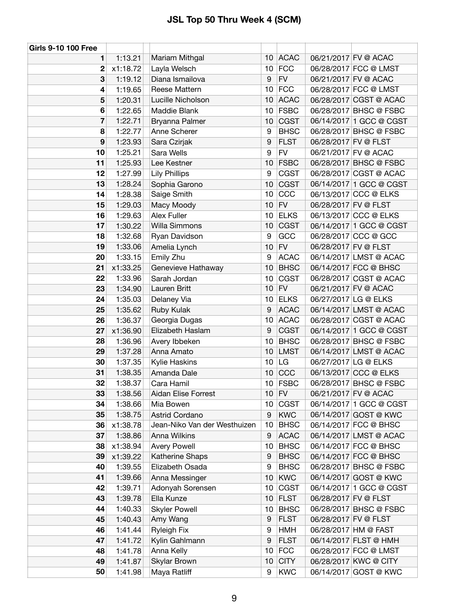| <b>Girls 9-10 100 Free</b> |          |                              |                 |             |                      |                         |
|----------------------------|----------|------------------------------|-----------------|-------------|----------------------|-------------------------|
| 1                          | 1:13.21  | Mariam Mithgal               | 10              | <b>ACAC</b> |                      | 06/21/2017 FV @ ACAC    |
| 2                          | x1:18.72 | Layla Welsch                 | 10              | <b>FCC</b>  |                      | 06/28/2017 FCC @ LMST   |
| 3                          | 1:19.12  | Diana Ismailova              | 9               | ${\sf FV}$  |                      | 06/21/2017 FV @ ACAC    |
| 4                          | 1:19.65  | Reese Mattern                | 10              | <b>FCC</b>  |                      | 06/28/2017 FCC @ LMST   |
| 5                          | 1:20.31  | Lucille Nicholson            | 10              | <b>ACAC</b> |                      | 06/28/2017 CGST @ ACAC  |
| 6                          | 1:22.65  | Maddie Blank                 | 10              | <b>FSBC</b> |                      | 06/28/2017 BHSC @ FSBC  |
| 7                          | 1:22.71  | Bryanna Palmer               | 10              | <b>CGST</b> |                      | 06/14/2017 1 GCC @ CGST |
| 8                          | 1:22.77  | Anne Scherer                 | 9               | <b>BHSC</b> |                      | 06/28/2017 BHSC @ FSBC  |
| 9                          | 1:23.93  | Sara Czirjak                 | 9               | <b>FLST</b> | 06/28/2017 FV @ FLST |                         |
| 10                         | 1:25.21  | Sara Wells                   | 9               | <b>FV</b>   |                      | 06/21/2017 FV @ ACAC    |
| 11                         | 1:25.93  | Lee Kestner                  | 10              | <b>FSBC</b> |                      | 06/28/2017 BHSC @ FSBC  |
| 12                         | 1:27.99  | <b>Lily Phillips</b>         | 9               | <b>CGST</b> |                      | 06/28/2017 CGST @ ACAC  |
| 13                         | 1:28.24  | Sophia Garono                | 10              | CGST        |                      | 06/14/2017 1 GCC @ CGST |
| 14                         | 1:28.38  | Saige Smith                  | 10              | CCC         |                      | 06/13/2017 CCC @ ELKS   |
| 15                         | 1:29.03  | Macy Moody                   | 10              | <b>FV</b>   | 06/28/2017 FV @ FLST |                         |
| 16                         | 1:29.63  | Alex Fuller                  | 10              | <b>ELKS</b> |                      | 06/13/2017 CCC @ ELKS   |
| 17                         | 1:30.22  | Willa Simmons                | 10              | <b>CGST</b> |                      | 06/14/2017 1 GCC @ CGST |
| 18                         | 1:32.68  | Ryan Davidson                | 9               | GCC         |                      | 06/28/2017 CCC @ GCC    |
| 19                         | 1:33.06  | Amelia Lynch                 | 10              | <b>FV</b>   | 06/28/2017 FV @ FLST |                         |
| 20                         | 1:33.15  | Emily Zhu                    | 9               | <b>ACAC</b> |                      | 06/14/2017 LMST @ ACAC  |
| 21                         | x1:33.25 | Genevieve Hathaway           | 10              | <b>BHSC</b> |                      | 06/14/2017 FCC @ BHSC   |
| 22                         | 1:33.96  | Sarah Jordan                 | 10              | <b>CGST</b> |                      | 06/28/2017 CGST @ ACAC  |
| 23                         | 1:34.90  | Lauren Britt                 | 10              | <b>FV</b>   |                      | 06/21/2017 FV @ ACAC    |
| 24                         | 1:35.03  | Delaney Via                  | 10              | <b>ELKS</b> |                      | 06/27/2017 LG @ ELKS    |
| 25                         | 1:35.62  | Ruby Kulak                   | 9               | <b>ACAC</b> |                      | 06/14/2017 LMST @ ACAC  |
| 26                         | 1:36.37  | Georgia Dugas                | 10              | <b>ACAC</b> |                      | 06/28/2017 CGST @ ACAC  |
| 27                         | x1:36.90 | Elizabeth Haslam             | 9               | <b>CGST</b> |                      | 06/14/2017 1 GCC @ CGST |
| 28                         | 1:36.96  | Avery Ibbeken                | 10              | <b>BHSC</b> |                      | 06/28/2017 BHSC @ FSBC  |
| 29                         | 1:37.28  | Anna Amato                   | 10              | <b>LMST</b> |                      | 06/14/2017 LMST @ ACAC  |
| 30                         | 1:37.35  | Kylie Haskins                | 10              | LG          |                      | 06/27/2017 LG @ ELKS    |
| 31                         | 1:38.35  | Amanda Dale                  | 10              | CCC         |                      | 06/13/2017 CCC @ ELKS   |
| 32                         | 1:38.37  | Cara Hamil                   | 10 <sup>1</sup> | <b>FSBC</b> |                      | 06/28/2017 BHSC @ FSBC  |
| 33                         | 1:38.56  | <b>Aidan Elise Forrest</b>   |                 | $10$ FV     |                      | 06/21/2017 FV @ ACAC    |
| 34                         | 1:38.66  | Mia Bowen                    | 10              | <b>CGST</b> |                      | 06/14/2017 1 GCC @ CGST |
| 35                         | 1:38.75  | Astrid Cordano               | 9               | <b>KWC</b>  |                      | 06/14/2017 GOST @ KWC   |
| 36                         | x1:38.78 | Jean-Niko Van der Westhuizen | 10              | <b>BHSC</b> |                      | 06/14/2017 FCC @ BHSC   |
| 37                         | 1:38.86  | Anna Wilkins                 | 9               | <b>ACAC</b> |                      | 06/14/2017 LMST @ ACAC  |
| 38                         | x1:38.94 | <b>Avery Powell</b>          | 10              | <b>BHSC</b> |                      | 06/14/2017 FCC @ BHSC   |
| 39                         | x1:39.22 | Katherine Shaps              | 9               | <b>BHSC</b> |                      | 06/14/2017 FCC @ BHSC   |
| 40                         | 1:39.55  | Elizabeth Osada              | 9               | <b>BHSC</b> |                      | 06/28/2017 BHSC @ FSBC  |
| 41                         | 1:39.66  | Anna Messinger               | 10              | <b>KWC</b>  |                      | 06/14/2017 GOST @ KWC   |
| 42                         | 1:39.71  | Adonyah Sorensen             | 10              | <b>CGST</b> |                      | 06/14/2017 1 GCC @ CGST |
| 43                         | 1:39.78  | Ella Kunze                   | 10              | <b>FLST</b> | 06/28/2017 FV @ FLST |                         |
| 44                         | 1:40.33  | <b>Skyler Powell</b>         | 10              | <b>BHSC</b> |                      | 06/28/2017 BHSC @ FSBC  |
| 45                         | 1:40.43  | Amy Wang                     | 9               | <b>FLST</b> |                      | 06/28/2017 FV @ FLST    |
| 46                         | 1:41.44  | <b>Ryleigh Fix</b>           | 9               | <b>HMH</b>  |                      | 06/28/2017 HM @ FAST    |
| 47                         | 1:41.72  | Kylin Gahlmann               | 9               | <b>FLST</b> |                      | 06/14/2017 FLST @ HMH   |
| 48                         | 1:41.78  | Anna Kelly                   | 10              | <b>FCC</b>  |                      | 06/28/2017 FCC @ LMST   |
| 49                         | 1:41.87  | Skylar Brown                 | 10              | <b>CITY</b> |                      | 06/28/2017 KWC @ CITY   |
| 50                         | 1:41.98  | Maya Ratliff                 | 9               | <b>KWC</b>  |                      | 06/14/2017 GOST @ KWC   |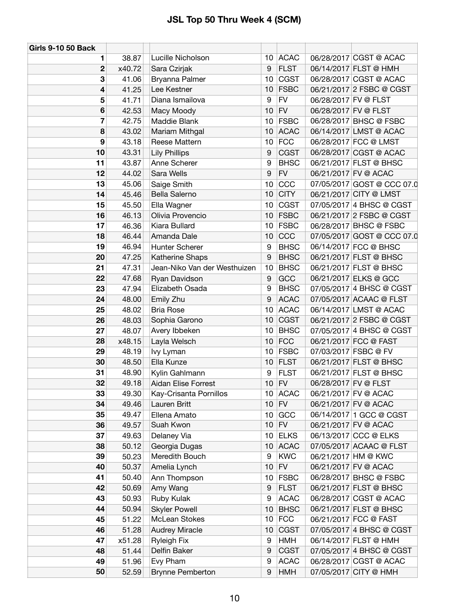| <b>Girls 9-10 50 Back</b> |        |                              |                 |             |                      |                            |
|---------------------------|--------|------------------------------|-----------------|-------------|----------------------|----------------------------|
| 1                         | 38.87  | Lucille Nicholson            |                 | 10 ACAC     |                      | 06/28/2017 CGST @ ACAC     |
| $\mathbf 2$               | x40.72 | Sara Czirjak                 | 9               | <b>FLST</b> |                      | 06/14/2017 FLST @ HMH      |
| 3                         | 41.06  | Bryanna Palmer               | 10              | <b>CGST</b> |                      | 06/28/2017 CGST @ ACAC     |
| 4                         | 41.25  | Lee Kestner                  | 10              | <b>FSBC</b> |                      | 06/21/2017 2 FSBC @ CGST   |
| 5                         | 41.71  | Diana Ismailova              | 9               | <b>FV</b>   | 06/28/2017 FV @ FLST |                            |
| 6                         | 42.53  | Macy Moody                   | 10              | <b>FV</b>   |                      | 06/28/2017 FV @ FLST       |
| $\overline{7}$            | 42.75  | Maddie Blank                 | 10 <sub>1</sub> | <b>FSBC</b> |                      | 06/28/2017 BHSC @ FSBC     |
| 8                         | 43.02  | Mariam Mithgal               | 10              | <b>ACAC</b> |                      | 06/14/2017 LMST @ ACAC     |
| 9                         | 43.18  | Reese Mattern                | 10              | <b>FCC</b>  |                      | 06/28/2017 FCC @ LMST      |
| 10                        | 43.31  | <b>Lily Phillips</b>         | 9               | <b>CGST</b> |                      | 06/28/2017 CGST @ ACAC     |
| 11                        | 43.87  | Anne Scherer                 | 9               | <b>BHSC</b> |                      | 06/21/2017 FLST @ BHSC     |
| 12                        | 44.02  | Sara Wells                   | 9               | <b>FV</b>   |                      | 06/21/2017 FV @ ACAC       |
| 13                        | 45.06  | Saige Smith                  | 10              | CCC         |                      | 07/05/2017 GOST @ CCC 07.0 |
| 14                        | 45.46  | Bella Salerno                | 10              | <b>CITY</b> |                      | 06/21/2017 CITY @ LMST     |
| 15                        | 45.50  | Ella Wagner                  | 10              | <b>CGST</b> |                      | 07/05/2017 4 BHSC @ CGST   |
| 16                        | 46.13  | Olivia Provencio             | 10              | <b>FSBC</b> |                      | 06/21/2017 2 FSBC @ CGST   |
| 17                        | 46.36  | Kiara Bullard                | 10              | <b>FSBC</b> |                      | 06/28/2017 BHSC @ FSBC     |
| 18                        | 46.44  | Amanda Dale                  | 10              | CCC         |                      | 07/05/2017 GOST @ CCC 07.0 |
| 19                        | 46.94  | Hunter Scherer               | 9               | <b>BHSC</b> |                      | 06/14/2017 FCC @ BHSC      |
| 20                        | 47.25  | Katherine Shaps              | 9               | <b>BHSC</b> |                      | 06/21/2017 FLST @ BHSC     |
| 21                        | 47.31  | Jean-Niko Van der Westhuizen | 10              | <b>BHSC</b> |                      | 06/21/2017 FLST @ BHSC     |
| 22                        | 47.68  | Ryan Davidson                | 9               | <b>GCC</b>  |                      | 06/21/2017 ELKS @ GCC      |
| 23                        | 47.94  | Elizabeth Osada              | 9               | <b>BHSC</b> |                      | 07/05/2017 4 BHSC @ CGST   |
| 24                        | 48.00  | Emily Zhu                    | 9               | <b>ACAC</b> |                      | 07/05/2017 ACAAC @ FLST    |
| 25                        | 48.02  | <b>Bria Rose</b>             | 10              | <b>ACAC</b> |                      | 06/14/2017 LMST @ ACAC     |
| 26                        | 48.03  | Sophia Garono                | 10              | <b>CGST</b> |                      | 06/21/2017 2 FSBC @ CGST   |
| 27                        | 48.07  | Avery Ibbeken                | 10              | <b>BHSC</b> |                      | 07/05/2017 4 BHSC @ CGST   |
| 28                        | x48.15 | Layla Welsch                 | 10              | <b>FCC</b>  |                      | 06/21/2017 FCC @ FAST      |
| 29                        | 48.19  | Ivy Lyman                    | 10              | <b>FSBC</b> |                      | 07/03/2017 FSBC @ FV       |
| 30                        | 48.50  | Ella Kunze                   | 10              | <b>FLST</b> |                      | 06/21/2017 FLST @ BHSC     |
| 31                        | 48.90  | Kylin Gahlmann               | 9               | <b>FLST</b> |                      | 06/21/2017 FLST @ BHSC     |
| 32                        | 49.18  | <b>Aidan Elise Forrest</b>   | 10 <sup>°</sup> | <b>FV</b>   | 06/28/2017 FV @ FLST |                            |
| 33                        | 49.30  | Kay-Crisanta Pornillos       |                 | 10 ACAC     |                      | 06/21/2017 FV @ ACAC       |
| 34                        | 49.46  | Lauren Britt                 | 10 <sup>1</sup> | <b>FV</b>   |                      | 06/21/2017 FV @ ACAC       |
| 35                        | 49.47  | Ellena Amato                 | 10              | GCC         |                      | 06/14/2017 1 GCC @ CGST    |
| 36                        | 49.57  | Suah Kwon                    | 10              | <b>FV</b>   |                      | 06/21/2017 FV @ ACAC       |
| 37                        | 49.63  | Delaney Via                  | 10 <sub>1</sub> | <b>ELKS</b> |                      | 06/13/2017 CCC @ ELKS      |
| 38                        | 50.12  | Georgia Dugas                | 10              | <b>ACAC</b> |                      | 07/05/2017 ACAAC @ FLST    |
| 39                        | 50.23  | Meredith Bouch               | 9               | <b>KWC</b>  |                      | 06/21/2017 HM @ KWC        |
| 40                        | 50.37  | Amelia Lynch                 | 10              | <b>FV</b>   |                      | 06/21/2017 FV @ ACAC       |
| 41                        | 50.40  | Ann Thompson                 | 10 <sub>1</sub> | <b>FSBC</b> |                      | 06/28/2017 BHSC @ FSBC     |
| 42                        | 50.69  | Amy Wang                     | 9               | <b>FLST</b> |                      | 06/21/2017 FLST @ BHSC     |
| 43                        | 50.93  | Ruby Kulak                   | 9               | <b>ACAC</b> |                      | 06/28/2017 CGST @ ACAC     |
| 44                        | 50.94  | <b>Skyler Powell</b>         | 10              | <b>BHSC</b> |                      | 06/21/2017 FLST @ BHSC     |
| 45                        | 51.22  | McLean Stokes                | 10              | <b>FCC</b>  |                      | 06/21/2017 FCC @ FAST      |
| 46                        | 51.28  | <b>Audrey Miracle</b>        | 10              | <b>CGST</b> |                      | 07/05/2017 4 BHSC @ CGST   |
| 47                        | x51.28 | <b>Ryleigh Fix</b>           | 9               | <b>HMH</b>  |                      | 06/14/2017 FLST @ HMH      |
| 48                        | 51.44  | Delfin Baker                 | 9               | <b>CGST</b> |                      | 07/05/2017 4 BHSC @ CGST   |
| 49                        | 51.96  | Evy Pham                     | 9               | <b>ACAC</b> |                      | 06/28/2017 CGST @ ACAC     |
| 50                        | 52.59  | <b>Brynne Pemberton</b>      | 9               | <b>HMH</b>  |                      | 07/05/2017 CITY @ HMH      |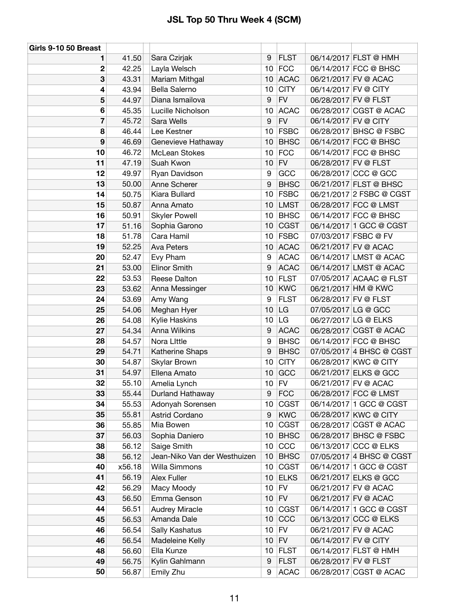| Girls 9-10 50 Breast    |        |                              |    |             |                      |                          |
|-------------------------|--------|------------------------------|----|-------------|----------------------|--------------------------|
| 1                       | 41.50  | Sara Czirjak                 | 9  | <b>FLST</b> |                      | 06/14/2017 FLST @ HMH    |
| $\mathbf 2$             | 42.25  | Layla Welsch                 | 10 | <b>FCC</b>  |                      | 06/14/2017 FCC @ BHSC    |
| 3                       | 43.31  | Mariam Mithgal               | 10 | <b>ACAC</b> |                      | 06/21/2017 FV @ ACAC     |
| 4                       | 43.94  | Bella Salerno                | 10 | <b>CITY</b> | 06/14/2017 FV @ CITY |                          |
| 5                       | 44.97  | Diana Ismailova              | 9  | <b>FV</b>   | 06/28/2017 FV @ FLST |                          |
| 6                       | 45.35  | Lucille Nicholson            | 10 | <b>ACAC</b> |                      | 06/28/2017 CGST @ ACAC   |
| $\overline{\mathbf{r}}$ | 45.72  | Sara Wells                   | 9  | ${\sf FV}$  | 06/14/2017 FV @ CITY |                          |
| 8                       | 46.44  | Lee Kestner                  | 10 | <b>FSBC</b> |                      | 06/28/2017 BHSC @ FSBC   |
| 9                       | 46.69  | Genevieve Hathaway           | 10 | <b>BHSC</b> |                      | 06/14/2017 FCC @ BHSC    |
| 10                      | 46.72  | McLean Stokes                | 10 | <b>FCC</b>  |                      | 06/14/2017 FCC @ BHSC    |
| 11                      | 47.19  | Suah Kwon                    | 10 | <b>FV</b>   | 06/28/2017 FV @ FLST |                          |
| 12                      | 49.97  | Ryan Davidson                | 9  | GCC         |                      | 06/28/2017 CCC @ GCC     |
| 13                      | 50.00  | Anne Scherer                 | 9  | <b>BHSC</b> |                      | 06/21/2017 FLST @ BHSC   |
| 14                      | 50.75  | Kiara Bullard                | 10 | <b>FSBC</b> |                      | 06/21/2017 2 FSBC @ CGST |
| 15                      | 50.87  | Anna Amato                   | 10 | <b>LMST</b> |                      | 06/28/2017 FCC @ LMST    |
| 16                      | 50.91  | <b>Skyler Powell</b>         | 10 | <b>BHSC</b> |                      | 06/14/2017 FCC @ BHSC    |
| 17                      | 51.16  | Sophia Garono                | 10 | <b>CGST</b> |                      | 06/14/2017 1 GCC @ CGST  |
| 18                      | 51.78  | Cara Hamil                   | 10 | <b>FSBC</b> |                      | 07/03/2017 FSBC @ FV     |
| 19                      | 52.25  | Ava Peters                   | 10 | <b>ACAC</b> |                      | 06/21/2017 FV @ ACAC     |
| 20                      | 52.47  | Evy Pham                     | 9  | <b>ACAC</b> |                      | 06/14/2017 LMST @ ACAC   |
| 21                      | 53.00  | <b>Elinor Smith</b>          | 9  | <b>ACAC</b> |                      | 06/14/2017 LMST @ ACAC   |
| 22                      | 53.53  | Reese Dalton                 | 10 | <b>FLST</b> |                      | 07/05/2017 ACAAC @ FLST  |
| 23                      | 53.62  | Anna Messinger               | 10 | <b>KWC</b>  |                      | 06/21/2017 HM @ KWC      |
| 24                      | 53.69  | Amy Wang                     | 9  | <b>FLST</b> | 06/28/2017 FV @ FLST |                          |
| 25                      | 54.06  | Meghan Hyer                  | 10 | LG          | 07/05/2017 LG @ GCC  |                          |
| 26                      | 54.08  | Kylie Haskins                | 10 | LG          |                      | 06/27/2017 LG @ ELKS     |
| 27                      | 54.34  | Anna Wilkins                 | 9  | <b>ACAC</b> |                      | 06/28/2017 CGST @ ACAC   |
| 28                      | 54.57  | Nora Little                  | 9  | <b>BHSC</b> |                      | 06/14/2017 FCC @ BHSC    |
| 29                      | 54.71  | Katherine Shaps              | 9  | <b>BHSC</b> |                      | 07/05/2017 4 BHSC @ CGST |
| 30                      | 54.87  | Skylar Brown                 | 10 | <b>CITY</b> |                      | 06/28/2017 KWC @ CITY    |
| 31                      | 54.97  | Ellena Amato                 | 10 | GCC         |                      | 06/21/2017 ELKS @ GCC    |
| 32                      | 55.10  | Amelia Lynch                 | 10 | <b>FV</b>   |                      | 06/21/2017 FV @ ACAC     |
| 33                      | 55.44  | Durland Hathaway             | 9  | <b>FCC</b>  |                      | 06/28/2017 FCC @ LMST    |
| 34                      | 55.53  | Adonyah Sorensen             | 10 | <b>CGST</b> |                      | 06/14/2017 1 GCC @ CGST  |
| 35                      | 55.81  | Astrid Cordano               | 9  | <b>KWC</b>  |                      | 06/28/2017 KWC @ CITY    |
| 36                      | 55.85  | Mia Bowen                    | 10 | <b>CGST</b> |                      | 06/28/2017 CGST @ ACAC   |
| 37                      | 56.03  | Sophia Daniero               | 10 | <b>BHSC</b> |                      | 06/28/2017 BHSC @ FSBC   |
| 38                      | 56.12  | Saige Smith                  | 10 | CCC         |                      | 06/13/2017 CCC @ ELKS    |
| 38                      | 56.12  | Jean-Niko Van der Westhuizen | 10 | <b>BHSC</b> |                      | 07/05/2017 4 BHSC @ CGST |
| 40                      | x56.18 | Willa Simmons                | 10 | <b>CGST</b> |                      | 06/14/2017 1 GCC @ CGST  |
| 41                      | 56.19  | Alex Fuller                  | 10 | <b>ELKS</b> |                      | 06/21/2017 ELKS @ GCC    |
| 42                      | 56.29  | Macy Moody                   | 10 | <b>FV</b>   |                      | 06/21/2017 FV @ ACAC     |
| 43                      | 56.50  | Emma Genson                  | 10 | <b>FV</b>   |                      | 06/21/2017 FV @ ACAC     |
| 44                      | 56.51  | <b>Audrey Miracle</b>        | 10 | <b>CGST</b> |                      | 06/14/2017 1 GCC @ CGST  |
| 45                      | 56.53  | Amanda Dale                  | 10 | CCC         |                      | 06/13/2017 CCC @ ELKS    |
| 46                      | 56.54  | Sally Kashatus               | 10 | <b>FV</b>   |                      | 06/21/2017 FV @ ACAC     |
| 46                      | 56.54  | Madeleine Kelly              | 10 | <b>FV</b>   | 06/14/2017 FV @ CITY |                          |
| 48                      | 56.60  | Ella Kunze                   | 10 | <b>FLST</b> |                      | 06/14/2017 FLST @ HMH    |
| 49                      | 56.75  | Kylin Gahlmann               | 9  | <b>FLST</b> | 06/28/2017 FV @ FLST |                          |
| 50                      | 56.87  | Emily Zhu                    | 9  | <b>ACAC</b> |                      | 06/28/2017 CGST @ ACAC   |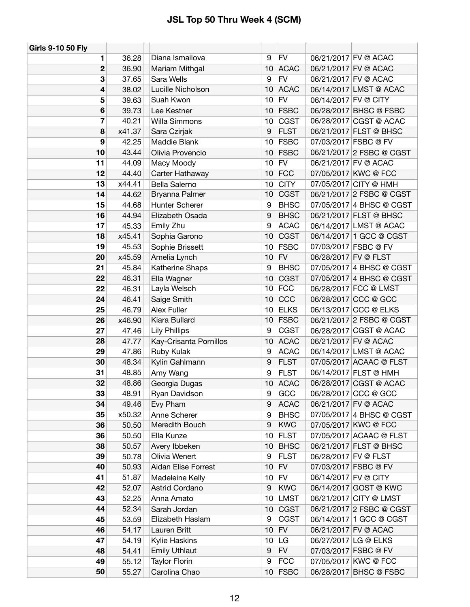| <b>Girls 9-10 50 Fly</b> |        |                            |                 |             |                      |                          |
|--------------------------|--------|----------------------------|-----------------|-------------|----------------------|--------------------------|
| 1                        | 36.28  | Diana Ismailova            | 9               | <b>FV</b>   |                      | 06/21/2017 FV @ ACAC     |
| 2                        | 36.90  | Mariam Mithgal             | 10              | <b>ACAC</b> |                      | 06/21/2017 FV @ ACAC     |
| 3                        | 37.65  | Sara Wells                 | 9               | <b>FV</b>   |                      | 06/21/2017 FV @ ACAC     |
| 4                        | 38.02  | Lucille Nicholson          | 10              | <b>ACAC</b> |                      | 06/14/2017 LMST @ ACAC   |
| 5                        | 39.63  | Suah Kwon                  | 10              | <b>FV</b>   | 06/14/2017 FV @ CITY |                          |
| 6                        | 39.73  | Lee Kestner                | 10              | <b>FSBC</b> |                      | 06/28/2017 BHSC @ FSBC   |
| 7                        | 40.21  | Willa Simmons              | 10              | <b>CGST</b> |                      | 06/28/2017 CGST @ ACAC   |
| 8                        | x41.37 | Sara Czirjak               | 9               | <b>FLST</b> |                      | 06/21/2017 FLST @ BHSC   |
| 9                        | 42.25  | Maddie Blank               | 10              | <b>FSBC</b> |                      | 07/03/2017 FSBC @ FV     |
| 10                       | 43.44  | Olivia Provencio           | 10              | <b>FSBC</b> |                      | 06/21/2017 2 FSBC @ CGST |
| 11                       | 44.09  | Macy Moody                 | 10              | <b>FV</b>   |                      | 06/21/2017 FV @ ACAC     |
| 12                       | 44.40  | Carter Hathaway            | 10              | <b>FCC</b>  |                      | 07/05/2017 KWC @ FCC     |
| 13                       | x44.41 | <b>Bella Salerno</b>       | 10              | <b>CITY</b> |                      | 07/05/2017 CITY @ HMH    |
| 14                       | 44.62  | Bryanna Palmer             | 10              | <b>CGST</b> |                      | 06/21/2017 2 FSBC @ CGST |
| 15                       | 44.68  | Hunter Scherer             | 9               | <b>BHSC</b> |                      | 07/05/2017 4 BHSC @ CGST |
| 16                       | 44.94  | Elizabeth Osada            | 9               | <b>BHSC</b> |                      | 06/21/2017 FLST @ BHSC   |
| 17                       | 45.33  | Emily Zhu                  | 9               | <b>ACAC</b> |                      | 06/14/2017 LMST @ ACAC   |
| 18                       | x45.41 | Sophia Garono              | 10              | <b>CGST</b> |                      | 06/14/2017 1 GCC @ CGST  |
| 19                       | 45.53  | Sophie Brissett            | 10              | <b>FSBC</b> |                      | 07/03/2017 FSBC @ FV     |
| 20                       | x45.59 | Amelia Lynch               | 10              | <b>FV</b>   |                      | 06/28/2017 FV @ FLST     |
| 21                       | 45.84  | Katherine Shaps            | 9               | <b>BHSC</b> |                      | 07/05/2017 4 BHSC @ CGST |
| 22                       | 46.31  | Ella Wagner                | 10              | <b>CGST</b> |                      | 07/05/2017 4 BHSC @ CGST |
| 22                       | 46.31  | Layla Welsch               | 10              | <b>FCC</b>  |                      | 06/28/2017 FCC @ LMST    |
| 24                       | 46.41  | Saige Smith                | 10              | CCC         |                      | 06/28/2017 CCC @ GCC     |
| 25                       | 46.79  | Alex Fuller                | 10              | <b>ELKS</b> |                      | 06/13/2017 CCC @ ELKS    |
| 26                       | x46.90 | Kiara Bullard              | 10              | <b>FSBC</b> |                      | 06/21/2017 2 FSBC @ CGST |
| 27                       | 47.46  | <b>Lily Phillips</b>       | 9               | <b>CGST</b> |                      | 06/28/2017 CGST @ ACAC   |
| 28                       | 47.77  | Kay-Crisanta Pornillos     | 10              | <b>ACAC</b> |                      | 06/21/2017 FV @ ACAC     |
| 29                       | 47.86  | Ruby Kulak                 | 9               | <b>ACAC</b> |                      | 06/14/2017 LMST @ ACAC   |
| 30                       | 48.34  | Kylin Gahlmann             | 9               | <b>FLST</b> |                      | 07/05/2017 ACAAC @ FLST  |
| 31                       | 48.85  | Amy Wang                   | 9               | <b>FLST</b> |                      | 06/14/2017 FLST @ HMH    |
| 32                       | 48.86  | Georgia Dugas              | 10              | <b>ACAC</b> |                      | 06/28/2017 CGST @ ACAC   |
| 33                       | 48.91  | Ryan Davidson              | 9               | GCC         |                      | 06/28/2017 CCC @ GCC     |
| 34                       | 49.46  | Evy Pham                   | 9               | <b>ACAC</b> |                      | 06/21/2017 FV @ ACAC     |
| 35                       | x50.32 | Anne Scherer               | 9               | <b>BHSC</b> |                      | 07/05/2017 4 BHSC @ CGST |
| 36                       | 50.50  | Meredith Bouch             | 9               | <b>KWC</b>  |                      | 07/05/2017 KWC @ FCC     |
| 36                       | 50.50  | Ella Kunze                 | 10              | <b>FLST</b> |                      | 07/05/2017 ACAAC @ FLST  |
| 38                       | 50.57  | Avery Ibbeken              | 10              | <b>BHSC</b> |                      | 06/21/2017 FLST @ BHSC   |
| 39                       | 50.78  | Olivia Wenert              | 9               | <b>FLST</b> |                      | 06/28/2017 FV @ FLST     |
| 40                       | 50.93  | <b>Aidan Elise Forrest</b> | 10              | FV          |                      | 07/03/2017 FSBC @ FV     |
| 41                       | 51.87  | Madeleine Kelly            | 10              | FV          | 06/14/2017 FV @ CITY |                          |
| 42                       | 52.07  | Astrid Cordano             | 9               | <b>KWC</b>  |                      | 06/14/2017 GOST @ KWC    |
| 43                       | 52.25  | Anna Amato                 | 10              | <b>LMST</b> |                      | 06/21/2017 CITY @ LMST   |
| 44                       | 52.34  | Sarah Jordan               | 10              | <b>CGST</b> |                      | 06/21/2017 2 FSBC @ CGST |
| 45                       | 53.59  | Elizabeth Haslam           | 9               | <b>CGST</b> |                      | 06/14/2017 1 GCC @ CGST  |
| 46                       | 54.17  | Lauren Britt               | 10              | FV          |                      | 06/21/2017 FV @ ACAC     |
| 47                       | 54.19  | Kylie Haskins              | 10              | LG          |                      | 06/27/2017 LG @ ELKS     |
| 48                       | 54.41  | <b>Emily Uthlaut</b>       | 9               | <b>FV</b>   |                      | 07/03/2017 FSBC @ FV     |
| 49                       | 55.12  | <b>Taylor Florin</b>       | 9               | <b>FCC</b>  |                      | 07/05/2017 KWC @ FCC     |
| 50                       | 55.27  | Carolina Chao              | 10 <sup>1</sup> | <b>FSBC</b> |                      | 06/28/2017 BHSC @ FSBC   |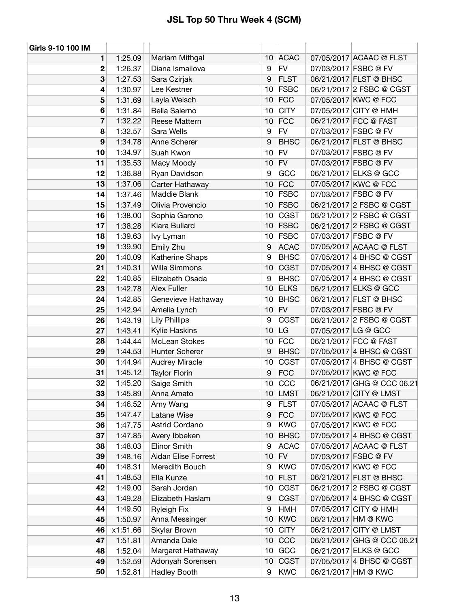| Girls 9-10 100 IM |          |                       |                  |             |                     |                            |
|-------------------|----------|-----------------------|------------------|-------------|---------------------|----------------------------|
| 1                 | 1:25.09  | Mariam Mithgal        |                  | 10 ACAC     |                     | 07/05/2017 ACAAC @ FLST    |
| $\mathbf 2$       | 1:26.37  | Diana Ismailova       | 9                | <b>FV</b>   |                     | 07/03/2017 FSBC @ FV       |
| 3                 | 1:27.53  | Sara Czirjak          | 9                | <b>FLST</b> |                     | 06/21/2017 FLST @ BHSC     |
| 4                 | 1:30.97  | Lee Kestner           | 10 <sup>°</sup>  | <b>FSBC</b> |                     | 06/21/2017 2 FSBC @ CGST   |
| 5                 | 1:31.69  | Layla Welsch          | 10               | <b>FCC</b>  |                     | 07/05/2017 KWC @ FCC       |
| 6                 | 1:31.84  | Bella Salerno         | 10               | <b>CITY</b> |                     | 07/05/2017 CITY @ HMH      |
| 7                 | 1:32.22  | Reese Mattern         | 10               | <b>FCC</b>  |                     | 06/21/2017 FCC @ FAST      |
| 8                 | 1:32.57  | Sara Wells            | 9                | <b>FV</b>   |                     | 07/03/2017 FSBC @ FV       |
| 9                 | 1:34.78  | Anne Scherer          | $\boldsymbol{9}$ | <b>BHSC</b> |                     | 06/21/2017 FLST @ BHSC     |
| 10                | 1:34.97  | Suah Kwon             | 10               | <b>FV</b>   |                     | 07/03/2017 FSBC @ FV       |
| 11                | 1:35.53  | Macy Moody            | 10               | FV          |                     | 07/03/2017 FSBC @ FV       |
| 12                | 1:36.88  | Ryan Davidson         | 9                | GCC         |                     | 06/21/2017 ELKS @ GCC      |
| 13                | 1:37.06  | Carter Hathaway       | 10               | <b>FCC</b>  |                     | 07/05/2017 KWC @ FCC       |
| 14                | 1:37.46  | Maddie Blank          |                  | 10 FSBC     |                     | 07/03/2017 FSBC @ FV       |
| 15                | 1:37.49  | Olivia Provencio      |                  | $10$ FSBC   |                     | 06/21/2017 2 FSBC @ CGST   |
| 16                | 1:38.00  | Sophia Garono         |                  | $10$ CGST   |                     | 06/21/2017 2 FSBC @ CGST   |
| 17                | 1:38.28  | Kiara Bullard         |                  | 10 FSBC     |                     | 06/21/2017 2 FSBC @ CGST   |
| 18                | 1:39.63  | lvy Lyman             |                  | 10 FSBC     |                     | 07/03/2017 FSBC @ FV       |
| 19                | 1:39.90  | Emily Zhu             | $\boldsymbol{9}$ | <b>ACAC</b> |                     | 07/05/2017 ACAAC @ FLST    |
| 20                | 1:40.09  | Katherine Shaps       | 9                | <b>BHSC</b> |                     | 07/05/2017 4 BHSC @ CGST   |
| 21                | 1:40.31  | Willa Simmons         | 10               | <b>CGST</b> |                     | 07/05/2017 4 BHSC @ CGST   |
| 22                | 1:40.85  | Elizabeth Osada       | 9                | <b>BHSC</b> |                     | 07/05/2017 4 BHSC @ CGST   |
| 23                | 1:42.78  | Alex Fuller           | 10               | <b>ELKS</b> |                     | 06/21/2017 ELKS @ GCC      |
| 24                | 1:42.85  | Genevieve Hathaway    | 10               | <b>BHSC</b> |                     | 06/21/2017 FLST @ BHSC     |
| 25                | 1:42.94  | Amelia Lynch          | 10 <sup>1</sup>  | FV          |                     | 07/03/2017 FSBC @ FV       |
| 26                | 1:43.19  | <b>Lily Phillips</b>  | 9                | <b>CGST</b> |                     | 06/21/2017 2 FSBC @ CGST   |
| 27                | 1:43.41  | Kylie Haskins         | 10               | LG          | 07/05/2017 LG @ GCC |                            |
| 28                | 1:44.44  | McLean Stokes         |                  | $10$ FCC    |                     | 06/21/2017 FCC @ FAST      |
| 29                | 1:44.53  | Hunter Scherer        | 9                | <b>BHSC</b> |                     | 07/05/2017 4 BHSC @ CGST   |
| 30                | 1:44.94  | <b>Audrey Miracle</b> | 10               | <b>CGST</b> |                     | 07/05/2017 4 BHSC @ CGST   |
| 31                | 1:45.12  | <b>Taylor Florin</b>  | 9                | <b>FCC</b>  |                     | 07/05/2017 KWC @ FCC       |
| 32                | 1:45.20  | Saige Smith           | 10 <sup>1</sup>  | CCC         |                     | 06/21/2017 GHG @ CCC 06.21 |
| 33                | 1:45.89  | Anna Amato            | 10               | LMST        |                     | 06/21/2017 CITY @ LMST     |
| 34                | 1:46.52  | Amy Wang              | 9                | <b>FLST</b> |                     | 07/05/2017 ACAAC @ FLST    |
| 35                | 1:47.47  | Latane Wise           | 9                | <b>FCC</b>  |                     | 07/05/2017 KWC @ FCC       |
| 36                | 1:47.75  | Astrid Cordano        | 9                | <b>KWC</b>  |                     | 07/05/2017 KWC @ FCC       |
| 37                | 1:47.85  | Avery Ibbeken         | 10               | <b>BHSC</b> |                     | 07/05/2017 4 BHSC @ CGST   |
| 38                | 1:48.03  | <b>Elinor Smith</b>   | 9                | <b>ACAC</b> |                     | 07/05/2017 ACAAC @ FLST    |
| 39                | 1:48.16  | Aidan Elise Forrest   | 10               | <b>FV</b>   |                     | 07/03/2017 FSBC @ FV       |
| 40                | 1:48.31  | Meredith Bouch        | 9                | <b>KWC</b>  |                     | 07/05/2017 KWC @ FCC       |
| 41                | 1:48.53  | Ella Kunze            | 10               | <b>FLST</b> |                     | 06/21/2017 FLST @ BHSC     |
| 42                | 1:49.00  | Sarah Jordan          | 10               | <b>CGST</b> |                     | 06/21/2017 2 FSBC @ CGST   |
| 43                | 1:49.28  | Elizabeth Haslam      | 9                | <b>CGST</b> |                     | 07/05/2017 4 BHSC @ CGST   |
| 44                | 1:49.50  | <b>Ryleigh Fix</b>    | 9                | HMH         |                     | 07/05/2017 CITY @ HMH      |
| 45                | 1:50.97  | Anna Messinger        | 10               | <b>KWC</b>  |                     | 06/21/2017 HM @ KWC        |
| 46                | x1:51.66 | Skylar Brown          | 10 <sub>1</sub>  | <b>CITY</b> |                     | 06/21/2017 CITY @ LMST     |
| 47                | 1:51.81  | Amanda Dale           | 10 <sup>°</sup>  | CCC         |                     | 06/21/2017 GHG @ CCC 06.21 |
| 48                | 1:52.04  | Margaret Hathaway     | 10 <sub>1</sub>  | GCC         |                     | 06/21/2017 ELKS @ GCC      |
| 49                | 1:52.59  | Adonyah Sorensen      | 10 <sup>°</sup>  | <b>CGST</b> |                     | 07/05/2017 4 BHSC @ CGST   |
| 50                | 1:52.81  | Hadley Booth          | 9                | <b>KWC</b>  |                     | 06/21/2017 HM @ KWC        |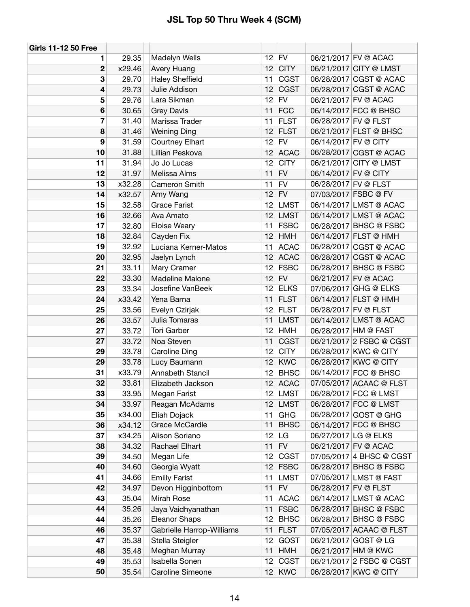| <b>Girls 11-12 50 Free</b> |        |                           |                 |             |                      |                          |
|----------------------------|--------|---------------------------|-----------------|-------------|----------------------|--------------------------|
| 1                          | 29.35  | Madelyn Wells             |                 | $12$ FV     |                      | 06/21/2017 FV @ ACAC     |
| $\mathbf 2$                | x29.46 | Avery Huang               | 12              | <b>CITY</b> |                      | 06/21/2017 CITY @ LMST   |
| 3                          | 29.70  | <b>Haley Sheffield</b>    | 11              | <b>CGST</b> |                      | 06/28/2017 CGST @ ACAC   |
| 4                          | 29.73  | Julie Addison             | 12              | <b>CGST</b> |                      | 06/28/2017 CGST @ ACAC   |
| 5                          | 29.76  | Lara Sikman               | 12 <sup>2</sup> | <b>FV</b>   |                      | 06/21/2017 FV @ ACAC     |
| $6\phantom{1}6$            | 30.65  | <b>Grey Davis</b>         | 11              | <b>FCC</b>  |                      | 06/14/2017 FCC @ BHSC    |
| 7                          | 31.40  | Marissa Trader            | 11              | <b>FLST</b> | 06/28/2017 FV @ FLST |                          |
| 8                          | 31.46  | <b>Weining Ding</b>       | 12              | <b>FLST</b> |                      | 06/21/2017 FLST @ BHSC   |
| 9                          | 31.59  | <b>Courtney Elhart</b>    | 12 <sup>7</sup> | <b>FV</b>   | 06/14/2017 FV @ CITY |                          |
| 10                         | 31.88  | Lillian Peskova           | 12 <sup>°</sup> | <b>ACAC</b> |                      | 06/28/2017 CGST @ ACAC   |
| 11                         | 31.94  | Jo Jo Lucas               | 12              | <b>CITY</b> |                      | 06/21/2017 CITY @ LMST   |
| 12                         | 31.97  | Melissa Alms              | 11              | <b>FV</b>   | 06/14/2017 FV @ CITY |                          |
| 13                         | x32.28 | Cameron Smith             | 11              | <b>FV</b>   | 06/28/2017 FV @ FLST |                          |
| 14                         | x32.57 | Amy Wang                  | 12              | <b>FV</b>   |                      | 07/03/2017 FSBC @ FV     |
| 15                         | 32.58  | <b>Grace Farist</b>       | 12              | <b>LMST</b> |                      | 06/14/2017 LMST @ ACAC   |
| 16                         | 32.66  | Ava Amato                 | 12              | <b>LMST</b> |                      | 06/14/2017 LMST @ ACAC   |
| 17                         | 32.80  | Eloise Weary              | 11              | <b>FSBC</b> |                      | 06/28/2017 BHSC @ FSBC   |
| 18                         | 32.84  | Cayden Fix                | 12              | <b>HMH</b>  |                      | 06/14/2017 FLST @ HMH    |
| 19                         | 32.92  | Luciana Kerner-Matos      | 11              | <b>ACAC</b> |                      | 06/28/2017 CGST @ ACAC   |
| 20                         | 32.95  | Jaelyn Lynch              | 12              | <b>ACAC</b> |                      | 06/28/2017 CGST @ ACAC   |
| 21                         | 33.11  | Mary Cramer               | 12              | <b>FSBC</b> |                      | 06/28/2017 BHSC @ FSBC   |
| 22                         | 33.30  | Madeline Malone           | 12 <sup>2</sup> | <b>FV</b>   |                      | 06/21/2017 FV @ ACAC     |
| 23                         | 33.34  | Josefine VanBeek          | 12 <sup>7</sup> | <b>ELKS</b> |                      | 07/06/2017 GHG @ ELKS    |
| 24                         | x33.42 | Yena Barna                | 11              | <b>FLST</b> |                      | 06/14/2017 FLST @ HMH    |
| 25                         | 33.56  | Evelyn Czirjak            | 12              | <b>FLST</b> | 06/28/2017 FV @ FLST |                          |
| 26                         | 33.57  | Julia Tomaras             | 11              | <b>LMST</b> |                      | 06/14/2017 LMST @ ACAC   |
| 27                         | 33.72  | <b>Tori Garber</b>        | 12              | <b>HMH</b>  |                      | 06/28/2017 HM @ FAST     |
| 27                         | 33.72  | Noa Steven                | 11              | <b>CGST</b> |                      | 06/21/2017 2 FSBC @ CGST |
| 29                         | 33.78  | Caroline Ding             | 12              | <b>CITY</b> |                      | 06/28/2017 KWC @ CITY    |
| 29                         | 33.78  | Lucy Baumann              | 12              | <b>KWC</b>  |                      | 06/28/2017 KWC @ CITY    |
| 31                         | x33.79 | Annabeth Stancil          | 12              | <b>BHSC</b> |                      | 06/14/2017 FCC @ BHSC    |
| 32                         | 33.81  | Elizabeth Jackson         |                 | 12 ACAC     |                      | 07/05/2017 ACAAC @ FLST  |
| 33                         | 33.95  | Megan Farist              | 12              | <b>LMST</b> |                      | 06/28/2017 FCC @ LMST    |
| 34                         | 33.97  | Reagan McAdams            | 12              | <b>LMST</b> |                      | 06/28/2017 FCC @ LMST    |
| 35                         | x34.00 | Eliah Dojack              | 11              | <b>GHG</b>  |                      | 06/28/2017 GOST @ GHG    |
| 36                         | x34.12 | Grace McCardle            | 11              | <b>BHSC</b> |                      | 06/14/2017 FCC @ BHSC    |
| 37                         | x34.25 | Alison Soriano            | 12              | LG          |                      | 06/27/2017 LG @ ELKS     |
| 38                         | 34.32  | Rachael Elhart            | 11              | <b>FV</b>   |                      | 06/21/2017 FV @ ACAC     |
| 39                         | 34.50  | Megan Life                | 12              | <b>CGST</b> |                      | 07/05/2017 4 BHSC @ CGST |
| 40                         | 34.60  | Georgia Wyatt             | 12              | <b>FSBC</b> |                      | 06/28/2017 BHSC @ FSBC   |
| 41                         | 34.66  | <b>Emilly Farist</b>      | 11              | <b>LMST</b> |                      | 07/05/2017 LMST @ FAST   |
| 42                         | 34.97  | Devon Higginbottom        | 11              | <b>FV</b>   | 06/28/2017 FV @ FLST |                          |
| 43                         | 35.04  | Mirah Rose                | 11              | <b>ACAC</b> |                      | 06/14/2017 LMST @ ACAC   |
| 44                         | 35.26  | Jaya Vaidhyanathan        | 11              | <b>FSBC</b> |                      | 06/28/2017 BHSC @ FSBC   |
| 44                         | 35.26  | <b>Eleanor Shaps</b>      | 12              | <b>BHSC</b> |                      | 06/28/2017 BHSC @ FSBC   |
| 46                         | 35.37  | Gabrielle Harrop-Williams | 11              | <b>FLST</b> |                      | 07/05/2017 ACAAC @ FLST  |
| 47                         | 35.38  | Stella Steigler           | 12              | <b>GOST</b> |                      | 06/21/2017 GOST @ LG     |
| 48                         | 35.48  | Meghan Murray             | 11              | <b>HMH</b>  |                      | 06/21/2017 HM @ KWC      |
| 49                         | 35.53  | Isabella Sonen            | 12              | CGST        |                      | 06/21/2017 2 FSBC @ CGST |
| 50                         | 35.54  | Caroline Simeone          | 12 <sup>2</sup> | <b>KWC</b>  |                      | 06/28/2017 KWC @ CITY    |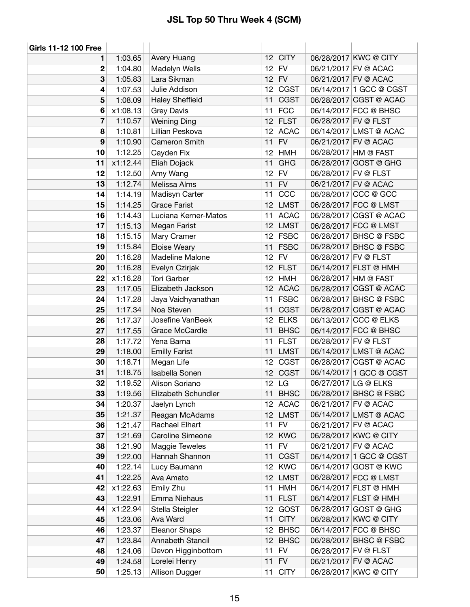| 1:03.65<br>1<br>1:04.80<br>2       | Avery Huang<br>Madelyn Wells     | 12              | <b>CITY</b>               |                      | 06/28/2017 KWC @ CITY                           |
|------------------------------------|----------------------------------|-----------------|---------------------------|----------------------|-------------------------------------------------|
|                                    |                                  |                 |                           |                      |                                                 |
|                                    |                                  | 12 <sub>2</sub> | <b>FV</b>                 |                      | 06/21/2017 FV @ ACAC                            |
| 3<br>1:05.83                       | Lara Sikman                      | 12              | <b>FV</b>                 |                      | 06/21/2017 FV @ ACAC                            |
| $\overline{\mathbf{4}}$<br>1:07.53 | Julie Addison                    | 12              | <b>CGST</b>               |                      | 06/14/2017 1 GCC @ CGST                         |
| 5<br>1:08.09                       | <b>Haley Sheffield</b>           | 11              | <b>CGST</b>               |                      | 06/28/2017 CGST @ ACAC                          |
| x1:08.13<br>6                      | <b>Grey Davis</b>                | 11              | <b>FCC</b>                |                      | 06/14/2017 FCC @ BHSC                           |
| 7<br>1:10.57                       | <b>Weining Ding</b>              | 12              | <b>FLST</b>               | 06/28/2017 FV @ FLST |                                                 |
| 8<br>1:10.81                       | Lillian Peskova                  | 12              | <b>ACAC</b>               |                      | 06/14/2017 LMST @ ACAC                          |
| 9<br>1:10.90                       | Cameron Smith                    | 11              | <b>FV</b>                 |                      | 06/21/2017 FV @ ACAC                            |
| 10<br>1:12.25                      | Cayden Fix                       | 12              | <b>HMH</b>                |                      | 06/28/2017 HM @ FAST                            |
| 11<br>x1:12.44                     | Eliah Dojack                     | 11              | <b>GHG</b>                |                      | 06/28/2017 GOST @ GHG                           |
| 12<br>1:12.50                      | Amy Wang                         | 12              | <b>FV</b>                 | 06/28/2017 FV @ FLST |                                                 |
| 13<br>1:12.74                      | Melissa Alms                     | 11              | <b>FV</b>                 |                      | 06/21/2017 FV @ ACAC                            |
| 14<br>1:14.19                      | Madisyn Carter                   | 11              | CCC                       |                      | 06/28/2017 CCC @ GCC                            |
| 15<br>1:14.25                      | <b>Grace Farist</b>              | 12              | <b>LMST</b>               |                      | 06/28/2017 FCC @ LMST                           |
| 16<br>1:14.43                      | Luciana Kerner-Matos             | 11              | <b>ACAC</b>               |                      | 06/28/2017 CGST @ ACAC                          |
| 17<br>1:15.13                      | Megan Farist                     | 12              | <b>LMST</b>               |                      | 06/28/2017 FCC @ LMST                           |
| 1:15.15<br>18                      | Mary Cramer                      | 12              | <b>FSBC</b>               |                      | 06/28/2017 BHSC @ FSBC                          |
| 19<br>1:15.84                      | Eloise Weary                     | 11              | <b>FSBC</b>               |                      | 06/28/2017 BHSC @ FSBC                          |
| 1:16.28<br>20                      | Madeline Malone                  | 12              | <b>FV</b>                 | 06/28/2017 FV @ FLST |                                                 |
| 1:16.28<br>20                      | Evelyn Czirjak                   | 12              | <b>FLST</b>               |                      | 06/14/2017 FLST @ HMH                           |
| x1:16.28<br>22                     | <b>Tori Garber</b>               | 12              | <b>HMH</b>                |                      | 06/28/2017 HM @ FAST                            |
| 23<br>1:17.05                      | Elizabeth Jackson                | 12              | <b>ACAC</b>               |                      | 06/28/2017 CGST @ ACAC                          |
| 24<br>1:17.28                      | Jaya Vaidhyanathan               | 11              | <b>FSBC</b>               |                      | 06/28/2017 BHSC @ FSBC                          |
| 25<br>1:17.34                      | Noa Steven                       | 11              | <b>CGST</b>               |                      | 06/28/2017 CGST @ ACAC                          |
| 26<br>1:17.37                      | Josefine VanBeek                 | 12              | <b>ELKS</b>               |                      | 06/13/2017 CCC @ ELKS                           |
| 27<br>1:17.55                      | Grace McCardle                   | 11              | <b>BHSC</b>               |                      | 06/14/2017 FCC @ BHSC                           |
| 28<br>1:17.72                      | Yena Barna                       | 11              | <b>FLST</b>               | 06/28/2017 FV @ FLST |                                                 |
| 29<br>1:18.00                      | <b>Emilly Farist</b>             | 11              | <b>LMST</b>               |                      | 06/14/2017 LMST @ ACAC                          |
| 30<br>1:18.71                      | Megan Life                       | 12              | <b>CGST</b>               |                      | 06/28/2017 CGST @ ACAC                          |
| 31<br>1:18.75                      | Isabella Sonen                   | 12              | <b>CGST</b>               |                      | 06/14/2017 1 GCC @ CGST                         |
| 32<br>1:19.52                      | Alison Soriano                   | 12 <sup>7</sup> | LG                        |                      | 06/27/2017 LG @ ELKS                            |
| 1:19.56<br>33                      | Elizabeth Schundler              | 11              | <b>BHSC</b>               |                      | 06/28/2017 BHSC @ FSBC                          |
| 1:20.37<br>34                      | Jaelyn Lynch                     | 12 <sub>2</sub> | <b>ACAC</b>               |                      | 06/21/2017 FV @ ACAC                            |
| 35<br>1:21.37                      | Reagan McAdams                   | 12 <sub>2</sub> | <b>LMST</b>               |                      | 06/14/2017 LMST @ ACAC                          |
| 36<br>1:21.47                      | Rachael Elhart                   | 11              | FV                        |                      | 06/21/2017 FV @ ACAC                            |
| 37<br>1:21.69                      | Caroline Simeone                 | 12              | <b>KWC</b>                |                      | 06/28/2017 KWC @ CITY                           |
| 38<br>1:21.90                      | Maggie Teweles<br>Hannah Shannon | 11<br>11        | <b>FV</b>                 |                      | 06/21/2017 FV @ ACAC<br>06/14/2017 1 GCC @ CGST |
| 39<br>1:22.00<br>40                |                                  |                 | <b>CGST</b><br>KWC        |                      | 06/14/2017 GOST @ KWC                           |
| 1:22.14<br>41                      | Lucy Baumann                     | 12              |                           |                      | 06/28/2017 FCC @ LMST                           |
| 1:22.25<br>42                      | Ava Amato                        | 12<br>11        | <b>LMST</b><br><b>HMH</b> |                      | 06/14/2017 FLST @ HMH                           |
| x1:22.63<br>43                     | Emily Zhu                        |                 | <b>FLST</b>               |                      |                                                 |
| 1:22.91<br>44<br>x1:22.94          | Emma Niehaus<br>Stella Steigler  | 11<br>12        | GOST                      |                      | 06/14/2017 FLST @ HMH<br>06/28/2017 GOST @ GHG  |
| 45                                 | Ava Ward                         | 11              | <b>CITY</b>               |                      | 06/28/2017 KWC @ CITY                           |
| 1:23.06<br>46<br>1:23.37           | Eleanor Shaps                    | 12              | <b>BHSC</b>               |                      | 06/14/2017 FCC @ BHSC                           |
| 47<br>1:23.84                      | Annabeth Stancil                 | 12              | <b>BHSC</b>               |                      | 06/28/2017 BHSC @ FSBC                          |
| 48<br>1:24.06                      | Devon Higginbottom               | 11              | <b>FV</b>                 | 06/28/2017 FV @ FLST |                                                 |
| 49<br>1:24.58                      | Lorelei Henry                    | 11              | <b>FV</b>                 |                      | 06/21/2017 FV @ ACAC                            |
| 50<br>1:25.13                      | Allison Dugger                   | 11              | <b>CITY</b>               |                      | 06/28/2017 KWC @ CITY                           |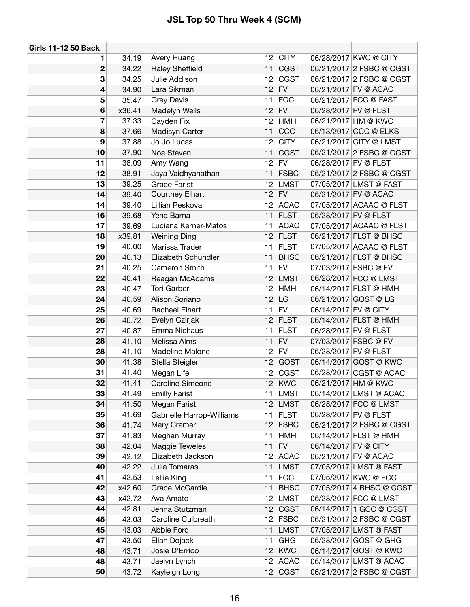| <b>Girls 11-12 50 Back</b> |                |                                |                 |                          |                      |                                                |
|----------------------------|----------------|--------------------------------|-----------------|--------------------------|----------------------|------------------------------------------------|
| 1                          | 34.19          | Avery Huang                    | 12 <sup>°</sup> | <b>CITY</b>              |                      | 06/28/2017 KWC @ CITY                          |
| $\mathbf 2$                | 34.22          | <b>Haley Sheffield</b>         | 11              | <b>CGST</b>              |                      | 06/21/2017 2 FSBC @ CGST                       |
| 3                          | 34.25          | Julie Addison                  | 12              | <b>CGST</b>              |                      | 06/21/2017 2 FSBC @ CGST                       |
| 4                          | 34.90          | Lara Sikman                    | 12 <sup>2</sup> | FV                       |                      | 06/21/2017 FV @ ACAC                           |
| 5                          | 35.47          | <b>Grey Davis</b>              | 11              | <b>FCC</b>               |                      | 06/21/2017 FCC @ FAST                          |
| 6                          | x36.41         | Madelyn Wells                  | 12              | <b>FV</b>                |                      | 06/28/2017 FV @ FLST                           |
| 7                          | 37.33          | Cayden Fix                     | 12              | <b>HMH</b>               |                      | 06/21/2017 HM @ KWC                            |
| 8                          | 37.66          | Madisyn Carter                 | 11              | CCC                      |                      | 06/13/2017 CCC @ ELKS                          |
| 9                          | 37.88          | Jo Jo Lucas                    | 12              | <b>CITY</b>              |                      | 06/21/2017 CITY @ LMST                         |
| 10                         | 37.90          | Noa Steven                     | 11              | <b>CGST</b>              |                      | 06/21/2017 2 FSBC @ CGST                       |
| 11                         | 38.09          | Amy Wang                       | 12              | FV                       | 06/28/2017 FV @ FLST |                                                |
| 12                         | 38.91          | Jaya Vaidhyanathan             | 11              | <b>FSBC</b>              |                      | 06/21/2017 2 FSBC @ CGST                       |
| 13                         | 39.25          | <b>Grace Farist</b>            | 12              | <b>LMST</b>              |                      | 07/05/2017 LMST @ FAST                         |
| 14                         | 39.40          | <b>Courtney Elhart</b>         | 12              | FV                       |                      | 06/21/2017 FV @ ACAC                           |
| 14                         | 39.40          | Lillian Peskova                | 12              | <b>ACAC</b>              |                      | 07/05/2017 ACAAC @ FLST                        |
| 16                         | 39.68          | Yena Barna                     | 11              | <b>FLST</b>              | 06/28/2017 FV @ FLST |                                                |
| 17                         | 39.69          | Luciana Kerner-Matos           | 11              | <b>ACAC</b>              |                      | 07/05/2017 ACAAC @ FLST                        |
| 18                         | x39.81         | <b>Weining Ding</b>            | 12              | <b>FLST</b>              |                      | 06/21/2017 FLST @ BHSC                         |
| 19                         | 40.00          | Marissa Trader                 | 11              | <b>FLST</b>              |                      | 07/05/2017 ACAAC @ FLST                        |
| 20                         | 40.13          | Elizabeth Schundler            | 11              | <b>BHSC</b>              |                      | 06/21/2017 FLST @ BHSC                         |
| 21                         | 40.25          | Cameron Smith                  | 11              | <b>FV</b>                |                      | 07/03/2017 FSBC @ FV                           |
| 22                         | 40.41          | Reagan McAdams                 | 12              | <b>LMST</b>              |                      | 06/28/2017 FCC @ LMST                          |
| 23                         | 40.47          | <b>Tori Garber</b>             | 12              | <b>HMH</b>               |                      | 06/14/2017 FLST @ HMH                          |
| 24                         | 40.59          | Alison Soriano                 | 12              | LG                       |                      | 06/21/2017 GOST @ LG                           |
| 25                         | 40.69          | Rachael Elhart                 | 11              | FV                       | 06/14/2017 FV @ CITY |                                                |
| 26                         | 40.72          | Evelyn Czirjak                 | 12              | <b>FLST</b>              |                      | 06/14/2017 FLST @ HMH                          |
| 27                         | 40.87          | Emma Niehaus                   | 11              | <b>FLST</b>              | 06/28/2017 FV @ FLST |                                                |
| 28                         | 41.10          | Melissa Alms                   | 11              | <b>FV</b>                |                      | 07/03/2017 FSBC @ FV                           |
| 28                         | 41.10          | Madeline Malone                | 12              | FV                       | 06/28/2017 FV @ FLST |                                                |
| 30                         | 41.38          | Stella Steigler                | 12              | <b>GOST</b>              |                      | 06/14/2017 GOST @ KWC                          |
| 31                         | 41.40          | Megan Life                     | 12              | <b>CGST</b>              |                      | 06/28/2017 CGST @ ACAC                         |
| 32                         | 41.41          | Caroline Simeone               | 12              | <b>KWC</b>               |                      | 06/21/2017 HM @ KWC                            |
| 33                         | 41.49          | <b>Emilly Farist</b>           | 11              | <b>LMST</b>              |                      | 06/14/2017 LMST @ ACAC                         |
| 34                         | 41.50          | Megan Farist                   | 12              | <b>LMST</b>              |                      | 06/28/2017 FCC @ LMST                          |
| 35                         | 41.69          | Gabrielle Harrop-Williams      | 11              | <b>FLST</b>              | 06/28/2017 FV @ FLST |                                                |
| 36                         | 41.74          | Mary Cramer                    | 12              | <b>FSBC</b>              |                      | 06/21/2017 2 FSBC @ CGST                       |
| 37                         | 41.83          | Meghan Murray                  | 11              | <b>HMH</b>               |                      | 06/14/2017 FLST @ HMH                          |
| 38                         | 42.04          | Maggie Teweles                 | 11              | ${\sf FV}$               | 06/14/2017 FV @ CITY |                                                |
| 39                         | 42.12          | Elizabeth Jackson              | 12              | <b>ACAC</b>              |                      | 06/21/2017 FV @ ACAC                           |
| 40                         | 42.22          | Julia Tomaras                  | 11              | <b>LMST</b>              |                      | 07/05/2017 LMST @ FAST                         |
| 41                         | 42.53          | Lellie King                    | 11              | <b>FCC</b>               |                      | 07/05/2017 KWC @ FCC                           |
| 42                         | x42.60         | Grace McCardle                 | 11              | <b>BHSC</b>              |                      | 07/05/2017 4 BHSC @ CGST                       |
| 43                         | x42.72         | Ava Amato                      | 12              | <b>LMST</b>              |                      | 06/28/2017 FCC @ LMST                          |
| 44                         | 42.81          | Jenna Stutzman                 | 12              | <b>CGST</b>              |                      | 06/14/2017 1 GCC @ CGST                        |
| 45                         | 43.03          | Caroline Culbreath             | 12              | <b>FSBC</b>              |                      | 06/21/2017 2 FSBC @ CGST                       |
| 45                         | 43.03          | Abbie Ford                     | 11              | <b>LMST</b>              |                      | 07/05/2017 LMST @ FAST                         |
| 47<br>48                   | 43.50<br>43.71 | Eliah Dojack<br>Josie D'Errico | 11<br>12        | <b>GHG</b><br><b>KWC</b> |                      | 06/28/2017 GOST @ GHG<br>06/14/2017 GOST @ KWC |
| 48                         | 43.71          | Jaelyn Lynch                   | 12 <sup>°</sup> | <b>ACAC</b>              |                      | 06/14/2017 LMST @ ACAC                         |
| 50                         | 43.72          |                                |                 |                          |                      | 06/21/2017 2 FSBC @ CGST                       |
|                            |                | Kayleigh Long                  | 12 <sub>2</sub> | <b>CGST</b>              |                      |                                                |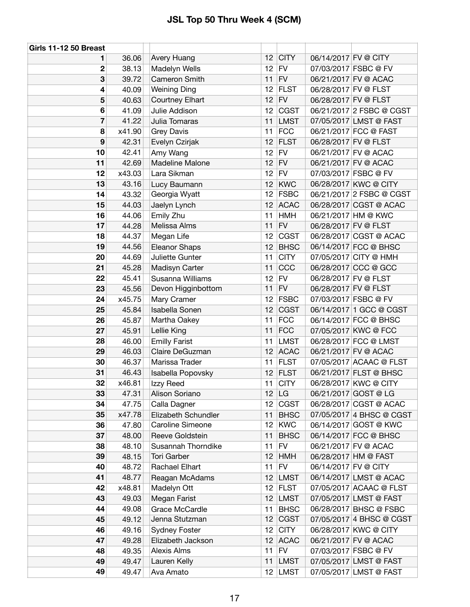| Girls 11-12 50 Breast |        |                        |                 |              |                      |                          |
|-----------------------|--------|------------------------|-----------------|--------------|----------------------|--------------------------|
| 1                     | 36.06  | <b>Avery Huang</b>     | 12              | <b>CITY</b>  | 06/14/2017 FV @ CITY |                          |
| 2                     | 38.13  | Madelyn Wells          | 12              | <b>FV</b>    |                      | 07/03/2017 FSBC @ FV     |
| 3                     | 39.72  | Cameron Smith          | 11              | <b>FV</b>    |                      | 06/21/2017 FV @ ACAC     |
| 4                     | 40.09  | <b>Weining Ding</b>    | 12              | <b>FLST</b>  |                      | 06/28/2017 FV @ FLST     |
| 5                     | 40.63  | <b>Courtney Elhart</b> | 12              | <b>FV</b>    |                      | 06/28/2017 FV @ FLST     |
| 6                     | 41.09  | Julie Addison          | 12              | <b>CGST</b>  |                      | 06/21/2017 2 FSBC @ CGST |
| 7                     | 41.22  | Julia Tomaras          | 11              | <b>LMST</b>  |                      | 07/05/2017 LMST @ FAST   |
| 8                     | x41.90 | <b>Grey Davis</b>      | 11              | <b>FCC</b>   |                      | 06/21/2017 FCC @ FAST    |
| $\boldsymbol{9}$      | 42.31  | Evelyn Czirjak         | 12              | <b>FLST</b>  |                      | 06/28/2017 FV @ FLST     |
| 10                    | 42.41  | Amy Wang               | 12              | <b>FV</b>    |                      | 06/21/2017 FV @ ACAC     |
| 11                    | 42.69  | Madeline Malone        | 12              | <b>FV</b>    |                      | 06/21/2017 FV @ ACAC     |
| 12                    | x43.03 | Lara Sikman            | 12              | <b>FV</b>    |                      | 07/03/2017 FSBC @ FV     |
| 13                    | 43.16  | Lucy Baumann           | 12              | <b>KWC</b>   |                      | 06/28/2017 KWC @ CITY    |
| 14                    | 43.32  | Georgia Wyatt          | 12              | <b>FSBC</b>  |                      | 06/21/2017 2 FSBC @ CGST |
| 15                    | 44.03  | Jaelyn Lynch           | 12              | <b>ACAC</b>  |                      | 06/28/2017 CGST @ ACAC   |
| 16                    | 44.06  | Emily Zhu              | 11              | <b>HMH</b>   |                      | 06/21/2017 HM @ KWC      |
| 17                    | 44.28  | Melissa Alms           | 11              | <b>FV</b>    |                      | 06/28/2017 FV @ FLST     |
| 18                    | 44.37  | Megan Life             | 12              | <b>CGST</b>  |                      | 06/28/2017 CGST @ ACAC   |
| 19                    | 44.56  | Eleanor Shaps          | 12              | <b>BHSC</b>  |                      | 06/14/2017 FCC @ BHSC    |
| 20                    | 44.69  | Juliette Gunter        | 11              | <b>CITY</b>  |                      | 07/05/2017 CITY @ HMH    |
| 21                    | 45.28  | Madisyn Carter         | 11              | CCC          |                      | 06/28/2017 CCC @ GCC     |
| 22                    | 45.41  | Susanna Williams       | 12              | <b>FV</b>    |                      | 06/28/2017 FV @ FLST     |
| 23                    | 45.56  | Devon Higginbottom     | 11              | <b>FV</b>    |                      | 06/28/2017 FV @ FLST     |
| 24                    | x45.75 | Mary Cramer            | 12              | <b>FSBC</b>  |                      | 07/03/2017 FSBC @ FV     |
| 25                    | 45.84  | Isabella Sonen         | 12              | <b>CGST</b>  |                      | 06/14/2017 1 GCC @ CGST  |
| 26                    | 45.87  | Martha Oakey           | 11              | <b>FCC</b>   |                      | 06/14/2017 FCC @ BHSC    |
| 27                    | 45.91  | Lellie King            | 11              | <b>FCC</b>   |                      | 07/05/2017 KWC @ FCC     |
| 28                    | 46.00  | <b>Emilly Farist</b>   | 11              | <b>LMST</b>  |                      | 06/28/2017 FCC @ LMST    |
| 29                    | 46.03  | Claire DeGuzman        | 12              | <b>ACAC</b>  |                      | 06/21/2017 FV @ ACAC     |
| 30                    | 46.37  | Marissa Trader         | 11              | <b>FLST</b>  |                      | 07/05/2017 ACAAC @ FLST  |
| 31                    | 46.43  | Isabella Popovsky      | 12              | <b>FLST</b>  |                      | 06/21/2017 FLST @ BHSC   |
| 32                    | x46.81 | Izzy Reed              |                 | $11$ CITY    |                      | 06/28/2017 KWC @ CITY    |
| 33                    | 47.31  | Alison Soriano         |                 | $12 \mid LG$ |                      | 06/21/2017 GOST @ LG     |
| 34                    | 47.75  | Calla Dagner           |                 | $12$ CGST    |                      | 06/28/2017 CGST @ ACAC   |
| 35                    | x47.78 | Elizabeth Schundler    | 11              | <b>BHSC</b>  |                      | 07/05/2017 4 BHSC @ CGST |
| 36                    | 47.80  | Caroline Simeone       | 12              | KWC          |                      | 06/14/2017 GOST @ KWC    |
| 37                    | 48.00  | Reeve Goldstein        | 11              | <b>BHSC</b>  |                      | 06/14/2017 FCC @ BHSC    |
| 38                    | 48.10  | Susannah Thorndike     | 11              | <b>FV</b>    |                      | 06/21/2017 FV @ ACAC     |
| 39                    | 48.15  | <b>Tori Garber</b>     | 12              | <b>HMH</b>   |                      | 06/28/2017 HM @ FAST     |
| 40                    | 48.72  | Rachael Elhart         | 11              | <b>FV</b>    | 06/14/2017 FV @ CITY |                          |
| 41                    | 48.77  | Reagan McAdams         | 12 <sup>2</sup> | LMST         |                      | 06/14/2017 LMST @ ACAC   |
| 42                    | x48.81 | Madelyn Ott            |                 | 12 FLST      |                      | 07/05/2017 ACAAC @ FLST  |
| 43                    | 49.03  | Megan Farist           | 12 <sub>2</sub> | LMST         |                      | 07/05/2017 LMST @ FAST   |
| 44                    | 49.08  | Grace McCardle         | 11              | <b>BHSC</b>  |                      | 06/28/2017 BHSC @ FSBC   |
| 45                    | 49.12  | Jenna Stutzman         |                 | $12$ CGST    |                      | 07/05/2017 4 BHSC @ CGST |
| 46                    | 49.16  | <b>Sydney Foster</b>   | 12 <sup>°</sup> | <b>CITY</b>  |                      | 06/28/2017 KWC @ CITY    |
| 47                    | 49.28  | Elizabeth Jackson      |                 | 12 ACAC      |                      | 06/21/2017 FV @ ACAC     |
| 48                    | 49.35  | Alexis Alms            | 11              | FV           |                      | 07/03/2017 FSBC @ FV     |
| 49                    | 49.47  | Lauren Kelly           | 11              | <b>LMST</b>  |                      | 07/05/2017 LMST @ FAST   |
| 49                    | 49.47  | Ava Amato              |                 | $12$ LMST    |                      | 07/05/2017 LMST @ FAST   |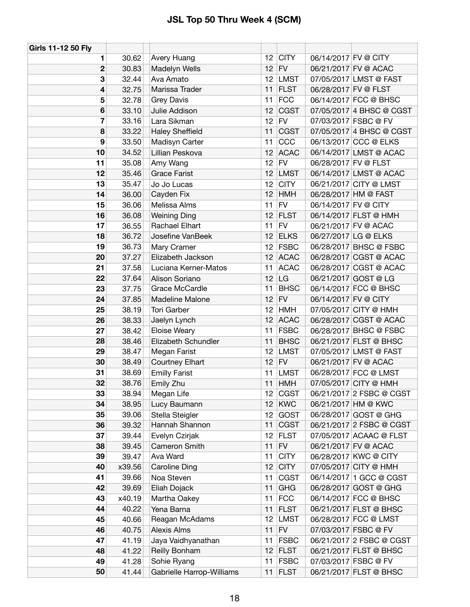| Girls 11-12 50 Fly |        |                           |                 |             |                      |                          |
|--------------------|--------|---------------------------|-----------------|-------------|----------------------|--------------------------|
| 1                  | 30.62  | Avery Huang               | 12              | <b>CITY</b> | 06/14/2017 FV @ CITY |                          |
| 2                  | 30.83  | Madelyn Wells             | 12              | FV          |                      | 06/21/2017 FV @ ACAC     |
| 3                  | 32.44  | Ava Amato                 | 12              | <b>LMST</b> |                      | 07/05/2017 LMST @ FAST   |
| 4                  | 32.75  | Marissa Trader            | 11              | <b>FLST</b> | 06/28/2017 FV @ FLST |                          |
| 5                  | 32.78  | <b>Grey Davis</b>         | 11              | <b>FCC</b>  |                      | 06/14/2017 FCC @ BHSC    |
| 6                  | 33.10  | Julie Addison             | 12              | <b>CGST</b> |                      | 07/05/2017 4 BHSC @ CGST |
| 7                  | 33.16  | Lara Sikman               | 12              | <b>FV</b>   |                      | 07/03/2017 FSBC @ FV     |
| 8                  | 33.22  | <b>Haley Sheffield</b>    | 11              | <b>CGST</b> |                      | 07/05/2017 4 BHSC @ CGST |
| 9                  | 33.50  | Madisyn Carter            | 11              | CCC         |                      | 06/13/2017 CCC @ ELKS    |
| 10                 | 34.52  | Lillian Peskova           | 12              | <b>ACAC</b> |                      | 06/14/2017 LMST @ ACAC   |
| 11                 | 35.08  | Amy Wang                  | 12 <sub>2</sub> | <b>FV</b>   | 06/28/2017 FV @ FLST |                          |
| 12                 | 35.46  | <b>Grace Farist</b>       | 12              | <b>LMST</b> |                      | 06/14/2017 LMST @ ACAC   |
| 13                 | 35.47  | Jo Jo Lucas               | 12              | <b>CITY</b> |                      | 06/21/2017 CITY @ LMST   |
| 14                 | 36.00  | Cayden Fix                | 12              | <b>HMH</b>  |                      | 06/28/2017 HM @ FAST     |
| 15                 | 36.06  | Melissa Alms              | 11              | <b>FV</b>   | 06/14/2017 FV @ CITY |                          |
| 16                 | 36.08  | <b>Weining Ding</b>       | 12              | <b>FLST</b> |                      | 06/14/2017 FLST @ HMH    |
| 17                 | 36.55  | Rachael Elhart            | 11              | <b>FV</b>   |                      | 06/21/2017 FV @ ACAC     |
| 18                 | 36.72  | Josefine VanBeek          | 12              | <b>ELKS</b> |                      | 06/27/2017 LG @ ELKS     |
| 19                 | 36.73  | Mary Cramer               | 12              | <b>FSBC</b> |                      | 06/28/2017 BHSC @ FSBC   |
| 20                 | 37.27  | Elizabeth Jackson         | 12              | <b>ACAC</b> |                      | 06/28/2017 CGST @ ACAC   |
| 21                 | 37.58  | Luciana Kerner-Matos      | 11              | <b>ACAC</b> |                      | 06/28/2017 CGST @ ACAC   |
| 22                 | 37.64  | Alison Soriano            | 12              | LG          |                      | 06/21/2017 GOST @ LG     |
| 23                 | 37.75  | Grace McCardle            | 11              | <b>BHSC</b> |                      | 06/14/2017 FCC @ BHSC    |
| 24                 | 37.85  | Madeline Malone           | 12              | ${\sf FV}$  | 06/14/2017 FV @ CITY |                          |
| 25                 | 38.19  | <b>Tori Garber</b>        | 12              | <b>HMH</b>  |                      | 07/05/2017 CITY @ HMH    |
| 26                 | 38.33  | Jaelyn Lynch              | 12              | <b>ACAC</b> |                      | 06/28/2017 CGST @ ACAC   |
| 27                 | 38.42  | Eloise Weary              | 11              | <b>FSBC</b> |                      | 06/28/2017 BHSC @ FSBC   |
| 28                 | 38.46  | Elizabeth Schundler       | 11              | <b>BHSC</b> |                      | 06/21/2017 FLST @ BHSC   |
| 29                 | 38.47  | Megan Farist              | 12              | <b>LMST</b> |                      | 07/05/2017 LMST @ FAST   |
| 30                 | 38.49  | Courtney Elhart           | 12              | <b>FV</b>   |                      | 06/21/2017 FV @ ACAC     |
| 31                 | 38.69  | <b>Emilly Farist</b>      | 11              | <b>LMST</b> |                      | 06/28/2017 FCC @ LMST    |
| 32                 | 38.76  | Emily Zhu                 | 11              | <b>HMH</b>  |                      | 07/05/2017 CITY @ HMH    |
| 33                 | 38.94  | Megan Life                | 12              | <b>CGST</b> |                      | 06/21/2017 2 FSBC @ CGST |
| 34                 | 38.95  | Lucy Baumann              | 12              | <b>KWC</b>  |                      | 06/21/2017 HM @ KWC      |
| 35                 | 39.06  | Stella Steigler           | 12              | GOST        |                      | 06/28/2017 GOST @ GHG    |
| 36                 | 39.32  | Hannah Shannon            | 11              | <b>CGST</b> |                      | 06/21/2017 2 FSBC @ CGST |
| 37                 | 39.44  | Evelyn Czirjak            | 12              | <b>FLST</b> |                      | 07/05/2017 ACAAC @ FLST  |
| 38                 | 39.45  | Cameron Smith             | 11              | ${\sf FV}$  |                      | 06/21/2017 FV @ ACAC     |
| 39                 | 39.47  | Ava Ward                  | 11              | <b>CITY</b> |                      | 06/28/2017 KWC @ CITY    |
| 40                 | x39.56 | <b>Caroline Ding</b>      | 12              | <b>CITY</b> |                      | 07/05/2017 CITY @ HMH    |
| 41                 | 39.66  | Noa Steven                | 11              | <b>CGST</b> |                      | 06/14/2017 1 GCC @ CGST  |
| 42                 | 39.69  | Eliah Dojack              | 11              | <b>GHG</b>  |                      | 06/28/2017 GOST @ GHG    |
| 43                 | x40.19 | Martha Oakey              | 11              | <b>FCC</b>  |                      | 06/14/2017 FCC @ BHSC    |
| 44                 | 40.22  | Yena Barna                | 11              | <b>FLST</b> |                      | 06/21/2017 FLST @ BHSC   |
| 45                 | 40.66  | Reagan McAdams            | 12              | <b>LMST</b> |                      | 06/28/2017 FCC @ LMST    |
| 46                 | 40.75  | <b>Alexis Alms</b>        | 11              | <b>FV</b>   |                      | 07/03/2017 FSBC @ FV     |
| 47                 | 41.19  | Jaya Vaidhyanathan        | 11              | <b>FSBC</b> |                      | 06/21/2017 2 FSBC @ CGST |
| 48                 | 41.22  | Reilly Bonham             | 12              | <b>FLST</b> |                      | 06/21/2017 FLST @ BHSC   |
| 49                 | 41.28  | Sohie Ryang               | 11              | <b>FSBC</b> |                      | 07/03/2017 FSBC @ FV     |
| 50                 | 41.44  | Gabrielle Harrop-Williams | 11              | <b>FLST</b> |                      | 06/21/2017 FLST @ BHSC   |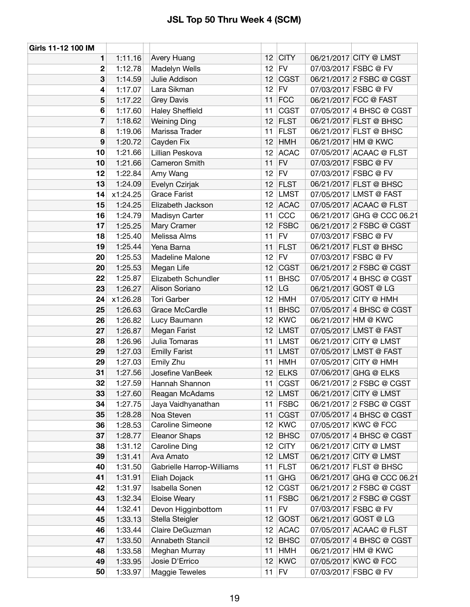| Girls 11-12 100 IM |          |                           |                 |             |                            |
|--------------------|----------|---------------------------|-----------------|-------------|----------------------------|
| 1                  | 1:11.16  | Avery Huang               |                 | $12$ CITY   | 06/21/2017 CITY @ LMST     |
| $\mathbf{2}$       | 1:12.78  | Madelyn Wells             | 12 <sup>2</sup> | FV          | 07/03/2017 FSBC @ FV       |
| 3                  | 1:14.59  | Julie Addison             | 12 <sup>2</sup> | <b>CGST</b> | 06/21/2017 2 FSBC @ CGST   |
| 4                  | 1:17.07  | Lara Sikman               | 12 <sub>2</sub> | FV          | 07/03/2017 FSBC @ FV       |
| 5                  | 1:17.22  | <b>Grey Davis</b>         | 11              | <b>FCC</b>  | 06/21/2017 FCC @ FAST      |
| 6                  | 1:17.60  | <b>Haley Sheffield</b>    | 11              | <b>CGST</b> | 07/05/2017 4 BHSC @ CGST   |
| 7                  | 1:18.62  | <b>Weining Ding</b>       | 12              | <b>FLST</b> | 06/21/2017 FLST @ BHSC     |
| 8                  | 1:19.06  | Marissa Trader            | 11              | <b>FLST</b> | 06/21/2017 FLST @ BHSC     |
| 9                  | 1:20.72  | Cayden Fix                | 12              | <b>HMH</b>  | 06/21/2017 HM @ KWC        |
| 10                 | 1:21.66  | Lillian Peskova           |                 | 12 ACAC     | 07/05/2017 ACAAC @ FLST    |
| 10                 | 1:21.66  | Cameron Smith             | 11              | <b>FV</b>   | 07/03/2017 FSBC @ FV       |
| 12                 | 1:22.84  | Amy Wang                  |                 | $12$ FV     | 07/03/2017 FSBC @ FV       |
| 13                 | 1:24.09  | Evelyn Czirjak            | 12              | <b>FLST</b> | 06/21/2017 FLST @ BHSC     |
| 14                 | x1:24.25 | <b>Grace Farist</b>       |                 | 12 LMST     | 07/05/2017 LMST @ FAST     |
| 15                 | 1:24.25  | Elizabeth Jackson         |                 | $12$ ACAC   | 07/05/2017 ACAAC @ FLST    |
| 16                 | 1:24.79  | Madisyn Carter            | 11              | CCC         | 06/21/2017 GHG @ CCC 06.21 |
| 17                 | 1:25.25  | Mary Cramer               | 12 <sub>2</sub> | <b>FSBC</b> | 06/21/2017 2 FSBC @ CGST   |
| 18                 | 1:25.40  | Melissa Alms              | 11              | <b>FV</b>   | 07/03/2017 FSBC @ FV       |
| 19                 | 1:25.44  | Yena Barna                | 11              | <b>FLST</b> | 06/21/2017 FLST @ BHSC     |
| 20                 | 1:25.53  | Madeline Malone           | 12              | <b>FV</b>   | 07/03/2017 FSBC @ FV       |
| 20                 | 1:25.53  | Megan Life                |                 | $12$ CGST   | 06/21/2017 2 FSBC @ CGST   |
| 22                 | 1:25.87  | Elizabeth Schundler       | 11              | <b>BHSC</b> | 07/05/2017 4 BHSC @ CGST   |
| 23                 | 1:26.27  | Alison Soriano            | 12              | LG          | 06/21/2017 GOST @ LG       |
| 24                 | x1:26.28 | Tori Garber               | 12              | <b>HMH</b>  | 07/05/2017 CITY @ HMH      |
| 25                 | 1:26.63  | Grace McCardle            | 11              | <b>BHSC</b> | 07/05/2017 4 BHSC @ CGST   |
| 26                 | 1:26.82  | Lucy Baumann              |                 | 12 KWC      | 06/21/2017 HM @ KWC        |
| 27                 | 1:26.87  | Megan Farist              | 12              | <b>LMST</b> | 07/05/2017 LMST @ FAST     |
| 28                 | 1:26.96  | Julia Tomaras             | 11              | LMST        | 06/21/2017 CITY @ LMST     |
| 29                 | 1:27.03  | <b>Emilly Farist</b>      | 11              | <b>LMST</b> | 07/05/2017 LMST @ FAST     |
| 29                 | 1:27.03  | Emily Zhu                 | 11              | HMH         | 07/05/2017 CITY @ HMH      |
| 31                 | 1:27.56  | Josefine VanBeek          | 12 <sub>2</sub> | <b>ELKS</b> | 07/06/2017 GHG @ ELKS      |
| 32                 | 1:27.59  | Hannah Shannon            |                 | 11 $ CGST $ | 06/21/2017 2 FSBC @ CGST   |
| 33                 | 1:27.60  | Reagan McAdams            |                 | 12 LMST     | 06/21/2017 CITY @ LMST     |
| 34                 | 1:27.75  | Jaya Vaidhyanathan        | 11              | <b>FSBC</b> | 06/21/2017 2 FSBC @ CGST   |
| 35                 | 1:28.28  | Noa Steven                | 11              | <b>CGST</b> | 07/05/2017 4 BHSC @ CGST   |
| 36                 | 1:28.53  | Caroline Simeone          | 12              | <b>KWC</b>  | 07/05/2017 KWC @ FCC       |
| 37                 | 1:28.77  | Eleanor Shaps             | 12              | <b>BHSC</b> | 07/05/2017 4 BHSC @ CGST   |
| 38                 | 1:31.12  | Caroline Ding             | 12 <sub>2</sub> | <b>CITY</b> | 06/21/2017 CITY @ LMST     |
| 39                 | 1:31.41  | Ava Amato                 |                 | $12$ LMST   | 06/21/2017 CITY @ LMST     |
| 40                 | 1:31.50  | Gabrielle Harrop-Williams | 11              | <b>FLST</b> | 06/21/2017 FLST @ BHSC     |
| 41                 | 1:31.91  | Eliah Dojack              | 11              | <b>GHG</b>  | 06/21/2017 GHG @ CCC 06.21 |
| 42                 | 1:31.97  | Isabella Sonen            | 12 <sup>°</sup> | CGST        | 06/21/2017 2 FSBC @ CGST   |
| 43                 | 1:32.34  | Eloise Weary              | 11              | <b>FSBC</b> | 06/21/2017 2 FSBC @ CGST   |
| 44                 | 1:32.41  | Devon Higginbottom        | 11              | <b>FV</b>   | 07/03/2017 FSBC @ FV       |
| 45                 | 1:33.13  | Stella Steigler           | 12              | <b>GOST</b> | 06/21/2017 GOST @ LG       |
| 46                 | 1:33.44  | Claire DeGuzman           |                 | 12 ACAC     | 07/05/2017 ACAAC @ FLST    |
| 47                 | 1:33.50  | Annabeth Stancil          | 12 <sub>2</sub> | <b>BHSC</b> | 07/05/2017 4 BHSC @ CGST   |
| 48                 | 1:33.58  | Meghan Murray             | 11              | HMH         | 06/21/2017 HM @ KWC        |
| 49                 | 1:33.95  | Josie D'Errico            | 12 <sub>2</sub> | <b>KWC</b>  | 07/05/2017 KWC @ FCC       |
| 50                 | 1:33.97  | Maggie Teweles            |                 | $11$ FV     | 07/03/2017 FSBC @ FV       |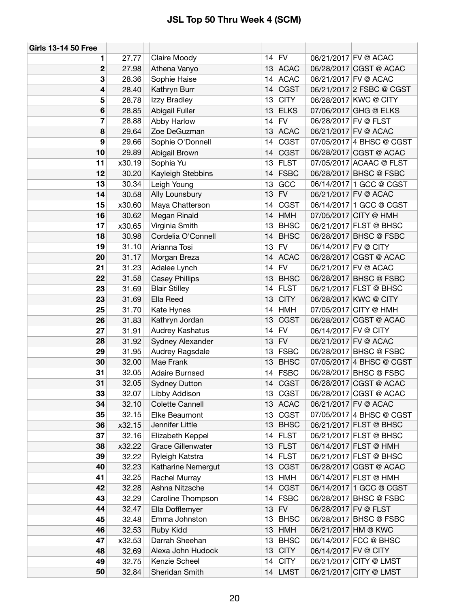| <b>Girls 13-14 50 Free</b> |        |                          |    |             |                      |                          |
|----------------------------|--------|--------------------------|----|-------------|----------------------|--------------------------|
| 1                          | 27.77  | Claire Moody             |    | $14$ FV     |                      | 06/21/2017 FV @ ACAC     |
| $\mathbf 2$                | 27.98  | Athena Vanyo             | 13 | <b>ACAC</b> |                      | 06/28/2017 CGST @ ACAC   |
| 3                          | 28.36  | Sophie Haise             | 14 | <b>ACAC</b> |                      | 06/21/2017 FV @ ACAC     |
| 4                          | 28.40  | Kathryn Burr             | 14 | <b>CGST</b> |                      | 06/21/2017 2 FSBC @ CGST |
| 5                          | 28.78  | Izzy Bradley             | 13 | <b>CITY</b> |                      | 06/28/2017 KWC @ CITY    |
| 6                          | 28.85  | Abigail Fuller           | 13 | <b>ELKS</b> |                      | 07/06/2017 GHG @ ELKS    |
| 7                          | 28.88  | Abby Harlow              | 14 | <b>FV</b>   |                      | 06/28/2017 FV @ FLST     |
| 8                          | 29.64  | Zoe DeGuzman             | 13 | <b>ACAC</b> |                      | 06/21/2017 FV @ ACAC     |
| 9                          | 29.66  | Sophie O'Donnell         | 14 | <b>CGST</b> |                      | 07/05/2017 4 BHSC @ CGST |
| 10                         | 29.89  | Abigail Brown            | 14 | <b>CGST</b> |                      | 06/28/2017 CGST @ ACAC   |
| 11                         | x30.19 | Sophia Yu                | 13 | <b>FLST</b> |                      | 07/05/2017 ACAAC @ FLST  |
| 12                         | 30.20  | Kayleigh Stebbins        | 14 | <b>FSBC</b> |                      | 06/28/2017 BHSC @ FSBC   |
| 13                         | 30.34  | Leigh Young              | 13 | GCC         |                      | 06/14/2017 1 GCC @ CGST  |
| 14                         | 30.58  | Ally Lounsbury           | 13 | <b>FV</b>   |                      | 06/21/2017 FV @ ACAC     |
| 15                         | x30.60 | Maya Chatterson          | 14 | <b>CGST</b> |                      | 06/14/2017 1 GCC @ CGST  |
| 16                         | 30.62  | Megan Rinald             | 14 | <b>HMH</b>  |                      | 07/05/2017 CITY @ HMH    |
| 17                         | x30.65 | Virginia Smith           | 13 | <b>BHSC</b> |                      | 06/21/2017 FLST @ BHSC   |
| 18                         | 30.98  | Cordelia O'Connell       | 14 | <b>BHSC</b> |                      | 06/28/2017 BHSC @ FSBC   |
| 19                         | 31.10  | Arianna Tosi             | 13 | <b>FV</b>   | 06/14/2017 FV @ CITY |                          |
| 20                         | 31.17  | Morgan Breza             | 14 | <b>ACAC</b> |                      | 06/28/2017 CGST @ ACAC   |
| 21                         | 31.23  | Adalee Lynch             | 14 | FV          |                      | 06/21/2017 FV @ ACAC     |
| 22                         | 31.58  | <b>Casey Phillips</b>    | 13 | <b>BHSC</b> |                      | 06/28/2017 BHSC @ FSBC   |
| 23                         | 31.69  | <b>Blair Stilley</b>     | 14 | <b>FLST</b> |                      | 06/21/2017 FLST @ BHSC   |
| 23                         | 31.69  | Ella Reed                | 13 | <b>CITY</b> |                      | 06/28/2017 KWC @ CITY    |
| 25                         | 31.70  | Kate Hynes               | 14 | <b>HMH</b>  |                      | 07/05/2017 CITY @ HMH    |
| 26                         | 31.83  | Kathryn Jordan           | 13 | <b>CGST</b> |                      | 06/28/2017 CGST @ ACAC   |
| 27                         | 31.91  | Audrey Kashatus          | 14 | <b>FV</b>   | 06/14/2017 FV @ CITY |                          |
| 28                         | 31.92  | Sydney Alexander         | 13 | <b>FV</b>   |                      | 06/21/2017 FV @ ACAC     |
| 29                         | 31.95  | Audrey Ragsdale          | 13 | <b>FSBC</b> |                      | 06/28/2017 BHSC @ FSBC   |
| 30                         | 32.00  | Mae Frank                | 13 | <b>BHSC</b> |                      | 07/05/2017 4 BHSC @ CGST |
| 31                         | 32.05  | <b>Adaire Burnsed</b>    | 14 | <b>FSBC</b> |                      | 06/28/2017 BHSC @ FSBC   |
| 31                         | 32.05  | <b>Sydney Dutton</b>     | 14 | <b>CGST</b> |                      | 06/28/2017 CGST @ ACAC   |
| 33                         | 32.07  | Libby Addison            | 13 | <b>CGST</b> |                      | 06/28/2017 CGST @ ACAC   |
| 34                         | 32.10  | Colette Cannell          | 13 | <b>ACAC</b> |                      | 06/21/2017 FV @ ACAC     |
| 35                         | 32.15  | Elke Beaumont            | 13 | <b>CGST</b> |                      | 07/05/2017 4 BHSC @ CGST |
| 36                         | x32.15 | Jennifer Little          | 13 | <b>BHSC</b> |                      | 06/21/2017 FLST @ BHSC   |
| 37                         | 32.16  | Elizabeth Keppel         | 14 | <b>FLST</b> |                      | 06/21/2017 FLST @ BHSC   |
| 38                         | x32.22 | <b>Grace Gillenwater</b> | 13 | <b>FLST</b> |                      | 06/14/2017 FLST @ HMH    |
| 39                         | 32.22  | Ryleigh Katstra          | 14 | <b>FLST</b> |                      | 06/21/2017 FLST @ BHSC   |
| 40                         | 32.23  | Katharine Nemergut       | 13 | <b>CGST</b> |                      | 06/28/2017 CGST @ ACAC   |
| 41                         | 32.25  | Rachel Murray            | 13 | <b>HMH</b>  |                      | 06/14/2017 FLST @ HMH    |
| 42                         | 32.28  | Ashna Nitzsche           | 14 | <b>CGST</b> |                      | 06/14/2017 1 GCC @ CGST  |
| 43                         | 32.29  | Caroline Thompson        | 14 | <b>FSBC</b> |                      | 06/28/2017 BHSC @ FSBC   |
| 44                         | 32.47  | Ella Dofflemyer          | 13 | <b>FV</b>   |                      | 06/28/2017 FV @ FLST     |
| 45                         | 32.48  | Emma Johnston            | 13 | <b>BHSC</b> |                      | 06/28/2017 BHSC @ FSBC   |
| 46                         | 32.53  | Ruby Kidd                | 13 | <b>HMH</b>  |                      | 06/21/2017 HM @ KWC      |
| 47                         | x32.53 | Darrah Sheehan           | 13 | <b>BHSC</b> |                      | 06/14/2017 FCC @ BHSC    |
| 48                         | 32.69  | Alexa John Hudock        | 13 | <b>CITY</b> | 06/14/2017 FV @ CITY |                          |
| 49                         | 32.75  | Kenzie Scheel            | 14 | <b>CITY</b> |                      | 06/21/2017 CITY @ LMST   |
| 50                         | 32.84  | Sheridan Smith           | 14 | LMST        |                      | 06/21/2017 CITY @ LMST   |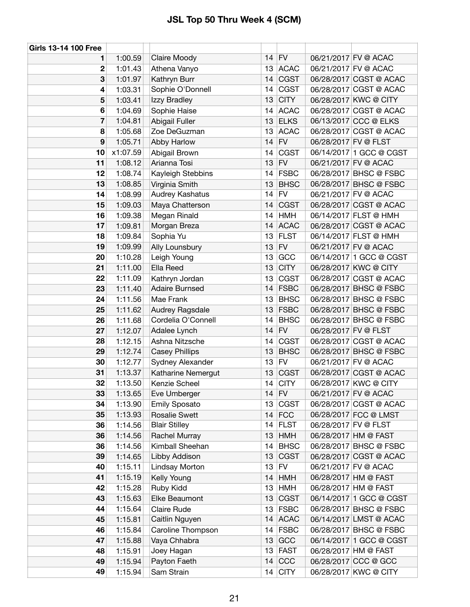| <b>Girls 13-14 100 Free</b> |                    |                            |          |                            |                                                  |
|-----------------------------|--------------------|----------------------------|----------|----------------------------|--------------------------------------------------|
| 1                           | 1:00.59            | Claire Moody               | 14       | FV                         | 06/21/2017 FV @ ACAC                             |
| 2                           | 1:01.43            | Athena Vanyo               | 13       | <b>ACAC</b>                | 06/21/2017 FV @ ACAC                             |
| 3                           | 1:01.97            | Kathryn Burr               | 14       | <b>CGST</b>                | 06/28/2017 CGST @ ACAC                           |
| 4                           | 1:03.31            | Sophie O'Donnell           | 14       | <b>CGST</b>                | 06/28/2017 CGST @ ACAC                           |
| 5                           | 1:03.41            | Izzy Bradley               | 13       | <b>CITY</b>                | 06/28/2017 KWC @ CITY                            |
| 6                           | 1:04.69            | Sophie Haise               | 14       | <b>ACAC</b>                | 06/28/2017 CGST @ ACAC                           |
| 7                           | 1:04.81            | Abigail Fuller             | 13       | <b>ELKS</b>                | 06/13/2017 CCC @ ELKS                            |
| 8                           | 1:05.68            | Zoe DeGuzman               | 13       | <b>ACAC</b>                | 06/28/2017 CGST @ ACAC                           |
| 9                           | 1:05.71            | Abby Harlow                | 14       | <b>FV</b>                  | 06/28/2017 FV @ FLST                             |
| 10                          | x1:07.59           | Abigail Brown              | 14       | <b>CGST</b>                | 06/14/2017 1 GCC @ CGST                          |
| 11                          | 1:08.12            | Arianna Tosi               | 13       | <b>FV</b>                  | 06/21/2017 FV @ ACAC                             |
| 12                          | 1:08.74            | Kayleigh Stebbins          | 14       | <b>FSBC</b>                | 06/28/2017 BHSC @ FSBC                           |
| 13                          | 1:08.85            | Virginia Smith             | 13       | <b>BHSC</b>                | 06/28/2017 BHSC @ FSBC                           |
| 14                          | 1:08.99            | Audrey Kashatus            | 14       | <b>FV</b>                  | 06/21/2017 FV @ ACAC                             |
| 15                          | 1:09.03            | Maya Chatterson            | 14       | <b>CGST</b>                | 06/28/2017 CGST @ ACAC                           |
| 16                          | 1:09.38            | Megan Rinald               | 14       | <b>HMH</b>                 | 06/14/2017 FLST @ HMH                            |
| 17                          | 1:09.81            | Morgan Breza               | 14       | <b>ACAC</b>                | 06/28/2017 CGST @ ACAC                           |
| 18                          | 1:09.84            | Sophia Yu                  | 13       | <b>FLST</b>                | 06/14/2017 FLST @ HMH                            |
| 19                          | 1:09.99            | Ally Lounsbury             | 13       | <b>FV</b>                  | 06/21/2017 FV @ ACAC                             |
| 20                          | 1:10.28            | Leigh Young                | 13       | GCC                        | 06/14/2017 1 GCC @ CGST                          |
| 21                          | 1:11.00            | Ella Reed                  | 13       | <b>CITY</b>                | 06/28/2017 KWC @ CITY                            |
| 22                          | 1:11.09            | Kathryn Jordan             | 13       | <b>CGST</b>                | 06/28/2017 CGST @ ACAC                           |
| 23                          | 1:11.40            | <b>Adaire Burnsed</b>      | 14       | <b>FSBC</b>                | 06/28/2017 BHSC @ FSBC                           |
| 24                          | 1:11.56            | Mae Frank                  | 13       | <b>BHSC</b>                | 06/28/2017 BHSC @ FSBC                           |
| 25                          | 1:11.62            | Audrey Ragsdale            | 13       | <b>FSBC</b>                | 06/28/2017 BHSC @ FSBC                           |
| 26                          | 1:11.68            | Cordelia O'Connell         | 14       | <b>BHSC</b>                | 06/28/2017 BHSC @ FSBC                           |
| 27                          | 1:12.07            | Adalee Lynch               | 14       | <b>FV</b>                  | 06/28/2017 FV @ FLST                             |
| 28                          | 1:12.15            | Ashna Nitzsche             | 14       | <b>CGST</b>                | 06/28/2017 CGST @ ACAC                           |
| 29                          | 1:12.74            | <b>Casey Phillips</b>      | 13       | <b>BHSC</b>                | 06/28/2017 BHSC @ FSBC                           |
| 30                          | 1:12.77            | Sydney Alexander           | 13       | <b>FV</b>                  | 06/21/2017 FV @ ACAC                             |
| 31                          | 1:13.37            | Katharine Nemergut         | 13       | <b>CGST</b>                | 06/28/2017 CGST @ ACAC                           |
| 32                          | 1:13.50            | Kenzie Scheel              | 14       | <b>CITY</b>                | 06/28/2017 KWC @ CITY                            |
| 33                          | 1:13.65            | Eve Umberger               |          | $14$ FV                    | 06/21/2017 FV @ ACAC                             |
| 34                          | 1:13.90            | <b>Emily Sposato</b>       | 13       | <b>CGST</b>                | 06/28/2017 CGST @ ACAC                           |
| 35                          | 1:13.93            | <b>Rosalie Swett</b>       | 14       | FCC                        | 06/28/2017 FCC @ LMST                            |
| 36                          | 1:14.56            | <b>Blair Stilley</b>       | 14       | <b>FLST</b>                | 06/28/2017 FV @ FLST                             |
| 36                          | 1:14.56            | Rachel Murray              | 13       | <b>HMH</b>                 | 06/28/2017 HM @ FAST                             |
| 36                          | 1:14.56            | Kimball Sheehan            | 14       | <b>BHSC</b>                | 06/28/2017 BHSC @ FSBC                           |
| 39                          | 1:14.65            | Libby Addison              | 13       | <b>CGST</b>                | 06/28/2017 CGST @ ACAC                           |
| 40                          | 1:15.11            | Lindsay Morton             | 13       | FV                         | 06/21/2017 FV @ ACAC                             |
| 41                          | 1:15.19            | Kelly Young                | 14       | <b>HMH</b>                 | 06/28/2017 HM @ FAST                             |
| 42                          | 1:15.28            | Ruby Kidd                  | 13       | <b>HMH</b>                 | 06/28/2017 HM @ FAST                             |
| 43<br>44                    | 1:15.63            | Elke Beaumont              | 13       | <b>CGST</b>                | 06/14/2017 1 GCC @ CGST                          |
|                             | 1:15.64            | <b>Claire Rude</b>         | 13       | <b>FSBC</b>                | 06/28/2017 BHSC @ FSBC<br>06/14/2017 LMST @ ACAC |
| 45<br>46                    | 1:15.81            | Caitlin Nguyen             | 14       | <b>ACAC</b><br><b>FSBC</b> | 06/28/2017 BHSC @ FSBC                           |
| 47                          | 1:15.84            | Caroline Thompson          | 14       |                            | 06/14/2017 1 GCC @ CGST                          |
| 48                          | 1:15.88<br>1:15.91 | Vaya Chhabra<br>Joey Hagan | 13<br>13 | GCC<br><b>FAST</b>         | 06/28/2017 HM @ FAST                             |
| 49                          | 1:15.94            | Payton Faeth               | 14       | CCC                        | 06/28/2017 CCC @ GCC                             |
| 49                          | 1:15.94            | Sam Strain                 | 14       | <b>CITY</b>                | 06/28/2017 KWC @ CITY                            |
|                             |                    |                            |          |                            |                                                  |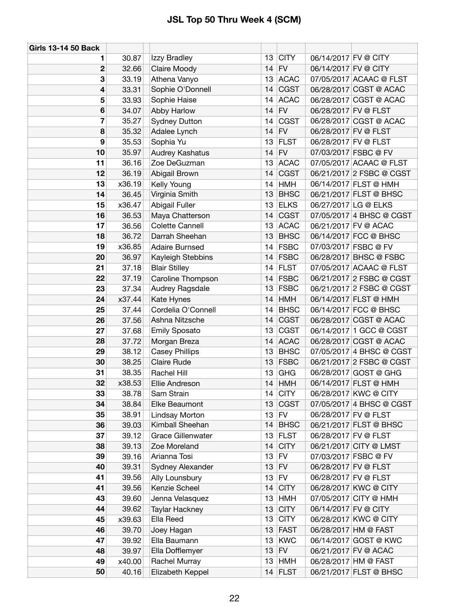| <b>Girls 13-14 50 Back</b> |        |                          |                 |                         |                      |                          |
|----------------------------|--------|--------------------------|-----------------|-------------------------|----------------------|--------------------------|
| 1                          | 30.87  | Izzy Bradley             | 13              | <b>CITY</b>             | 06/14/2017 FV @ CITY |                          |
| $\boldsymbol{2}$           | 32.66  | Claire Moody             | 14              | <b>FV</b>               | 06/14/2017 FV @ CITY |                          |
| 3                          | 33.19  | Athena Vanyo             | 13              | <b>ACAC</b>             |                      | 07/05/2017 ACAAC @ FLST  |
| 4                          | 33.31  | Sophie O'Donnell         | 14              | <b>CGST</b>             |                      | 06/28/2017 CGST @ ACAC   |
| 5                          | 33.93  | Sophie Haise             | 14              | <b>ACAC</b>             |                      | 06/28/2017 CGST @ ACAC   |
| 6                          | 34.07  | Abby Harlow              | 14              | <b>FV</b>               | 06/28/2017 FV @ FLST |                          |
| 7                          | 35.27  | <b>Sydney Dutton</b>     | 14              | <b>CGST</b>             |                      | 06/28/2017 CGST @ ACAC   |
| 8                          | 35.32  | Adalee Lynch             | 14              | <b>FV</b>               |                      | 06/28/2017 FV @ FLST     |
| 9                          | 35.53  | Sophia Yu                | 13              | <b>FLST</b>             |                      | 06/28/2017 FV @ FLST     |
| 10                         | 35.97  | Audrey Kashatus          | 14              | <b>FV</b>               |                      | 07/03/2017 FSBC @ FV     |
| 11                         | 36.16  | Zoe DeGuzman             | 13              | <b>ACAC</b>             |                      | 07/05/2017 ACAAC @ FLST  |
| 12                         | 36.19  | Abigail Brown            | 14              | <b>CGST</b>             |                      | 06/21/2017 2 FSBC @ CGST |
| 13                         | x36.19 | Kelly Young              | 14              | <b>HMH</b>              |                      | 06/14/2017 FLST @ HMH    |
| 14                         | 36.45  | Virginia Smith           | 13              | <b>BHSC</b>             |                      | 06/21/2017 FLST @ BHSC   |
| 15                         | x36.47 | Abigail Fuller           | 13              | <b>ELKS</b>             |                      | 06/27/2017 LG @ ELKS     |
| 16                         | 36.53  | Maya Chatterson          | 14              | <b>CGST</b>             |                      | 07/05/2017 4 BHSC @ CGST |
| 17                         | 36.56  | Colette Cannell          | 13              | <b>ACAC</b>             |                      | 06/21/2017 FV @ ACAC     |
| 18                         | 36.72  | Darrah Sheehan           | 13              | <b>BHSC</b>             |                      | 06/14/2017 FCC @ BHSC    |
| 19                         | x36.85 | <b>Adaire Burnsed</b>    | 14              | <b>FSBC</b>             |                      | 07/03/2017 FSBC @ FV     |
| 20                         | 36.97  | Kayleigh Stebbins        | 14              | <b>FSBC</b>             |                      | 06/28/2017 BHSC @ FSBC   |
| 21                         | 37.18  | <b>Blair Stilley</b>     | 14              | <b>FLST</b>             |                      | 07/05/2017 ACAAC @ FLST  |
| 22                         | 37.19  | Caroline Thompson        | 14              | <b>FSBC</b>             |                      | 06/21/2017 2 FSBC @ CGST |
| 23                         | 37.34  | Audrey Ragsdale          | 13              | <b>FSBC</b>             |                      | 06/21/2017 2 FSBC @ CGST |
| 24                         | x37.44 | Kate Hynes               | 14              | <b>HMH</b>              |                      | 06/14/2017 FLST @ HMH    |
| 25                         | 37.44  | Cordelia O'Connell       | 14              | <b>BHSC</b>             |                      | 06/14/2017 FCC @ BHSC    |
| 26                         | 37.56  | Ashna Nitzsche           | 14              | <b>CGST</b>             |                      | 06/28/2017 CGST @ ACAC   |
| 27                         | 37.68  | <b>Emily Sposato</b>     | 13              | CGST                    |                      | 06/14/2017 1 GCC @ CGST  |
| 28                         | 37.72  | Morgan Breza             | 14              | <b>ACAC</b>             |                      | 06/28/2017 CGST @ ACAC   |
| 29                         | 38.12  | <b>Casey Phillips</b>    | 13              | <b>BHSC</b>             |                      | 07/05/2017 4 BHSC @ CGST |
| 30                         | 38.25  | <b>Claire Rude</b>       | 13              | <b>FSBC</b>             |                      | 06/21/2017 2 FSBC @ CGST |
| 31                         | 38.35  | Rachel Hill              | 13              | <b>GHG</b>              |                      | 06/28/2017 GOST @ GHG    |
| 32                         | x38.53 | Ellie Andreson           | 14              | <b>HMH</b>              |                      | 06/14/2017 FLST @ HMH    |
| 33                         | 38.78  | Sam Strain               | 14              | <b>CITY</b>             |                      | 06/28/2017 KWC @ CITY    |
| 34                         | 38.84  | Elke Beaumont            | 13              | <b>CGST</b>             |                      | 07/05/2017 4 BHSC @ CGST |
| 35                         | 38.91  | Lindsay Morton           | 13              | <b>FV</b>               |                      | 06/28/2017 FV @ FLST     |
| 36                         | 39.03  | Kimball Sheehan          | 14              | <b>BHSC</b>             |                      | 06/21/2017 FLST @ BHSC   |
| 37                         | 39.12  | <b>Grace Gillenwater</b> | 13              | <b>FLST</b>             |                      | 06/28/2017 FV @ FLST     |
| 38                         | 39.13  | Zoe Moreland             | 14              | <b>CITY</b>             |                      | 06/21/2017 CITY @ LMST   |
| 39                         | 39.16  | Arianna Tosi             | 13              | <b>FV</b>               |                      | 07/03/2017 FSBC @ FV     |
| 40                         | 39.31  | Sydney Alexander         | 13              | <b>FV</b>               |                      | 06/28/2017 FV @ FLST     |
| 41                         | 39.56  | Ally Lounsbury           | 13              | <b>FV</b>               |                      | 06/28/2017 FV @ FLST     |
| 41                         | 39.56  | Kenzie Scheel            | 14              | <b>CITY</b>             |                      | 06/28/2017 KWC @ CITY    |
| 43                         | 39.60  | Jenna Velasquez          | 13              | <b>HMH</b>              |                      | 07/05/2017 CITY @ HMH    |
| 44                         | 39.62  | Taylar Hackney           | 13              | <b>CITY</b>             | 06/14/2017 FV @ CITY |                          |
| 45                         | x39.63 | Ella Reed                | 13              | <b>CITY</b>             |                      | 06/28/2017 KWC @ CITY    |
| 46                         | 39.70  | Joey Hagan               | 13              | <b>FAST</b>             |                      | 06/28/2017 HM @ FAST     |
| 47                         | 39.92  | Ella Baumann             | 13              | <b>KWC</b><br><b>FV</b> |                      | 06/14/2017 GOST @ KWC    |
| 48<br>49                   | 39.97  | Ella Dofflemyer          | 13              |                         |                      | 06/21/2017 FV @ ACAC     |
|                            | x40.00 | Rachel Murray            | 13 <sup>°</sup> | <b>HMH</b>              |                      | 06/28/2017 HM @ FAST     |
| 50                         | 40.16  | Elizabeth Keppel         |                 | $14$ FLST               |                      | 06/21/2017 FLST @ BHSC   |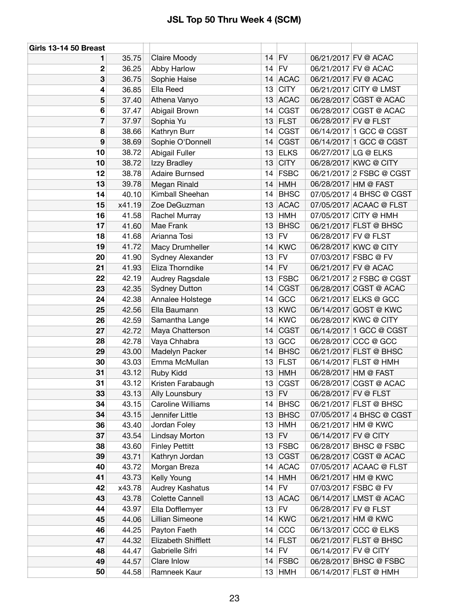| <b>Girls 13-14 50 Breast</b> |        |                          |    |             |                      |                          |
|------------------------------|--------|--------------------------|----|-------------|----------------------|--------------------------|
| 1                            | 35.75  | Claire Moody             | 14 | <b>FV</b>   |                      | 06/21/2017 FV @ ACAC     |
| $\overline{2}$               | 36.25  | Abby Harlow              | 14 | <b>FV</b>   |                      | 06/21/2017 FV @ ACAC     |
| 3                            | 36.75  | Sophie Haise             | 14 | <b>ACAC</b> |                      | 06/21/2017 FV @ ACAC     |
| 4                            | 36.85  | Ella Reed                | 13 | <b>CITY</b> |                      | 06/21/2017 CITY @ LMST   |
| 5                            | 37.40  | Athena Vanyo             | 13 | <b>ACAC</b> |                      | 06/28/2017 CGST @ ACAC   |
| 6                            | 37.47  | Abigail Brown            | 14 | <b>CGST</b> |                      | 06/28/2017 CGST @ ACAC   |
| 7                            | 37.97  | Sophia Yu                | 13 | <b>FLST</b> |                      | 06/28/2017 FV @ FLST     |
| 8                            | 38.66  | Kathryn Burr             | 14 | <b>CGST</b> |                      | 06/14/2017 1 GCC @ CGST  |
| 9                            | 38.69  | Sophie O'Donnell         | 14 | <b>CGST</b> |                      | 06/14/2017 1 GCC @ CGST  |
| 10                           | 38.72  | Abigail Fuller           | 13 | <b>ELKS</b> |                      | 06/27/2017 LG @ ELKS     |
| 10                           | 38.72  | Izzy Bradley             | 13 | <b>CITY</b> |                      | 06/28/2017 KWC @ CITY    |
| 12                           | 38.78  | <b>Adaire Burnsed</b>    | 14 | <b>FSBC</b> |                      | 06/21/2017 2 FSBC @ CGST |
| 13                           | 39.78  | Megan Rinald             | 14 | <b>HMH</b>  |                      | 06/28/2017 HM @ FAST     |
| 14                           | 40.10  | Kimball Sheehan          | 14 | <b>BHSC</b> |                      | 07/05/2017 4 BHSC @ CGST |
| 15                           | x41.19 | Zoe DeGuzman             | 13 | <b>ACAC</b> |                      | 07/05/2017 ACAAC @ FLST  |
| 16                           | 41.58  | Rachel Murray            | 13 | <b>HMH</b>  |                      | 07/05/2017 CITY @ HMH    |
| 17                           | 41.60  | Mae Frank                | 13 | <b>BHSC</b> |                      | 06/21/2017 FLST @ BHSC   |
| 18                           | 41.68  | Arianna Tosi             | 13 | <b>FV</b>   |                      | 06/28/2017 FV @ FLST     |
| 19                           | 41.72  | Macy Drumheller          | 14 | <b>KWC</b>  |                      | 06/28/2017 KWC @ CITY    |
| 20                           | 41.90  | Sydney Alexander         | 13 | <b>FV</b>   |                      | 07/03/2017 FSBC @ FV     |
| 21                           | 41.93  | Eliza Thorndike          | 14 | FV          |                      | 06/21/2017 FV @ ACAC     |
| 22                           | 42.19  | Audrey Ragsdale          | 13 | <b>FSBC</b> |                      | 06/21/2017 2 FSBC @ CGST |
| 23                           | 42.35  | <b>Sydney Dutton</b>     | 14 | <b>CGST</b> |                      | 06/28/2017 CGST @ ACAC   |
| 24                           | 42.38  | Annalee Holstege         | 14 | GCC         |                      | 06/21/2017 ELKS @ GCC    |
| 25                           | 42.56  | Ella Baumann             | 13 | <b>KWC</b>  |                      | 06/14/2017 GOST @ KWC    |
| 26                           | 42.59  | Samantha Lange           | 14 | <b>KWC</b>  |                      | 06/28/2017 KWC @ CITY    |
| 27                           | 42.72  | Maya Chatterson          | 14 | <b>CGST</b> |                      | 06/14/2017 1 GCC @ CGST  |
| 28                           | 42.78  | Vaya Chhabra             | 13 | GCC         |                      | 06/28/2017 CCC @ GCC     |
| 29                           | 43.00  | Madelyn Packer           | 14 | <b>BHSC</b> |                      | 06/21/2017 FLST @ BHSC   |
| 30                           | 43.03  | Emma McMullan            | 13 | <b>FLST</b> |                      | 06/14/2017 FLST @ HMH    |
| 31                           | 43.12  | Ruby Kidd                | 13 | <b>HMH</b>  |                      | 06/28/2017 HM @ FAST     |
| 31                           | 43.12  | Kristen Farabaugh        | 13 | <b>CGST</b> |                      | 06/28/2017 CGST @ ACAC   |
| 33                           | 43.13  | Ally Lounsbury           |    | $13$ FV     |                      | 06/28/2017 FV @ FLST     |
| 34                           | 43.15  | <b>Caroline Williams</b> | 14 | <b>BHSC</b> |                      | 06/21/2017 FLST @ BHSC   |
| 34                           | 43.15  | Jennifer Little          | 13 | <b>BHSC</b> |                      | 07/05/2017 4 BHSC @ CGST |
| 36                           | 43.40  | Jordan Foley             | 13 | <b>HMH</b>  |                      | 06/21/2017 HM @ KWC      |
| 37                           | 43.54  | Lindsay Morton           | 13 | <b>FV</b>   | 06/14/2017 FV @ CITY |                          |
| 38                           | 43.60  | <b>Finley Pettitt</b>    | 13 | <b>FSBC</b> |                      | 06/28/2017 BHSC @ FSBC   |
| 39                           | 43.71  | Kathryn Jordan           | 13 | <b>CGST</b> |                      | 06/28/2017 CGST @ ACAC   |
| 40                           | 43.72  | Morgan Breza             | 14 | <b>ACAC</b> |                      | 07/05/2017 ACAAC @ FLST  |
| 41                           | 43.73  | Kelly Young              | 14 | <b>HMH</b>  |                      | 06/21/2017 HM @ KWC      |
| 42                           | x43.78 | Audrey Kashatus          | 14 | FV          |                      | 07/03/2017 FSBC @ FV     |
| 43                           | 43.78  | Colette Cannell          | 13 | <b>ACAC</b> |                      | 06/14/2017 LMST @ ACAC   |
| 44                           | 43.97  | Ella Dofflemyer          | 13 | <b>FV</b>   |                      | 06/28/2017 FV @ FLST     |
| 45                           | 44.06  | Lillian Simeone          | 14 | <b>KWC</b>  |                      | 06/21/2017 HM @ KWC      |
| 46                           | 44.25  | Payton Faeth             | 14 | CCC         |                      | 06/13/2017 CCC @ ELKS    |
| 47                           | 44.32  | Elizabeth Shifflett      | 14 | <b>FLST</b> |                      | 06/21/2017 FLST @ BHSC   |
| 48                           | 44.47  | Gabrielle Sifri          | 14 | <b>FV</b>   | 06/14/2017 FV @ CITY |                          |
| 49                           | 44.57  | Clare Inlow              | 14 | <b>FSBC</b> |                      | 06/28/2017 BHSC @ FSBC   |
| 50                           | 44.58  | Ramneek Kaur             |    | $13$ HMH    |                      | 06/14/2017 FLST @ HMH    |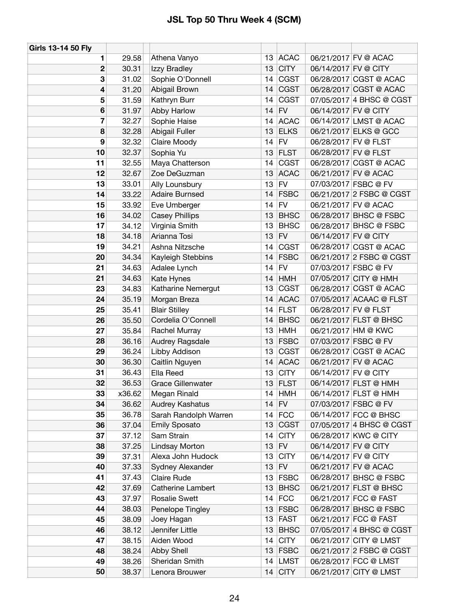| Girls 13-14 50 Fly |        |                          |    |             |                       |                          |
|--------------------|--------|--------------------------|----|-------------|-----------------------|--------------------------|
| 1                  | 29.58  | Athena Vanyo             | 13 | <b>ACAC</b> | 06/21/2017 FV @ ACAC  |                          |
| $\mathbf 2$        | 30.31  | Izzy Bradley             | 13 | <b>CITY</b> | 06/14/2017 FV @ CITY  |                          |
| 3                  | 31.02  | Sophie O'Donnell         | 14 | <b>CGST</b> |                       | 06/28/2017 CGST @ ACAC   |
| 4                  | 31.20  | Abigail Brown            | 14 | <b>CGST</b> |                       | 06/28/2017 CGST @ ACAC   |
| 5                  | 31.59  | Kathryn Burr             | 14 | <b>CGST</b> |                       | 07/05/2017 4 BHSC @ CGST |
| $6\phantom{1}6$    | 31.97  | Abby Harlow              | 14 | <b>FV</b>   | 06/14/2017 FV @ CITY  |                          |
| 7                  | 32.27  | Sophie Haise             | 14 | <b>ACAC</b> |                       | 06/14/2017 LMST @ ACAC   |
| 8                  | 32.28  | Abigail Fuller           | 13 | <b>ELKS</b> | 06/21/2017 ELKS @ GCC |                          |
| 9                  | 32.32  | Claire Moody             | 14 | <b>FV</b>   | 06/28/2017 FV @ FLST  |                          |
| 10                 | 32.37  | Sophia Yu                | 13 | <b>FLST</b> | 06/28/2017 FV @ FLST  |                          |
| 11                 | 32.55  | Maya Chatterson          | 14 | <b>CGST</b> |                       | 06/28/2017 CGST @ ACAC   |
| 12                 | 32.67  | Zoe DeGuzman             | 13 | <b>ACAC</b> | 06/21/2017 FV @ ACAC  |                          |
| 13                 | 33.01  | Ally Lounsbury           | 13 | <b>FV</b>   | 07/03/2017 FSBC @ FV  |                          |
| 14                 | 33.22  | Adaire Burnsed           | 14 | <b>FSBC</b> |                       | 06/21/2017 2 FSBC @ CGST |
| 15                 | 33.92  | Eve Umberger             | 14 | <b>FV</b>   | 06/21/2017 FV @ ACAC  |                          |
| 16                 | 34.02  | <b>Casey Phillips</b>    | 13 | <b>BHSC</b> |                       | 06/28/2017 BHSC @ FSBC   |
| 17                 | 34.12  | Virginia Smith           | 13 | <b>BHSC</b> |                       | 06/28/2017 BHSC @ FSBC   |
| 18                 | 34.18  | Arianna Tosi             | 13 | <b>FV</b>   | 06/14/2017 FV @ CITY  |                          |
| 19                 | 34.21  | Ashna Nitzsche           | 14 | <b>CGST</b> |                       | 06/28/2017 CGST @ ACAC   |
| 20                 | 34.34  | Kayleigh Stebbins        | 14 | <b>FSBC</b> |                       | 06/21/2017 2 FSBC @ CGST |
| 21                 | 34.63  | Adalee Lynch             | 14 | <b>FV</b>   | 07/03/2017 FSBC @ FV  |                          |
| 21                 | 34.63  | Kate Hynes               | 14 | <b>HMH</b>  | 07/05/2017 CITY @ HMH |                          |
| 23                 | 34.83  | Katharine Nemergut       | 13 | <b>CGST</b> |                       | 06/28/2017 CGST @ ACAC   |
| 24                 | 35.19  | Morgan Breza             | 14 | <b>ACAC</b> |                       | 07/05/2017 ACAAC @ FLST  |
| 25                 | 35.41  | <b>Blair Stilley</b>     | 14 | <b>FLST</b> | 06/28/2017 FV @ FLST  |                          |
| 26                 | 35.50  | Cordelia O'Connell       | 14 | <b>BHSC</b> |                       | 06/21/2017 FLST @ BHSC   |
| 27                 | 35.84  | Rachel Murray            | 13 | <b>HMH</b>  | 06/21/2017 HM @ KWC   |                          |
| 28                 | 36.16  | Audrey Ragsdale          | 13 | <b>FSBC</b> | 07/03/2017 FSBC @ FV  |                          |
| 29                 | 36.24  | Libby Addison            | 13 | <b>CGST</b> |                       | 06/28/2017 CGST @ ACAC   |
| 30                 | 36.30  | Caitlin Nguyen           | 14 | <b>ACAC</b> | 06/21/2017 FV @ ACAC  |                          |
| 31                 | 36.43  | Ella Reed                | 13 | <b>CITY</b> | 06/14/2017 FV @ CITY  |                          |
| 32                 | 36.53  | <b>Grace Gillenwater</b> | 13 | <b>FLST</b> | 06/14/2017 FLST @ HMH |                          |
| 33                 | x36.62 | Megan Rinald             | 14 | <b>HMH</b>  | 06/14/2017 FLST @ HMH |                          |
| 34                 | 36.62  | Audrey Kashatus          | 14 | <b>FV</b>   | 07/03/2017 FSBC @ FV  |                          |
| 35                 | 36.78  | Sarah Randolph Warren    | 14 | <b>FCC</b>  |                       | 06/14/2017 FCC @ BHSC    |
| 36                 | 37.04  | <b>Emily Sposato</b>     | 13 | <b>CGST</b> |                       | 07/05/2017 4 BHSC @ CGST |
| 37                 | 37.12  | Sam Strain               | 14 | <b>CITY</b> | 06/28/2017 KWC @ CITY |                          |
| 38                 | 37.25  | <b>Lindsay Morton</b>    | 13 | ${\sf FV}$  | 06/14/2017 FV @ CITY  |                          |
| 39                 | 37.31  | Alexa John Hudock        | 13 | <b>CITY</b> | 06/14/2017 FV @ CITY  |                          |
| 40                 | 37.33  | Sydney Alexander         | 13 | <b>FV</b>   | 06/21/2017 FV @ ACAC  |                          |
| 41                 | 37.43  | <b>Claire Rude</b>       | 13 | <b>FSBC</b> |                       | 06/28/2017 BHSC @ FSBC   |
| 42                 | 37.69  | Catherine Lambert        | 13 | <b>BHSC</b> |                       | 06/21/2017 FLST @ BHSC   |
| 43                 | 37.97  | <b>Rosalie Swett</b>     | 14 | <b>FCC</b>  | 06/21/2017 FCC @ FAST |                          |
| 44                 | 38.03  | Penelope Tingley         | 13 | <b>FSBC</b> |                       | 06/28/2017 BHSC @ FSBC   |
| 45                 | 38.09  | Joey Hagan               | 13 | <b>FAST</b> | 06/21/2017 FCC @ FAST |                          |
| 46                 | 38.12  | Jennifer Little          | 13 | <b>BHSC</b> |                       | 07/05/2017 4 BHSC @ CGST |
| 47                 | 38.15  | Aiden Wood               | 14 | <b>CITY</b> |                       | 06/21/2017 CITY @ LMST   |
| 48                 | 38.24  | Abby Shell               | 13 | <b>FSBC</b> |                       | 06/21/2017 2 FSBC @ CGST |
| 49                 | 38.26  | Sheridan Smith           | 14 | <b>LMST</b> |                       | 06/28/2017 FCC @ LMST    |
| 50                 | 38.37  | Lenora Brouwer           | 14 | <b>CITY</b> |                       | 06/21/2017 CITY @ LMST   |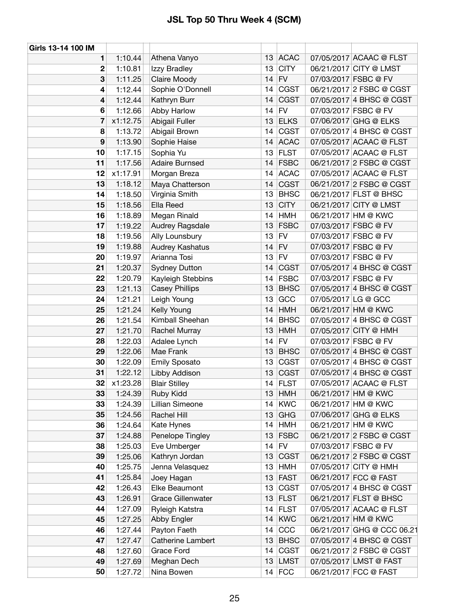| Girls 13-14 100 IM |          |                          |                  |             |                     |                            |
|--------------------|----------|--------------------------|------------------|-------------|---------------------|----------------------------|
| 1                  | 1:10.44  | Athena Vanyo             |                  | 13 ACAC     |                     | 07/05/2017 ACAAC @ FLST    |
| 2                  | 1:10.81  | Izzy Bradley             | 13               | <b>CITY</b> |                     | 06/21/2017 CITY @ LMST     |
| 3                  | 1:11.25  | Claire Moody             | 14               | <b>FV</b>   |                     | 07/03/2017 FSBC @ FV       |
| 4                  | 1:12.44  | Sophie O'Donnell         |                  | 14 CGST     |                     | 06/21/2017 2 FSBC @ CGST   |
| 4                  | 1:12.44  | Kathryn Burr             | 14               | <b>CGST</b> |                     | 07/05/2017 4 BHSC @ CGST   |
| 6                  | 1:12.66  | Abby Harlow              | 14               | <b>FV</b>   |                     | 07/03/2017 FSBC @ FV       |
| 7                  | x1:12.75 | Abigail Fuller           | 13               | <b>ELKS</b> |                     | 07/06/2017 GHG @ ELKS      |
| 8                  | 1:13.72  | Abigail Brown            |                  | $14$ CGST   |                     | 07/05/2017 4 BHSC @ CGST   |
| 9                  | 1:13.90  | Sophie Haise             | 14               | <b>ACAC</b> |                     | 07/05/2017 ACAAC @ FLST    |
| 10                 | 1:17.15  | Sophia Yu                |                  | $13$ FLST   |                     | 07/05/2017 ACAAC @ FLST    |
| 11                 | 1:17.56  | <b>Adaire Burnsed</b>    |                  | $14$ FSBC   |                     | 06/21/2017 2 FSBC @ CGST   |
| 12                 | x1:17.91 | Morgan Breza             | 14               | <b>ACAC</b> |                     | 07/05/2017 ACAAC @ FLST    |
| 13                 | 1:18.12  | Maya Chatterson          | 14               | <b>CGST</b> |                     | 06/21/2017 2 FSBC @ CGST   |
| 14                 | 1:18.50  | Virginia Smith           | 13 <sup>13</sup> | <b>BHSC</b> |                     | 06/21/2017 FLST @ BHSC     |
| 15                 | 1:18.56  | Ella Reed                | 13               | <b>CITY</b> |                     | 06/21/2017 CITY @ LMST     |
| 16                 | 1:18.89  | Megan Rinald             | 14               | <b>HMH</b>  |                     | 06/21/2017 HM @ KWC        |
| 17                 | 1:19.22  | Audrey Ragsdale          | 13               | <b>FSBC</b> |                     | 07/03/2017 FSBC @ FV       |
| 18                 | 1:19.56  | Ally Lounsbury           | 13 <sup>13</sup> | FV          |                     | 07/03/2017 FSBC @ FV       |
| 19                 | 1:19.88  | Audrey Kashatus          | 14               | <b>FV</b>   |                     | 07/03/2017 FSBC @ FV       |
| 20                 | 1:19.97  | Arianna Tosi             |                  | $13$ FV     |                     | 07/03/2017 FSBC @ FV       |
| 21                 | 1:20.37  | <b>Sydney Dutton</b>     | 14               | <b>CGST</b> |                     | 07/05/2017 4 BHSC @ CGST   |
| 22                 | 1:20.79  | Kayleigh Stebbins        |                  | 14 FSBC     |                     | 07/03/2017 FSBC @ FV       |
| 23                 | 1:21.13  | <b>Casey Phillips</b>    | 13               | <b>BHSC</b> |                     | 07/05/2017 4 BHSC @ CGST   |
| 24                 | 1:21.21  | Leigh Young              | 13               | GCC         | 07/05/2017 LG @ GCC |                            |
| 25                 | 1:21.24  | Kelly Young              | 14               | <b>HMH</b>  |                     | 06/21/2017 HM @ KWC        |
| 26                 | 1:21.54  | Kimball Sheehan          | 14               | <b>BHSC</b> |                     | 07/05/2017 4 BHSC @ CGST   |
| 27                 | 1:21.70  | Rachel Murray            | 13               | <b>HMH</b>  |                     | 07/05/2017 CITY @ HMH      |
| 28                 | 1:22.03  | Adalee Lynch             | 14               | <b>FV</b>   |                     | 07/03/2017 FSBC @ FV       |
| 29                 | 1:22.06  | Mae Frank                | 13               | <b>BHSC</b> |                     | 07/05/2017 4 BHSC @ CGST   |
| 30                 | 1:22.09  | <b>Emily Sposato</b>     |                  | 13 CGST     |                     | 07/05/2017 4 BHSC @ CGST   |
| 31                 | 1:22.12  | Libby Addison            | 13               | <b>CGST</b> |                     | 07/05/2017 4 BHSC @ CGST   |
| 32                 | x1:23.28 | <b>Blair Stilley</b>     |                  | 14 FLST     |                     | 07/05/2017 ACAAC @ FLST    |
| 33                 | 1:24.39  | Ruby Kidd                | 13               | <b>HMH</b>  |                     | 06/21/2017 HM @ KWC        |
| 33                 | 1:24.39  | Lillian Simeone          | 14               | <b>KWC</b>  |                     | 06/21/2017 HM @ KWC        |
| 35                 | 1:24.56  | Rachel Hill              | 13               | <b>GHG</b>  |                     | 07/06/2017 GHG @ ELKS      |
| 36                 | 1:24.64  | Kate Hynes               | 14               | <b>HMH</b>  |                     | 06/21/2017 HM @ KWC        |
| 37                 | 1:24.88  | Penelope Tingley         | 13               | <b>FSBC</b> |                     | 06/21/2017 2 FSBC @ CGST   |
| 38                 | 1:25.03  | Eve Umberger             | 14               | <b>FV</b>   |                     | 07/03/2017 FSBC @ FV       |
| 39                 | 1:25.06  | Kathryn Jordan           | 13               | <b>CGST</b> |                     | 06/21/2017 2 FSBC @ CGST   |
| 40                 | 1:25.75  | Jenna Velasquez          | 13               | <b>HMH</b>  |                     | 07/05/2017 CITY @ HMH      |
| 41                 | 1:25.84  | Joey Hagan               | 13               | <b>FAST</b> |                     | 06/21/2017 FCC @ FAST      |
| 42                 | 1:26.43  | Elke Beaumont            | 13               | <b>CGST</b> |                     | 07/05/2017 4 BHSC @ CGST   |
| 43                 | 1:26.91  | Grace Gillenwater        | 13               | <b>FLST</b> |                     | 06/21/2017 FLST @ BHSC     |
| 44                 | 1:27.09  | Ryleigh Katstra          | 14               | <b>FLST</b> |                     | 07/05/2017 ACAAC @ FLST    |
| 45                 | 1:27.25  | Abby Engler              | 14               | <b>KWC</b>  |                     | 06/21/2017 HM @ KWC        |
| 46                 | 1:27.44  | Payton Faeth             | 14               | CCC         |                     | 06/21/2017 GHG @ CCC 06.21 |
| 47                 | 1:27.47  | <b>Catherine Lambert</b> | 13               | <b>BHSC</b> |                     | 07/05/2017 4 BHSC @ CGST   |
| 48                 | 1:27.60  | Grace Ford               | 14               | <b>CGST</b> |                     | 06/21/2017 2 FSBC @ CGST   |
| 49                 | 1:27.69  | Meghan Dech              | 13               | LMST        |                     | 07/05/2017 LMST @ FAST     |
| 50                 | 1:27.72  | Nina Bowen               |                  | $14$ FCC    |                     | 06/21/2017 FCC @ FAST      |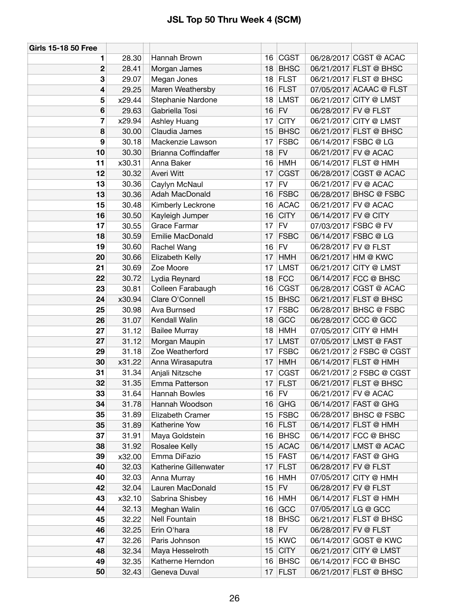| <b>Girls 15-18 50 Free</b> |        |                       |    |             |                      |                          |
|----------------------------|--------|-----------------------|----|-------------|----------------------|--------------------------|
| 1                          | 28.30  | Hannah Brown          | 16 | <b>CGST</b> |                      | 06/28/2017 CGST @ ACAC   |
| 2                          | 28.41  | Morgan James          | 18 | <b>BHSC</b> |                      | 06/21/2017 FLST @ BHSC   |
| 3                          | 29.07  | Megan Jones           | 18 | <b>FLST</b> |                      | 06/21/2017 FLST @ BHSC   |
| 4                          | 29.25  | Maren Weathersby      | 16 | <b>FLST</b> |                      | 07/05/2017 ACAAC @ FLST  |
| 5                          | x29.44 | Stephanie Nardone     | 18 | <b>LMST</b> |                      | 06/21/2017 CITY @ LMST   |
| 6                          | 29.63  | Gabriella Tosi        | 16 | <b>FV</b>   | 06/28/2017 FV @ FLST |                          |
| 7                          | x29.94 | Ashley Huang          | 17 | <b>CITY</b> |                      | 06/21/2017 CITY @ LMST   |
| 8                          | 30.00  | Claudia James         | 15 | <b>BHSC</b> |                      | 06/21/2017 FLST @ BHSC   |
| 9                          | 30.18  | Mackenzie Lawson      | 17 | <b>FSBC</b> |                      | 06/14/2017 FSBC @ LG     |
| 10                         | 30.30  | Brianna Coffindaffer  | 18 | <b>FV</b>   |                      | 06/21/2017 FV @ ACAC     |
| 11                         | x30.31 | Anna Baker            | 16 | <b>HMH</b>  |                      | 06/14/2017 FLST @ HMH    |
| 12                         | 30.32  | Averi Witt            | 17 | <b>CGST</b> |                      | 06/28/2017 CGST @ ACAC   |
| 13                         | 30.36  | Caylyn McNaul         | 17 | <b>FV</b>   |                      | 06/21/2017 FV @ ACAC     |
| 13                         | 30.36  | Adah MacDonald        | 16 | <b>FSBC</b> |                      | 06/28/2017 BHSC @ FSBC   |
| 15                         | 30.48  | Kimberly Leckrone     | 16 | <b>ACAC</b> |                      | 06/21/2017 FV @ ACAC     |
| 16                         | 30.50  | Kayleigh Jumper       | 16 | <b>CITY</b> | 06/14/2017 FV @ CITY |                          |
| 17                         | 30.55  | <b>Grace Farmar</b>   | 17 | <b>FV</b>   |                      | 07/03/2017 FSBC @ FV     |
| 18                         | 30.59  | Emilie MacDonald      | 17 | <b>FSBC</b> |                      | 06/14/2017 FSBC @ LG     |
| 19                         | 30.60  | Rachel Wang           | 16 | <b>FV</b>   | 06/28/2017 FV @ FLST |                          |
| 20                         | 30.66  | Elizabeth Kelly       | 17 | <b>HMH</b>  |                      | 06/21/2017 HM @ KWC      |
| 21                         | 30.69  | Zoe Moore             | 17 | <b>LMST</b> |                      | 06/21/2017 CITY @ LMST   |
| 22                         | 30.72  | Lydia Reynard         | 18 | <b>FCC</b>  |                      | 06/14/2017 FCC @ BHSC    |
| 23                         | 30.81  | Colleen Farabaugh     | 16 | CGST        |                      | 06/28/2017 CGST @ ACAC   |
| 24                         | x30.94 | Clare O'Connell       | 15 | <b>BHSC</b> |                      | 06/21/2017 FLST @ BHSC   |
| 25                         | 30.98  | Ava Burnsed           | 17 | <b>FSBC</b> |                      | 06/28/2017 BHSC @ FSBC   |
| 26                         | 31.07  | Kendall Walin         | 18 | GCC         |                      | 06/28/2017 CCC @ GCC     |
| 27                         | 31.12  | <b>Bailee Murray</b>  | 18 | <b>HMH</b>  |                      | 07/05/2017 CITY @ HMH    |
| 27                         | 31.12  | Morgan Maupin         | 17 | <b>LMST</b> |                      | 07/05/2017 LMST @ FAST   |
| 29                         | 31.18  | Zoe Weatherford       | 17 | <b>FSBC</b> |                      | 06/21/2017 2 FSBC @ CGST |
| 30                         | x31.22 | Anna Wirasaputra      | 17 | <b>HMH</b>  |                      | 06/14/2017 FLST @ HMH    |
| 31                         | 31.34  | Anjali Nitzsche       | 17 | <b>CGST</b> |                      | 06/21/2017 2 FSBC @ CGST |
| 32                         | 31.35  | Emma Patterson        | 17 | <b>FLST</b> |                      | 06/21/2017 FLST @ BHSC   |
| 33                         | 31.64  | Hannah Bowles         |    | $16$ FV     |                      | 06/21/2017 FV @ ACAC     |
| 34                         | 31.78  | Hannah Woodson        | 16 | GHG         |                      | 06/14/2017 FAST @ GHG    |
| 35                         | 31.89  | Elizabeth Cramer      | 15 | <b>FSBC</b> |                      | 06/28/2017 BHSC @ FSBC   |
| 35                         | 31.89  | Katherine Yow         | 16 | FLST        |                      | 06/14/2017 FLST @ HMH    |
| 37                         | 31.91  | Maya Goldstein        | 16 | <b>BHSC</b> |                      | 06/14/2017 FCC @ BHSC    |
| 38                         | 31.92  | Rosalee Kelly         | 15 | <b>ACAC</b> |                      | 06/14/2017 LMST @ ACAC   |
| 39                         | x32.00 | Emma DiFazio          | 15 | <b>FAST</b> |                      | 06/14/2017 FAST @ GHG    |
| 40                         | 32.03  | Katherine Gillenwater | 17 | <b>FLST</b> | 06/28/2017 FV @ FLST |                          |
| 40                         | 32.03  | Anna Murray           | 16 | <b>HMH</b>  |                      | 07/05/2017 CITY @ HMH    |
| 42                         | 32.04  | Lauren MacDonald      | 15 | <b>FV</b>   | 06/28/2017 FV @ FLST |                          |
| 43                         | x32.10 | Sabrina Shisbey       | 16 | <b>HMH</b>  |                      | 06/14/2017 FLST @ HMH    |
| 44                         | 32.13  | Meghan Walin          | 16 | GCC         | 07/05/2017 LG @ GCC  |                          |
| 45                         | 32.22  | Nell Fountain         | 18 | <b>BHSC</b> |                      | 06/21/2017 FLST @ BHSC   |
| 46                         | 32.25  | Erin O'hara           | 18 | <b>FV</b>   | 06/28/2017 FV @ FLST |                          |
| 47                         | 32.26  | Paris Johnson         | 15 | <b>KWC</b>  |                      | 06/14/2017 GOST @ KWC    |
| 48                         | 32.34  | Maya Hesselroth       | 15 | <b>CITY</b> |                      | 06/21/2017 CITY @ LMST   |
| 49                         | 32.35  | Katherne Herndon      | 16 | <b>BHSC</b> |                      | 06/14/2017 FCC @ BHSC    |
| 50                         | 32.43  | Geneva Duval          | 17 | <b>FLST</b> |                      | 06/21/2017 FLST @ BHSC   |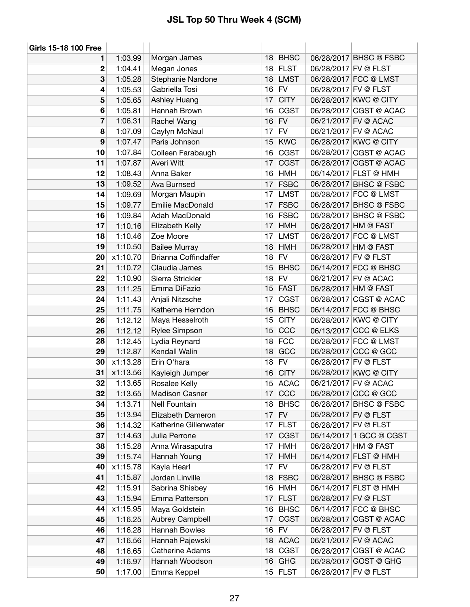| <b>Girls 15-18 100 Free</b> |          |                             |    |             |                      |                         |
|-----------------------------|----------|-----------------------------|----|-------------|----------------------|-------------------------|
| 1                           | 1:03.99  | Morgan James                | 18 | <b>BHSC</b> |                      | 06/28/2017 BHSC @ FSBC  |
| 2                           | 1:04.41  | Megan Jones                 | 18 | <b>FLST</b> | 06/28/2017 FV @ FLST |                         |
| 3                           | 1:05.28  | Stephanie Nardone           | 18 | <b>LMST</b> |                      | 06/28/2017 FCC @ LMST   |
| 4                           | 1:05.53  | Gabriella Tosi              | 16 | FV          | 06/28/2017 FV @ FLST |                         |
| 5                           | 1:05.65  | Ashley Huang                | 17 | <b>CITY</b> |                      | 06/28/2017 KWC @ CITY   |
| 6                           | 1:05.81  | Hannah Brown                | 16 | <b>CGST</b> |                      | 06/28/2017 CGST @ ACAC  |
| 7                           | 1:06.31  | Rachel Wang                 | 16 | <b>FV</b>   |                      | 06/21/2017 FV @ ACAC    |
| 8                           | 1:07.09  | Caylyn McNaul               | 17 | <b>FV</b>   |                      | 06/21/2017 FV @ ACAC    |
| 9                           | 1:07.47  | Paris Johnson               | 15 | <b>KWC</b>  |                      | 06/28/2017 KWC @ CITY   |
| 10                          | 1:07.84  | Colleen Farabaugh           | 16 | <b>CGST</b> |                      | 06/28/2017 CGST @ ACAC  |
| 11                          | 1:07.87  | Averi Witt                  | 17 | <b>CGST</b> |                      | 06/28/2017 CGST @ ACAC  |
| 12                          | 1:08.43  | Anna Baker                  | 16 | <b>HMH</b>  |                      | 06/14/2017 FLST @ HMH   |
| 13                          | 1:09.52  | <b>Ava Burnsed</b>          | 17 | <b>FSBC</b> |                      | 06/28/2017 BHSC @ FSBC  |
| 14                          | 1:09.69  | Morgan Maupin               | 17 | <b>LMST</b> |                      | 06/28/2017 FCC @ LMST   |
| 15                          | 1:09.77  | Emilie MacDonald            | 17 | <b>FSBC</b> |                      | 06/28/2017 BHSC @ FSBC  |
| 16                          | 1:09.84  | Adah MacDonald              | 16 | <b>FSBC</b> |                      | 06/28/2017 BHSC @ FSBC  |
| 17                          | 1:10.16  | Elizabeth Kelly             | 17 | HMH         |                      | 06/28/2017 HM @ FAST    |
| 18                          | 1:10.46  | Zoe Moore                   | 17 | <b>LMST</b> |                      | 06/28/2017 FCC @ LMST   |
| 19                          | 1:10.50  | <b>Bailee Murray</b>        | 18 | <b>HMH</b>  |                      | 06/28/2017 HM @ FAST    |
| 20                          | x1:10.70 | <b>Brianna Coffindaffer</b> | 18 | <b>FV</b>   |                      | 06/28/2017 FV @ FLST    |
| 21                          | 1:10.72  | Claudia James               | 15 | <b>BHSC</b> |                      | 06/14/2017 FCC @ BHSC   |
| 22                          | 1:10.90  | Sierra Strickler            | 18 | <b>FV</b>   |                      | 06/21/2017 FV @ ACAC    |
| 23                          | 1:11.25  | Emma DiFazio                | 15 | <b>FAST</b> |                      | 06/28/2017 HM @ FAST    |
| 24                          | 1:11.43  | Anjali Nitzsche             | 17 | <b>CGST</b> |                      | 06/28/2017 CGST @ ACAC  |
| 25                          | 1:11.75  | Katherne Herndon            | 16 | <b>BHSC</b> |                      | 06/14/2017 FCC @ BHSC   |
| 26                          | 1:12.12  | Maya Hesselroth             | 15 | <b>CITY</b> |                      | 06/28/2017 KWC @ CITY   |
| 26                          | 1:12.12  | Rylee Simpson               | 15 | CCC         |                      | 06/13/2017 CCC @ ELKS   |
| 28                          | 1:12.45  | Lydia Reynard               | 18 | <b>FCC</b>  |                      | 06/28/2017 FCC @ LMST   |
| 29                          | 1:12.87  | Kendall Walin               | 18 | GCC         |                      | 06/28/2017 CCC @ GCC    |
| 30                          | x1:13.28 | Erin O'hara                 | 18 | <b>FV</b>   | 06/28/2017 FV @ FLST |                         |
| 31                          | x1:13.56 | Kayleigh Jumper             | 16 | <b>CITY</b> |                      | 06/28/2017 KWC @ CITY   |
| 32                          | 1:13.65  | Rosalee Kelly               | 15 | <b>ACAC</b> |                      | 06/21/2017 FV @ ACAC    |
| 32                          | 1:13.65  | <b>Madison Casner</b>       | 17 | CCC         |                      | 06/28/2017 CCC @ GCC    |
| 34                          | 1:13.71  | <b>Nell Fountain</b>        | 18 | <b>BHSC</b> |                      | 06/28/2017 BHSC @ FSBC  |
| 35                          | 1:13.94  | Elizabeth Dameron           | 17 | <b>FV</b>   |                      | 06/28/2017 FV @ FLST    |
| 36                          | 1:14.32  | Katherine Gillenwater       | 17 | <b>FLST</b> |                      | 06/28/2017 FV @ FLST    |
| 37                          | 1:14.63  | Julia Perrone               | 17 | <b>CGST</b> |                      | 06/14/2017 1 GCC @ CGST |
| 38                          | 1:15.28  | Anna Wirasaputra            | 17 | <b>HMH</b>  |                      | 06/28/2017 HM @ FAST    |
| 39                          | 1:15.74  | Hannah Young                | 17 | <b>HMH</b>  |                      | 06/14/2017 FLST @ HMH   |
| 40                          | x1:15.78 | Kayla Hearl                 | 17 | <b>FV</b>   |                      | 06/28/2017 FV @ FLST    |
| 41                          | 1:15.87  | Jordan Linville             | 18 | <b>FSBC</b> |                      | 06/28/2017 BHSC @ FSBC  |
| 42                          | 1:15.91  | Sabrina Shisbey             | 16 | HMH         |                      | 06/14/2017 FLST @ HMH   |
| 43                          | 1:15.94  | Emma Patterson              | 17 | <b>FLST</b> |                      | 06/28/2017 FV @ FLST    |
| 44                          | x1:15.95 | Maya Goldstein              | 16 | <b>BHSC</b> |                      | 06/14/2017 FCC @ BHSC   |
| 45                          | 1:16.25  | Aubrey Campbell             | 17 | <b>CGST</b> |                      | 06/28/2017 CGST @ ACAC  |
| 46                          | 1:16.28  | Hannah Bowles               | 16 | <b>FV</b>   |                      | 06/28/2017 FV @ FLST    |
| 47                          | 1:16.56  | Hannah Pajewski             | 18 | <b>ACAC</b> |                      | 06/21/2017 FV @ ACAC    |
| 48                          | 1:16.65  | <b>Catherine Adams</b>      | 18 | <b>CGST</b> |                      | 06/28/2017 CGST @ ACAC  |
| 49                          | 1:16.97  | Hannah Woodson              | 16 | <b>GHG</b>  |                      | 06/28/2017 GOST @ GHG   |
| 50                          | 1:17.00  | Emma Keppel                 |    | $15$ FLST   | 06/28/2017 FV @ FLST |                         |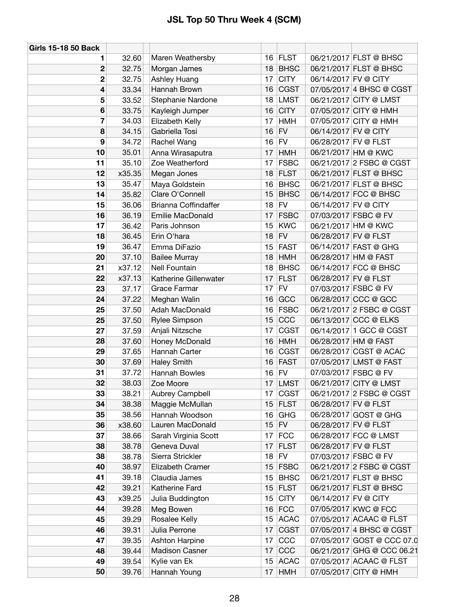| <b>Girls 15-18 50 Back</b> |        |                       |                 |             |                      |                            |
|----------------------------|--------|-----------------------|-----------------|-------------|----------------------|----------------------------|
| 1                          | 32.60  | Maren Weathersby      |                 | 16 FLST     |                      | 06/21/2017 FLST @ BHSC     |
| $\mathbf 2$                | 32.75  | Morgan James          | 18              | <b>BHSC</b> |                      | 06/21/2017 FLST @ BHSC     |
| $\mathbf 2$                | 32.75  | Ashley Huang          | 17              | <b>CITY</b> | 06/14/2017 FV @ CITY |                            |
| 4                          | 33.34  | Hannah Brown          | 16              | <b>CGST</b> |                      | 07/05/2017 4 BHSC @ CGST   |
| 5                          | 33.52  | Stephanie Nardone     | 18              | <b>LMST</b> |                      | 06/21/2017 CITY @ LMST     |
| 6                          | 33.75  | Kayleigh Jumper       | 16              | <b>CITY</b> |                      | 07/05/2017 CITY @ HMH      |
| $\overline{7}$             | 34.03  | Elizabeth Kelly       | 17              | <b>HMH</b>  |                      | 07/05/2017 CITY @ HMH      |
| 8                          | 34.15  | Gabriella Tosi        | 16              | <b>FV</b>   | 06/14/2017 FV @ CITY |                            |
| 9                          | 34.72  | Rachel Wang           | 16              | <b>FV</b>   | 06/28/2017 FV @ FLST |                            |
| 10                         | 35.01  | Anna Wirasaputra      | 17              | <b>HMH</b>  |                      | 06/21/2017 HM @ KWC        |
| 11                         | 35.10  | Zoe Weatherford       | 17              | <b>FSBC</b> |                      | 06/21/2017 2 FSBC @ CGST   |
| 12                         | x35.35 | Megan Jones           | 18              | <b>FLST</b> |                      | 06/21/2017 FLST @ BHSC     |
| 13                         | 35.47  | Maya Goldstein        | 16              | <b>BHSC</b> |                      | 06/21/2017 FLST @ BHSC     |
| 14                         | 35.82  | Clare O'Connell       | 15              | <b>BHSC</b> |                      | 06/14/2017 FCC @ BHSC      |
| 15                         | 36.06  | Brianna Coffindaffer  | 18              | <b>FV</b>   | 06/14/2017 FV @ CITY |                            |
| 16                         | 36.19  | Emilie MacDonald      | 17              | <b>FSBC</b> |                      | 07/03/2017 FSBC @ FV       |
| 17                         | 36.42  | Paris Johnson         | 15              | <b>KWC</b>  |                      | 06/21/2017 HM @ KWC        |
| 18                         | 36.45  | Erin O'hara           | 18              | <b>FV</b>   | 06/28/2017 FV @ FLST |                            |
| 19                         | 36.47  | Emma DiFazio          | 15              | <b>FAST</b> |                      | 06/14/2017 FAST @ GHG      |
| 20                         | 37.10  | <b>Bailee Murray</b>  | 18              | <b>HMH</b>  |                      | 06/28/2017 HM @ FAST       |
| 21                         | x37.12 | Nell Fountain         | 18              | <b>BHSC</b> |                      | 06/14/2017 FCC @ BHSC      |
| 22                         | x37.13 | Katherine Gillenwater | 17              | <b>FLST</b> | 06/28/2017 FV @ FLST |                            |
| 23                         | 37.17  | Grace Farmar          | 17              | <b>FV</b>   |                      | 07/03/2017 FSBC @ FV       |
| 24                         | 37.22  | Meghan Walin          | 16              | GCC         |                      | 06/28/2017 CCC @ GCC       |
| 25                         | 37.50  | Adah MacDonald        | 16              | <b>FSBC</b> |                      | 06/21/2017 2 FSBC @ CGST   |
| 25                         | 37.50  | Rylee Simpson         | 15              | CCC         |                      | 06/13/2017 CCC @ ELKS      |
| 27                         | 37.59  | Anjali Nitzsche       | 17              | <b>CGST</b> |                      | 06/14/2017 1 GCC @ CGST    |
| 28                         | 37.60  | Honey McDonald        | 16              | <b>HMH</b>  |                      | 06/28/2017 HM @ FAST       |
| 29                         | 37.65  | Hannah Carter         | 16              | <b>CGST</b> |                      | 06/28/2017 CGST @ ACAC     |
| 30                         | 37.69  | <b>Haley Smith</b>    | 16              | <b>FAST</b> |                      | 07/05/2017 LMST @ FAST     |
| 31                         | 37.72  | Hannah Bowles         | 16              | <b>FV</b>   |                      | 07/03/2017 FSBC @ FV       |
| 32                         | 38.03  | Zoe Moore             | 17 I            | <b>LMST</b> |                      | 06/21/2017 CITY @ LMST     |
| 33                         | 38.21  | Aubrey Campbell       | 17              | CGST        |                      | 06/21/2017 2 FSBC @ CGST   |
| 34                         | 38.38  | Maggie McMullan       | 15              | <b>FLST</b> | 06/28/2017 FV @ FLST |                            |
| 35                         | 38.56  | Hannah Woodson        | 16              | <b>GHG</b>  |                      | 06/28/2017 GOST @ GHG      |
| 36                         | x38.60 | Lauren MacDonald      | 15              | <b>FV</b>   | 06/28/2017 FV @ FLST |                            |
| 37                         | 38.66  | Sarah Virginia Scott  | 17              | <b>FCC</b>  |                      | 06/28/2017 FCC @ LMST      |
| 38                         | 38.78  | Geneva Duval          | 17              | <b>FLST</b> | 06/28/2017 FV @ FLST |                            |
| 38                         | 38.78  | Sierra Strickler      | 18              | <b>FV</b>   |                      | 07/03/2017 FSBC @ FV       |
| 40                         | 38.97  | Elizabeth Cramer      | 15 <sup>1</sup> | <b>FSBC</b> |                      | 06/21/2017 2 FSBC @ CGST   |
| 41                         | 39.18  | Claudia James         | 15              | <b>BHSC</b> |                      | 06/21/2017 FLST @ BHSC     |
| 42                         | 39.21  | Katherine Fard        | 15              | <b>FLST</b> |                      | 06/21/2017 FLST @ BHSC     |
| 43                         | x39.25 | Julia Buddington      | 15              | <b>CITY</b> | 06/14/2017 FV @ CITY |                            |
| 44                         | 39.28  | Meg Bowen             | 16              | <b>FCC</b>  |                      | 07/05/2017 KWC @ FCC       |
| 45                         | 39.29  | Rosalee Kelly         | 15              | <b>ACAC</b> |                      | 07/05/2017 ACAAC @ FLST    |
| 46                         | 39.31  | Julia Perrone         | 17              | <b>CGST</b> |                      | 07/05/2017 4 BHSC @ CGST   |
| 47                         | 39.35  | Ashton Harpine        | 17              | CCC         |                      | 07/05/2017 GOST @ CCC 07.0 |
| 48                         | 39.44  | Madison Casner        | 17              | CCC         |                      | 06/21/2017 GHG @ CCC 06.21 |
| 49                         | 39.54  | Kylie van Ek          | 15              | <b>ACAC</b> |                      | 07/05/2017 ACAAC @ FLST    |
| 50                         | 39.76  | Hannah Young          | 17 <sup>1</sup> | <b>HMH</b>  |                      | 07/05/2017 CITY @ HMH      |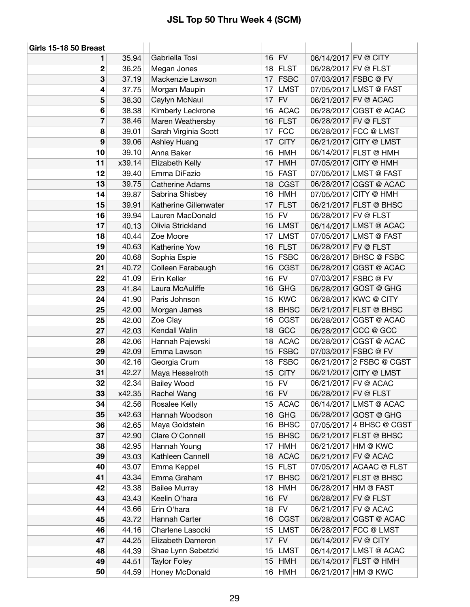| <b>Girls 15-18 50 Breast</b> |        |                        |    |             |                      |                          |
|------------------------------|--------|------------------------|----|-------------|----------------------|--------------------------|
| 1                            | 35.94  | Gabriella Tosi         | 16 | FV          | 06/14/2017 FV @ CITY |                          |
| 2                            | 36.25  | Megan Jones            | 18 | <b>FLST</b> |                      | 06/28/2017 FV @ FLST     |
| 3                            | 37.19  | Mackenzie Lawson       | 17 | <b>FSBC</b> |                      | 07/03/2017 FSBC @ FV     |
| 4                            | 37.75  | Morgan Maupin          | 17 | <b>LMST</b> |                      | 07/05/2017 LMST @ FAST   |
| 5                            | 38.30  | Caylyn McNaul          | 17 | <b>FV</b>   |                      | 06/21/2017 FV @ ACAC     |
| 6                            | 38.38  | Kimberly Leckrone      | 16 | <b>ACAC</b> |                      | 06/28/2017 CGST @ ACAC   |
| 7                            | 38.46  | Maren Weathersby       | 16 | <b>FLST</b> | 06/28/2017 FV @ FLST |                          |
| 8                            | 39.01  | Sarah Virginia Scott   | 17 | <b>FCC</b>  |                      | 06/28/2017 FCC @ LMST    |
| 9                            | 39.06  | Ashley Huang           | 17 | <b>CITY</b> |                      | 06/21/2017 CITY @ LMST   |
| 10                           | 39.10  | Anna Baker             | 16 | <b>HMH</b>  |                      | 06/14/2017 FLST @ HMH    |
| 11                           | x39.14 | Elizabeth Kelly        | 17 | <b>HMH</b>  |                      | 07/05/2017 CITY @ HMH    |
| 12                           | 39.40  | Emma DiFazio           | 15 | <b>FAST</b> |                      | 07/05/2017 LMST @ FAST   |
| 13                           | 39.75  | <b>Catherine Adams</b> | 18 | <b>CGST</b> |                      | 06/28/2017 CGST @ ACAC   |
| 14                           | 39.87  | Sabrina Shisbey        | 16 | <b>HMH</b>  |                      | 07/05/2017 CITY @ HMH    |
| 15                           | 39.91  | Katherine Gillenwater  | 17 | <b>FLST</b> |                      | 06/21/2017 FLST @ BHSC   |
| 16                           | 39.94  | Lauren MacDonald       | 15 | <b>FV</b>   | 06/28/2017 FV @ FLST |                          |
| 17                           | 40.13  | Olivia Strickland      | 16 | <b>LMST</b> |                      | 06/14/2017 LMST @ ACAC   |
| 18                           | 40.44  | Zoe Moore              | 17 | <b>LMST</b> |                      | 07/05/2017 LMST @ FAST   |
| 19                           | 40.63  | Katherine Yow          | 16 | <b>FLST</b> | 06/28/2017 FV @ FLST |                          |
| 20                           | 40.68  | Sophia Espie           | 15 | <b>FSBC</b> |                      | 06/28/2017 BHSC @ FSBC   |
| 21                           | 40.72  | Colleen Farabaugh      | 16 | <b>CGST</b> |                      | 06/28/2017 CGST @ ACAC   |
| 22                           | 41.09  | Erin Keller            | 16 | <b>FV</b>   |                      | 07/03/2017 FSBC @ FV     |
| 23                           | 41.84  | Laura McAuliffe        | 16 | GHG         |                      | 06/28/2017 GOST @ GHG    |
| 24                           | 41.90  | Paris Johnson          | 15 | <b>KWC</b>  |                      | 06/28/2017 KWC @ CITY    |
| 25                           | 42.00  | Morgan James           | 18 | <b>BHSC</b> |                      | 06/21/2017 FLST @ BHSC   |
| 25                           | 42.00  | Zoe Clay               | 16 | <b>CGST</b> |                      | 06/28/2017 CGST @ ACAC   |
| 27                           | 42.03  | Kendall Walin          | 18 | GCC         |                      | 06/28/2017 CCC @ GCC     |
| 28                           | 42.06  | Hannah Pajewski        | 18 | <b>ACAC</b> |                      | 06/28/2017 CGST @ ACAC   |
| 29                           | 42.09  | Emma Lawson            | 15 | <b>FSBC</b> |                      | 07/03/2017 FSBC @ FV     |
| 30                           | 42.16  | Georgia Crum           | 18 | <b>FSBC</b> |                      | 06/21/2017 2 FSBC @ CGST |
| 31                           | 42.27  | Maya Hesselroth        | 15 | <b>CITY</b> |                      | 06/21/2017 CITY @ LMST   |
| 32                           | 42.34  | <b>Bailey Wood</b>     | 15 | <b>FV</b>   |                      | 06/21/2017 FV @ ACAC     |
| 33                           | x42.35 | Rachel Wang            |    | $16$ FV     |                      | 06/28/2017 FV @ FLST     |
| 34                           | 42.56  | Rosalee Kelly          | 15 | <b>ACAC</b> |                      | 06/14/2017 LMST @ ACAC   |
| 35                           | x42.63 | Hannah Woodson         | 16 | <b>GHG</b>  |                      | 06/28/2017 GOST @ GHG    |
| 36                           | 42.65  | Maya Goldstein         | 16 | <b>BHSC</b> |                      | 07/05/2017 4 BHSC @ CGST |
| 37                           | 42.90  | Clare O'Connell        | 15 | <b>BHSC</b> |                      | 06/21/2017 FLST @ BHSC   |
| 38                           | 42.95  | Hannah Young           | 17 | <b>HMH</b>  |                      | 06/21/2017 HM @ KWC      |
| 39                           | 43.03  | Kathleen Cannell       | 18 | <b>ACAC</b> |                      | 06/21/2017 FV @ ACAC     |
| 40                           | 43.07  | Emma Keppel            | 15 | <b>FLST</b> |                      | 07/05/2017 ACAAC @ FLST  |
| 41                           | 43.34  | Emma Graham            | 17 | <b>BHSC</b> |                      | 06/21/2017 FLST @ BHSC   |
| 42                           | 43.38  | <b>Bailee Murray</b>   | 18 | <b>HMH</b>  |                      | 06/28/2017 HM @ FAST     |
| 43                           | 43.43  | Keelin O'hara          | 16 | FV          |                      | 06/28/2017 FV @ FLST     |
| 44                           | 43.66  | Erin O'hara            | 18 | <b>FV</b>   |                      | 06/21/2017 FV @ ACAC     |
| 45                           | 43.72  | Hannah Carter          | 16 | <b>CGST</b> |                      | 06/28/2017 CGST @ ACAC   |
| 46                           | 44.16  | Charlene Lasocki       | 15 | <b>LMST</b> |                      | 06/28/2017 FCC @ LMST    |
| 47                           | 44.25  | Elizabeth Dameron      | 17 | <b>FV</b>   | 06/14/2017 FV @ CITY |                          |
| 48                           | 44.39  | Shae Lynn Sebetzki     | 15 | <b>LMST</b> |                      | 06/14/2017 LMST @ ACAC   |
| 49                           | 44.51  | <b>Taylor Foley</b>    | 15 | <b>HMH</b>  |                      | 06/14/2017 FLST @ HMH    |
| 50                           | 44.59  | Honey McDonald         |    | $16$ HMH    |                      | 06/21/2017 HM @ KWC      |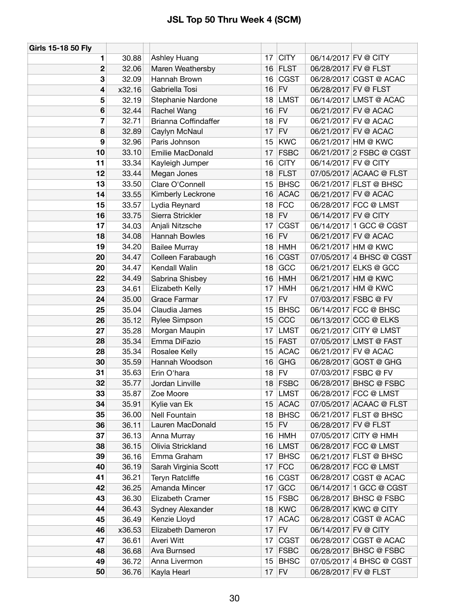| Girls 15-18 50 Fly |        |                             |    |             |                      |                          |
|--------------------|--------|-----------------------------|----|-------------|----------------------|--------------------------|
| 1                  | 30.88  | Ashley Huang                | 17 | <b>CITY</b> | 06/14/2017 FV @ CITY |                          |
| 2                  | 32.06  | Maren Weathersby            | 16 | <b>FLST</b> | 06/28/2017 FV @ FLST |                          |
| 3                  | 32.09  | Hannah Brown                | 16 | <b>CGST</b> |                      | 06/28/2017 CGST @ ACAC   |
| 4                  | x32.16 | Gabriella Tosi              | 16 | FV          | 06/28/2017 FV @ FLST |                          |
| 5                  | 32.19  | Stephanie Nardone           | 18 | <b>LMST</b> |                      | 06/14/2017 LMST @ ACAC   |
| 6                  | 32.44  | Rachel Wang                 | 16 | <b>FV</b>   |                      | 06/21/2017 FV @ ACAC     |
| 7                  | 32.71  | <b>Brianna Coffindaffer</b> | 18 | <b>FV</b>   |                      | 06/21/2017 FV @ ACAC     |
| 8                  | 32.89  | Caylyn McNaul               | 17 | <b>FV</b>   |                      | 06/21/2017 FV @ ACAC     |
| 9                  | 32.96  | Paris Johnson               | 15 | <b>KWC</b>  |                      | 06/21/2017 HM @ KWC      |
| 10                 | 33.10  | Emilie MacDonald            | 17 | <b>FSBC</b> |                      | 06/21/2017 2 FSBC @ CGST |
| 11                 | 33.34  | Kayleigh Jumper             | 16 | <b>CITY</b> | 06/14/2017 FV @ CITY |                          |
| 12                 | 33.44  | Megan Jones                 | 18 | <b>FLST</b> |                      | 07/05/2017 ACAAC @ FLST  |
| 13                 | 33.50  | Clare O'Connell             | 15 | <b>BHSC</b> |                      | 06/21/2017 FLST @ BHSC   |
| 14                 | 33.55  | Kimberly Leckrone           | 16 | <b>ACAC</b> |                      | 06/21/2017 FV @ ACAC     |
| 15                 | 33.57  | Lydia Reynard               | 18 | <b>FCC</b>  |                      | 06/28/2017 FCC @ LMST    |
| 16                 | 33.75  | Sierra Strickler            | 18 | <b>FV</b>   | 06/14/2017 FV @ CITY |                          |
| 17                 | 34.03  | Anjali Nitzsche             | 17 | <b>CGST</b> |                      | 06/14/2017 1 GCC @ CGST  |
| 18                 | 34.08  | Hannah Bowles               | 16 | FV          |                      | 06/21/2017 FV @ ACAC     |
| 19                 | 34.20  | <b>Bailee Murray</b>        | 18 | <b>HMH</b>  |                      | 06/21/2017 HM @ KWC      |
| 20                 | 34.47  | Colleen Farabaugh           | 16 | <b>CGST</b> |                      | 07/05/2017 4 BHSC @ CGST |
| 20                 | 34.47  | Kendall Walin               | 18 | GCC         |                      | 06/21/2017 ELKS @ GCC    |
| 22                 | 34.49  | Sabrina Shisbey             | 16 | <b>HMH</b>  |                      | 06/21/2017 HM @ KWC      |
| 23                 | 34.61  | Elizabeth Kelly             | 17 | <b>HMH</b>  |                      | 06/21/2017 HM @ KWC      |
| 24                 | 35.00  | Grace Farmar                | 17 | <b>FV</b>   |                      | 07/03/2017 FSBC @ FV     |
| 25                 | 35.04  | Claudia James               | 15 | <b>BHSC</b> |                      | 06/14/2017 FCC @ BHSC    |
| 26                 | 35.12  | <b>Rylee Simpson</b>        | 15 | CCC         |                      | 06/13/2017 CCC @ ELKS    |
| 27                 | 35.28  | Morgan Maupin               | 17 | <b>LMST</b> |                      | 06/21/2017 CITY @ LMST   |
| 28                 | 35.34  | Emma DiFazio                | 15 | <b>FAST</b> |                      | 07/05/2017 LMST @ FAST   |
| 28                 | 35.34  | Rosalee Kelly               | 15 | <b>ACAC</b> |                      | 06/21/2017 FV @ ACAC     |
| 30                 | 35.59  | Hannah Woodson              | 16 | <b>GHG</b>  |                      | 06/28/2017 GOST @ GHG    |
| 31                 | 35.63  | Erin O'hara                 | 18 | <b>FV</b>   |                      | 07/03/2017 FSBC @ FV     |
| 32                 | 35.77  | Jordan Linville             | 18 | <b>FSBC</b> |                      | 06/28/2017 BHSC @ FSBC   |
| 33                 | 35.87  | Zoe Moore                   | 17 | <b>LMST</b> |                      | 06/28/2017 FCC @ LMST    |
| 34                 | 35.91  | Kylie van Ek                | 15 | <b>ACAC</b> |                      | 07/05/2017 ACAAC @ FLST  |
| 35                 | 36.00  | Nell Fountain               | 18 | <b>BHSC</b> |                      | 06/21/2017 FLST @ BHSC   |
| 36                 | 36.11  | Lauren MacDonald            | 15 | FV          | 06/28/2017 FV @ FLST |                          |
| 37                 | 36.13  | Anna Murray                 | 16 | <b>HMH</b>  |                      | 07/05/2017 CITY @ HMH    |
| 38                 | 36.15  | Olivia Strickland           | 16 | <b>LMST</b> |                      | 06/28/2017 FCC @ LMST    |
| 39                 | 36.16  | Emma Graham                 | 17 | <b>BHSC</b> |                      | 06/21/2017 FLST @ BHSC   |
| 40                 | 36.19  | Sarah Virginia Scott        | 17 | FCC         |                      | 06/28/2017 FCC @ LMST    |
| 41                 | 36.21  | <b>Teryn Ratcliffe</b>      | 16 | <b>CGST</b> |                      | 06/28/2017 CGST @ ACAC   |
| 42                 | 36.25  | Amanda Mincer               | 17 | GCC         |                      | 06/14/2017 1 GCC @ CGST  |
| 43                 | 36.30  | Elizabeth Cramer            | 15 | <b>FSBC</b> |                      | 06/28/2017 BHSC @ FSBC   |
| 44                 | 36.43  | Sydney Alexander            | 18 | <b>KWC</b>  |                      | 06/28/2017 KWC @ CITY    |
| 45                 | 36.49  | Kenzie Lloyd                | 17 | <b>ACAC</b> |                      | 06/28/2017 CGST @ ACAC   |
| 46                 | x36.53 | Elizabeth Dameron           | 17 | <b>FV</b>   | 06/14/2017 FV @ CITY |                          |
| 47                 | 36.61  | Averi Witt                  | 17 | <b>CGST</b> |                      | 06/28/2017 CGST @ ACAC   |
| 48                 | 36.68  | Ava Burnsed                 | 17 | <b>FSBC</b> |                      | 06/28/2017 BHSC @ FSBC   |
| 49                 | 36.72  | Anna Livermon               | 15 | <b>BHSC</b> |                      | 07/05/2017 4 BHSC @ CGST |
| 50                 | 36.76  | Kayla Hearl                 |    | $17$ FV     | 06/28/2017 FV @ FLST |                          |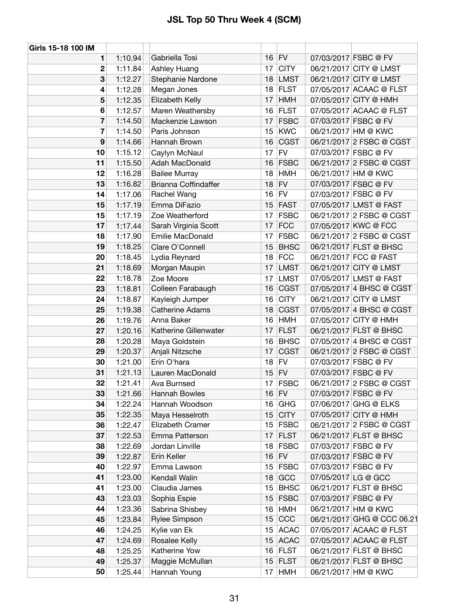| Girls 15-18 100 IM |         |                        |                 |             |                     |                            |
|--------------------|---------|------------------------|-----------------|-------------|---------------------|----------------------------|
| 1                  | 1:10.94 | Gabriella Tosi         |                 | $16$ FV     |                     | 07/03/2017 FSBC @ FV       |
| 2                  | 1:11.84 | Ashley Huang           | 17              | <b>CITY</b> |                     | 06/21/2017 CITY @ LMST     |
| 3                  | 1:12.27 | Stephanie Nardone      |                 | 18 LMST     |                     | 06/21/2017 CITY @ LMST     |
| 4                  | 1:12.28 | Megan Jones            |                 | 18 FLST     |                     | 07/05/2017 ACAAC @ FLST    |
| 5                  | 1:12.35 | Elizabeth Kelly        | 17              | <b>HMH</b>  |                     | 07/05/2017 CITY @ HMH      |
| 6                  | 1:12.57 | Maren Weathersby       | 16              | <b>FLST</b> |                     | 07/05/2017 ACAAC @ FLST    |
| 7                  | 1:14.50 | Mackenzie Lawson       | 17              | <b>FSBC</b> |                     | 07/03/2017 FSBC @ FV       |
| 7                  | 1:14.50 | Paris Johnson          | 15              | KWC         |                     | 06/21/2017 HM @ KWC        |
| 9                  | 1:14.66 | Hannah Brown           | 16              | <b>CGST</b> |                     | 06/21/2017 2 FSBC @ CGST   |
| 10                 | 1:15.12 | Caylyn McNaul          | 17              | <b>FV</b>   |                     | 07/03/2017 FSBC @ FV       |
| 11                 | 1:15.50 | Adah MacDonald         |                 | 16 FSBC     |                     | 06/21/2017 2 FSBC @ CGST   |
| 12                 | 1:16.28 | <b>Bailee Murray</b>   | 18              | <b>HMH</b>  |                     | 06/21/2017 HM @ KWC        |
| 13                 | 1:16.82 | Brianna Coffindaffer   | 18              | <b>FV</b>   |                     | 07/03/2017 FSBC @ FV       |
| 14                 | 1:17.06 | Rachel Wang            |                 | $16$ FV     |                     | 07/03/2017 FSBC @ FV       |
| 15                 | 1:17.19 | Emma DiFazio           |                 | 15 FAST     |                     | 07/05/2017 LMST @ FAST     |
| 15                 | 1:17.19 | Zoe Weatherford        | 17              | <b>FSBC</b> |                     | 06/21/2017 2 FSBC @ CGST   |
| 17                 | 1:17.44 | Sarah Virginia Scott   | 17              | <b>FCC</b>  |                     | 07/05/2017 KWC @ FCC       |
| 18                 | 1:17.90 | Emilie MacDonald       | 17              | <b>FSBC</b> |                     | 06/21/2017 2 FSBC @ CGST   |
| 19                 | 1:18.25 | Clare O'Connell        | 15              | <b>BHSC</b> |                     | 06/21/2017 FLST @ BHSC     |
| 20                 | 1:18.45 | Lydia Reynard          | 18              | <b>FCC</b>  |                     | 06/21/2017 FCC @ FAST      |
| 21                 | 1:18.69 | Morgan Maupin          | 17              | <b>LMST</b> |                     | 06/21/2017 CITY @ LMST     |
| 22                 | 1:18.78 | Zoe Moore              | 17              | <b>LMST</b> |                     | 07/05/2017 LMST @ FAST     |
| 23                 | 1:18.81 | Colleen Farabaugh      | 16              | <b>CGST</b> |                     | 07/05/2017 4 BHSC @ CGST   |
| 24                 | 1:18.87 | Kayleigh Jumper        | 16              | <b>CITY</b> |                     | 06/21/2017 CITY @ LMST     |
| 25                 | 1:19.38 | <b>Catherine Adams</b> | 18              | <b>CGST</b> |                     | 07/05/2017 4 BHSC @ CGST   |
| 26                 | 1:19.76 | Anna Baker             | 16              | <b>HMH</b>  |                     | 07/05/2017 CITY @ HMH      |
| 27                 | 1:20.16 | Katherine Gillenwater  | 17              | <b>FLST</b> |                     | 06/21/2017 FLST @ BHSC     |
| 28                 | 1:20.28 | Maya Goldstein         | 16              | <b>BHSC</b> |                     | 07/05/2017 4 BHSC @ CGST   |
| 29                 | 1:20.37 | Anjali Nitzsche        | 17              | <b>CGST</b> |                     | 06/21/2017 2 FSBC @ CGST   |
| 30                 | 1:21.00 | Erin O'hara            | 18              | FV          |                     | 07/03/2017 FSBC @ FV       |
| 31                 | 1:21.13 | Lauren MacDonald       |                 | $15$ FV     |                     | 07/03/2017 FSBC @ FV       |
| 32                 | 1:21.41 | Ava Burnsed            | 17 <sup>1</sup> | <b>FSBC</b> |                     | 06/21/2017 2 FSBC @ CGST   |
| 33                 | 1:21.66 | Hannah Bowles          |                 | $16$ FV     |                     | 07/03/2017 FSBC @ FV       |
| 34                 | 1:22.24 | Hannah Woodson         | 16              | GHG         |                     | 07/06/2017 GHG @ ELKS      |
| 35                 | 1:22.35 | Maya Hesselroth        | 15              | <b>CITY</b> |                     | 07/05/2017 CITY @ HMH      |
| 36                 | 1:22.47 | Elizabeth Cramer       |                 | $15$ FSBC   |                     | 06/21/2017 2 FSBC @ CGST   |
| 37                 | 1:22.53 | Emma Patterson         | 17              | <b>FLST</b> |                     | 06/21/2017 FLST @ BHSC     |
| 38                 | 1:22.69 | Jordan Linville        | 18              | <b>FSBC</b> |                     | 07/03/2017 FSBC @ FV       |
| 39                 | 1:22.87 | Erin Keller            |                 | $16$ FV     |                     | 07/03/2017 FSBC @ FV       |
| 40                 | 1:22.97 | Emma Lawson            |                 | 15 FSBC     |                     | 07/03/2017 FSBC @ FV       |
| 41                 | 1:23.00 | Kendall Walin          | 18              | GCC         | 07/05/2017 LG @ GCC |                            |
| 41                 | 1:23.00 | Claudia James          | 15              | <b>BHSC</b> |                     | 06/21/2017 FLST @ BHSC     |
| 43                 | 1:23.03 | Sophia Espie           |                 | 15 FSBC     |                     | 07/03/2017 FSBC @ FV       |
| 44                 | 1:23.36 | Sabrina Shisbey        | 16              | <b>HMH</b>  |                     | 06/21/2017 HM @ KWC        |
| 45                 | 1:23.84 | Rylee Simpson          | 15              | CCC         |                     | 06/21/2017 GHG @ CCC 06.21 |
| 46                 | 1:24.25 | Kylie van Ek           | 15 <sub>1</sub> | <b>ACAC</b> |                     | 07/05/2017 ACAAC @ FLST    |
| 47                 | 1:24.69 | Rosalee Kelly          |                 | 15 ACAC     |                     | 07/05/2017 ACAAC @ FLST    |
| 48                 | 1:25.25 | Katherine Yow          |                 | $16$ FLST   |                     | 06/21/2017 FLST @ BHSC     |
| 49                 | 1:25.37 | Maggie McMullan        | 15              | <b>FLST</b> |                     | 06/21/2017 FLST @ BHSC     |
| 50                 | 1:25.44 | Hannah Young           | 17              | HMH         |                     | 06/21/2017 HM @ KWC        |
|                    |         |                        |                 |             |                     |                            |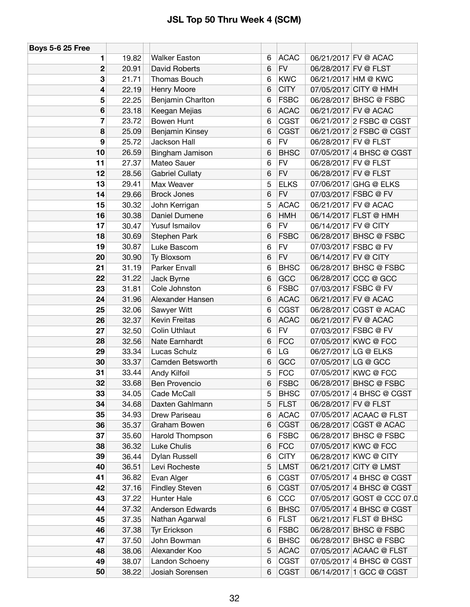| <b>Boys 5-6 25 Free</b> |            |                        |   |             |                      |                            |
|-------------------------|------------|------------------------|---|-------------|----------------------|----------------------------|
| 1                       | 19.82      | <b>Walker Easton</b>   | 6 | <b>ACAC</b> |                      | 06/21/2017 FV @ ACAC       |
| $\mathbf 2$             | 20.91      | David Roberts          | 6 | <b>FV</b>   | 06/28/2017 FV @ FLST |                            |
|                         | 3<br>21.71 | Thomas Bouch           | 6 | <b>KWC</b>  |                      | 06/21/2017 HM @ KWC        |
| 4                       | 22.19      | Henry Moore            | 6 | <b>CITY</b> |                      | 07/05/2017 CITY @ HMH      |
| 5                       | 22.25      | Benjamin Charlton      | 6 | <b>FSBC</b> |                      | 06/28/2017 BHSC @ FSBC     |
| 6                       | 23.18      | Keegan Mejias          | 6 | <b>ACAC</b> |                      | 06/21/2017 FV @ ACAC       |
| $\overline{7}$          | 23.72      | Bowen Hunt             | 6 | <b>CGST</b> |                      | 06/21/2017 2 FSBC @ CGST   |
| 8                       | 25.09      | Benjamin Kinsey        | 6 | <b>CGST</b> |                      | 06/21/2017 2 FSBC @ CGST   |
| 9                       | 25.72      | Jackson Hall           | 6 | <b>FV</b>   | 06/28/2017 FV @ FLST |                            |
| 10                      | 26.59      | Bingham Jamison        | 6 | <b>BHSC</b> |                      | 07/05/2017 4 BHSC @ CGST   |
| 11                      | 27.37      | Mateo Sauer            | 6 | <b>FV</b>   | 06/28/2017 FV @ FLST |                            |
| 12                      | 28.56      | <b>Gabriel Cullaty</b> | 6 | <b>FV</b>   | 06/28/2017 FV @ FLST |                            |
| 13                      | 29.41      | Max Weaver             | 5 | <b>ELKS</b> |                      | 07/06/2017 GHG @ ELKS      |
| 14                      | 29.66      | <b>Brock Jones</b>     | 6 | <b>FV</b>   | 07/03/2017 FSBC @ FV |                            |
| 15                      | 30.32      | John Kerrigan          | 5 | <b>ACAC</b> |                      | 06/21/2017 FV @ ACAC       |
| 16                      | 30.38      | Daniel Dumene          | 6 | <b>HMH</b>  |                      | 06/14/2017 FLST @ HMH      |
| 17                      | 30.47      | Yusuf Ismailov         | 6 | <b>FV</b>   | 06/14/2017 FV @ CITY |                            |
| 18                      | 30.69      | Stephen Park           | 6 | <b>FSBC</b> |                      | 06/28/2017 BHSC @ FSBC     |
| 19                      | 30.87      | Luke Bascom            | 6 | <b>FV</b>   | 07/03/2017 FSBC @ FV |                            |
| 20                      | 30.90      | Ty Bloxsom             | 6 | <b>FV</b>   | 06/14/2017 FV @ CITY |                            |
| 21                      | 31.19      | Parker Envall          | 6 | <b>BHSC</b> |                      | 06/28/2017 BHSC @ FSBC     |
| 22                      | 31.22      | Jack Byrne             | 6 | GCC         |                      | 06/28/2017 CCC @ GCC       |
| 23                      | 31.81      | Cole Johnston          | 6 | <b>FSBC</b> | 07/03/2017 FSBC @ FV |                            |
| 24                      | 31.96      | Alexander Hansen       | 6 | <b>ACAC</b> |                      | 06/21/2017 FV @ ACAC       |
| 25                      | 32.06      | Sawyer Witt            | 6 | <b>CGST</b> |                      | 06/28/2017 CGST @ ACAC     |
| 26                      | 32.37      | <b>Kevin Freitas</b>   | 6 | <b>ACAC</b> |                      | 06/21/2017 FV @ ACAC       |
| 27                      | 32.50      | <b>Colin Uthlaut</b>   | 6 | <b>FV</b>   | 07/03/2017 FSBC @ FV |                            |
| 28                      | 32.56      | Nate Earnhardt         | 6 | <b>FCC</b>  |                      | 07/05/2017 KWC @ FCC       |
| 29                      | 33.34      | Lucas Schulz           | 6 | LG          | 06/27/2017 LG @ ELKS |                            |
| 30                      | 33.37      | Camden Betsworth       | 6 | GCC         | 07/05/2017 LG @ GCC  |                            |
| 31                      | 33.44      | Andy Kilfoil           | 5 | <b>FCC</b>  |                      | 07/05/2017 KWC @ FCC       |
| 32                      | 33.68      | <b>Ben Provencio</b>   | 6 | <b>FSBC</b> |                      | 06/28/2017 BHSC @ FSBC     |
| 33                      | 34.05      | Cade McCall            | 5 | <b>BHSC</b> |                      | 07/05/2017 4 BHSC @ CGST   |
| 34                      | 34.68      | Daxten Gahlmann        | 5 | <b>FLST</b> | 06/28/2017 FV @ FLST |                            |
| 35                      | 34.93      | Drew Pariseau          | 6 | <b>ACAC</b> |                      | 07/05/2017 ACAAC @ FLST    |
| 36                      | 35.37      | Graham Bowen           | 6 | <b>CGST</b> |                      | 06/28/2017 CGST @ ACAC     |
| 37                      | 35.60      | Harold Thompson        | 6 | <b>FSBC</b> |                      | 06/28/2017 BHSC @ FSBC     |
| 38                      | 36.32      | Luke Chulis            | 6 | <b>FCC</b>  |                      | 07/05/2017 KWC @ FCC       |
| 39                      | 36.44      | Dylan Russell          | 6 | <b>CITY</b> |                      | 06/28/2017 KWC @ CITY      |
| 40                      | 36.51      | Levi Rocheste          | 5 | <b>LMST</b> |                      | 06/21/2017 CITY @ LMST     |
| 41                      | 36.82      | Evan Alger             | 6 | <b>CGST</b> |                      | 07/05/2017 4 BHSC @ CGST   |
| 42                      | 37.16      | <b>Findley Steven</b>  | 6 | <b>CGST</b> |                      | 07/05/2017 4 BHSC @ CGST   |
| 43                      | 37.22      | Hunter Hale            | 6 | CCC         |                      | 07/05/2017 GOST @ CCC 07.0 |
| 44                      | 37.32      | Anderson Edwards       | 6 | <b>BHSC</b> |                      | 07/05/2017 4 BHSC @ CGST   |
| 45                      | 37.35      | Nathan Agarwal         | 6 | <b>FLST</b> |                      | 06/21/2017 FLST @ BHSC     |
| 46                      | 37.38      | Tyr Erickson           | 6 | <b>FSBC</b> |                      | 06/28/2017 BHSC @ FSBC     |
| 47                      | 37.50      | John Bowman            | 6 | <b>BHSC</b> |                      | 06/28/2017 BHSC @ FSBC     |
| 48                      | 38.06      | Alexander Koo          | 5 | <b>ACAC</b> |                      | 07/05/2017 ACAAC @ FLST    |
| 49                      | 38.07      | Landon Schoeny         | 6 | <b>CGST</b> |                      | 07/05/2017 4 BHSC @ CGST   |
| 50                      | 38.22      | Josiah Sorensen        | 6 | <b>CGST</b> |                      | 06/14/2017 1 GCC @ CGST    |
|                         |            |                        |   |             |                      |                            |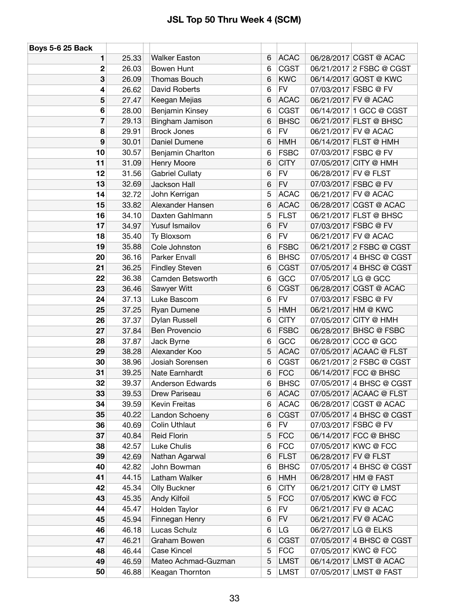| <b>Boys 5-6 25 Back</b> |                |                             |             |                           |                      |                                                  |
|-------------------------|----------------|-----------------------------|-------------|---------------------------|----------------------|--------------------------------------------------|
| 1                       | 25.33          | <b>Walker Easton</b>        | 6           | <b>ACAC</b>               |                      | 06/28/2017 CGST @ ACAC                           |
| 2                       | 26.03          | Bowen Hunt                  | 6           | <b>CGST</b>               |                      | 06/21/2017 2 FSBC @ CGST                         |
| 3                       | 26.09          | Thomas Bouch                | 6           | <b>KWC</b>                |                      | 06/14/2017 GOST @ KWC                            |
| 4                       | 26.62          | David Roberts               | 6           | <b>FV</b>                 |                      | 07/03/2017 FSBC @ FV                             |
| 5                       | 27.47          | Keegan Mejias               | 6           | <b>ACAC</b>               |                      | 06/21/2017 FV @ ACAC                             |
| 6                       | 28.00          | Benjamin Kinsey             | 6           | <b>CGST</b>               |                      | 06/14/2017 1 GCC @ CGST                          |
| 7                       | 29.13          | Bingham Jamison             | 6           | <b>BHSC</b>               |                      | 06/21/2017 FLST @ BHSC                           |
| 8                       | 29.91          | <b>Brock Jones</b>          | 6           | <b>FV</b>                 |                      | 06/21/2017 FV @ ACAC                             |
| 9                       | 30.01          | Daniel Dumene               | 6           | <b>HMH</b>                |                      | 06/14/2017 FLST @ HMH                            |
| 10                      | 30.57          | Benjamin Charlton           | 6           | <b>FSBC</b>               |                      | 07/03/2017 FSBC @ FV                             |
| 11                      | 31.09          | Henry Moore                 | 6           | <b>CITY</b>               |                      | 07/05/2017 CITY @ HMH                            |
| 12                      | 31.56          | <b>Gabriel Cullaty</b>      | 6           | <b>FV</b>                 | 06/28/2017 FV @ FLST |                                                  |
| 13                      | 32.69          | Jackson Hall                | 6           | <b>FV</b>                 |                      | 07/03/2017 FSBC @ FV                             |
| 14                      | 32.72          | John Kerrigan               | 5           | <b>ACAC</b>               |                      | 06/21/2017 FV @ ACAC                             |
| 15                      | 33.82          | Alexander Hansen            | 6           | <b>ACAC</b>               |                      | 06/28/2017 CGST @ ACAC                           |
| 16                      | 34.10          | Daxten Gahlmann             | 5           | <b>FLST</b>               |                      | 06/21/2017 FLST @ BHSC                           |
| 17                      | 34.97          | Yusuf Ismailov              | 6           | <b>FV</b>                 |                      | 07/03/2017 FSBC @ FV                             |
| 18                      | 35.40          | Ty Bloxsom                  | 6           | <b>FV</b>                 |                      | 06/21/2017 FV @ ACAC                             |
| 19                      | 35.88          | Cole Johnston               | 6           | <b>FSBC</b>               |                      | 06/21/2017 2 FSBC @ CGST                         |
| 20                      | 36.16          | <b>Parker Envall</b>        | 6           | <b>BHSC</b>               |                      | 07/05/2017 4 BHSC @ CGST                         |
| 21                      | 36.25          | <b>Findley Steven</b>       | 6           | <b>CGST</b>               |                      | 07/05/2017 4 BHSC @ CGST                         |
| 22                      | 36.38          | Camden Betsworth            | 6           | GCC                       | 07/05/2017 LG @ GCC  |                                                  |
| 23                      | 36.46          | Sawyer Witt                 | 6           | <b>CGST</b>               |                      | 06/28/2017 CGST @ ACAC                           |
| 24                      | 37.13          | Luke Bascom                 | 6           | ${\sf FV}$                |                      | 07/03/2017 FSBC @ FV                             |
| 25                      | 37.25          | Ryan Dumene                 | 5           | <b>HMH</b>                |                      | 06/21/2017 HM @ KWC                              |
| 26                      | 37.37          | Dylan Russell               | 6           | <b>CITY</b>               |                      | 07/05/2017 CITY @ HMH                            |
| 27                      | 37.84          | Ben Provencio               | 6           | <b>FSBC</b>               |                      | 06/28/2017 BHSC @ FSBC                           |
| 28                      | 37.87          | Jack Byrne                  | 6           | GCC                       |                      | 06/28/2017 CCC @ GCC                             |
| 29                      | 38.28          | Alexander Koo               | 5           | <b>ACAC</b>               |                      | 07/05/2017 ACAAC @ FLST                          |
| 30                      | 38.96          | Josiah Sorensen             | 6           | <b>CGST</b>               |                      | 06/21/2017 2 FSBC @ CGST                         |
| 31                      | 39.25          | Nate Earnhardt              | 6           | <b>FCC</b>                |                      | 06/14/2017 FCC @ BHSC                            |
| 32                      | 39.37          | <b>Anderson Edwards</b>     | 6           | <b>BHSC</b>               |                      | 07/05/2017 4 BHSC @ CGST                         |
| 33                      | 39.53          | Drew Pariseau               | 6           | <b>ACAC</b>               |                      | 07/05/2017 ACAAC @ FLST                          |
| 34                      | 39.59          | Kevin Freitas               | 6           | <b>ACAC</b>               |                      | 06/28/2017 CGST @ ACAC                           |
| 35                      | 40.22          | Landon Schoeny              | 6           | <b>CGST</b>               |                      | 07/05/2017 4 BHSC @ CGST                         |
| 36                      | 40.69          | Colin Uthlaut               | 6           | <b>FV</b>                 |                      | 07/03/2017 FSBC @ FV                             |
| 37                      | 40.84          | Reid Florin                 | 5           | <b>FCC</b>                |                      | 06/14/2017 FCC @ BHSC                            |
| 38                      | 42.57          | Luke Chulis                 | 6           | <b>FCC</b>                |                      | 07/05/2017 KWC @ FCC                             |
| 39                      | 42.69          | Nathan Agarwal              | 6           | <b>FLST</b>               |                      | 06/28/2017 FV @ FLST                             |
| 40                      | 42.82          | John Bowman                 | 6           | <b>BHSC</b>               |                      | 07/05/2017 4 BHSC @ CGST                         |
| 41                      | 44.15          | Latham Walker               | 6           | <b>HMH</b>                |                      | 06/28/2017 HM @ FAST                             |
| 42                      | 45.34          | Olly Buckner                | 6           | <b>CITY</b>               |                      | 06/21/2017 CITY @ LMST                           |
| 43                      | 45.35          | Andy Kilfoil                | $\mathbf 5$ | <b>FCC</b>                |                      | 07/05/2017 KWC @ FCC                             |
| 44                      | 45.47          | Holden Taylor               | 6           | <b>FV</b><br><b>FV</b>    |                      | 06/21/2017 FV @ ACAC                             |
| 45                      | 45.94          | Finnegan Henry              | 6           |                           |                      | 06/21/2017 FV @ ACAC                             |
| 46                      | 46.18          | Lucas Schulz                | 6           | LG                        |                      | 06/27/2017 LG @ ELKS                             |
| 47<br>48                | 46.21<br>46.44 | Graham Bowen<br>Case Kincel | 6<br>5      | <b>CGST</b><br><b>FCC</b> |                      | 07/05/2017 4 BHSC @ CGST<br>07/05/2017 KWC @ FCC |
| 49                      | 46.59          | Mateo Achmad-Guzman         | 5           | <b>LMST</b>               |                      | 06/14/2017 LMST @ ACAC                           |
| 50                      | 46.88          | Keagan Thornton             | 5           | <b>LMST</b>               |                      | 07/05/2017 LMST @ FAST                           |
|                         |                |                             |             |                           |                      |                                                  |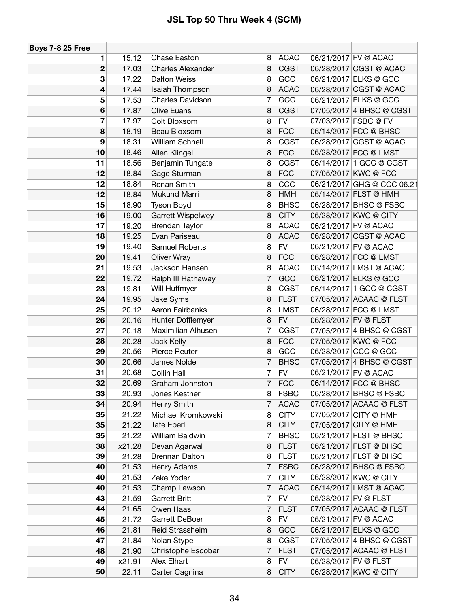| <b>Boys 7-8 25 Free</b> |        |                          |                |             |                      |                            |
|-------------------------|--------|--------------------------|----------------|-------------|----------------------|----------------------------|
| 1                       | 15.12  | Chase Easton             | 8              | <b>ACAC</b> |                      | 06/21/2017 FV @ ACAC       |
| $\mathbf 2$             | 17.03  | <b>Charles Alexander</b> | 8              | <b>CGST</b> |                      | 06/28/2017 CGST @ ACAC     |
| 3                       | 17.22  | <b>Dalton Weiss</b>      | 8              | GCC         |                      | 06/21/2017 ELKS @ GCC      |
| $\overline{\bf 4}$      | 17.44  | Isaiah Thompson          | 8              | <b>ACAC</b> |                      | 06/28/2017 CGST @ ACAC     |
| 5                       | 17.53  | Charles Davidson         | 7              | GCC         |                      | 06/21/2017 ELKS @ GCC      |
| 6                       | 17.87  | <b>Clive Euans</b>       | 8              | <b>CGST</b> |                      | 07/05/2017 4 BHSC @ CGST   |
| 7                       | 17.97  | Colt Bloxsom             | 8              | ${\sf FV}$  |                      | 07/03/2017 FSBC @ FV       |
| 8                       | 18.19  | Beau Bloxsom             | 8              | <b>FCC</b>  |                      | 06/14/2017 FCC @ BHSC      |
| $\boldsymbol{9}$        | 18.31  | William Schnell          | 8              | <b>CGST</b> |                      | 06/28/2017 CGST @ ACAC     |
| 10                      | 18.46  | Allen Klingel            | 8              | <b>FCC</b>  |                      | 06/28/2017 FCC @ LMST      |
| 11                      | 18.56  | Benjamin Tungate         | 8              | <b>CGST</b> |                      | 06/14/2017 1 GCC @ CGST    |
| 12                      | 18.84  | Gage Sturman             | 8              | <b>FCC</b>  |                      | 07/05/2017 KWC @ FCC       |
| 12                      | 18.84  | Ronan Smith              | 8              | CCC         |                      | 06/21/2017 GHG @ CCC 06.21 |
| 12                      | 18.84  | <b>Mukund Marri</b>      | 8              | <b>HMH</b>  |                      | 06/14/2017 FLST @ HMH      |
| 15                      | 18.90  | Tyson Boyd               | 8              | <b>BHSC</b> |                      | 06/28/2017 BHSC @ FSBC     |
| 16                      | 19.00  | <b>Garrett Wispelwey</b> | 8              | <b>CITY</b> |                      | 06/28/2017 KWC @ CITY      |
| 17                      | 19.20  | Brendan Taylor           | 8              | <b>ACAC</b> |                      | 06/21/2017 FV @ ACAC       |
| 18                      | 19.25  | Evan Pariseau            | 8              | <b>ACAC</b> |                      | 06/28/2017 CGST @ ACAC     |
| 19                      | 19.40  | Samuel Roberts           | 8              | <b>FV</b>   |                      | 06/21/2017 FV @ ACAC       |
| 20                      | 19.41  | <b>Oliver Wray</b>       | 8              | <b>FCC</b>  |                      | 06/28/2017 FCC @ LMST      |
| 21                      | 19.53  | Jackson Hansen           | 8              | <b>ACAC</b> |                      | 06/14/2017 LMST @ ACAC     |
| 22                      | 19.72  | Ralph III Hathaway       | $\overline{7}$ | GCC         |                      | 06/21/2017 ELKS @ GCC      |
| 23                      | 19.81  | Will Huffmyer            | 8              | <b>CGST</b> |                      | 06/14/2017 1 GCC @ CGST    |
| 24                      | 19.95  | Jake Syms                | 8              | <b>FLST</b> |                      | 07/05/2017 ACAAC @ FLST    |
| 25                      | 20.12  | Aaron Fairbanks          | 8              | <b>LMST</b> |                      | 06/28/2017 FCC @ LMST      |
| 26                      | 20.16  | Hunter Dofflemyer        | 8              | <b>FV</b>   | 06/28/2017 FV @ FLST |                            |
| 27                      | 20.18  | Maximilian Alhusen       | 7              | <b>CGST</b> |                      | 07/05/2017 4 BHSC @ CGST   |
| 28                      | 20.28  | Jack Kelly               | 8              | <b>FCC</b>  |                      | 07/05/2017 KWC @ FCC       |
| 29                      | 20.56  | Pierce Reuter            | 8              | GCC         |                      | 06/28/2017 CCC @ GCC       |
| 30                      | 20.66  | James Nolde              | $\overline{7}$ | <b>BHSC</b> |                      | 07/05/2017 4 BHSC @ CGST   |
| 31                      | 20.68  | Collin Hall              | 7              | <b>FV</b>   |                      | 06/21/2017 FV @ ACAC       |
| 32                      | 20.69  | Graham Johnston          | $\overline{7}$ | <b>FCC</b>  |                      | 06/14/2017 FCC @ BHSC      |
| 33                      | 20.93  | Jones Kestner            | 8              | <b>FSBC</b> |                      | 06/28/2017 BHSC @ FSBC     |
| 34                      | 20.94  | Henry Smith              | $\overline{7}$ | <b>ACAC</b> |                      | 07/05/2017 ACAAC @ FLST    |
| 35                      | 21.22  | Michael Kromkowski       | 8              | <b>CITY</b> |                      | 07/05/2017 CITY @ HMH      |
| 35                      | 21.22  | <b>Tate Eberl</b>        | 8              | <b>CITY</b> |                      | 07/05/2017 CITY @ HMH      |
| 35                      | 21.22  | William Baldwin          | 7              | <b>BHSC</b> |                      | 06/21/2017 FLST @ BHSC     |
| 38                      | x21.28 | Devan Agarwal            | 8              | <b>FLST</b> |                      | 06/21/2017 FLST @ BHSC     |
| 39                      | 21.28  | Brennan Dalton           | 8              | <b>FLST</b> |                      | 06/21/2017 FLST @ BHSC     |
| 40                      | 21.53  | Henry Adams              | $\overline{7}$ | <b>FSBC</b> |                      | 06/28/2017 BHSC @ FSBC     |
| 40                      | 21.53  | Zeke Yoder               | $\overline{7}$ | <b>CITY</b> |                      | 06/28/2017 KWC @ CITY      |
| 40                      | 21.53  | Champ Lawson             | $\overline{7}$ | <b>ACAC</b> |                      | 06/14/2017 LMST @ ACAC     |
| 43                      | 21.59  | Garrett Britt            | 7              | <b>FV</b>   | 06/28/2017 FV @ FLST |                            |
| 44                      | 21.65  | Owen Haas                | $\overline{7}$ | <b>FLST</b> |                      | 07/05/2017 ACAAC @ FLST    |
| 45                      | 21.72  | Garrett DeBoer           | 8              | <b>FV</b>   |                      | 06/21/2017 FV @ ACAC       |
| 46                      | 21.81  | Reid Strassheim          | 8              | GCC         |                      | 06/21/2017 ELKS @ GCC      |
| 47                      | 21.84  | Nolan Stype              | 8              | <b>CGST</b> |                      | 07/05/2017 4 BHSC @ CGST   |
| 48                      | 21.90  | Christophe Escobar       | 7              | <b>FLST</b> |                      | 07/05/2017 ACAAC @ FLST    |
| 49                      | x21.91 | Alex Elhart              | 8              | <b>FV</b>   | 06/28/2017 FV @ FLST |                            |
| 50                      | 22.11  | Carter Cagnina           | 8              | <b>CITY</b> |                      | 06/28/2017 KWC @ CITY      |
|                         |        |                          |                |             |                      |                            |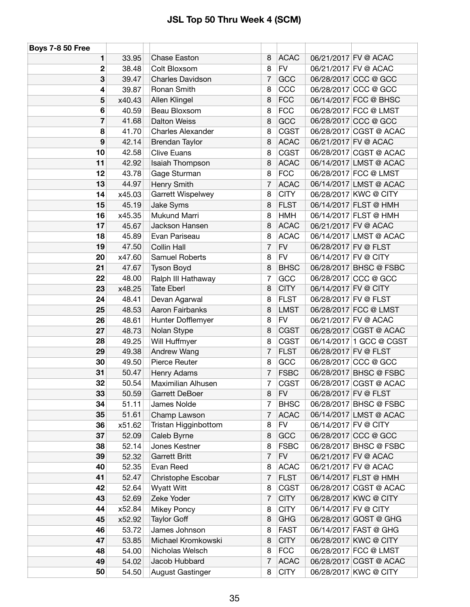| <b>Boys 7-8 50 Free</b> |        |                          |                |             |                      |                         |
|-------------------------|--------|--------------------------|----------------|-------------|----------------------|-------------------------|
| 1                       | 33.95  | <b>Chase Easton</b>      | 8              | <b>ACAC</b> |                      | 06/21/2017 FV @ ACAC    |
| 2                       | 38.48  | Colt Bloxsom             | 8              | <b>FV</b>   |                      | 06/21/2017 FV @ ACAC    |
| 3                       | 39.47  | <b>Charles Davidson</b>  | 7              | GCC         |                      | 06/28/2017 CCC @ GCC    |
| 4                       | 39.87  | Ronan Smith              | 8              | CCC         |                      | 06/28/2017 CCC @ GCC    |
| 5                       | x40.43 | Allen Klingel            | 8              | <b>FCC</b>  |                      | 06/14/2017 FCC @ BHSC   |
| 6                       | 40.59  | Beau Bloxsom             | 8              | <b>FCC</b>  |                      | 06/28/2017 FCC @ LMST   |
| 7                       | 41.68  | <b>Dalton Weiss</b>      | 8              | GCC         |                      | 06/28/2017 CCC @ GCC    |
| 8                       | 41.70  | <b>Charles Alexander</b> | 8              | <b>CGST</b> |                      | 06/28/2017 CGST @ ACAC  |
| 9                       | 42.14  | <b>Brendan Taylor</b>    | 8              | <b>ACAC</b> |                      | 06/21/2017 FV @ ACAC    |
| 10                      | 42.58  | <b>Clive Euans</b>       | 8              | <b>CGST</b> |                      | 06/28/2017 CGST @ ACAC  |
| 11                      | 42.92  | Isaiah Thompson          | 8              | <b>ACAC</b> |                      | 06/14/2017 LMST @ ACAC  |
| 12                      | 43.78  | Gage Sturman             | 8              | <b>FCC</b>  |                      | 06/28/2017 FCC @ LMST   |
| 13                      | 44.97  | Henry Smith              | 7              | <b>ACAC</b> |                      | 06/14/2017 LMST @ ACAC  |
| 14                      | x45.03 | Garrett Wispelwey        | 8              | <b>CITY</b> |                      | 06/28/2017 KWC @ CITY   |
| 15                      | 45.19  | Jake Syms                | 8              | <b>FLST</b> |                      | 06/14/2017 FLST @ HMH   |
| 16                      | x45.35 | Mukund Marri             | 8              | <b>HMH</b>  |                      | 06/14/2017 FLST @ HMH   |
| 17                      | 45.67  | Jackson Hansen           | 8              | <b>ACAC</b> |                      | 06/21/2017 FV @ ACAC    |
| 18                      | 45.89  | Evan Pariseau            | 8              | <b>ACAC</b> |                      | 06/14/2017 LMST @ ACAC  |
| 19                      | 47.50  | <b>Collin Hall</b>       | $\overline{7}$ | <b>FV</b>   | 06/28/2017 FV @ FLST |                         |
| 20                      | x47.60 | Samuel Roberts           | 8              | <b>FV</b>   | 06/14/2017 FV @ CITY |                         |
| 21                      | 47.67  | Tyson Boyd               | 8              | <b>BHSC</b> |                      | 06/28/2017 BHSC @ FSBC  |
| 22                      | 48.00  | Ralph III Hathaway       | 7              | GCC         |                      | 06/28/2017 CCC @ GCC    |
| 23                      | x48.25 | <b>Tate Eberl</b>        | 8              | <b>CITY</b> | 06/14/2017 FV @ CITY |                         |
| 24                      | 48.41  | Devan Agarwal            | 8              | <b>FLST</b> | 06/28/2017 FV @ FLST |                         |
| 25                      | 48.53  | Aaron Fairbanks          | 8              | <b>LMST</b> |                      | 06/28/2017 FCC @ LMST   |
| 26                      | 48.61  | Hunter Dofflemyer        | 8              | <b>FV</b>   |                      | 06/21/2017 FV @ ACAC    |
| 27                      | 48.73  | Nolan Stype              | 8              | <b>CGST</b> |                      | 06/28/2017 CGST @ ACAC  |
| 28                      | 49.25  | Will Huffmyer            | 8              | <b>CGST</b> |                      | 06/14/2017 1 GCC @ CGST |
| 29                      | 49.38  | Andrew Wang              | 7              | <b>FLST</b> | 06/28/2017 FV @ FLST |                         |
| 30                      | 49.50  | Pierce Reuter            | 8              | GCC         |                      | 06/28/2017 CCC @ GCC    |
| 31                      | 50.47  | Henry Adams              | 7              | <b>FSBC</b> |                      | 06/28/2017 BHSC @ FSBC  |
| 32                      | 50.54  | Maximilian Alhusen       | 7              | <b>CGST</b> |                      | 06/28/2017 CGST @ ACAC  |
| 33                      | 50.59  | Garrett DeBoer           | 8              | <b>FV</b>   | 06/28/2017 FV @ FLST |                         |
| 34                      | 51.11  | James Nolde              | $\overline{7}$ | <b>BHSC</b> |                      | 06/28/2017 BHSC @ FSBC  |
| 35                      | 51.61  | Champ Lawson             | 7              | <b>ACAC</b> |                      | 06/14/2017 LMST @ ACAC  |
| 36                      | x51.62 | Tristan Higginbottom     | 8              | <b>FV</b>   | 06/14/2017 FV @ CITY |                         |
| 37                      | 52.09  | Caleb Byrne              | 8              | GCC         |                      | 06/28/2017 CCC @ GCC    |
| 38                      | 52.14  | Jones Kestner            | 8              | <b>FSBC</b> |                      | 06/28/2017 BHSC @ FSBC  |
| 39                      | 52.32  | <b>Garrett Britt</b>     | $\overline{7}$ | <b>FV</b>   |                      | 06/21/2017 FV @ ACAC    |
| 40                      | 52.35  | Evan Reed                | 8              | <b>ACAC</b> |                      | 06/21/2017 FV @ ACAC    |
| 41                      | 52.47  | Christophe Escobar       | $\overline{7}$ | <b>FLST</b> |                      | 06/14/2017 FLST @ HMH   |
| 42                      | 52.64  | Wyatt Witt               | 8              | <b>CGST</b> |                      | 06/28/2017 CGST @ ACAC  |
| 43                      | 52.69  | Zeke Yoder               | 7              | <b>CITY</b> |                      | 06/28/2017 KWC @ CITY   |
| 44                      | x52.84 | Mikey Poncy              | 8              | <b>CITY</b> | 06/14/2017 FV @ CITY |                         |
| 45                      | x52.92 | <b>Taylor Goff</b>       | 8              | <b>GHG</b>  |                      | 06/28/2017 GOST @ GHG   |
| 46                      | 53.72  | James Johnson            | 8              | <b>FAST</b> |                      | 06/14/2017 FAST @ GHG   |
| 47                      | 53.85  | Michael Kromkowski       | 8              | <b>CITY</b> |                      | 06/28/2017 KWC @ CITY   |
| 48                      | 54.00  | Nicholas Welsch          | 8              | <b>FCC</b>  |                      | 06/28/2017 FCC @ LMST   |
| 49                      | 54.02  | Jacob Hubbard            | $\overline{7}$ | <b>ACAC</b> |                      | 06/28/2017 CGST @ ACAC  |
| 50                      | 54.50  | <b>August Gastinger</b>  | 8              | <b>CITY</b> |                      | 06/28/2017 KWC @ CITY   |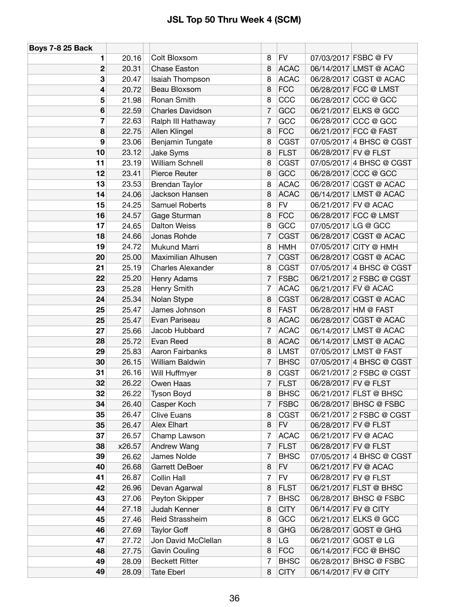| <b>Boys 7-8 25 Back</b> |        |                          |                |             |                      |                          |
|-------------------------|--------|--------------------------|----------------|-------------|----------------------|--------------------------|
| 1                       | 20.16  | Colt Bloxsom             | 8              | <b>FV</b>   |                      | 07/03/2017 FSBC @ FV     |
| 2                       | 20.31  | Chase Easton             | 8              | <b>ACAC</b> |                      | 06/14/2017 LMST @ ACAC   |
| 3                       | 20.47  | Isaiah Thompson          | 8              | <b>ACAC</b> |                      | 06/28/2017 CGST @ ACAC   |
| 4                       | 20.72  | Beau Bloxsom             | 8              | <b>FCC</b>  |                      | 06/28/2017 FCC @ LMST    |
| 5                       | 21.98  | Ronan Smith              | 8              | CCC         |                      | 06/28/2017 CCC @ GCC     |
| 6                       | 22.59  | <b>Charles Davidson</b>  | $\overline{7}$ | GCC         |                      | 06/21/2017 ELKS @ GCC    |
| 7                       | 22.63  | Ralph III Hathaway       | $\overline{7}$ | GCC         |                      | 06/28/2017 CCC @ GCC     |
| 8                       | 22.75  | Allen Klingel            | 8              | <b>FCC</b>  |                      | 06/21/2017 FCC @ FAST    |
| 9                       | 23.06  | Benjamin Tungate         | 8              | <b>CGST</b> |                      | 07/05/2017 4 BHSC @ CGST |
| 10                      | 23.12  | Jake Syms                | 8              | <b>FLST</b> | 06/28/2017 FV @ FLST |                          |
| 11                      | 23.19  | William Schnell          | 8              | <b>CGST</b> |                      | 07/05/2017 4 BHSC @ CGST |
| 12                      | 23.41  | Pierce Reuter            | 8              | GCC         |                      | 06/28/2017 CCC @ GCC     |
| 13                      | 23.53  | <b>Brendan Taylor</b>    | 8              | <b>ACAC</b> |                      | 06/28/2017 CGST @ ACAC   |
| 14                      | 24.06  | Jackson Hansen           | 8              | <b>ACAC</b> |                      | 06/14/2017 LMST @ ACAC   |
| 15                      | 24.25  | Samuel Roberts           | 8              | <b>FV</b>   |                      | 06/21/2017 FV @ ACAC     |
| 16                      | 24.57  | Gage Sturman             | 8              | <b>FCC</b>  |                      | 06/28/2017 FCC @ LMST    |
| 17                      | 24.65  | <b>Dalton Weiss</b>      | 8              | GCC         | 07/05/2017 LG @ GCC  |                          |
| 18                      | 24.66  | Jonas Rohde              | 7              | <b>CGST</b> |                      | 06/28/2017 CGST @ ACAC   |
| 19                      | 24.72  | Mukund Marri             | 8              | <b>HMH</b>  |                      | 07/05/2017 CITY @ HMH    |
| 20                      | 25.00  | Maximilian Alhusen       | $\overline{7}$ | <b>CGST</b> |                      | 06/28/2017 CGST @ ACAC   |
| 21                      | 25.19  | <b>Charles Alexander</b> | 8              | <b>CGST</b> |                      | 07/05/2017 4 BHSC @ CGST |
| 22                      | 25.20  | Henry Adams              | $\overline{7}$ | <b>FSBC</b> |                      | 06/21/2017 2 FSBC @ CGST |
| 23                      | 25.28  | Henry Smith              | 7              | <b>ACAC</b> |                      | 06/21/2017 FV @ ACAC     |
| 24                      | 25.34  | Nolan Stype              | 8              | <b>CGST</b> |                      | 06/28/2017 CGST @ ACAC   |
| 25                      | 25.47  | James Johnson            | 8              | <b>FAST</b> |                      | 06/28/2017 HM @ FAST     |
| 25                      | 25.47  | Evan Pariseau            | 8              | <b>ACAC</b> |                      | 06/28/2017 CGST @ ACAC   |
| 27                      | 25.66  | Jacob Hubbard            | 7              | <b>ACAC</b> |                      | 06/14/2017 LMST @ ACAC   |
| 28                      | 25.72  | Evan Reed                | 8              | <b>ACAC</b> |                      | 06/14/2017 LMST @ ACAC   |
| 29                      | 25.83  | Aaron Fairbanks          | 8              | <b>LMST</b> |                      | 07/05/2017 LMST @ FAST   |
| 30                      | 26.15  | William Baldwin          | 7              | <b>BHSC</b> |                      | 07/05/2017 4 BHSC @ CGST |
| 31                      | 26.16  | Will Huffmyer            | 8              | <b>CGST</b> |                      | 06/21/2017 2 FSBC @ CGST |
| 32                      | 26.22  | Owen Haas                | 7              | <b>FLST</b> | 06/28/2017 FV @ FLST |                          |
| 32                      | 26.22  | <b>Tyson Boyd</b>        | 8              | <b>BHSC</b> |                      | 06/21/2017 FLST @ BHSC   |
| 34                      | 26.40  | Casper Koch              | $\overline{7}$ | <b>FSBC</b> |                      | 06/28/2017 BHSC @ FSBC   |
| 35                      | 26.47  | <b>Clive Euans</b>       | 8              | <b>CGST</b> |                      | 06/21/2017 2 FSBC @ CGST |
| 35                      | 26.47  | Alex Elhart              | 8              | <b>FV</b>   |                      | 06/28/2017 FV @ FLST     |
| 37                      | 26.57  | Champ Lawson             | $\overline{7}$ | <b>ACAC</b> |                      | 06/21/2017 FV @ ACAC     |
| 38                      | x26.57 | Andrew Wang              | $\overline{7}$ | <b>FLST</b> |                      | 06/28/2017 FV @ FLST     |
| 39                      | 26.62  | James Nolde              | $\overline{7}$ | <b>BHSC</b> |                      | 07/05/2017 4 BHSC @ CGST |
| 40                      | 26.68  | Garrett DeBoer           | 8              | <b>FV</b>   |                      | 06/21/2017 FV @ ACAC     |
| 41                      | 26.87  | Collin Hall              | $\overline{7}$ | <b>FV</b>   |                      | 06/28/2017 FV @ FLST     |
| 42                      | 26.96  | Devan Agarwal            | 8              | <b>FLST</b> |                      | 06/21/2017 FLST @ BHSC   |
| 43                      | 27.06  | Peyton Skipper           | 7              | <b>BHSC</b> |                      | 06/28/2017 BHSC @ FSBC   |
| 44                      | 27.18  | Judah Kenner             | 8              | <b>CITY</b> | 06/14/2017 FV @ CITY |                          |
| 45                      | 27.46  | Reid Strassheim          | 8              | GCC         |                      | 06/21/2017 ELKS @ GCC    |
| 46                      | 27.69  | <b>Taylor Goff</b>       | 8              | <b>GHG</b>  |                      | 06/28/2017 GOST @ GHG    |
| 47                      | 27.72  | Jon David McClellan      | 8              | LG          |                      | 06/21/2017 GOST @ LG     |
| 48                      | 27.75  | <b>Gavin Couling</b>     | 8              | <b>FCC</b>  |                      | 06/14/2017 FCC @ BHSC    |
| 49                      | 28.09  | <b>Beckett Ritter</b>    | 7              | <b>BHSC</b> |                      | 06/28/2017 BHSC @ FSBC   |
| 49                      | 28.09  | <b>Tate Eberl</b>        | 8              | <b>CITY</b> | 06/14/2017 FV @ CITY |                          |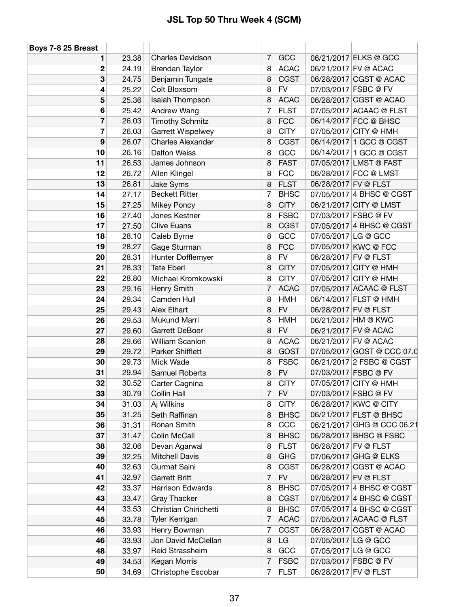| Boys 7-8 25 Breast |       |                          |                |             |                      |                            |
|--------------------|-------|--------------------------|----------------|-------------|----------------------|----------------------------|
| 1                  | 23.38 | <b>Charles Davidson</b>  | 7              | GCC         |                      | 06/21/2017 ELKS @ GCC      |
| 2                  | 24.19 | Brendan Taylor           | 8              | <b>ACAC</b> |                      | 06/21/2017 FV @ ACAC       |
| 3                  | 24.75 | Benjamin Tungate         | 8              | <b>CGST</b> |                      | 06/28/2017 CGST @ ACAC     |
| 4                  | 25.22 | Colt Bloxsom             | 8              | <b>FV</b>   |                      | 07/03/2017 FSBC @ FV       |
| 5                  | 25.36 | Isaiah Thompson          | 8              | <b>ACAC</b> |                      | 06/28/2017 CGST @ ACAC     |
| 6                  | 25.42 | Andrew Wang              | $\overline{7}$ | <b>FLST</b> |                      | 07/05/2017 ACAAC @ FLST    |
| 7                  | 26.03 | <b>Timothy Schmitz</b>   | 8              | <b>FCC</b>  |                      | 06/14/2017 FCC @ BHSC      |
| 7                  | 26.03 | Garrett Wispelwey        | 8              | <b>CITY</b> |                      | 07/05/2017 CITY @ HMH      |
| 9                  | 26.07 | <b>Charles Alexander</b> | 8              | <b>CGST</b> |                      | 06/14/2017 1 GCC @ CGST    |
| 10                 | 26.16 | <b>Dalton Weiss</b>      | 8              | GCC         |                      | 06/14/2017 1 GCC @ CGST    |
| 11                 | 26.53 | James Johnson            | 8              | <b>FAST</b> |                      | 07/05/2017 LMST @ FAST     |
| 12                 | 26.72 | Allen Klingel            | 8              | <b>FCC</b>  |                      | 06/28/2017 FCC @ LMST      |
| 13                 | 26.81 | Jake Syms                | 8              | <b>FLST</b> | 06/28/2017 FV @ FLST |                            |
| 14                 | 27.17 | <b>Beckett Ritter</b>    | 7              | <b>BHSC</b> |                      | 07/05/2017 4 BHSC @ CGST   |
| 15                 | 27.25 | <b>Mikey Poncy</b>       | 8              | <b>CITY</b> |                      | 06/21/2017 CITY @ LMST     |
| 16                 | 27.40 | Jones Kestner            | 8              | <b>FSBC</b> |                      | 07/03/2017 FSBC @ FV       |
| 17                 | 27.50 | <b>Clive Euans</b>       | 8              | <b>CGST</b> |                      | 07/05/2017 4 BHSC @ CGST   |
| 18                 | 28.10 | Caleb Byrne              | 8              | GCC         | 07/05/2017 LG @ GCC  |                            |
| 19                 | 28.27 | Gage Sturman             | 8              | <b>FCC</b>  |                      | 07/05/2017 KWC @ FCC       |
| 20                 | 28.31 | Hunter Dofflemyer        | 8              | <b>FV</b>   | 06/28/2017 FV @ FLST |                            |
| 21                 | 28.33 | <b>Tate Eberl</b>        | 8              | <b>CITY</b> |                      | 07/05/2017 CITY @ HMH      |
| 22                 | 28.80 | Michael Kromkowski       | 8              | <b>CITY</b> |                      | 07/05/2017 CITY @ HMH      |
| 23                 | 29.16 | Henry Smith              | 7              | <b>ACAC</b> |                      | 07/05/2017 ACAAC @ FLST    |
| 24                 | 29.34 | Camden Hull              | 8              | <b>HMH</b>  |                      | 06/14/2017 FLST @ HMH      |
| 25                 | 29.43 | Alex Elhart              | 8              | <b>FV</b>   | 06/28/2017 FV @ FLST |                            |
| 26                 | 29.53 | Mukund Marri             | 8              | <b>HMH</b>  |                      | 06/21/2017 HM @ KWC        |
| 27                 | 29.60 | Garrett DeBoer           | 8              | <b>FV</b>   |                      | 06/21/2017 FV @ ACAC       |
| 28                 | 29.66 | <b>William Scanlon</b>   | 8              | <b>ACAC</b> |                      | 06/21/2017 FV @ ACAC       |
| 29                 | 29.72 | Parker Shifflett         | 8              | <b>GOST</b> |                      | 07/05/2017 GOST @ CCC 07.0 |
| 30                 | 29.73 | Mick Wade                | 8              | <b>FSBC</b> |                      | 06/21/2017 2 FSBC @ CGST   |
| 31                 | 29.94 | Samuel Roberts           | 8              | <b>FV</b>   |                      | 07/03/2017 FSBC @ FV       |
| 32                 | 30.52 | Carter Cagnina           | 8              | <b>CITY</b> |                      | 07/05/2017 CITY @ HMH      |
| 33                 | 30.79 | Collin Hall              | 7              | <b>FV</b>   |                      | 07/03/2017 FSBC @ FV       |
| 34                 | 31.03 | Aj Wilkins               | 8              | <b>CITY</b> |                      | 06/28/2017 KWC @ CITY      |
| 35                 | 31.25 | Seth Raffinan            | 8              | <b>BHSC</b> |                      | 06/21/2017 FLST @ BHSC     |
| 36                 | 31.31 | Ronan Smith              | 8              | CCC         |                      | 06/21/2017 GHG @ CCC 06.21 |
| 37                 | 31.47 | Colin McCall             | 8              | <b>BHSC</b> |                      | 06/28/2017 BHSC @ FSBC     |
| 38                 | 32.06 | Devan Agarwal            | 8              | <b>FLST</b> | 06/28/2017 FV @ FLST |                            |
| 39                 | 32.25 | <b>Mitchell Davis</b>    | 8              | <b>GHG</b>  |                      | 07/06/2017 GHG @ ELKS      |
| 40                 | 32.63 | Gurmat Saini             | 8              | <b>CGST</b> |                      | 06/28/2017 CGST @ ACAC     |
| 41                 | 32.97 | <b>Garrett Britt</b>     | 7              | <b>FV</b>   | 06/28/2017 FV @ FLST |                            |
| 42                 | 33.37 | <b>Harrison Edwards</b>  | 8              | <b>BHSC</b> |                      | 07/05/2017 4 BHSC @ CGST   |
| 43                 | 33.47 | <b>Gray Thacker</b>      | 8              | <b>CGST</b> |                      | 07/05/2017 4 BHSC @ CGST   |
| 44                 | 33.53 | Christian Chirichetti    | 8              | <b>BHSC</b> |                      | 07/05/2017 4 BHSC @ CGST   |
| 45                 | 33.78 | Tyler Kerrigan           | 7              | <b>ACAC</b> |                      | 07/05/2017 ACAAC @ FLST    |
| 46                 | 33.93 | Henry Bowman             | 7              | <b>CGST</b> |                      | 06/28/2017 CGST @ ACAC     |
| 46                 | 33.93 | Jon David McClellan      | 8              | LG          | 07/05/2017 LG @ GCC  |                            |
| 48                 | 33.97 | Reid Strassheim          | 8              | GCC         | 07/05/2017 LG @ GCC  |                            |
| 49                 | 34.53 | Kegan Morris             | 7              | <b>FSBC</b> |                      | 07/03/2017 FSBC @ FV       |
| 50                 | 34.69 | Christophe Escobar       | 7              | <b>FLST</b> | 06/28/2017 FV @ FLST |                            |
|                    |       |                          |                |             |                      |                            |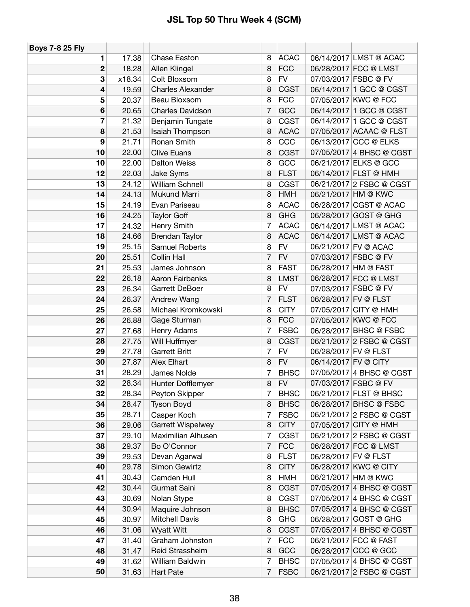| <b>Boys 7-8 25 Fly</b>  |        |                          |                |             |                          |
|-------------------------|--------|--------------------------|----------------|-------------|--------------------------|
| 1                       | 17.38  | Chase Easton             | 8              | <b>ACAC</b> | 06/14/2017 LMST @ ACAC   |
| $\overline{2}$          | 18.28  | Allen Klingel            | 8              | <b>FCC</b>  | 06/28/2017 FCC @ LMST    |
| 3                       | x18.34 | Colt Bloxsom             | 8              | <b>FV</b>   | 07/03/2017 FSBC @ FV     |
| $\overline{\mathbf{4}}$ | 19.59  | <b>Charles Alexander</b> | 8              | CGST        | 06/14/2017 1 GCC @ CGST  |
| 5                       | 20.37  | Beau Bloxsom             | 8              | <b>FCC</b>  | 07/05/2017 KWC @ FCC     |
| $6\phantom{1}6$         | 20.65  | <b>Charles Davidson</b>  | 7              | GCC         | 06/14/2017 1 GCC @ CGST  |
| 7                       | 21.32  | Benjamin Tungate         | 8              | CGST        | 06/14/2017 1 GCC @ CGST  |
| 8                       | 21.53  | Isaiah Thompson          | 8              | <b>ACAC</b> | 07/05/2017 ACAAC @ FLST  |
| 9                       | 21.71  | Ronan Smith              | 8              | CCC         | 06/13/2017 CCC @ ELKS    |
| 10                      | 22.00  | <b>Clive Euans</b>       | 8              | <b>CGST</b> | 07/05/2017 4 BHSC @ CGST |
| 10                      | 22.00  | <b>Dalton Weiss</b>      | 8              | GCC         | 06/21/2017 ELKS @ GCC    |
| 12                      | 22.03  | Jake Syms                | 8              | <b>FLST</b> | 06/14/2017 FLST @ HMH    |
| 13                      | 24.12  | <b>William Schnell</b>   | 8              | <b>CGST</b> | 06/21/2017 2 FSBC @ CGST |
| 14                      | 24.13  | Mukund Marri             | 8              | <b>HMH</b>  | 06/21/2017 HM @ KWC      |
| 15                      | 24.19  | Evan Pariseau            | 8              | <b>ACAC</b> | 06/28/2017 CGST @ ACAC   |
| 16                      | 24.25  | <b>Taylor Goff</b>       | 8              | <b>GHG</b>  | 06/28/2017 GOST @ GHG    |
| 17                      | 24.32  | Henry Smith              | 7              | <b>ACAC</b> | 06/14/2017 LMST @ ACAC   |
| 18                      | 24.66  | <b>Brendan Taylor</b>    | 8              | <b>ACAC</b> | 06/14/2017 LMST @ ACAC   |
| 19                      | 25.15  | <b>Samuel Roberts</b>    | 8              | <b>FV</b>   | 06/21/2017 FV @ ACAC     |
| 20                      | 25.51  | Collin Hall              | 7              | <b>FV</b>   | 07/03/2017 FSBC @ FV     |
| 21                      | 25.53  | James Johnson            | 8              | <b>FAST</b> | 06/28/2017 HM @ FAST     |
| 22                      | 26.18  | Aaron Fairbanks          | 8              | <b>LMST</b> | 06/28/2017 FCC @ LMST    |
| 23                      | 26.34  | Garrett DeBoer           | 8              | <b>FV</b>   | 07/03/2017 FSBC @ FV     |
| 24                      | 26.37  | Andrew Wang              | 7              | <b>FLST</b> | 06/28/2017 FV @ FLST     |
| 25                      | 26.58  | Michael Kromkowski       | 8              | <b>CITY</b> | 07/05/2017 CITY @ HMH    |
| 26                      | 26.88  | Gage Sturman             | 8              | <b>FCC</b>  | 07/05/2017 KWC @ FCC     |
| 27                      | 27.68  | Henry Adams              | 7              | <b>FSBC</b> | 06/28/2017 BHSC @ FSBC   |
| 28                      | 27.75  | Will Huffmyer            | 8              | <b>CGST</b> | 06/21/2017 2 FSBC @ CGST |
| 29                      | 27.78  | <b>Garrett Britt</b>     | 7              | <b>FV</b>   | 06/28/2017 FV @ FLST     |
| 30                      | 27.87  | Alex Elhart              | 8              | <b>FV</b>   | 06/14/2017 FV @ CITY     |
| 31                      | 28.29  | James Nolde              | 7              | <b>BHSC</b> | 07/05/2017 4 BHSC @ CGST |
| 32                      | 28.34  | Hunter Dofflemyer        | 8              | <b>FV</b>   | 07/03/2017 FSBC @ FV     |
| 32                      | 28.34  | Peyton Skipper           | 7              | <b>BHSC</b> | 06/21/2017 FLST @ BHSC   |
| 34                      | 28.47  | <b>Tyson Boyd</b>        | 8              | <b>BHSC</b> | 06/28/2017 BHSC @ FSBC   |
| 35                      | 28.71  | Casper Koch              | $\overline{7}$ | <b>FSBC</b> | 06/21/2017 2 FSBC @ CGST |
| 36                      | 29.06  | Garrett Wispelwey        | 8              | <b>CITY</b> | 07/05/2017 CITY @ HMH    |
| 37                      | 29.10  | Maximilian Alhusen       | 7              | <b>CGST</b> | 06/21/2017 2 FSBC @ CGST |
| 38                      | 29.37  | Bo O'Connor              | 7              | <b>FCC</b>  | 06/28/2017 FCC @ LMST    |
| 39                      | 29.53  | Devan Agarwal            | 8              | <b>FLST</b> | 06/28/2017 FV @ FLST     |
| 40                      | 29.78  | Simon Gewirtz            | 8              | <b>CITY</b> | 06/28/2017 KWC @ CITY    |
| 41                      | 30.43  | Camden Hull              | 8              | <b>HMH</b>  | 06/21/2017 HM @ KWC      |
| 42                      | 30.44  | Gurmat Saini             | 8              | <b>CGST</b> | 07/05/2017 4 BHSC @ CGST |
| 43                      | 30.69  | Nolan Stype              | 8              | <b>CGST</b> | 07/05/2017 4 BHSC @ CGST |
| 44                      | 30.94  | Maquire Johnson          | 8              | <b>BHSC</b> | 07/05/2017 4 BHSC @ CGST |
| 45                      | 30.97  | <b>Mitchell Davis</b>    | 8              | <b>GHG</b>  | 06/28/2017 GOST @ GHG    |
| 46                      | 31.06  | <b>Wyatt Witt</b>        | 8              | <b>CGST</b> | 07/05/2017 4 BHSC @ CGST |
| 47                      | 31.40  | Graham Johnston          | 7              | <b>FCC</b>  | 06/21/2017 FCC @ FAST    |
| 48                      | 31.47  | Reid Strassheim          | 8              | GCC         | 06/28/2017 CCC @ GCC     |
| 49                      | 31.62  | William Baldwin          | $\overline{7}$ | <b>BHSC</b> | 07/05/2017 4 BHSC @ CGST |
| 50                      | 31.63  | <b>Hart Pate</b>         | $\overline{7}$ | <b>FSBC</b> | 06/21/2017 2 FSBC @ CGST |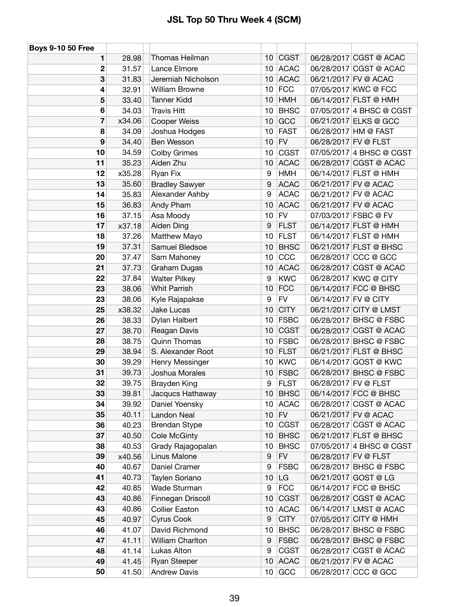| <b>Boys 9-10 50 Free</b> |        |                         |                 |             |                      |                          |
|--------------------------|--------|-------------------------|-----------------|-------------|----------------------|--------------------------|
| 1                        | 28.98  | Thomas Heilman          | 10              | <b>CGST</b> |                      | 06/28/2017 CGST @ ACAC   |
| 2                        | 31.57  | Lance Elmore            | 10              | <b>ACAC</b> |                      | 06/28/2017 CGST @ ACAC   |
| 3                        | 31.83  | Jeremiah Nicholson      | 10              | <b>ACAC</b> |                      | 06/21/2017 FV @ ACAC     |
| 4                        | 32.91  | <b>William Browne</b>   | 10              | <b>FCC</b>  |                      | 07/05/2017 KWC @ FCC     |
| 5                        | 33.40  | <b>Tanner Kidd</b>      | 10              | <b>HMH</b>  |                      | 06/14/2017 FLST @ HMH    |
| 6                        | 34.03  | <b>Travis Hitt</b>      | 10              | <b>BHSC</b> |                      | 07/05/2017 4 BHSC @ CGST |
| 7                        | x34.06 | Cooper Weiss            | 10              | GCC         |                      | 06/21/2017 ELKS @ GCC    |
| 8                        | 34.09  | Joshua Hodges           | 10              | <b>FAST</b> |                      | 06/28/2017 HM @ FAST     |
| 9                        | 34.40  | Ben Wesson              | 10              | <b>FV</b>   |                      | 06/28/2017 FV @ FLST     |
| 10                       | 34.59  | <b>Colby Grimes</b>     | 10              | <b>CGST</b> |                      | 07/05/2017 4 BHSC @ CGST |
| 11                       | 35.23  | Aiden Zhu               | 10              | <b>ACAC</b> |                      | 06/28/2017 CGST @ ACAC   |
| 12                       | x35.28 | Ryan Fix                | 9               | <b>HMH</b>  |                      | 06/14/2017 FLST @ HMH    |
| 13                       | 35.60  | <b>Bradley Sawyer</b>   | 9               | <b>ACAC</b> |                      | 06/21/2017 FV @ ACAC     |
| 14                       | 35.83  | Alexander Ashby         | 9               | <b>ACAC</b> |                      | 06/21/2017 FV @ ACAC     |
| 15                       | 36.83  | Andy Pham               | 10              | <b>ACAC</b> |                      | 06/21/2017 FV @ ACAC     |
| 16                       | 37.15  | Asa Moody               | 10              | ${\sf FV}$  |                      | 07/03/2017 FSBC @ FV     |
| 17                       | x37.18 | Aiden Ding              | 9               | <b>FLST</b> |                      | 06/14/2017 FLST @ HMH    |
| 18                       | 37.26  | Matthew Mayo            | 10              | <b>FLST</b> |                      | 06/14/2017 FLST @ HMH    |
| 19                       | 37.31  | Samuel Bledsoe          | 10              | <b>BHSC</b> |                      | 06/21/2017 FLST @ BHSC   |
| 20                       | 37.47  | Sam Mahoney             | 10              | CCC         |                      | 06/28/2017 CCC @ GCC     |
| 21                       | 37.73  | Graham Dugas            | 10              | <b>ACAC</b> |                      | 06/28/2017 CGST @ ACAC   |
| 22                       | 37.84  | <b>Walter Pilkey</b>    | 9               | <b>KWC</b>  |                      | 06/28/2017 KWC @ CITY    |
| 23                       | 38.06  | <b>Whit Parrish</b>     | 10              | <b>FCC</b>  |                      | 06/14/2017 FCC @ BHSC    |
| 23                       | 38.06  | Kyle Rajapakse          | 9               | ${\sf FV}$  | 06/14/2017 FV @ CITY |                          |
| 25                       | x38.32 | Jake Lucas              | 10              | <b>CITY</b> |                      | 06/21/2017 CITY @ LMST   |
| 26                       | 38.33  | Dylan Halbert           | 10              | <b>FSBC</b> |                      | 06/28/2017 BHSC @ FSBC   |
| 27                       | 38.70  | Reagan Davis            | 10              | <b>CGST</b> |                      | 06/28/2017 CGST @ ACAC   |
| 28                       | 38.75  | <b>Quinn Thomas</b>     | 10              | <b>FSBC</b> |                      | 06/28/2017 BHSC @ FSBC   |
| 29                       | 38.94  | S. Alexander Root       | 10              | <b>FLST</b> |                      | 06/21/2017 FLST @ BHSC   |
| 30                       | 39.29  | Henry Messinger         | 10              | <b>KWC</b>  |                      | 06/14/2017 GOST @ KWC    |
| 31                       | 39.73  | Joshua Morales          | 10              | <b>FSBC</b> |                      | 06/28/2017 BHSC @ FSBC   |
| 32                       | 39.75  | <b>Brayden King</b>     | 9               | <b>FLST</b> | 06/28/2017 FV @ FLST |                          |
| 33                       | 39.81  | Jacqucs Hathaway        |                 | 10 BHSC     |                      | 06/14/2017 FCC @ BHSC    |
| 34                       | 39.92  | Daniel Yoensky          | 10              | <b>ACAC</b> |                      | 06/28/2017 CGST @ ACAC   |
| 35                       | 40.11  | Landon Neal             | 10 <sub>1</sub> | <b>FV</b>   |                      | 06/21/2017 FV @ ACAC     |
| 36                       | 40.23  | Brendan Stype           | 10              | <b>CGST</b> |                      | 06/28/2017 CGST @ ACAC   |
| 37                       | 40.50  | <b>Cole McGinty</b>     | 10              | <b>BHSC</b> |                      | 06/21/2017 FLST @ BHSC   |
| 38                       | 40.53  | Grady Rajagopalan       | 10              | <b>BHSC</b> |                      | 07/05/2017 4 BHSC @ CGST |
| 39                       | x40.56 | Linus Malone            | 9               | <b>FV</b>   | 06/28/2017 FV @ FLST |                          |
| 40                       | 40.67  | Daniel Cramer           | 9               | <b>FSBC</b> |                      | 06/28/2017 BHSC @ FSBC   |
| 41                       | 40.73  | Taylen Soriano          | 10              | LG          |                      | 06/21/2017 GOST @ LG     |
| 42                       | 40.85  | Wade Sturman            | 9               | <b>FCC</b>  |                      | 06/14/2017 FCC @ BHSC    |
| 43                       | 40.86  | Finnegan Driscoll       | 10              | <b>CGST</b> |                      | 06/28/2017 CGST @ ACAC   |
| 43                       | 40.86  | <b>Collier Easton</b>   | 10              | <b>ACAC</b> |                      | 06/14/2017 LMST @ ACAC   |
| 45                       | 40.97  | Cyrus Cook              | 9               | <b>CITY</b> |                      | 07/05/2017 CITY @ HMH    |
| 46                       | 41.07  | David Richmond          | 10              | <b>BHSC</b> |                      | 06/28/2017 BHSC @ FSBC   |
| 47                       | 41.11  | <b>William Charlton</b> | 9               | <b>FSBC</b> |                      | 06/28/2017 BHSC @ FSBC   |
| 48                       | 41.14  | Lukas Alton             | 9               | <b>CGST</b> |                      | 06/28/2017 CGST @ ACAC   |
| 49                       | 41.45  | Ryan Steeper            | 10              | <b>ACAC</b> |                      | 06/21/2017 FV @ ACAC     |
| 50                       | 41.50  | <b>Andrew Davis</b>     |                 | $10$ GCC    |                      | 06/28/2017 CCC @ GCC     |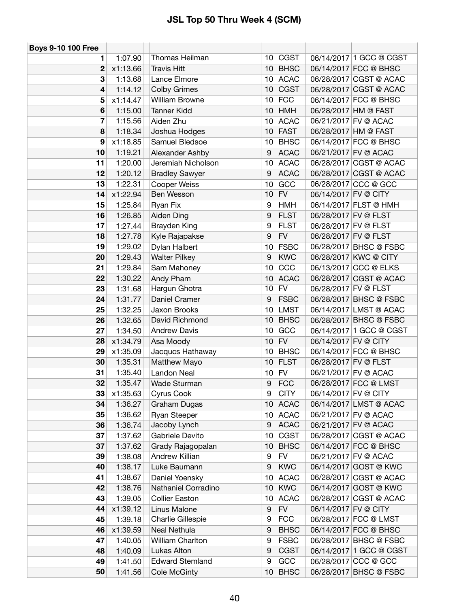| <b>Boys 9-10 100 Free</b> |                    |                                 |                 |                            |                      |                                                   |
|---------------------------|--------------------|---------------------------------|-----------------|----------------------------|----------------------|---------------------------------------------------|
| 1                         | 1:07.90            | Thomas Heilman                  | 10              | <b>CGST</b>                |                      | 06/14/2017 1 GCC @ CGST                           |
| 2                         | x1:13.66           | <b>Travis Hitt</b>              | 10              | <b>BHSC</b>                |                      | 06/14/2017 FCC @ BHSC                             |
| 3                         | 1:13.68            | Lance Elmore                    | 10 <sup>°</sup> | <b>ACAC</b>                |                      | 06/28/2017 CGST @ ACAC                            |
| 4                         | 1:14.12            | <b>Colby Grimes</b>             | 10              | <b>CGST</b>                |                      | 06/28/2017 CGST @ ACAC                            |
| 5                         | x1:14.47           | <b>William Browne</b>           | 10              | <b>FCC</b>                 |                      | 06/14/2017 FCC @ BHSC                             |
| 6                         | 1:15.00            | <b>Tanner Kidd</b>              | 10              | <b>HMH</b>                 |                      | 06/28/2017 HM @ FAST                              |
| 7                         | 1:15.56            | Aiden Zhu                       | 10              | <b>ACAC</b>                |                      | 06/21/2017 FV @ ACAC                              |
| 8                         | 1:18.34            | Joshua Hodges                   | 10              | <b>FAST</b>                |                      | 06/28/2017 HM @ FAST                              |
| 9                         | x1:18.85           | Samuel Bledsoe                  | 10              | <b>BHSC</b>                |                      | 06/14/2017 FCC @ BHSC                             |
| 10                        | 1:19.21            | Alexander Ashby                 | 9               | <b>ACAC</b>                |                      | 06/21/2017 FV @ ACAC                              |
| 11                        | 1:20.00            | Jeremiah Nicholson              | 10              | <b>ACAC</b>                |                      | 06/28/2017 CGST @ ACAC                            |
| 12                        | 1:20.12            | <b>Bradley Sawyer</b>           | 9               | <b>ACAC</b>                |                      | 06/28/2017 CGST @ ACAC                            |
| 13                        | 1:22.31            | Cooper Weiss                    | 10              | GCC                        |                      | 06/28/2017 CCC @ GCC                              |
| 14                        | x1:22.94           | Ben Wesson                      | 10              | <b>FV</b>                  | 06/14/2017 FV @ CITY |                                                   |
| 15                        | 1:25.84            | Ryan Fix                        | 9               | <b>HMH</b>                 |                      | 06/14/2017 FLST @ HMH                             |
| 16                        | 1:26.85            | Aiden Ding                      | 9               | <b>FLST</b>                |                      | 06/28/2017 FV @ FLST                              |
| 17                        | 1:27.44            | <b>Brayden King</b>             | 9               | <b>FLST</b>                |                      | 06/28/2017 FV @ FLST                              |
| 18                        | 1:27.78            | Kyle Rajapakse                  | 9               | <b>FV</b>                  | 06/28/2017 FV @ FLST |                                                   |
| 19                        | 1:29.02            | Dylan Halbert                   | 10              | <b>FSBC</b>                |                      | 06/28/2017 BHSC @ FSBC                            |
| 20                        | 1:29.43            | <b>Walter Pilkey</b>            | 9               | <b>KWC</b>                 |                      | 06/28/2017 KWC @ CITY                             |
| 21                        | 1:29.84            | Sam Mahoney                     | 10              | CCC                        |                      | 06/13/2017 CCC @ ELKS                             |
| 22                        | 1:30.22            | Andy Pham                       | 10              | <b>ACAC</b>                |                      | 06/28/2017 CGST @ ACAC                            |
| 23                        | 1:31.68            | Hargun Ghotra                   | 10              | <b>FV</b>                  | 06/28/2017 FV @ FLST |                                                   |
| 24                        | 1:31.77            | Daniel Cramer                   | 9               | <b>FSBC</b>                |                      | 06/28/2017 BHSC @ FSBC                            |
| 25                        | 1:32.25            | Jaxon Brooks                    | 10              | <b>LMST</b>                |                      | 06/14/2017 LMST @ ACAC                            |
| 26                        | 1:32.65            | David Richmond                  | 10              | <b>BHSC</b>                |                      | 06/28/2017 BHSC @ FSBC                            |
| 27                        | 1:34.50            | <b>Andrew Davis</b>             | 10              | GCC                        |                      | 06/14/2017 1 GCC @ CGST                           |
| 28                        | x1:34.79           | Asa Moody                       | 10              | <b>FV</b>                  | 06/14/2017 FV @ CITY |                                                   |
| 29                        | x1:35.09           | Jacqucs Hathaway                | 10              | <b>BHSC</b>                |                      | 06/14/2017 FCC @ BHSC                             |
| 30                        | 1:35.31            | Matthew Mayo                    | 10              | <b>FLST</b>                |                      | 06/28/2017 FV @ FLST                              |
| 31                        | 1:35.40            | Landon Neal                     | 10              | <b>FV</b>                  |                      | 06/21/2017 FV @ ACAC                              |
| 32                        | 1:35.47            | Wade Sturman                    | 9               | <b>FCC</b>                 |                      | 06/28/2017 FCC @ LMST                             |
| 33                        | x1:35.63           | Cyrus Cook                      | 9               | <b>CITY</b>                | 06/14/2017 FV @ CITY |                                                   |
| 34                        | 1:36.27            | <b>Graham Dugas</b>             | 10              | <b>ACAC</b>                |                      | 06/14/2017 LMST @ ACAC                            |
| 35                        | 1:36.62            | Ryan Steeper                    | 10              | <b>ACAC</b>                |                      | 06/21/2017 FV @ ACAC                              |
| 36                        | 1:36.74            | Jacoby Lynch                    | 9               | <b>ACAC</b>                |                      | 06/21/2017 FV @ ACAC                              |
| 37                        | 1:37.62            | Gabriele Devito                 | 10              | <b>CGST</b>                |                      | 06/28/2017 CGST @ ACAC                            |
| 37                        | 1:37.62            | Grady Rajagopalan               | 10              | <b>BHSC</b>                |                      | 06/14/2017 FCC @ BHSC                             |
| 39                        | 1:38.08            | Andrew Killian                  | 9               | <b>FV</b>                  |                      | 06/21/2017 FV @ ACAC                              |
| 40                        | 1:38.17            | Luke Baumann                    | 9               | <b>KWC</b>                 |                      | 06/14/2017 GOST @ KWC                             |
| 41                        | 1:38.67            | Daniel Yoensky                  | 10              | <b>ACAC</b>                |                      | 06/28/2017 CGST @ ACAC                            |
| 42                        | 1:38.76            | Nathaniel Corradino             | 10              | <b>KWC</b>                 |                      | 06/14/2017 GOST @ KWC                             |
| 43                        | 1:39.05            | <b>Collier Easton</b>           | 10              | <b>ACAC</b>                |                      | 06/28/2017 CGST @ ACAC                            |
| 44                        | x1:39.12           | Linus Malone                    | 9               | <b>FV</b>                  | 06/14/2017 FV @ CITY |                                                   |
| 45                        | 1:39.18            | Charlie Gillespie               | 9               | <b>FCC</b>                 |                      | 06/28/2017 FCC @ LMST                             |
| 46                        | x1:39.59           | Neal Nethula                    | 9               | <b>BHSC</b>                |                      | 06/14/2017 FCC @ BHSC                             |
| 47                        | 1:40.05            | William Charlton<br>Lukas Alton | 9               | <b>FSBC</b><br><b>CGST</b> |                      | 06/28/2017 BHSC @ FSBC<br>06/14/2017 1 GCC @ CGST |
| 48<br>49                  | 1:40.09<br>1:41.50 | <b>Edward Stemland</b>          | 9<br>9          | GCC                        |                      | 06/28/2017 CCC @ GCC                              |
| 50                        |                    |                                 |                 |                            |                      | 06/28/2017 BHSC @ FSBC                            |
|                           | 1:41.56            | <b>Cole McGinty</b>             | 10              | <b>BHSC</b>                |                      |                                                   |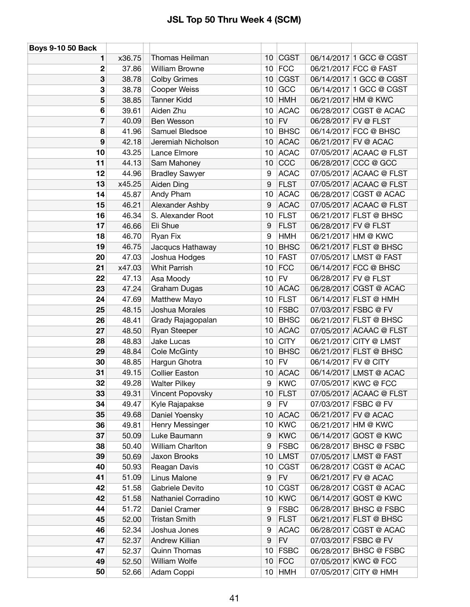| <b>Boys 9-10 50 Back</b> |        |                       |    |             |                      |                         |
|--------------------------|--------|-----------------------|----|-------------|----------------------|-------------------------|
| 1                        | x36.75 | Thomas Heilman        | 10 | <b>CGST</b> |                      | 06/14/2017 1 GCC @ CGST |
| 2                        | 37.86  | <b>William Browne</b> | 10 | <b>FCC</b>  |                      | 06/21/2017 FCC @ FAST   |
| 3                        | 38.78  | <b>Colby Grimes</b>   | 10 | <b>CGST</b> |                      | 06/14/2017 1 GCC @ CGST |
| 3                        | 38.78  | Cooper Weiss          | 10 | GCC         |                      | 06/14/2017 1 GCC @ CGST |
| 5                        | 38.85  | <b>Tanner Kidd</b>    | 10 | <b>HMH</b>  |                      | 06/21/2017 HM @ KWC     |
| 6                        | 39.61  | Aiden Zhu             | 10 | <b>ACAC</b> |                      | 06/28/2017 CGST @ ACAC  |
| 7                        | 40.09  | Ben Wesson            | 10 | <b>FV</b>   | 06/28/2017 FV @ FLST |                         |
| 8                        | 41.96  | Samuel Bledsoe        | 10 | <b>BHSC</b> |                      | 06/14/2017 FCC @ BHSC   |
| 9                        | 42.18  | Jeremiah Nicholson    | 10 | <b>ACAC</b> |                      | 06/21/2017 FV @ ACAC    |
| 10                       | 43.25  | Lance Elmore          | 10 | <b>ACAC</b> |                      | 07/05/2017 ACAAC @ FLST |
| 11                       | 44.13  | Sam Mahoney           | 10 | CCC         |                      | 06/28/2017 CCC @ GCC    |
| 12                       | 44.96  | <b>Bradley Sawyer</b> | 9  | <b>ACAC</b> |                      | 07/05/2017 ACAAC @ FLST |
| 13                       | x45.25 | <b>Aiden Ding</b>     | 9  | <b>FLST</b> |                      | 07/05/2017 ACAAC @ FLST |
| 14                       | 45.87  | Andy Pham             | 10 | <b>ACAC</b> |                      | 06/28/2017 CGST @ ACAC  |
| 15                       | 46.21  | Alexander Ashby       | 9  | <b>ACAC</b> |                      | 07/05/2017 ACAAC @ FLST |
| 16                       | 46.34  | S. Alexander Root     | 10 | <b>FLST</b> |                      | 06/21/2017 FLST @ BHSC  |
| 17                       | 46.66  | Eli Shue              | 9  | <b>FLST</b> |                      | 06/28/2017 FV @ FLST    |
| 18                       | 46.70  | Ryan Fix              | 9  | <b>HMH</b>  |                      | 06/21/2017 HM @ KWC     |
| 19                       | 46.75  | Jacqucs Hathaway      | 10 | <b>BHSC</b> |                      | 06/21/2017 FLST @ BHSC  |
| 20                       | 47.03  | Joshua Hodges         | 10 | <b>FAST</b> |                      | 07/05/2017 LMST @ FAST  |
| 21                       | x47.03 | <b>Whit Parrish</b>   | 10 | <b>FCC</b>  |                      | 06/14/2017 FCC @ BHSC   |
| 22                       | 47.13  | Asa Moody             | 10 | <b>FV</b>   | 06/28/2017 FV @ FLST |                         |
| 23                       | 47.24  | Graham Dugas          | 10 | <b>ACAC</b> |                      | 06/28/2017 CGST @ ACAC  |
| 24                       | 47.69  | Matthew Mayo          | 10 | <b>FLST</b> |                      | 06/14/2017 FLST @ HMH   |
| 25                       | 48.15  | Joshua Morales        | 10 | <b>FSBC</b> |                      | 07/03/2017 FSBC @ FV    |
| 26                       | 48.41  | Grady Rajagopalan     | 10 | <b>BHSC</b> |                      | 06/21/2017 FLST @ BHSC  |
| 27                       | 48.50  | Ryan Steeper          | 10 | <b>ACAC</b> |                      | 07/05/2017 ACAAC @ FLST |
| 28                       | 48.83  | Jake Lucas            | 10 | <b>CITY</b> |                      | 06/21/2017 CITY @ LMST  |
| 29                       | 48.84  | Cole McGinty          | 10 | <b>BHSC</b> |                      | 06/21/2017 FLST @ BHSC  |
| 30                       | 48.85  | Hargun Ghotra         | 10 | <b>FV</b>   | 06/14/2017 FV @ CITY |                         |
| 31                       | 49.15  | <b>Collier Easton</b> | 10 | <b>ACAC</b> |                      | 06/14/2017 LMST @ ACAC  |
| 32                       | 49.28  | <b>Walter Pilkey</b>  | 9  | <b>KWC</b>  |                      | 07/05/2017 KWC @ FCC    |
| 33                       | 49.31  | Vincent Popovsky      | 10 | FLST        |                      | 07/05/2017 ACAAC @ FLST |
| 34                       | 49.47  | Kyle Rajapakse        | 9  | <b>FV</b>   |                      | 07/03/2017 FSBC @ FV    |
| 35                       | 49.68  | Daniel Yoensky        | 10 | <b>ACAC</b> |                      | 06/21/2017 FV @ ACAC    |
| 36                       | 49.81  | Henry Messinger       | 10 | <b>KWC</b>  |                      | 06/21/2017 HM @ KWC     |
| 37                       | 50.09  | Luke Baumann          | 9  | <b>KWC</b>  |                      | 06/14/2017 GOST @ KWC   |
| 38                       | 50.40  | William Charlton      | 9  | <b>FSBC</b> |                      | 06/28/2017 BHSC @ FSBC  |
| 39                       | 50.69  | Jaxon Brooks          | 10 | <b>LMST</b> |                      | 07/05/2017 LMST @ FAST  |
| 40                       | 50.93  | Reagan Davis          | 10 | <b>CGST</b> |                      | 06/28/2017 CGST @ ACAC  |
| 41                       | 51.09  | Linus Malone          | 9  | ${\sf FV}$  |                      | 06/21/2017 FV @ ACAC    |
| 42                       | 51.58  | Gabriele Devito       | 10 | <b>CGST</b> |                      | 06/28/2017 CGST @ ACAC  |
| 42                       | 51.58  | Nathaniel Corradino   | 10 | <b>KWC</b>  |                      | 06/14/2017 GOST @ KWC   |
| 44                       | 51.72  | Daniel Cramer         | 9  | <b>FSBC</b> |                      | 06/28/2017 BHSC @ FSBC  |
| 45                       | 52.00  | <b>Tristan Smith</b>  | 9  | <b>FLST</b> |                      | 06/21/2017 FLST @ BHSC  |
| 46                       | 52.34  | Joshua Jones          | 9  | <b>ACAC</b> |                      | 06/28/2017 CGST @ ACAC  |
| 47                       | 52.37  | Andrew Killian        | 9  | ${\sf FV}$  |                      | 07/03/2017 FSBC @ FV    |
| 47                       | 52.37  | <b>Quinn Thomas</b>   | 10 | <b>FSBC</b> |                      | 06/28/2017 BHSC @ FSBC  |
| 49                       | 52.50  | William Wolfe         | 10 | FCC         |                      | 07/05/2017 KWC @ FCC    |
| 50                       | 52.66  | Adam Coppi            |    | $10$ HMH    |                      | 07/05/2017 CITY @ HMH   |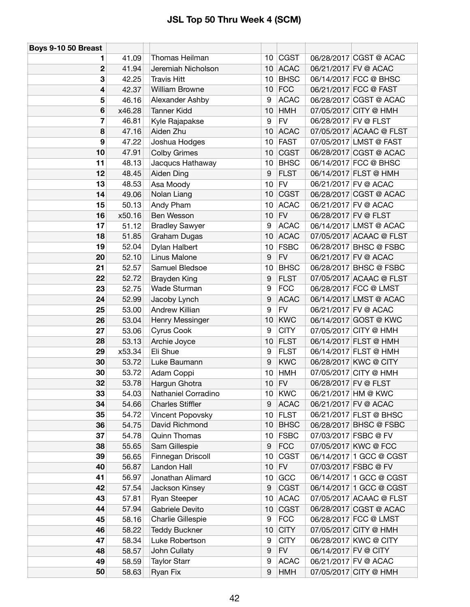| Boys 9-10 50 Breast |        |                         |                  |             |                      |                         |
|---------------------|--------|-------------------------|------------------|-------------|----------------------|-------------------------|
| 1                   | 41.09  | Thomas Heilman          | 10               | CGST        |                      | 06/28/2017 CGST @ ACAC  |
| 2                   | 41.94  | Jeremiah Nicholson      | 10               | <b>ACAC</b> |                      | 06/21/2017 FV @ ACAC    |
| 3                   | 42.25  | <b>Travis Hitt</b>      | 10               | <b>BHSC</b> |                      | 06/14/2017 FCC @ BHSC   |
| 4                   | 42.37  | <b>William Browne</b>   | 10               | <b>FCC</b>  |                      | 06/21/2017 FCC @ FAST   |
| 5                   | 46.16  | Alexander Ashby         | 9                | <b>ACAC</b> |                      | 06/28/2017 CGST @ ACAC  |
| 6                   | x46.28 | <b>Tanner Kidd</b>      | 10               | <b>HMH</b>  |                      | 07/05/2017 CITY @ HMH   |
| 7                   | 46.81  | Kyle Rajapakse          | 9                | <b>FV</b>   | 06/28/2017 FV @ FLST |                         |
| 8                   | 47.16  | Aiden Zhu               | 10               | <b>ACAC</b> |                      | 07/05/2017 ACAAC @ FLST |
| 9                   | 47.22  | Joshua Hodges           | 10               | <b>FAST</b> |                      | 07/05/2017 LMST @ FAST  |
| 10                  | 47.91  | <b>Colby Grimes</b>     | 10               | <b>CGST</b> |                      | 06/28/2017 CGST @ ACAC  |
| 11                  | 48.13  | Jacqucs Hathaway        | 10               | <b>BHSC</b> |                      | 06/14/2017 FCC @ BHSC   |
| 12                  | 48.45  | Aiden Ding              | 9                | <b>FLST</b> |                      | 06/14/2017 FLST @ HMH   |
| 13                  | 48.53  | Asa Moody               | 10               | <b>FV</b>   |                      | 06/21/2017 FV @ ACAC    |
| 14                  | 49.06  | Nolan Liang             | 10               | <b>CGST</b> |                      | 06/28/2017 CGST @ ACAC  |
| 15                  | 50.13  | Andy Pham               | 10               | <b>ACAC</b> |                      | 06/21/2017 FV @ ACAC    |
| 16                  | x50.16 | Ben Wesson              | 10               | <b>FV</b>   | 06/28/2017 FV @ FLST |                         |
| 17                  | 51.12  | <b>Bradley Sawyer</b>   | 9                | <b>ACAC</b> |                      | 06/14/2017 LMST @ ACAC  |
| 18                  | 51.85  | Graham Dugas            | 10               | <b>ACAC</b> |                      | 07/05/2017 ACAAC @ FLST |
| 19                  | 52.04  | Dylan Halbert           | 10               | <b>FSBC</b> |                      | 06/28/2017 BHSC @ FSBC  |
| 20                  | 52.10  | Linus Malone            | 9                | <b>FV</b>   |                      | 06/21/2017 FV @ ACAC    |
| 21                  | 52.57  | Samuel Bledsoe          | 10               | <b>BHSC</b> |                      | 06/28/2017 BHSC @ FSBC  |
| 22                  | 52.72  | <b>Brayden King</b>     | 9                | <b>FLST</b> |                      | 07/05/2017 ACAAC @ FLST |
| 23                  | 52.75  | Wade Sturman            | 9                | <b>FCC</b>  |                      | 06/28/2017 FCC @ LMST   |
| 24                  | 52.99  | Jacoby Lynch            | 9                | <b>ACAC</b> |                      | 06/14/2017 LMST @ ACAC  |
| 25                  | 53.00  | Andrew Killian          | 9                | <b>FV</b>   |                      | 06/21/2017 FV @ ACAC    |
| 26                  | 53.04  | Henry Messinger         | 10               | <b>KWC</b>  |                      | 06/14/2017 GOST @ KWC   |
| 27                  | 53.06  | Cyrus Cook              | 9                | <b>CITY</b> |                      | 07/05/2017 CITY @ HMH   |
| 28                  | 53.13  | Archie Joyce            | 10               | <b>FLST</b> |                      | 06/14/2017 FLST @ HMH   |
| 29                  | x53.34 | Eli Shue                | 9                | <b>FLST</b> |                      | 06/14/2017 FLST @ HMH   |
| 30                  | 53.72  | Luke Baumann            | 9                | <b>KWC</b>  |                      | 06/28/2017 KWC @ CITY   |
| 30                  | 53.72  | Adam Coppi              | 10               | <b>HMH</b>  |                      | 07/05/2017 CITY @ HMH   |
| 32                  | 53.78  | Hargun Ghotra           | 10 <sub>1</sub>  | <b>FV</b>   | 06/28/2017 FV @ FLST |                         |
| 33                  | 54.03  | Nathaniel Corradino     | 10               | KWC         |                      | 06/21/2017 HM @ KWC     |
| 34                  | 54.66  | <b>Charles Stiffler</b> | 9                | <b>ACAC</b> |                      | 06/21/2017 FV @ ACAC    |
| 35                  | 54.72  | Vincent Popovsky        | 10               | <b>FLST</b> |                      | 06/21/2017 FLST @ BHSC  |
| 36                  | 54.75  | David Richmond          | 10               | <b>BHSC</b> |                      | 06/28/2017 BHSC @ FSBC  |
| 37                  | 54.78  | <b>Quinn Thomas</b>     | 10               | <b>FSBC</b> |                      | 07/03/2017 FSBC @ FV    |
| 38                  | 55.65  | Sam Gillespie           | $\boldsymbol{9}$ | <b>FCC</b>  |                      | 07/05/2017 KWC @ FCC    |
| 39                  | 56.65  | Finnegan Driscoll       | 10               | <b>CGST</b> |                      | 06/14/2017 1 GCC @ CGST |
| 40                  | 56.87  | Landon Hall             | 10               | <b>FV</b>   |                      | 07/03/2017 FSBC @ FV    |
| 41                  | 56.97  | Jonathan Alimard        | 10               | GCC         |                      | 06/14/2017 1 GCC @ CGST |
| 42                  | 57.54  | Jackson Kinsey          | 9                | <b>CGST</b> |                      | 06/14/2017 1 GCC @ CGST |
| 43                  | 57.81  | Ryan Steeper            | 10               | <b>ACAC</b> |                      | 07/05/2017 ACAAC @ FLST |
| 44                  | 57.94  | Gabriele Devito         | 10               | <b>CGST</b> |                      | 06/28/2017 CGST @ ACAC  |
| 45                  | 58.16  | Charlie Gillespie       | 9                | <b>FCC</b>  |                      | 06/28/2017 FCC @ LMST   |
| 46                  | 58.22  | <b>Teddy Buckner</b>    | 10               | <b>CITY</b> |                      | 07/05/2017 CITY @ HMH   |
| 47                  | 58.34  | Luke Robertson          | 9                | <b>CITY</b> |                      | 06/28/2017 KWC @ CITY   |
| 48                  | 58.57  | John Cullaty            | 9                | <b>FV</b>   | 06/14/2017 FV @ CITY |                         |
| 49                  | 58.59  | <b>Taylor Starr</b>     | 9                | <b>ACAC</b> |                      | 06/21/2017 FV @ ACAC    |
| 50                  | 58.63  | Ryan Fix                | 9                | <b>HMH</b>  |                      | 07/05/2017 CITY @ HMH   |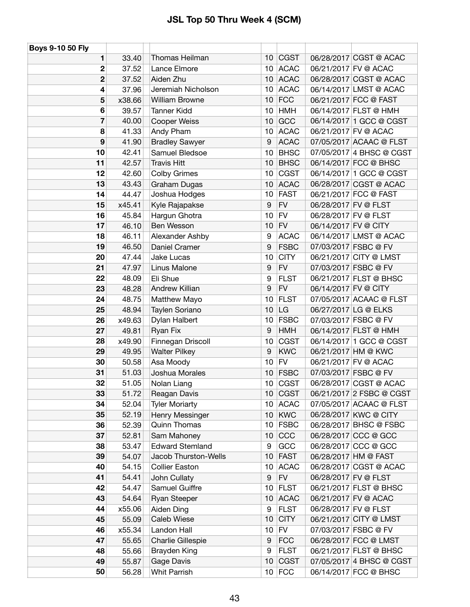| Boys 9-10 50 Fly        |        |                        |                 |             |                      |                          |
|-------------------------|--------|------------------------|-----------------|-------------|----------------------|--------------------------|
| 1                       | 33.40  | Thomas Heilman         | 10              | <b>CGST</b> |                      | 06/28/2017 CGST @ ACAC   |
| 2                       | 37.52  | Lance Elmore           | 10 <sup>°</sup> | <b>ACAC</b> |                      | 06/21/2017 FV @ ACAC     |
| $\mathbf 2$             | 37.52  | Aiden Zhu              | 10              | <b>ACAC</b> |                      | 06/28/2017 CGST @ ACAC   |
| 4                       | 37.96  | Jeremiah Nicholson     | 10              | <b>ACAC</b> |                      | 06/14/2017 LMST @ ACAC   |
| 5                       | x38.66 | <b>William Browne</b>  | 10              | <b>FCC</b>  |                      | 06/21/2017 FCC @ FAST    |
| 6                       | 39.57  | <b>Tanner Kidd</b>     | 10              | <b>HMH</b>  |                      | 06/14/2017 FLST @ HMH    |
| $\overline{\mathbf{z}}$ | 40.00  | <b>Cooper Weiss</b>    | 10              | GCC         |                      | 06/14/2017 1 GCC @ CGST  |
| 8                       | 41.33  | Andy Pham              | 10              | <b>ACAC</b> |                      | 06/21/2017 FV @ ACAC     |
| 9                       | 41.90  | <b>Bradley Sawyer</b>  | 9               | <b>ACAC</b> |                      | 07/05/2017 ACAAC @ FLST  |
| 10                      | 42.41  | Samuel Bledsoe         | 10              | <b>BHSC</b> |                      | 07/05/2017 4 BHSC @ CGST |
| 11                      | 42.57  | <b>Travis Hitt</b>     | 10              | <b>BHSC</b> |                      | 06/14/2017 FCC @ BHSC    |
| 12                      | 42.60  | <b>Colby Grimes</b>    | 10              | <b>CGST</b> |                      | 06/14/2017 1 GCC @ CGST  |
| 13                      | 43.43  | <b>Graham Dugas</b>    | 10              | <b>ACAC</b> |                      | 06/28/2017 CGST @ ACAC   |
| 14                      | 44.47  | Joshua Hodges          | 10              | <b>FAST</b> |                      | 06/21/2017 FCC @ FAST    |
| 15                      | x45.41 | Kyle Rajapakse         | 9               | <b>FV</b>   |                      | 06/28/2017 FV @ FLST     |
| 16                      | 45.84  | Hargun Ghotra          | 10              | <b>FV</b>   | 06/28/2017 FV @ FLST |                          |
| 17                      | 46.10  | Ben Wesson             | 10              | <b>FV</b>   | 06/14/2017 FV @ CITY |                          |
| 18                      | 46.11  | Alexander Ashby        | 9               | <b>ACAC</b> |                      | 06/14/2017 LMST @ ACAC   |
| 19                      | 46.50  | Daniel Cramer          | 9               | <b>FSBC</b> |                      | 07/03/2017 FSBC @ FV     |
| 20                      | 47.44  | Jake Lucas             | 10              | <b>CITY</b> |                      | 06/21/2017 CITY @ LMST   |
| 21                      | 47.97  | Linus Malone           | 9               | <b>FV</b>   |                      | 07/03/2017 FSBC @ FV     |
| 22                      | 48.09  | Eli Shue               | 9               | <b>FLST</b> |                      | 06/21/2017 FLST @ BHSC   |
| 23                      | 48.28  | Andrew Killian         | 9               | <b>FV</b>   | 06/14/2017 FV @ CITY |                          |
| 24                      | 48.75  | Matthew Mayo           | 10              | <b>FLST</b> |                      | 07/05/2017 ACAAC @ FLST  |
| 25                      | 48.94  | Taylen Soriano         | 10              | LG          |                      | 06/27/2017 LG @ ELKS     |
| 26                      | x49.63 | Dylan Halbert          | 10              | <b>FSBC</b> |                      | 07/03/2017 FSBC @ FV     |
| 27                      | 49.81  | Ryan Fix               | 9               | <b>HMH</b>  |                      | 06/14/2017 FLST @ HMH    |
| 28                      | x49.90 | Finnegan Driscoll      | 10              | CGST        |                      | 06/14/2017 1 GCC @ CGST  |
| 29                      | 49.95  | <b>Walter Pilkey</b>   | 9               | <b>KWC</b>  |                      | 06/21/2017 HM @ KWC      |
| 30                      | 50.58  | Asa Moody              | 10              | <b>FV</b>   |                      | 06/21/2017 FV @ ACAC     |
| 31                      | 51.03  | Joshua Morales         | 10              | <b>FSBC</b> |                      | 07/03/2017 FSBC @ FV     |
| 32                      | 51.05  | Nolan Liang            | 10 <sup>°</sup> | <b>CGST</b> |                      | 06/28/2017 CGST @ ACAC   |
| 33                      | 51.72  | Reagan Davis           | 10              | <b>CGST</b> |                      | 06/21/2017 2 FSBC @ CGST |
| 34                      | 52.04  | <b>Tyler Moriarty</b>  | 10              | <b>ACAC</b> |                      | 07/05/2017 ACAAC @ FLST  |
| 35                      | 52.19  | Henry Messinger        | 10              | <b>KWC</b>  |                      | 06/28/2017 KWC @ CITY    |
| 36                      | 52.39  | <b>Quinn Thomas</b>    | 10              | <b>FSBC</b> |                      | 06/28/2017 BHSC @ FSBC   |
| 37                      | 52.81  | Sam Mahoney            | 10              | CCC         |                      | 06/28/2017 CCC @ GCC     |
| 38                      | 53.47  | <b>Edward Stemland</b> | 9               | GCC         |                      | 06/28/2017 CCC @ GCC     |
| 39                      | 54.07  | Jacob Thurston-Wells   | 10              | <b>FAST</b> |                      | 06/28/2017 HM @ FAST     |
| 40                      | 54.15  | <b>Collier Easton</b>  | 10              | <b>ACAC</b> |                      | 06/28/2017 CGST @ ACAC   |
| 41                      | 54.41  | John Cullaty           | 9               | <b>FV</b>   |                      | 06/28/2017 FV @ FLST     |
| 42                      | 54.47  | Samuel Guiffre         | 10              | <b>FLST</b> |                      | 06/21/2017 FLST @ BHSC   |
| 43                      | 54.64  | <b>Ryan Steeper</b>    | 10              | <b>ACAC</b> |                      | 06/21/2017 FV @ ACAC     |
| 44                      | x55.06 | Aiden Ding             | 9               | <b>FLST</b> |                      | 06/28/2017 FV @ FLST     |
| 45                      | 55.09  | Caleb Wiese            | 10              | <b>CITY</b> |                      | 06/21/2017 CITY @ LMST   |
| 46                      | x55.34 | Landon Hall            | 10              | <b>FV</b>   |                      | 07/03/2017 FSBC @ FV     |
| 47                      | 55.65  | Charlie Gillespie      | 9               | <b>FCC</b>  |                      | 06/28/2017 FCC @ LMST    |
| 48                      | 55.66  | <b>Brayden King</b>    | 9               | <b>FLST</b> |                      | 06/21/2017 FLST @ BHSC   |
| 49                      | 55.87  | Gage Davis             | 10              | <b>CGST</b> |                      | 07/05/2017 4 BHSC @ CGST |
| 50                      | 56.28  | Whit Parrish           |                 | $10$ FCC    |                      | 06/14/2017 FCC @ BHSC    |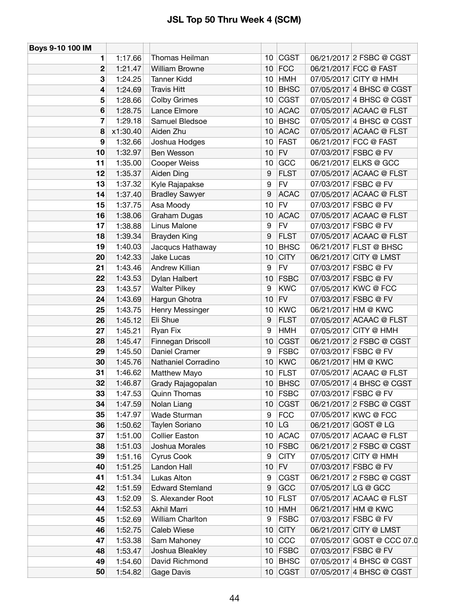| Boys 9-10 100 IM |          |                        |                 |             |                      |                            |
|------------------|----------|------------------------|-----------------|-------------|----------------------|----------------------------|
| 1                | 1:17.66  | Thomas Heilman         | 10              | <b>CGST</b> |                      | 06/21/2017 2 FSBC @ CGST   |
| 2                | 1:21.47  | <b>William Browne</b>  | 10              | <b>FCC</b>  |                      | 06/21/2017 FCC @ FAST      |
| 3                | 1:24.25  | <b>Tanner Kidd</b>     | 10              | <b>HMH</b>  |                      | 07/05/2017 CITY @ HMH      |
| 4                | 1:24.69  | <b>Travis Hitt</b>     | 10              | <b>BHSC</b> |                      | 07/05/2017 4 BHSC @ CGST   |
| 5                | 1:28.66  | <b>Colby Grimes</b>    | 10              | <b>CGST</b> |                      | 07/05/2017 4 BHSC @ CGST   |
| 6                | 1:28.75  | Lance Elmore           | 10              | <b>ACAC</b> |                      | 07/05/2017 ACAAC @ FLST    |
| 7                | 1:29.18  | Samuel Bledsoe         | 10              | <b>BHSC</b> |                      | 07/05/2017 4 BHSC @ CGST   |
| 8                | x1:30.40 | Aiden Zhu              | 10              | <b>ACAC</b> |                      | 07/05/2017 ACAAC @ FLST    |
| 9                | 1:32.66  | Joshua Hodges          | 10              | <b>FAST</b> |                      | 06/21/2017 FCC @ FAST      |
| 10               | 1:32.97  | Ben Wesson             | 10              | <b>FV</b>   | 07/03/2017 FSBC @ FV |                            |
| 11               | 1:35.00  | Cooper Weiss           | 10              | GCC         |                      | 06/21/2017 ELKS @ GCC      |
| 12               | 1:35.37  | Aiden Ding             | 9               | <b>FLST</b> |                      | 07/05/2017 ACAAC @ FLST    |
| 13               | 1:37.32  | Kyle Rajapakse         | 9               | <b>FV</b>   | 07/03/2017 FSBC @ FV |                            |
| 14               | 1:37.40  | <b>Bradley Sawyer</b>  | 9               | <b>ACAC</b> |                      | 07/05/2017 ACAAC @ FLST    |
| 15               | 1:37.75  | Asa Moody              | 10              | <b>FV</b>   | 07/03/2017 FSBC @ FV |                            |
| 16               | 1:38.06  | Graham Dugas           | 10              | <b>ACAC</b> |                      | 07/05/2017 ACAAC @ FLST    |
| 17               | 1:38.88  | Linus Malone           | 9               | <b>FV</b>   | 07/03/2017 FSBC @ FV |                            |
| 18               | 1:39.34  | <b>Brayden King</b>    | 9               | <b>FLST</b> |                      | 07/05/2017 ACAAC @ FLST    |
| 19               | 1:40.03  | Jacqucs Hathaway       | 10              | <b>BHSC</b> |                      | 06/21/2017 FLST @ BHSC     |
| 20               | 1:42.33  | Jake Lucas             | 10              | <b>CITY</b> |                      | 06/21/2017 CITY @ LMST     |
| 21               | 1:43.46  | Andrew Killian         | 9               | <b>FV</b>   | 07/03/2017 FSBC @ FV |                            |
| 22               | 1:43.53  | Dylan Halbert          | 10              | <b>FSBC</b> | 07/03/2017 FSBC @ FV |                            |
| 23               | 1:43.57  | <b>Walter Pilkey</b>   | 9               | <b>KWC</b>  |                      | 07/05/2017 KWC @ FCC       |
| 24               | 1:43.69  | Hargun Ghotra          | 10              | <b>FV</b>   | 07/03/2017 FSBC @ FV |                            |
| 25               | 1:43.75  | Henry Messinger        | 10              | <b>KWC</b>  | 06/21/2017 HM @ KWC  |                            |
| 26               | 1:45.12  | Eli Shue               | 9               | <b>FLST</b> |                      | 07/05/2017 ACAAC @ FLST    |
| 27               | 1:45.21  | Ryan Fix               | 9               | <b>HMH</b>  |                      | 07/05/2017 CITY @ HMH      |
| 28               | 1:45.47  | Finnegan Driscoll      | 10              | <b>CGST</b> |                      | 06/21/2017 2 FSBC @ CGST   |
| 29               | 1:45.50  | Daniel Cramer          | 9               | <b>FSBC</b> | 07/03/2017 FSBC @ FV |                            |
| 30               | 1:45.76  | Nathaniel Corradino    | 10              | <b>KWC</b>  | 06/21/2017 HM @ KWC  |                            |
| 31               | 1:46.62  | Matthew Mayo           | 10              | <b>FLST</b> |                      | 07/05/2017 ACAAC @ FLST    |
| 32               | 1:46.87  | Grady Rajagopalan      | 10 <sup>°</sup> | <b>BHSC</b> |                      | 07/05/2017 4 BHSC @ CGST   |
| 33               | 1:47.53  | <b>Quinn Thomas</b>    |                 | 10 FSBC     | 07/03/2017 FSBC @ FV |                            |
| 34               | 1:47.59  | Nolan Liang            | 10              | <b>CGST</b> |                      | 06/21/2017 2 FSBC @ CGST   |
| 35               | 1:47.97  | Wade Sturman           | 9               | <b>FCC</b>  |                      | 07/05/2017 KWC @ FCC       |
| 36               | 1:50.62  | Taylen Soriano         | 10              | <b>LG</b>   | 06/21/2017 GOST @ LG |                            |
| 37               | 1:51.00  | <b>Collier Easton</b>  | 10              | <b>ACAC</b> |                      | 07/05/2017 ACAAC @ FLST    |
| 38               | 1:51.03  | Joshua Morales         | 10              | <b>FSBC</b> |                      | 06/21/2017 2 FSBC @ CGST   |
| 39               | 1:51.16  | Cyrus Cook             | 9               | <b>CITY</b> |                      | 07/05/2017 CITY @ HMH      |
| 40               | 1:51.25  | Landon Hall            | 10              | <b>FV</b>   | 07/03/2017 FSBC @ FV |                            |
| 41               | 1:51.34  | Lukas Alton            | 9               | <b>CGST</b> |                      | 06/21/2017 2 FSBC @ CGST   |
| 42               | 1:51.59  | <b>Edward Stemland</b> | 9               | GCC         | 07/05/2017 LG @ GCC  |                            |
| 43               | 1:52.09  | S. Alexander Root      | 10              | <b>FLST</b> |                      | 07/05/2017 ACAAC @ FLST    |
| 44               | 1:52.53  | Akhil Marri            | 10              | <b>HMH</b>  | 06/21/2017 HM @ KWC  |                            |
| 45               | 1:52.69  | William Charlton       | 9               | <b>FSBC</b> | 07/03/2017 FSBC @ FV |                            |
| 46               | 1:52.75  | Caleb Wiese            | 10              | <b>CITY</b> |                      | 06/21/2017 CITY @ LMST     |
| 47               | 1:53.38  | Sam Mahoney            | 10              | CCC         |                      | 07/05/2017 GOST @ CCC 07.0 |
| 48               | 1:53.47  | Joshua Bleakley        | 10 <sup>1</sup> | <b>FSBC</b> | 07/03/2017 FSBC @ FV |                            |
| 49               | 1:54.60  | David Richmond         | 10 <sub>1</sub> | <b>BHSC</b> |                      | 07/05/2017 4 BHSC @ CGST   |
| 50               | 1:54.82  | Gage Davis             |                 | $10$ CGST   |                      | 07/05/2017 4 BHSC @ CGST   |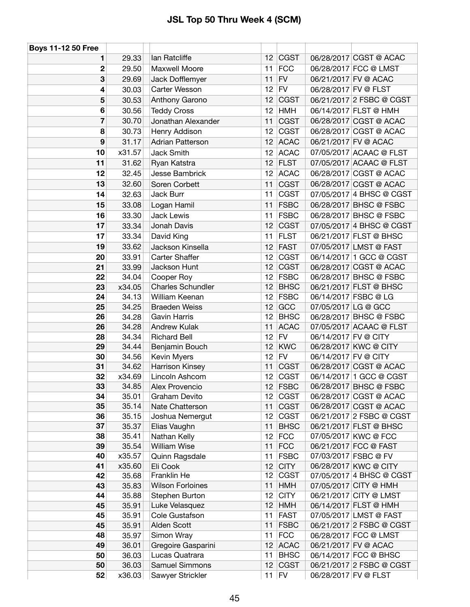| <b>Boys 11-12 50 Free</b> |                |                                 |                       |                            |                                                    |
|---------------------------|----------------|---------------------------------|-----------------------|----------------------------|----------------------------------------------------|
| 1                         | 29.33          | lan Ratcliffe                   | 12 <sup>°</sup>       | <b>CGST</b>                | 06/28/2017 CGST @ ACAC                             |
| $\mathbf{2}$              | 29.50          | Maxwell Moore                   | 11                    | <b>FCC</b>                 | 06/28/2017 FCC @ LMST                              |
| 3                         | 29.69          | Jack Dofflemyer                 | 11                    | <b>FV</b>                  | 06/21/2017 FV @ ACAC                               |
| 4                         | 30.03          | Carter Wesson                   | 12                    | <b>FV</b>                  | 06/28/2017 FV @ FLST                               |
| 5                         | 30.53          | Anthony Garono                  | 12                    | <b>CGST</b>                | 06/21/2017 2 FSBC @ CGST                           |
| 6                         | 30.56          | <b>Teddy Cross</b>              | 12                    | <b>HMH</b>                 | 06/14/2017 FLST @ HMH                              |
| 7                         | 30.70          | Jonathan Alexander              | 11                    | <b>CGST</b>                | 06/28/2017 CGST @ ACAC                             |
| 8                         | 30.73          | Henry Addison                   | 12                    | <b>CGST</b>                | 06/28/2017 CGST @ ACAC                             |
| 9                         | 31.17          | <b>Adrian Patterson</b>         |                       | $12$ ACAC                  | 06/21/2017 FV @ ACAC                               |
| 10                        | x31.57         | Jack Smith                      | 12                    | <b>ACAC</b>                | 07/05/2017 ACAAC @ FLST                            |
| 11                        | 31.62          | Ryan Katstra                    | 12                    | <b>FLST</b>                | 07/05/2017 ACAAC @ FLST                            |
| 12                        | 32.45          | Jesse Bambrick                  | 12                    | <b>ACAC</b>                | 06/28/2017 CGST @ ACAC                             |
| 13                        | 32.60          | Soren Corbett                   | 11                    | <b>CGST</b>                | 06/28/2017 CGST @ ACAC                             |
| 14                        | 32.63          | Jack Burr                       | 11                    | <b>CGST</b>                | 07/05/2017 4 BHSC @ CGST                           |
| 15                        | 33.08          | Logan Hamil                     | 11                    | <b>FSBC</b>                | 06/28/2017 BHSC @ FSBC                             |
| 16                        | 33.30          | Jack Lewis                      | 11                    | <b>FSBC</b>                | 06/28/2017 BHSC @ FSBC                             |
| 17                        | 33.34          | Jonah Davis                     | 12                    | <b>CGST</b>                | 07/05/2017 4 BHSC @ CGST                           |
| 17                        | 33.34          | David King                      | 11                    | <b>FLST</b>                | 06/21/2017 FLST @ BHSC                             |
| 19                        | 33.62          | Jackson Kinsella                | 12                    | <b>FAST</b>                | 07/05/2017 LMST @ FAST                             |
| 20                        | 33.91          | Carter Shaffer                  | 12                    | <b>CGST</b>                | 06/14/2017 1 GCC @ CGST                            |
| 21                        | 33.99          | Jackson Hunt                    | 12                    | <b>CGST</b>                | 06/28/2017 CGST @ ACAC                             |
| 22                        | 34.04          | Cooper Roy                      | 12                    | <b>FSBC</b>                | 06/28/2017 BHSC @ FSBC                             |
| 23                        | x34.05         | Charles Schundler               | 12                    | <b>BHSC</b>                | 06/21/2017 FLST @ BHSC                             |
| 24                        | 34.13          | William Keenan                  | 12 <sup>12</sup>      | <b>FSBC</b>                | 06/14/2017 FSBC @ LG                               |
| 25                        | 34.25          | <b>Braeden Weiss</b>            | 12                    | GCC                        | 07/05/2017 LG @ GCC                                |
| 26                        | 34.28          | <b>Gavin Harris</b>             | 12                    | <b>BHSC</b>                | 06/28/2017 BHSC @ FSBC                             |
| 26                        | 34.28          | <b>Andrew Kulak</b>             | 11                    | <b>ACAC</b>                | 07/05/2017 ACAAC @ FLST                            |
| 28                        | 34.34          | <b>Richard Bell</b>             | 12                    | <b>FV</b>                  | 06/14/2017 FV @ CITY                               |
| 29                        | 34.44          | Benjamin Bouch                  | 12                    | <b>KWC</b>                 | 06/28/2017 KWC @ CITY                              |
| 30                        | 34.56          | Kevin Myers                     | 12 <sub>2</sub>       | <b>FV</b>                  | 06/14/2017 FV @ CITY                               |
| 31                        | 34.62          | Harrison Kinsey                 | 11                    | <b>CGST</b>                | 06/28/2017 CGST @ ACAC                             |
| 32                        | x34.69         | Lincoln Ashcom                  | 12                    | <b>CGST</b>                | 06/14/2017 1 GCC @ CGST                            |
| 33                        | 34.85          | Alex Provencio                  |                       | 12 $ FSBC$                 | 06/28/2017 BHSC @ FSBC                             |
| 34                        | 35.01          | Graham Devito                   |                       | $12$ CGST                  | 06/28/2017 CGST @ ACAC                             |
| 35                        | 35.14          | Nate Chatterson                 | 11                    | <b>CGST</b>                | 06/28/2017 CGST @ ACAC                             |
| 36<br>37                  | 35.15<br>35.37 | Joshua Nemergut<br>Elias Vaughn | 12 <sub>1</sub><br>11 | <b>CGST</b><br><b>BHSC</b> | 06/21/2017 2 FSBC @ CGST<br>06/21/2017 FLST @ BHSC |
| 38                        | 35.41          | Nathan Kelly                    | 12                    | <b>FCC</b>                 | 07/05/2017 KWC @ FCC                               |
| 39                        | 35.54          | <b>William Wise</b>             | 11                    | <b>FCC</b>                 | 06/21/2017 FCC @ FAST                              |
| 40                        | x35.57         | Quinn Ragsdale                  | 11                    | <b>FSBC</b>                | 07/03/2017 FSBC @ FV                               |
| 41                        | x35.60         | Eli Cook                        | 12                    | <b>CITY</b>                | 06/28/2017 KWC @ CITY                              |
| 42                        | 35.68          | Franklin He                     | 12                    | <b>CGST</b>                | 07/05/2017 4 BHSC @ CGST                           |
| 43                        | 35.83          | <b>Wilson Forloines</b>         | 11                    | <b>HMH</b>                 | 07/05/2017 CITY @ HMH                              |
| 44                        | 35.88          | Stephen Burton                  | 12                    | <b>CITY</b>                | 06/21/2017 CITY @ LMST                             |
| 45                        | 35.91          | Luke Velasquez                  | 12                    | <b>HMH</b>                 | 06/14/2017 FLST @ HMH                              |
| 45                        | 35.91          | Cole Gustafson                  | 11                    | <b>FAST</b>                | 07/05/2017 LMST @ FAST                             |
| 45                        | 35.91          | Alden Scott                     | 11                    | <b>FSBC</b>                | 06/21/2017 2 FSBC @ CGST                           |
| 48                        | 35.97          | Simon Wray                      | 11                    | <b>FCC</b>                 | 06/28/2017 FCC @ LMST                              |
| 49                        | 36.01          | Gregoire Gasparini              | 12                    | <b>ACAC</b>                | 06/21/2017 FV @ ACAC                               |
| 50                        | 36.03          | Lucas Quatrara                  | 11                    | <b>BHSC</b>                | 06/14/2017 FCC @ BHSC                              |
| 50                        | 36.03          | Samuel Simmons                  | 12                    | <b>CGST</b>                | 06/21/2017 2 FSBC @ CGST                           |
| 52                        | x36.03         | Sawyer Strickler                |                       | $11$ FV                    | 06/28/2017 FV @ FLST                               |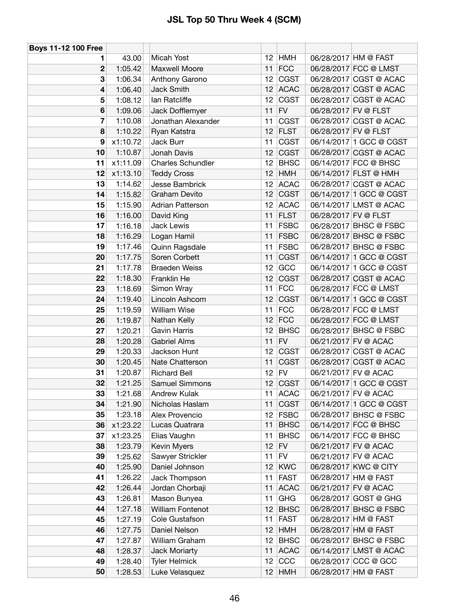| <b>Boys 11-12 100 Free</b> |          |                          |                 |             |                      |                         |
|----------------------------|----------|--------------------------|-----------------|-------------|----------------------|-------------------------|
| 1                          | 43.00    | Micah Yost               |                 | $12$ HMH    |                      | 06/28/2017 HM @ FAST    |
| $\mathbf 2$                | 1:05.42  | Maxwell Moore            | 11              | FCC         |                      | 06/28/2017 FCC @ LMST   |
| 3                          | 1:06.34  | Anthony Garono           | 12              | <b>CGST</b> |                      | 06/28/2017 CGST @ ACAC  |
| 4                          | 1:06.40  | Jack Smith               | 12              | <b>ACAC</b> |                      | 06/28/2017 CGST @ ACAC  |
| 5                          | 1:08.12  | lan Ratcliffe            | 12              | <b>CGST</b> |                      | 06/28/2017 CGST @ ACAC  |
| 6                          | 1:09.06  | Jack Dofflemyer          | 11              | <b>FV</b>   | 06/28/2017 FV @ FLST |                         |
| 7                          | 1:10.08  | Jonathan Alexander       | 11              | <b>CGST</b> |                      | 06/28/2017 CGST @ ACAC  |
| 8                          | 1:10.22  | Ryan Katstra             | 12              | <b>FLST</b> | 06/28/2017 FV @ FLST |                         |
| 9                          | x1:10.72 | Jack Burr                | 11              | <b>CGST</b> |                      | 06/14/2017 1 GCC @ CGST |
| 10                         | 1:10.87  | Jonah Davis              | 12              | <b>CGST</b> |                      | 06/28/2017 CGST @ ACAC  |
| 11                         | x1:11.09 | <b>Charles Schundler</b> | 12              | <b>BHSC</b> |                      | 06/14/2017 FCC @ BHSC   |
| 12                         | x1:13.10 | <b>Teddy Cross</b>       | 12              | <b>HMH</b>  |                      | 06/14/2017 FLST @ HMH   |
| 13                         | 1:14.62  | Jesse Bambrick           | 12              | <b>ACAC</b> |                      | 06/28/2017 CGST @ ACAC  |
| 14                         | 1:15.82  | Graham Devito            | 12              | <b>CGST</b> |                      | 06/14/2017 1 GCC @ CGST |
| 15                         | 1:15.90  | <b>Adrian Patterson</b>  | 12              | <b>ACAC</b> |                      | 06/14/2017 LMST @ ACAC  |
| 16                         | 1:16.00  | David King               | 11              | <b>FLST</b> | 06/28/2017 FV @ FLST |                         |
| 17                         | 1:16.18  | Jack Lewis               | 11              | <b>FSBC</b> |                      | 06/28/2017 BHSC @ FSBC  |
| 18                         | 1:16.29  | Logan Hamil              | 11              | <b>FSBC</b> |                      | 06/28/2017 BHSC @ FSBC  |
| 19                         | 1:17.46  | Quinn Ragsdale           | 11              | <b>FSBC</b> |                      | 06/28/2017 BHSC @ FSBC  |
| 20                         | 1:17.75  | Soren Corbett            | 11              | <b>CGST</b> |                      | 06/14/2017 1 GCC @ CGST |
| 21                         | 1:17.78  | <b>Braeden Weiss</b>     | 12              | GCC         |                      | 06/14/2017 1 GCC @ CGST |
| 22                         | 1:18.30  | Franklin He              | 12              | <b>CGST</b> |                      | 06/28/2017 CGST @ ACAC  |
| 23                         | 1:18.69  | Simon Wray               | 11              | FCC         |                      | 06/28/2017 FCC @ LMST   |
| 24                         | 1:19.40  | Lincoln Ashcom           | 12              | <b>CGST</b> |                      | 06/14/2017 1 GCC @ CGST |
| 25                         | 1:19.59  | William Wise             | 11              | <b>FCC</b>  |                      | 06/28/2017 FCC @ LMST   |
| 26                         | 1:19.87  | Nathan Kelly             | 12 <sub>2</sub> | FCC         |                      | 06/28/2017 FCC @ LMST   |
| 27                         | 1:20.21  | <b>Gavin Harris</b>      | 12              | <b>BHSC</b> |                      | 06/28/2017 BHSC @ FSBC  |
| 28                         | 1:20.28  | <b>Gabriel Alms</b>      | 11              | <b>FV</b>   |                      | 06/21/2017 FV @ ACAC    |
| 29                         | 1:20.33  | Jackson Hunt             | 12              | <b>CGST</b> |                      | 06/28/2017 CGST @ ACAC  |
| 30                         | 1:20.45  | Nate Chatterson          | 11              | <b>CGST</b> |                      | 06/28/2017 CGST @ ACAC  |
| 31                         | 1:20.87  | <b>Richard Bell</b>      | 12 <sup>°</sup> | FV          |                      | 06/21/2017 FV @ ACAC    |
| 32                         | 1:21.25  | Samuel Simmons           |                 | $12$ CGST   |                      | 06/14/2017 1 GCC @ CGST |
| 33                         | 1:21.68  | Andrew Kulak             | 11              | <b>ACAC</b> |                      | 06/21/2017 FV @ ACAC    |
| 34                         | 1:21.90  | Nicholas Haslam          | 11              | <b>CGST</b> |                      | 06/14/2017 1 GCC @ CGST |
| 35                         | 1:23.18  | Alex Provencio           |                 | $12$ FSBC   |                      | 06/28/2017 BHSC @ FSBC  |
| 36                         | x1:23.22 | Lucas Quatrara           | 11              | <b>BHSC</b> |                      | 06/14/2017 FCC @ BHSC   |
| 37                         | x1:23.25 | Elias Vaughn             | 11              | <b>BHSC</b> |                      | 06/14/2017 FCC @ BHSC   |
| 38                         | 1:23.79  | Kevin Myers              | 12              | FV          |                      | 06/21/2017 FV @ ACAC    |
| 39                         | 1:25.62  | Sawyer Strickler         | 11              | <b>FV</b>   |                      | 06/21/2017 FV @ ACAC    |
| 40                         | 1:25.90  | Daniel Johnson           | 12              | <b>KWC</b>  |                      | 06/28/2017 KWC @ CITY   |
| 41                         | 1:26.22  | Jack Thompson            | 11              | <b>FAST</b> |                      | 06/28/2017 HM @ FAST    |
| 42                         | 1:26.44  | Jordan Chorbaji          | 11              | <b>ACAC</b> |                      | 06/21/2017 FV @ ACAC    |
| 43                         | 1:26.81  | Mason Bunyea             | 11              | GHG         |                      | 06/28/2017 GOST @ GHG   |
| 44                         | 1:27.18  | <b>William Fontenot</b>  | 12              | <b>BHSC</b> |                      | 06/28/2017 BHSC @ FSBC  |
| 45                         | 1:27.19  | Cole Gustafson           | 11              | <b>FAST</b> |                      | 06/28/2017 HM @ FAST    |
| 46                         | 1:27.75  | Daniel Nelson            | 12              | <b>HMH</b>  |                      | 06/28/2017 HM @ FAST    |
| 47                         | 1:27.87  | William Graham           | 12              | <b>BHSC</b> |                      | 06/28/2017 BHSC @ FSBC  |
| 48                         | 1:28.37  | Jack Moriarty            | 11              | <b>ACAC</b> |                      | 06/14/2017 LMST @ ACAC  |
| 49                         | 1:28.40  | <b>Tyler Helmick</b>     | 12              | CCC         |                      | 06/28/2017 CCC @ GCC    |
| 50                         | 1:28.53  | Luke Velasquez           |                 | $12$ HMH    |                      | 06/28/2017 HM @ FAST    |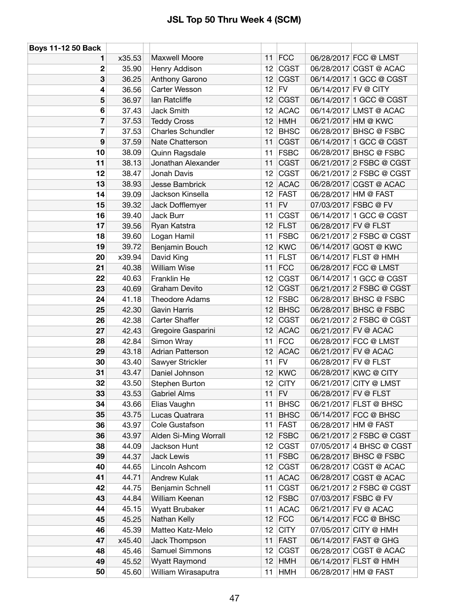| <b>Boys 11-12 50 Back</b> |        |                          |                 |             |                      |                          |
|---------------------------|--------|--------------------------|-----------------|-------------|----------------------|--------------------------|
| 1                         | x35.53 | Maxwell Moore            | 11              | FCC         |                      | 06/28/2017 FCC @ LMST    |
| 2                         | 35.90  | Henry Addison            | 12              | <b>CGST</b> |                      | 06/28/2017 CGST @ ACAC   |
| 3                         | 36.25  | Anthony Garono           | 12              | <b>CGST</b> |                      | 06/14/2017 1 GCC @ CGST  |
| 4                         | 36.56  | Carter Wesson            | 12 <sup>°</sup> | FV          | 06/14/2017 FV @ CITY |                          |
| 5                         | 36.97  | lan Ratcliffe            | 12              | <b>CGST</b> |                      | 06/14/2017 1 GCC @ CGST  |
| 6                         | 37.43  | Jack Smith               | 12              | <b>ACAC</b> |                      | 06/14/2017 LMST @ ACAC   |
| 7                         | 37.53  | <b>Teddy Cross</b>       | 12              | <b>HMH</b>  |                      | 06/21/2017 HM @ KWC      |
| 7                         | 37.53  | <b>Charles Schundler</b> | 12 <sup>°</sup> | <b>BHSC</b> |                      | 06/28/2017 BHSC @ FSBC   |
| 9                         | 37.59  | Nate Chatterson          | 11              | <b>CGST</b> |                      | 06/14/2017 1 GCC @ CGST  |
| 10                        | 38.09  | Quinn Ragsdale           | 11              | <b>FSBC</b> |                      | 06/28/2017 BHSC @ FSBC   |
| 11                        | 38.13  | Jonathan Alexander       | 11              | <b>CGST</b> |                      | 06/21/2017 2 FSBC @ CGST |
| 12                        | 38.47  | Jonah Davis              | 12              | <b>CGST</b> |                      | 06/21/2017 2 FSBC @ CGST |
| 13                        | 38.93  | Jesse Bambrick           | 12              | <b>ACAC</b> |                      | 06/28/2017 CGST @ ACAC   |
| 14                        | 39.09  | Jackson Kinsella         | 12              | <b>FAST</b> |                      | 06/28/2017 HM @ FAST     |
| 15                        | 39.32  | Jack Dofflemyer          | 11              | FV          |                      | 07/03/2017 FSBC @ FV     |
| 16                        | 39.40  | Jack Burr                | 11              | <b>CGST</b> |                      | 06/14/2017 1 GCC @ CGST  |
| 17                        | 39.56  | Ryan Katstra             | 12              | <b>FLST</b> | 06/28/2017 FV @ FLST |                          |
| 18                        | 39.60  | Logan Hamil              | 11              | <b>FSBC</b> |                      | 06/21/2017 2 FSBC @ CGST |
| 19                        | 39.72  | Benjamin Bouch           | 12              | <b>KWC</b>  |                      | 06/14/2017 GOST @ KWC    |
| 20                        | x39.94 | David King               | 11              | <b>FLST</b> |                      | 06/14/2017 FLST @ HMH    |
| 21                        | 40.38  | <b>William Wise</b>      | 11              | FCC         |                      | 06/28/2017 FCC @ LMST    |
| 22                        | 40.63  | Franklin He              | 12              | <b>CGST</b> |                      | 06/14/2017 1 GCC @ CGST  |
| 23                        | 40.69  | Graham Devito            | 12              | <b>CGST</b> |                      | 06/21/2017 2 FSBC @ CGST |
| 24                        | 41.18  | <b>Theodore Adams</b>    | 12 <sup>°</sup> | <b>FSBC</b> |                      | 06/28/2017 BHSC @ FSBC   |
| 25                        | 42.30  | <b>Gavin Harris</b>      | 12              | <b>BHSC</b> |                      | 06/28/2017 BHSC @ FSBC   |
| 26                        | 42.38  | <b>Carter Shaffer</b>    | 12              | <b>CGST</b> |                      | 06/21/2017 2 FSBC @ CGST |
| 27                        | 42.43  | Gregoire Gasparini       | 12              | <b>ACAC</b> |                      | 06/21/2017 FV @ ACAC     |
| 28                        | 42.84  | Simon Wray               | 11              | <b>FCC</b>  |                      | 06/28/2017 FCC @ LMST    |
| 29                        | 43.18  | <b>Adrian Patterson</b>  | 12              | <b>ACAC</b> |                      | 06/21/2017 FV @ ACAC     |
| 30                        | 43.40  | Sawyer Strickler         | 11              | FV          | 06/28/2017 FV @ FLST |                          |
| 31                        | 43.47  | Daniel Johnson           | 12              | <b>KWC</b>  |                      | 06/28/2017 KWC @ CITY    |
| 32                        | 43.50  | Stephen Burton           | 12 <sub>2</sub> | <b>CITY</b> |                      | 06/21/2017 CITY @ LMST   |
| 33                        | 43.53  | <b>Gabriel Alms</b>      | 11              | FV          | 06/28/2017 FV @ FLST |                          |
| 34                        | 43.66  | Elias Vaughn             | 11              | <b>BHSC</b> |                      | 06/21/2017 FLST @ BHSC   |
| 35                        | 43.75  | Lucas Quatrara           | 11              | <b>BHSC</b> |                      | 06/14/2017 FCC @ BHSC    |
| 36                        | 43.97  | Cole Gustafson           | 11              | <b>FAST</b> |                      | 06/28/2017 HM @ FAST     |
| 36                        | 43.97  | Alden Si-Ming Worrall    | 12              | <b>FSBC</b> |                      | 06/21/2017 2 FSBC @ CGST |
| 38                        | 44.09  | Jackson Hunt             | 12              | <b>CGST</b> |                      | 07/05/2017 4 BHSC @ CGST |
| 39                        | 44.37  | Jack Lewis               | 11              | <b>FSBC</b> |                      | 06/28/2017 BHSC @ FSBC   |
| 40                        | 44.65  | Lincoln Ashcom           | 12 <sup>°</sup> | <b>CGST</b> |                      | 06/28/2017 CGST @ ACAC   |
| 41                        | 44.71  | Andrew Kulak             | 11              | <b>ACAC</b> |                      | 06/28/2017 CGST @ ACAC   |
| 42                        | 44.75  | Benjamin Schnell         | 11              | <b>CGST</b> |                      | 06/21/2017 2 FSBC @ CGST |
| 43                        | 44.84  | William Keenan           | 12              | <b>FSBC</b> |                      | 07/03/2017 FSBC @ FV     |
| 44                        | 45.15  | Wyatt Brubaker           | 11              | <b>ACAC</b> |                      | 06/21/2017 FV @ ACAC     |
| 45                        | 45.25  | Nathan Kelly             | 12              | <b>FCC</b>  |                      | 06/14/2017 FCC @ BHSC    |
| 46                        | 45.39  | Matteo Katz-Melo         | 12              | <b>CITY</b> |                      | 07/05/2017 CITY @ HMH    |
| 47                        | x45.40 | Jack Thompson            | 11              | <b>FAST</b> |                      | 06/14/2017 FAST @ GHG    |
| 48                        | 45.46  | <b>Samuel Simmons</b>    | 12              | <b>CGST</b> |                      | 06/28/2017 CGST @ ACAC   |
| 49                        | 45.52  | Wyatt Raymond            | 12              | <b>HMH</b>  |                      | 06/14/2017 FLST @ HMH    |
| 50                        | 45.60  | William Wirasaputra      | 11              | <b>HMH</b>  |                      | 06/28/2017 HM @ FAST     |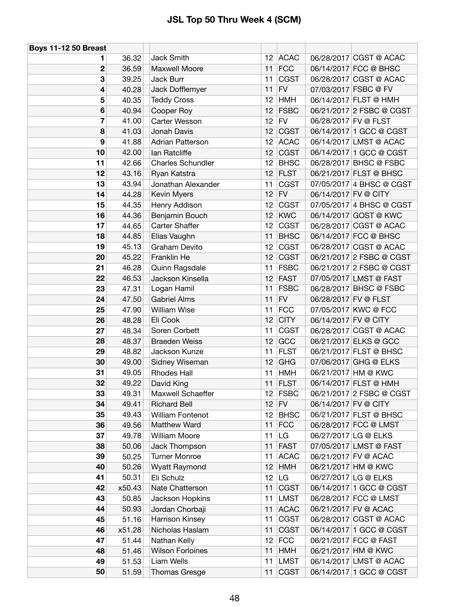| <b>Boys 11-12 50 Breast</b> |        |                          |                 |             |                      |                          |
|-----------------------------|--------|--------------------------|-----------------|-------------|----------------------|--------------------------|
| 1.                          | 36.32  | <b>Jack Smith</b>        | 12 <sup>°</sup> | <b>ACAC</b> |                      | 06/28/2017 CGST @ ACAC   |
| 2                           | 36.59  | Maxwell Moore            | 11              | <b>FCC</b>  |                      | 06/14/2017 FCC @ BHSC    |
| 3                           | 39.25  | Jack Burr                | 11              | <b>CGST</b> |                      | 06/28/2017 CGST @ ACAC   |
| 4                           | 40.28  | Jack Dofflemyer          | 11              | <b>FV</b>   |                      | 07/03/2017 FSBC @ FV     |
| 5                           | 40.35  | <b>Teddy Cross</b>       | 12              | <b>HMH</b>  |                      | 06/14/2017 FLST @ HMH    |
| 6                           | 40.94  | Cooper Roy               | 12              | <b>FSBC</b> |                      | 06/21/2017 2 FSBC @ CGST |
| 7                           | 41.00  | Carter Wesson            | 12              | <b>FV</b>   | 06/28/2017 FV @ FLST |                          |
| 8                           | 41.03  | Jonah Davis              | 12              | <b>CGST</b> |                      | 06/14/2017 1 GCC @ CGST  |
| 9                           | 41.88  | <b>Adrian Patterson</b>  | 12              | <b>ACAC</b> |                      | 06/14/2017 LMST @ ACAC   |
| 10                          | 42.00  | lan Ratcliffe            | 12              | <b>CGST</b> |                      | 06/14/2017 1 GCC @ CGST  |
| 11                          | 42.66  | <b>Charles Schundler</b> | 12              | <b>BHSC</b> |                      | 06/28/2017 BHSC @ FSBC   |
| 12                          | 43.16  | Ryan Katstra             | 12              | <b>FLST</b> |                      | 06/21/2017 FLST @ BHSC   |
| 13                          | 43.94  | Jonathan Alexander       | 11              | <b>CGST</b> |                      | 07/05/2017 4 BHSC @ CGST |
| 14                          | 44.28  | Kevin Myers              | 12              | <b>FV</b>   | 06/14/2017 FV @ CITY |                          |
| 15                          | 44.35  | Henry Addison            | 12              | <b>CGST</b> |                      | 07/05/2017 4 BHSC @ CGST |
| 16                          | 44.36  | Benjamin Bouch           | 12              | <b>KWC</b>  |                      | 06/14/2017 GOST @ KWC    |
| 17                          | 44.65  | <b>Carter Shaffer</b>    | 12              | <b>CGST</b> |                      | 06/28/2017 CGST @ ACAC   |
| 18                          | 44.85  | Elias Vaughn             | 11              | <b>BHSC</b> |                      | 06/14/2017 FCC @ BHSC    |
| 19                          | 45.13  | Graham Devito            | 12              | <b>CGST</b> |                      | 06/28/2017 CGST @ ACAC   |
| 20                          | 45.22  | Franklin He              | 12              | <b>CGST</b> |                      | 06/21/2017 2 FSBC @ CGST |
| 21                          | 46.28  | Quinn Ragsdale           | 11              | <b>FSBC</b> |                      | 06/21/2017 2 FSBC @ CGST |
| 22                          | 46.53  | Jackson Kinsella         | 12              | <b>FAST</b> |                      | 07/05/2017 LMST @ FAST   |
| 23                          | 47.31  | Logan Hamil              | 11              | <b>FSBC</b> |                      | 06/28/2017 BHSC @ FSBC   |
| 24                          | 47.50  | <b>Gabriel Alms</b>      | 11              | <b>FV</b>   | 06/28/2017 FV @ FLST |                          |
| 25                          | 47.90  | <b>William Wise</b>      | 11              | <b>FCC</b>  |                      | 07/05/2017 KWC @ FCC     |
| 26                          | 48.28  | Eli Cook                 | 12              | <b>CITY</b> | 06/14/2017 FV @ CITY |                          |
| 27                          | 48.34  | Soren Corbett            | 11              | <b>CGST</b> |                      | 06/28/2017 CGST @ ACAC   |
| 28                          | 48.37  | <b>Braeden Weiss</b>     | 12              | GCC         |                      | 06/21/2017 ELKS @ GCC    |
| 29                          | 48.82  | Jackson Kunze            | 11              | <b>FLST</b> |                      | 06/21/2017 FLST @ BHSC   |
| 30                          | 49.00  | Sidney Wiseman           | 12              | <b>GHG</b>  |                      | 07/06/2017 GHG @ ELKS    |
| 31                          | 49.05  | <b>Rhodes Hall</b>       | 11              | <b>HMH</b>  |                      | 06/21/2017 HM @ KWC      |
| 32                          | 49.22  | David King               | 11              | <b>FLST</b> |                      | 06/14/2017 FLST @ HMH    |
| 33                          | 49.31  | Maxwell Schaeffer        |                 | 12 FSBC     |                      | 06/21/2017 2 FSBC @ CGST |
| 34                          | 49.41  | <b>Richard Bell</b>      | 12              | FV          | 06/14/2017 FV @ CITY |                          |
| 35                          | 49.43  | <b>William Fontenot</b>  | 12              | <b>BHSC</b> |                      | 06/21/2017 FLST @ BHSC   |
| 36                          | 49.56  | Matthew Ward             | 11              | <b>FCC</b>  |                      | 06/28/2017 FCC @ LMST    |
| 37                          | 49.78  | <b>William Moore</b>     | 11              | LG          |                      | 06/27/2017 LG @ ELKS     |
| 38                          | 50.06  | Jack Thompson            | 11              | <b>FAST</b> |                      | 07/05/2017 LMST @ FAST   |
| 39                          | 50.25  | <b>Turner Monroe</b>     | 11              | <b>ACAC</b> |                      | 06/21/2017 FV @ ACAC     |
| 40                          | 50.26  | Wyatt Raymond            | 12              | HMH         |                      | 06/21/2017 HM @ KWC      |
| 41                          | 50.31  | Eli Schulz               | 12              | LG          |                      | 06/27/2017 LG @ ELKS     |
| 42                          | x50.43 | Nate Chatterson          | 11              | <b>CGST</b> |                      | 06/14/2017 1 GCC @ CGST  |
| 43                          | 50.85  | Jackson Hopkins          | 11              | <b>LMST</b> |                      | 06/28/2017 FCC @ LMST    |
| 44                          | 50.93  | Jordan Chorbaji          | 11              | <b>ACAC</b> |                      | 06/21/2017 FV @ ACAC     |
| 45                          | 51.16  | Harrison Kinsey          | 11              | <b>CGST</b> |                      | 06/28/2017 CGST @ ACAC   |
| 46                          | x51.28 | Nicholas Haslam          | 11              | <b>CGST</b> |                      | 06/14/2017 1 GCC @ CGST  |
| 47                          | 51.44  | Nathan Kelly             | 12              | <b>FCC</b>  |                      | 06/21/2017 FCC @ FAST    |
| 48                          | 51.46  | <b>Wilson Forloines</b>  | 11              | <b>HMH</b>  |                      | 06/21/2017 HM @ KWC      |
| 49                          | 51.53  | Liam Wells               | 11              | <b>LMST</b> |                      | 06/14/2017 LMST @ ACAC   |
| 50                          | 51.59  | <b>Thomas Gresge</b>     | 11              | <b>CGST</b> |                      | 06/14/2017 1 GCC @ CGST  |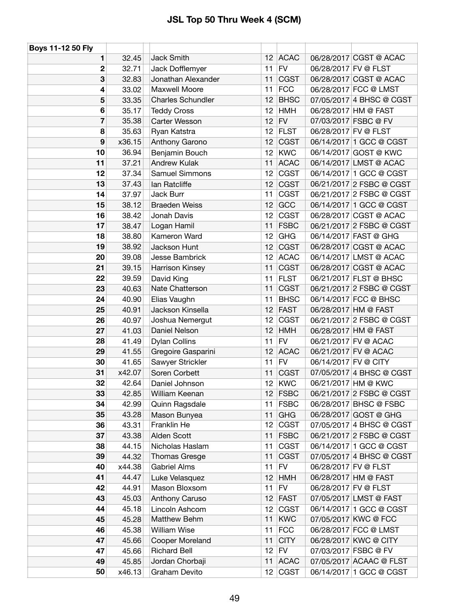| Boys 11-12 50 Fly |        |                          |                 |             |                      |                          |
|-------------------|--------|--------------------------|-----------------|-------------|----------------------|--------------------------|
| 1                 | 32.45  | Jack Smith               |                 | 12 ACAC     |                      | 06/28/2017 CGST @ ACAC   |
| 2                 | 32.71  | Jack Dofflemyer          | 11              | FV          | 06/28/2017 FV @ FLST |                          |
| 3                 | 32.83  | Jonathan Alexander       | 11              | <b>CGST</b> |                      | 06/28/2017 CGST @ ACAC   |
| 4                 | 33.02  | Maxwell Moore            | 11              | FCC         |                      | 06/28/2017 FCC @ LMST    |
| 5                 | 33.35  | <b>Charles Schundler</b> | 12              | <b>BHSC</b> |                      | 07/05/2017 4 BHSC @ CGST |
| 6                 | 35.17  | <b>Teddy Cross</b>       | 12              | <b>HMH</b>  |                      | 06/28/2017 HM @ FAST     |
| 7                 | 35.38  | Carter Wesson            | 12              | FV          |                      | 07/03/2017 FSBC @ FV     |
| 8                 | 35.63  | Ryan Katstra             | 12              | <b>FLST</b> |                      | 06/28/2017 FV @ FLST     |
| 9                 | x36.15 | Anthony Garono           | 12              | <b>CGST</b> |                      | 06/14/2017 1 GCC @ CGST  |
| 10                | 36.94  | Benjamin Bouch           | 12              | <b>KWC</b>  |                      | 06/14/2017 GOST @ KWC    |
| 11                | 37.21  | Andrew Kulak             | 11              | <b>ACAC</b> |                      | 06/14/2017 LMST @ ACAC   |
| 12                | 37.34  | <b>Samuel Simmons</b>    | 12              | <b>CGST</b> |                      | 06/14/2017 1 GCC @ CGST  |
| 13                | 37.43  | lan Ratcliffe            | 12              | <b>CGST</b> |                      | 06/21/2017 2 FSBC @ CGST |
| 14                | 37.97  | Jack Burr                | 11              | <b>CGST</b> |                      | 06/21/2017 2 FSBC @ CGST |
| 15                | 38.12  | <b>Braeden Weiss</b>     | 12              | GCC         |                      | 06/14/2017 1 GCC @ CGST  |
| 16                | 38.42  | Jonah Davis              | 12              | CGST        |                      | 06/28/2017 CGST @ ACAC   |
| 17                | 38.47  | Logan Hamil              | 11              | <b>FSBC</b> |                      | 06/21/2017 2 FSBC @ CGST |
| 18                | 38.80  | Kameron Ward             | 12              | <b>GHG</b>  |                      | 06/14/2017 FAST @ GHG    |
| 19                | 38.92  | Jackson Hunt             | 12              | <b>CGST</b> |                      | 06/28/2017 CGST @ ACAC   |
| 20                | 39.08  | Jesse Bambrick           | 12              | <b>ACAC</b> |                      | 06/14/2017 LMST @ ACAC   |
| 21                | 39.15  | Harrison Kinsey          | 11              | <b>CGST</b> |                      | 06/28/2017 CGST @ ACAC   |
| 22                | 39.59  | David King               | 11              | <b>FLST</b> |                      | 06/21/2017 FLST @ BHSC   |
| 23                | 40.63  | Nate Chatterson          | 11              | <b>CGST</b> |                      | 06/21/2017 2 FSBC @ CGST |
| 24                | 40.90  | Elias Vaughn             | 11              | <b>BHSC</b> |                      | 06/14/2017 FCC @ BHSC    |
| 25                | 40.91  | Jackson Kinsella         | 12              | <b>FAST</b> |                      | 06/28/2017 HM @ FAST     |
| 26                | 40.97  | Joshua Nemergut          | 12              | <b>CGST</b> |                      | 06/21/2017 2 FSBC @ CGST |
| 27                | 41.03  | Daniel Nelson            | 12              | <b>HMH</b>  |                      | 06/28/2017 HM @ FAST     |
| 28                | 41.49  | <b>Dylan Collins</b>     | 11              | <b>FV</b>   |                      | 06/21/2017 FV @ ACAC     |
| 29                | 41.55  | Gregoire Gasparini       | 12              | <b>ACAC</b> |                      | 06/21/2017 FV @ ACAC     |
| 30                | 41.65  | Sawyer Strickler         | 11              | FV          | 06/14/2017 FV @ CITY |                          |
| 31                | x42.07 | Soren Corbett            | 11              | <b>CGST</b> |                      | 07/05/2017 4 BHSC @ CGST |
| 32                | 42.64  | Daniel Johnson           | 12              | <b>KWC</b>  |                      | 06/21/2017 HM @ KWC      |
| 33                | 42.85  | William Keenan           |                 | 12 FSBC     |                      | 06/21/2017 2 FSBC @ CGST |
| 34                | 42.99  | Quinn Ragsdale           | 11              | <b>FSBC</b> |                      | 06/28/2017 BHSC @ FSBC   |
| 35                | 43.28  | Mason Bunyea             | 11              | <b>GHG</b>  |                      | 06/28/2017 GOST @ GHG    |
| 36                | 43.31  | Franklin He              | 12              | <b>CGST</b> |                      | 07/05/2017 4 BHSC @ CGST |
| 37                | 43.38  | Alden Scott              | 11              | <b>FSBC</b> |                      | 06/21/2017 2 FSBC @ CGST |
| 38                | 44.15  | Nicholas Haslam          | 11              | <b>CGST</b> |                      | 06/14/2017 1 GCC @ CGST  |
| 39                | 44.32  | Thomas Gresge            | 11              | <b>CGST</b> |                      | 07/05/2017 4 BHSC @ CGST |
| 40                | x44.38 | <b>Gabriel Alms</b>      | 11              | <b>FV</b>   |                      | 06/28/2017 FV @ FLST     |
| 41                | 44.47  | Luke Velasquez           | 12              | <b>HMH</b>  |                      | 06/28/2017 HM @ FAST     |
| 42                | 44.91  | Mason Bloxsom            | 11              | <b>FV</b>   |                      | 06/28/2017 FV @ FLST     |
| 43                | 45.03  | Anthony Caruso           | 12              | FAST        |                      | 07/05/2017 LMST @ FAST   |
| 44                | 45.18  | Lincoln Ashcom           | 12              | <b>CGST</b> |                      | 06/14/2017 1 GCC @ CGST  |
| 45                | 45.28  | Matthew Behm             | 11              | <b>KWC</b>  |                      | 07/05/2017 KWC @ FCC     |
| 46                | 45.38  | <b>William Wise</b>      | 11              | FCC         |                      | 06/28/2017 FCC @ LMST    |
| 47                | 45.66  | Cooper Moreland          | 11              | <b>CITY</b> |                      | 06/28/2017 KWC @ CITY    |
| 47                | 45.66  | <b>Richard Bell</b>      |                 | $12$ FV     |                      | 07/03/2017 FSBC @ FV     |
| 49                | 45.85  | Jordan Chorbaji          | 11              | <b>ACAC</b> |                      | 07/05/2017 ACAAC @ FLST  |
| 50                | x46.13 | Graham Devito            | 12 <sub>2</sub> | <b>CGST</b> |                      | 06/14/2017 1 GCC @ CGST  |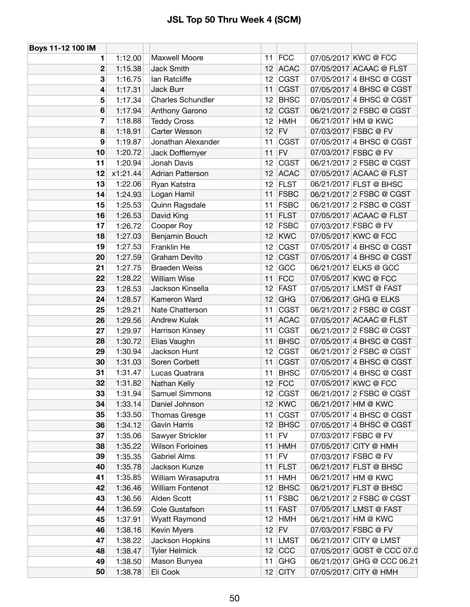| Boys 11-12 100 IM |          |                          |                 |             |                            |
|-------------------|----------|--------------------------|-----------------|-------------|----------------------------|
| 1                 | 1:12.00  | Maxwell Moore            | 11 <sup>1</sup> | <b>FCC</b>  | 07/05/2017 KWC @ FCC       |
| $\mathbf 2$       | 1:15.38  | <b>Jack Smith</b>        |                 | 12 ACAC     | 07/05/2017 ACAAC @ FLST    |
| 3                 | 1:16.75  | lan Ratcliffe            | 12 <sub>2</sub> | <b>CGST</b> | 07/05/2017 4 BHSC @ CGST   |
| 4                 | 1:17.31  | Jack Burr                | 11              | <b>CGST</b> | 07/05/2017 4 BHSC @ CGST   |
| 5                 | 1:17.34  | <b>Charles Schundler</b> | 12 <sub>2</sub> | <b>BHSC</b> | 07/05/2017 4 BHSC @ CGST   |
| 6                 | 1:17.94  | Anthony Garono           | 12              | <b>CGST</b> | 06/21/2017 2 FSBC @ CGST   |
| 7                 | 1:18.88  | <b>Teddy Cross</b>       | 12              | <b>HMH</b>  | 06/21/2017 HM @ KWC        |
| 8                 | 1:18.91  | Carter Wesson            | 12              | <b>FV</b>   | 07/03/2017 FSBC @ FV       |
| 9                 | 1:19.87  | Jonathan Alexander       | 11              | <b>CGST</b> | 07/05/2017 4 BHSC @ CGST   |
| 10                | 1:20.72  | Jack Dofflemyer          | 11              | <b>FV</b>   | 07/03/2017 FSBC @ FV       |
| 11                | 1:20.94  | Jonah Davis              | 12              | <b>CGST</b> | 06/21/2017 2 FSBC @ CGST   |
| 12                | x1:21.44 | <b>Adrian Patterson</b>  | 12              | <b>ACAC</b> | 07/05/2017 ACAAC @ FLST    |
| 13                | 1:22.06  | Ryan Katstra             | 12              | <b>FLST</b> | 06/21/2017 FLST @ BHSC     |
| 14                | 1:24.93  | Logan Hamil              | 11              | <b>FSBC</b> | 06/21/2017 2 FSBC @ CGST   |
| 15                | 1:25.53  | Quinn Ragsdale           | 11              | <b>FSBC</b> | 06/21/2017 2 FSBC @ CGST   |
| 16                | 1:26.53  | David King               | 11              | <b>FLST</b> | 07/05/2017 ACAAC @ FLST    |
| 17                | 1:26.72  | Cooper Roy               | 12              | <b>FSBC</b> | 07/03/2017 FSBC @ FV       |
| 18                | 1:27.03  | Benjamin Bouch           | 12              | <b>KWC</b>  | 07/05/2017 KWC @ FCC       |
| 19                | 1:27.53  | Franklin He              | 12              | <b>CGST</b> | 07/05/2017 4 BHSC @ CGST   |
| 20                | 1:27.59  | Graham Devito            | 12              | <b>CGST</b> | 07/05/2017 4 BHSC @ CGST   |
| 21                | 1:27.75  | <b>Braeden Weiss</b>     | 12 <sub>2</sub> | GCC         | 06/21/2017 ELKS @ GCC      |
| 22                | 1:28.22  | <b>William Wise</b>      | 11              | <b>FCC</b>  | 07/05/2017 KWC @ FCC       |
| 23                | 1:28.53  | Jackson Kinsella         | 12 <sub>2</sub> | <b>FAST</b> | 07/05/2017 LMST @ FAST     |
| 24                | 1:28.57  | Kameron Ward             | 12              | <b>GHG</b>  | 07/06/2017 GHG @ ELKS      |
| 25                | 1:29.21  | Nate Chatterson          | 11              | <b>CGST</b> | 06/21/2017 2 FSBC @ CGST   |
| 26                | 1:29.56  | Andrew Kulak             | 11              | <b>ACAC</b> | 07/05/2017 ACAAC @ FLST    |
| 27                | 1:29.97  | Harrison Kinsey          | 11              | <b>CGST</b> | 06/21/2017 2 FSBC @ CGST   |
| 28                | 1:30.72  | Elias Vaughn             | 11              | <b>BHSC</b> | 07/05/2017 4 BHSC @ CGST   |
| 29                | 1:30.94  | Jackson Hunt             | 12              | <b>CGST</b> | 06/21/2017 2 FSBC @ CGST   |
| 30                | 1:31.03  | Soren Corbett            | 11              | <b>CGST</b> | 07/05/2017 4 BHSC @ CGST   |
| 31                | 1:31.47  | Lucas Quatrara           | 11              | <b>BHSC</b> | 07/05/2017 4 BHSC @ CGST   |
| 32                | 1:31.82  | Nathan Kelly             | 12              | <b>FCC</b>  | 07/05/2017 KWC @ FCC       |
| 33                | 1:31.94  | Samuel Simmons           | 12 <sup>1</sup> | <b>CGST</b> | 06/21/2017 2 FSBC @ CGST   |
| 34                | 1:33.14  | Daniel Johnson           | 12              | <b>KWC</b>  | 06/21/2017 HM @ KWC        |
| 35                | 1:33.50  | Thomas Gresge            | 11              | <b>CGST</b> | 07/05/2017 4 BHSC @ CGST   |
| 36                | 1:34.12  | Gavin Harris             | 12              | <b>BHSC</b> | 07/05/2017 4 BHSC @ CGST   |
| 37                | 1:35.06  | Sawyer Strickler         | 11              | <b>FV</b>   | 07/03/2017 FSBC @ FV       |
| 38                | 1:35.22  | <b>Wilson Forloines</b>  | 11              | <b>HMH</b>  | 07/05/2017 CITY @ HMH      |
| 39                | 1:35.35  | <b>Gabriel Alms</b>      | 11              | <b>FV</b>   | 07/03/2017 FSBC @ FV       |
| 40                | 1:35.78  | Jackson Kunze            | 11              | <b>FLST</b> | 06/21/2017 FLST @ BHSC     |
| 41                | 1:35.85  | William Wirasaputra      | 11              | <b>HMH</b>  | 06/21/2017 HM @ KWC        |
| 42                | 1:36.46  | William Fontenot         | 12              | <b>BHSC</b> | 06/21/2017 FLST @ BHSC     |
| 43                | 1:36.56  | Alden Scott              | 11              | <b>FSBC</b> | 06/21/2017 2 FSBC @ CGST   |
| 44                | 1:36.59  | Cole Gustafson           | 11              | <b>FAST</b> | 07/05/2017 LMST @ FAST     |
| 45                | 1:37.91  | Wyatt Raymond            | 12              | <b>HMH</b>  | 06/21/2017 HM @ KWC        |
| 46                | 1:38.16  | Kevin Myers              | 12              | <b>FV</b>   | 07/03/2017 FSBC @ FV       |
| 47                | 1:38.22  | Jackson Hopkins          | 11              | <b>LMST</b> | 06/21/2017 CITY @ LMST     |
| 48                | 1:38.47  | <b>Tyler Helmick</b>     | 12              | CCC         | 07/05/2017 GOST @ CCC 07.0 |
| 49                | 1:38.50  | Mason Bunyea             | 11              | <b>GHG</b>  | 06/21/2017 GHG @ CCC 06.21 |
| 50                | 1:38.78  | Eli Cook                 |                 | $12$ CITY   | 07/05/2017 CITY @ HMH      |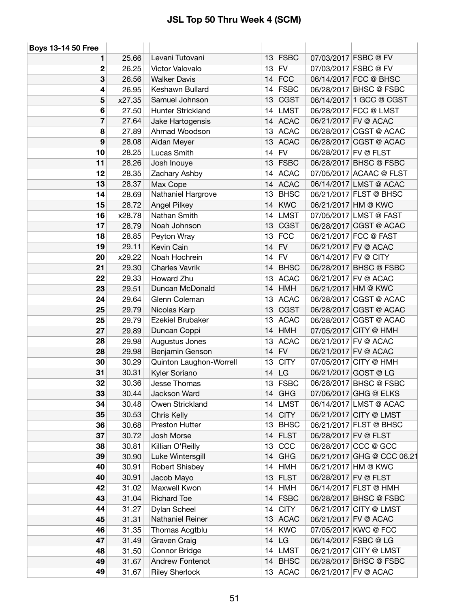| <b>Boys 13-14 50 Free</b> |        |                         |    |             |                      |                            |
|---------------------------|--------|-------------------------|----|-------------|----------------------|----------------------------|
| 1                         | 25.66  | Levani Tutovani         |    | $13$ FSBC   |                      | 07/03/2017 FSBC @ FV       |
| $\mathbf 2$               | 26.25  | Victor Valovalo         |    | $13$ FV     |                      | 07/03/2017 FSBC @ FV       |
| 3                         | 26.56  | <b>Walker Davis</b>     |    | $14$ FCC    |                      | 06/14/2017 FCC @ BHSC      |
| 4                         | 26.95  | Keshawn Bullard         | 14 | <b>FSBC</b> |                      | 06/28/2017 BHSC @ FSBC     |
| 5                         | x27.35 | Samuel Johnson          | 13 | <b>CGST</b> |                      | 06/14/2017 1 GCC @ CGST    |
| 6                         | 27.50  | Hunter Strickland       | 14 | <b>LMST</b> |                      | 06/28/2017 FCC @ LMST      |
| 7                         | 27.64  | Jake Hartogensis        |    | 14 ACAC     |                      | 06/21/2017 FV @ ACAC       |
| 8                         | 27.89  | Ahmad Woodson           |    | 13 ACAC     |                      | 06/28/2017 CGST @ ACAC     |
| $\boldsymbol{9}$          | 28.08  | Aidan Meyer             |    | 13 ACAC     |                      | 06/28/2017 CGST @ ACAC     |
| 10                        | 28.25  | Lucas Smith             |    | $14$ FV     | 06/28/2017 FV @ FLST |                            |
| 11                        | 28.26  | Josh Inouye             |    | $13$ FSBC   |                      | 06/28/2017 BHSC @ FSBC     |
| 12                        | 28.35  | <b>Zachary Ashby</b>    | 14 | <b>ACAC</b> |                      | 07/05/2017 ACAAC @ FLST    |
| 13                        | 28.37  | Max Cope                |    | 14 ACAC     |                      | 06/14/2017 LMST @ ACAC     |
| 14                        | 28.69  | Nathaniel Hargrove      | 13 | <b>BHSC</b> |                      | 06/21/2017 FLST @ BHSC     |
| 15                        | 28.72  | <b>Angel Pilkey</b>     | 14 | <b>KWC</b>  |                      | 06/21/2017 HM @ KWC        |
| 16                        | x28.78 | Nathan Smith            | 14 | <b>LMST</b> |                      | 07/05/2017 LMST @ FAST     |
| 17                        | 28.79  | Noah Johnson            | 13 | <b>CGST</b> |                      | 06/28/2017 CGST @ ACAC     |
| 18                        | 28.85  | Peyton Wray             | 13 | <b>FCC</b>  |                      | 06/21/2017 FCC @ FAST      |
| 19                        | 29.11  | Kevin Cain              | 14 | <b>FV</b>   |                      | 06/21/2017 FV @ ACAC       |
| 20                        | x29.22 | Noah Hochrein           | 14 | <b>FV</b>   | 06/14/2017 FV @ CITY |                            |
| 21                        | 29.30  | <b>Charles Vavrik</b>   |    | 14 BHSC     |                      | 06/28/2017 BHSC @ FSBC     |
| 22                        | 29.33  | Howard Zhu              | 13 | <b>ACAC</b> |                      | 06/21/2017 FV @ ACAC       |
| 23                        | 29.51  | Duncan McDonald         |    | $14$ HMH    |                      | 06/21/2017 HM @ KWC        |
| 24                        | 29.64  | Glenn Coleman           | 13 | <b>ACAC</b> |                      | 06/28/2017 CGST @ ACAC     |
| 25                        | 29.79  | Nicolas Karp            | 13 | <b>CGST</b> |                      | 06/28/2017 CGST @ ACAC     |
| 25                        | 29.79  | Ezekiel Brubaker        | 13 | <b>ACAC</b> |                      | 06/28/2017 CGST @ ACAC     |
| 27                        | 29.89  | Duncan Coppi            | 14 | <b>HMH</b>  |                      | 07/05/2017 CITY @ HMH      |
| 28                        | 29.98  | Augustus Jones          | 13 | <b>ACAC</b> |                      | 06/21/2017 FV @ ACAC       |
| 28                        | 29.98  | Benjamin Genson         |    | $14$ FV     |                      | 06/21/2017 FV @ ACAC       |
| 30                        | 30.29  | Quinton Laughon-Worrell | 13 | <b>CITY</b> |                      | 07/05/2017 CITY @ HMH      |
| 31                        | 30.31  | Kyler Soriano           |    | $14$ LG     |                      | 06/21/2017 GOST @ LG       |
| 32                        | 30.36  | Jesse Thomas            |    | 13 FSBC     |                      | 06/28/2017 BHSC @ FSBC     |
| 33                        | 30.44  | Jackson Ward            |    | $14$ GHG    |                      | 07/06/2017 GHG @ ELKS      |
| 34                        | 30.48  | Owen Strickland         |    | 14 LMST     |                      | 06/14/2017 LMST @ ACAC     |
| 35                        | 30.53  | <b>Chris Kelly</b>      |    | 14 $ CITY $ |                      | 06/21/2017 CITY @ LMST     |
| 36                        | 30.68  | Preston Hutter          | 13 | <b>BHSC</b> |                      | 06/21/2017 FLST @ BHSC     |
| 37                        | 30.72  | Josh Morse              |    | $14$ FLST   | 06/28/2017 FV @ FLST |                            |
| 38                        | 30.81  | Killian O'Reilly        | 13 | CCC         |                      | 06/28/2017 CCC @ GCC       |
| 39                        | 30.90  | Luke Wintersgill        | 14 | <b>GHG</b>  |                      | 06/21/2017 GHG @ CCC 06.21 |
| 40                        | 30.91  | Robert Shisbey          | 14 | <b>HMH</b>  |                      | 06/21/2017 HM @ KWC        |
| 40                        | 30.91  | Jacob Mayo              |    | 13 FLST     | 06/28/2017 FV @ FLST |                            |
| 42                        | 31.02  | Maxwell Kwon            |    | $14$ HMH    |                      | 06/14/2017 FLST @ HMH      |
| 43                        | 31.04  | <b>Richard Toe</b>      |    | 14 FSBC     |                      | 06/28/2017 BHSC @ FSBC     |
| 44                        | 31.27  | Dylan Scheel            | 14 | <b>CITY</b> |                      | 06/21/2017 CITY @ LMST     |
| 45                        | 31.31  | Nathaniel Reiner        |    | 13 ACAC     |                      | 06/21/2017 FV @ ACAC       |
| 46                        | 31.35  | Thomas Acgtblu          |    | $14$ KWC    |                      | 07/05/2017 KWC @ FCC       |
| 47                        | 31.49  | Graven Craig            | 14 | LG          |                      | 06/14/2017 FSBC @ LG       |
| 48                        | 31.50  | Connor Bridge           |    | 14 LMST     |                      | 06/21/2017 CITY @ LMST     |
| 49                        | 31.67  | Andrew Fontenot         | 14 | <b>BHSC</b> |                      | 06/28/2017 BHSC @ FSBC     |
| 49                        | 31.67  | <b>Riley Sherlock</b>   |    | $13$ ACAC   |                      | 06/21/2017 FV @ ACAC       |
|                           |        |                         |    |             |                      |                            |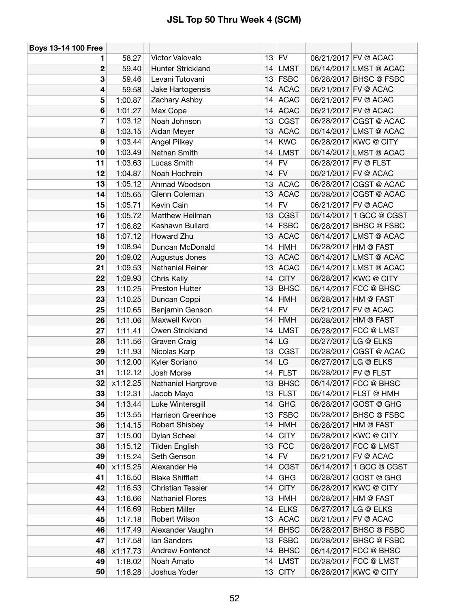| <b>Boys 13-14 100 Free</b> |          |                          |    |             |                      |                         |
|----------------------------|----------|--------------------------|----|-------------|----------------------|-------------------------|
| 1                          | 58.27    | Victor Valovalo          | 13 | <b>FV</b>   |                      | 06/21/2017 FV @ ACAC    |
| $\mathbf 2$                | 59.40    | Hunter Strickland        | 14 | LMST        |                      | 06/14/2017 LMST @ ACAC  |
| 3                          | 59.46    | Levani Tutovani          | 13 | <b>FSBC</b> |                      | 06/28/2017 BHSC @ FSBC  |
| 4                          | 59.58    | Jake Hartogensis         | 14 | <b>ACAC</b> |                      | 06/21/2017 FV @ ACAC    |
| 5                          | 1:00.87  | Zachary Ashby            | 14 | <b>ACAC</b> |                      | 06/21/2017 FV @ ACAC    |
| 6                          | 1:01.27  | Max Cope                 | 14 | <b>ACAC</b> |                      | 06/21/2017 FV @ ACAC    |
| 7                          | 1:03.12  | Noah Johnson             | 13 | <b>CGST</b> |                      | 06/28/2017 CGST @ ACAC  |
| 8                          | 1:03.15  | Aidan Meyer              | 13 | <b>ACAC</b> |                      | 06/14/2017 LMST @ ACAC  |
| 9                          | 1:03.44  | Angel Pilkey             | 14 | <b>KWC</b>  |                      | 06/28/2017 KWC @ CITY   |
| 10                         | 1:03.49  | Nathan Smith             | 14 | <b>LMST</b> |                      | 06/14/2017 LMST @ ACAC  |
| 11                         | 1:03.63  | Lucas Smith              | 14 | <b>FV</b>   | 06/28/2017 FV @ FLST |                         |
| 12                         | 1:04.87  | Noah Hochrein            | 14 | <b>FV</b>   |                      | 06/21/2017 FV @ ACAC    |
| 13                         | 1:05.12  | Ahmad Woodson            | 13 | <b>ACAC</b> |                      | 06/28/2017 CGST @ ACAC  |
| 14                         | 1:05.65  | Glenn Coleman            | 13 | <b>ACAC</b> |                      | 06/28/2017 CGST @ ACAC  |
| 15                         | 1:05.71  | Kevin Cain               | 14 | FV          |                      | 06/21/2017 FV @ ACAC    |
| 16                         | 1:05.72  | Matthew Heilman          | 13 | <b>CGST</b> |                      | 06/14/2017 1 GCC @ CGST |
| 17                         | 1:06.82  | Keshawn Bullard          | 14 | <b>FSBC</b> |                      | 06/28/2017 BHSC @ FSBC  |
| 18                         | 1:07.12  | Howard Zhu               | 13 | <b>ACAC</b> |                      | 06/14/2017 LMST @ ACAC  |
| 19                         | 1:08.94  | Duncan McDonald          | 14 | <b>HMH</b>  |                      | 06/28/2017 HM @ FAST    |
| 20                         | 1:09.02  | Augustus Jones           | 13 | <b>ACAC</b> |                      | 06/14/2017 LMST @ ACAC  |
| 21                         | 1:09.53  | Nathaniel Reiner         | 13 | <b>ACAC</b> |                      | 06/14/2017 LMST @ ACAC  |
| 22                         | 1:09.93  | Chris Kelly              | 14 | <b>CITY</b> |                      | 06/28/2017 KWC @ CITY   |
| 23                         | 1:10.25  | <b>Preston Hutter</b>    | 13 | <b>BHSC</b> |                      | 06/14/2017 FCC @ BHSC   |
| 23                         | 1:10.25  | Duncan Coppi             | 14 | <b>HMH</b>  |                      | 06/28/2017 HM @ FAST    |
| 25                         | 1:10.65  | Benjamin Genson          | 14 | FV          |                      | 06/21/2017 FV @ ACAC    |
| 26                         | 1:11.06  | Maxwell Kwon             | 14 | <b>HMH</b>  |                      | 06/28/2017 HM @ FAST    |
| 27                         | 1:11.41  | Owen Strickland          | 14 | <b>LMST</b> |                      | 06/28/2017 FCC @ LMST   |
| 28                         | 1:11.56  | Graven Craig             | 14 | LG          |                      | 06/27/2017 LG @ ELKS    |
| 29                         | 1:11.93  | Nicolas Karp             | 13 | <b>CGST</b> |                      | 06/28/2017 CGST @ ACAC  |
| 30                         | 1:12.00  | Kyler Soriano            | 14 | LG          |                      | 06/27/2017 LG @ ELKS    |
| 31                         | 1:12.12  | Josh Morse               | 14 | <b>FLST</b> | 06/28/2017 FV @ FLST |                         |
| 32                         | x1:12.25 | Nathaniel Hargrove       | 13 | <b>BHSC</b> |                      | 06/14/2017 FCC @ BHSC   |
| 33                         | 1:12.31  | Jacob Mayo               |    | 13 FLST     |                      | 06/14/2017 FLST @ HMH   |
| 34                         | 1:13.44  | Luke Wintersgill         | 14 | GHG         |                      | 06/28/2017 GOST @ GHG   |
| 35                         | 1:13.55  | <b>Harrison Greenhoe</b> | 13 | <b>FSBC</b> |                      | 06/28/2017 BHSC @ FSBC  |
| 36                         | 1:14.15  | <b>Robert Shisbey</b>    | 14 | <b>HMH</b>  |                      | 06/28/2017 HM @ FAST    |
| 37                         | 1:15.00  | Dylan Scheel             | 14 | <b>CITY</b> |                      | 06/28/2017 KWC @ CITY   |
| 38                         | 1:15.12  | <b>Tilden English</b>    | 13 | FCC         |                      | 06/28/2017 FCC @ LMST   |
| 39                         | 1:15.24  | Seth Genson              | 14 | FV          |                      | 06/21/2017 FV @ ACAC    |
| 40                         | x1:15.25 | Alexander He             | 14 | <b>CGST</b> |                      | 06/14/2017 1 GCC @ CGST |
| 41                         | 1:16.50  | <b>Blake Shifflett</b>   | 14 | GHG         |                      | 06/28/2017 GOST @ GHG   |
| 42                         | 1:16.53  | <b>Christian Tessier</b> | 14 | <b>CITY</b> |                      | 06/28/2017 KWC @ CITY   |
| 43                         | 1:16.66  | <b>Nathaniel Flores</b>  | 13 | <b>HMH</b>  |                      | 06/28/2017 HM @ FAST    |
| 44                         | 1:16.69  | <b>Robert Miller</b>     | 14 | <b>ELKS</b> |                      | 06/27/2017 LG @ ELKS    |
| 45                         | 1:17.18  | Robert Wilson            | 13 | <b>ACAC</b> |                      | 06/21/2017 FV @ ACAC    |
| 46                         | 1:17.49  | Alexander Vaughn         | 14 | <b>BHSC</b> |                      | 06/28/2017 BHSC @ FSBC  |
| 47                         | 1:17.58  | lan Sanders              | 13 | <b>FSBC</b> |                      | 06/28/2017 BHSC @ FSBC  |
| 48                         | x1:17.73 | Andrew Fontenot          | 14 | <b>BHSC</b> |                      | 06/14/2017 FCC @ BHSC   |
| 49                         | 1:18.02  | Noah Amato               | 14 | <b>LMST</b> |                      | 06/28/2017 FCC @ LMST   |
| 50                         | 1:18.28  | Joshua Yoder             |    | $13$ CITY   |                      | 06/28/2017 KWC @ CITY   |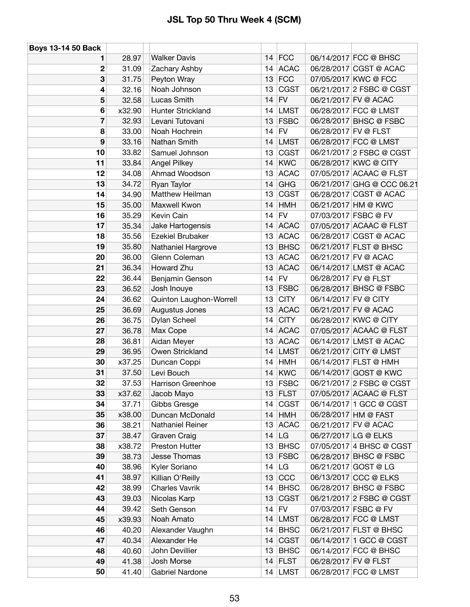| <b>Boys 13-14 50 Back</b> |        |                         |    |               |                      |                            |
|---------------------------|--------|-------------------------|----|---------------|----------------------|----------------------------|
| 1                         | 28.97  | <b>Walker Davis</b>     |    | $14$ FCC      |                      | 06/14/2017 FCC @ BHSC      |
| $\boldsymbol{2}$          | 31.09  | Zachary Ashby           |    | 14 ACAC       |                      | 06/28/2017 CGST @ ACAC     |
| 3                         | 31.75  | Peyton Wray             | 13 | <b>FCC</b>    |                      | 07/05/2017 KWC @ FCC       |
| 4                         | 32.16  | Noah Johnson            | 13 | <b>CGST</b>   |                      | 06/21/2017 2 FSBC @ CGST   |
| 5                         | 32.58  | Lucas Smith             | 14 | <b>FV</b>     |                      | 06/21/2017 FV @ ACAC       |
| 6                         | x32.90 | Hunter Strickland       |    | 14 LMST       |                      | 06/28/2017 FCC @ LMST      |
| $\overline{7}$            | 32.93  | Levani Tutovani         |    | $13$ FSBC     |                      | 06/28/2017 BHSC @ FSBC     |
| 8                         | 33.00  | Noah Hochrein           |    | $14$ FV       | 06/28/2017 FV @ FLST |                            |
| $\boldsymbol{9}$          | 33.16  | Nathan Smith            | 14 | <b>LMST</b>   |                      | 06/28/2017 FCC @ LMST      |
| 10                        | 33.82  | Samuel Johnson          | 13 | <b>CGST</b>   |                      | 06/21/2017 2 FSBC @ CGST   |
| 11                        | 33.84  | <b>Angel Pilkey</b>     |    | $14$ KWC      |                      | 06/28/2017 KWC @ CITY      |
| 12                        | 34.08  | Ahmad Woodson           | 13 | <b>ACAC</b>   |                      | 07/05/2017 ACAAC @ FLST    |
| 13                        | 34.72  | Ryan Taylor             | 14 | <b>GHG</b>    |                      | 06/21/2017 GHG @ CCC 06.21 |
| 14                        | 34.90  | Matthew Heilman         | 13 | <b>CGST</b>   |                      | 06/28/2017 CGST @ ACAC     |
| 15                        | 35.00  | Maxwell Kwon            |    | $14$ HMH      |                      | 06/21/2017 HM @ KWC        |
| 16                        | 35.29  | Kevin Cain              | 14 | <b>FV</b>     |                      | 07/03/2017 FSBC @ FV       |
| 17                        | 35.34  | Jake Hartogensis        |    | 14 ACAC       |                      | 07/05/2017 ACAAC @ FLST    |
| 18                        | 35.56  | Ezekiel Brubaker        |    | 13 ACAC       |                      | 06/28/2017 CGST @ ACAC     |
| 19                        | 35.80  | Nathaniel Hargrove      | 13 | <b>BHSC</b>   |                      | 06/21/2017 FLST @ BHSC     |
| 20                        | 36.00  | Glenn Coleman           | 13 | <b>ACAC</b>   |                      | 06/21/2017 FV @ ACAC       |
| 21                        | 36.34  | Howard Zhu              | 13 | <b>ACAC</b>   |                      | 06/14/2017 LMST @ ACAC     |
| 22                        | 36.44  | Benjamin Genson         |    | $14$ FV       | 06/28/2017 FV @ FLST |                            |
| 23                        | 36.52  | Josh Inouye             |    | $13$ FSBC     |                      | 06/28/2017 BHSC @ FSBC     |
| 24                        | 36.62  | Quinton Laughon-Worrell | 13 | <b>CITY</b>   | 06/14/2017 FV @ CITY |                            |
| 25                        | 36.69  | Augustus Jones          | 13 | <b>ACAC</b>   |                      | 06/21/2017 FV @ ACAC       |
| 26                        | 36.75  | Dylan Scheel            | 14 | <b>CITY</b>   |                      | 06/28/2017 KWC @ CITY      |
| 27                        | 36.78  | Max Cope                |    | 14 ACAC       |                      | 07/05/2017 ACAAC @ FLST    |
| 28                        | 36.81  | Aidan Meyer             | 13 | <b>ACAC</b>   |                      | 06/14/2017 LMST @ ACAC     |
| 29                        | 36.95  | Owen Strickland         |    | 14 LMST       |                      | 06/21/2017 CITY @ LMST     |
| 30                        | x37.25 | Duncan Coppi            | 14 | <b>HMH</b>    |                      | 06/14/2017 FLST @ HMH      |
| 31                        | 37.50  | Levi Bouch              | 14 | <b>KWC</b>    |                      | 06/14/2017 GOST @ KWC      |
| 32                        | 37.53  | Harrison Greenhoe       |    | $13$ FSBC     |                      | 06/21/2017 2 FSBC @ CGST   |
| 33                        | x37.62 | Jacob Mayo              |    | $13$ FLST     |                      | 07/05/2017 ACAAC @ FLST    |
| 34                        | 37.71  | Gibbs Gresge            |    | $14$ CGST     |                      | 06/14/2017 1 GCC @ CGST    |
| 35                        | x38.00 | Duncan McDonald         |    | $14$ HMH      |                      | 06/28/2017 HM @ FAST       |
| 36                        | 38.21  | <b>Nathaniel Reiner</b> |    | 13 ACAC       |                      | 06/21/2017 FV @ ACAC       |
| 37                        | 38.47  | Graven Craig            | 14 | <b>LG</b>     |                      | 06/27/2017 LG @ ELKS       |
| 38                        | x38.72 | Preston Hutter          | 13 | <b>BHSC</b>   |                      | 07/05/2017 4 BHSC @ CGST   |
| 39                        | 38.73  | Jesse Thomas            |    | $13$ FSBC     |                      | 06/28/2017 BHSC @ FSBC     |
| 40                        | 38.96  | Kyler Soriano           |    | $14$ LG       |                      | 06/21/2017 GOST @ LG       |
| 41                        | 38.97  | Killian O'Reilly        | 13 | <sub>CC</sub> |                      | 06/13/2017 CCC @ ELKS      |
| 42                        | 38.99  | <b>Charles Vavrik</b>   | 14 | <b>BHSC</b>   |                      | 06/28/2017 BHSC @ FSBC     |
| 43                        | 39.03  | Nicolas Karp            |    | $13$ CGST     |                      | 06/21/2017 2 FSBC @ CGST   |
| 44                        | 39.42  | Seth Genson             | 14 | <b>FV</b>     |                      | 07/03/2017 FSBC @ FV       |
| 45                        | x39.93 | Noah Amato              |    | 14 LMST       |                      | 06/28/2017 FCC @ LMST      |
| 46                        | 40.20  | Alexander Vaughn        | 14 | <b>BHSC</b>   |                      | 06/21/2017 FLST @ BHSC     |
| 47                        | 40.34  | Alexander He            |    | $14$ CGST     |                      | 06/14/2017 1 GCC @ CGST    |
| 48                        | 40.60  | John Devillier          | 13 | <b>BHSC</b>   |                      | 06/14/2017 FCC @ BHSC      |
| 49                        | 41.38  | Josh Morse              |    | 14 FLST       | 06/28/2017 FV @ FLST |                            |
| 50                        | 41.40  |                         |    | 14 LMST       |                      |                            |
|                           |        | Gabriel Nardone         |    |               |                      | 06/28/2017 FCC @ LMST      |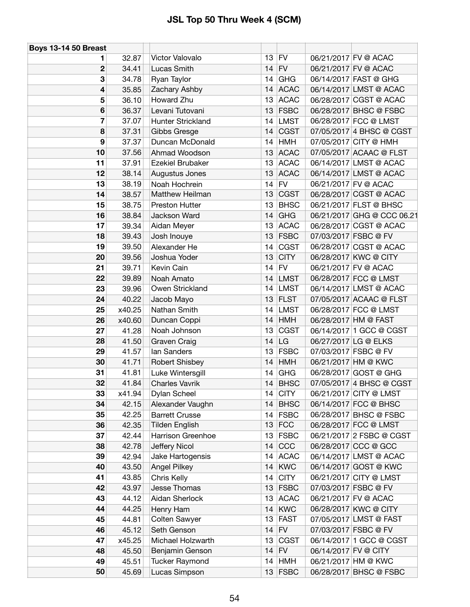| <b>Boys 13-14 50 Breast</b> |        |                       |    |             |                      |                            |
|-----------------------------|--------|-----------------------|----|-------------|----------------------|----------------------------|
| 1.                          | 32.87  | Victor Valovalo       |    | $13$ FV     |                      | 06/21/2017 FV @ ACAC       |
| $\mathbf 2$                 | 34.41  | Lucas Smith           |    | $14$ FV     |                      | 06/21/2017 FV @ ACAC       |
| 3                           | 34.78  | Ryan Taylor           |    | $14$ GHG    |                      | 06/14/2017 FAST @ GHG      |
| 4                           | 35.85  | Zachary Ashby         |    | 14 ACAC     |                      | 06/14/2017 LMST @ ACAC     |
| 5                           | 36.10  | Howard Zhu            | 13 | <b>ACAC</b> |                      | 06/28/2017 CGST @ ACAC     |
| 6                           | 36.37  | Levani Tutovani       |    | $13$ FSBC   |                      | 06/28/2017 BHSC @ FSBC     |
| 7                           | 37.07  | Hunter Strickland     |    | 14 LMST     |                      | 06/28/2017 FCC @ LMST      |
| 8                           | 37.31  | Gibbs Gresge          | 14 | <b>CGST</b> |                      | 07/05/2017 4 BHSC @ CGST   |
| $\boldsymbol{9}$            | 37.37  | Duncan McDonald       | 14 | HMH         |                      | 07/05/2017 CITY @ HMH      |
| 10                          | 37.56  | Ahmad Woodson         | 13 | <b>ACAC</b> |                      | 07/05/2017 ACAAC @ FLST    |
| 11                          | 37.91  | Ezekiel Brubaker      |    | 13 ACAC     |                      | 06/14/2017 LMST @ ACAC     |
| 12                          | 38.14  | Augustus Jones        | 13 | <b>ACAC</b> |                      | 06/14/2017 LMST @ ACAC     |
| 13                          | 38.19  | Noah Hochrein         | 14 | <b>FV</b>   |                      | 06/21/2017 FV @ ACAC       |
| 14                          | 38.57  | Matthew Heilman       |    | $13$ CGST   |                      | 06/28/2017 CGST @ ACAC     |
| 15                          | 38.75  | <b>Preston Hutter</b> | 13 | <b>BHSC</b> |                      | 06/21/2017 FLST @ BHSC     |
| 16                          | 38.84  | Jackson Ward          | 14 | <b>GHG</b>  |                      | 06/21/2017 GHG @ CCC 06.21 |
| 17                          | 39.34  | Aidan Meyer           |    | 13 ACAC     |                      | 06/28/2017 CGST @ ACAC     |
| 18                          | 39.43  | Josh Inouye           |    | $13$ FSBC   |                      | 07/03/2017 FSBC @ FV       |
| 19                          | 39.50  | Alexander He          | 14 | <b>CGST</b> |                      | 06/28/2017 CGST @ ACAC     |
| 20                          | 39.56  | Joshua Yoder          | 13 | <b>CITY</b> |                      | 06/28/2017 KWC @ CITY      |
| 21                          | 39.71  | Kevin Cain            |    | $14$ FV     |                      | 06/21/2017 FV @ ACAC       |
| 22                          | 39.89  | Noah Amato            | 14 | LMST        |                      | 06/28/2017 FCC @ LMST      |
| 23                          | 39.96  | Owen Strickland       | 14 | <b>LMST</b> |                      | 06/14/2017 LMST @ ACAC     |
| 24                          | 40.22  | Jacob Mayo            |    | $13$ FLST   |                      | 07/05/2017 ACAAC @ FLST    |
| 25                          | x40.25 | Nathan Smith          | 14 | <b>LMST</b> |                      | 06/28/2017 FCC @ LMST      |
| 26                          | x40.60 | Duncan Coppi          | 14 | <b>HMH</b>  |                      | 06/28/2017 HM @ FAST       |
| 27                          | 41.28  | Noah Johnson          | 13 | <b>CGST</b> |                      | 06/14/2017 1 GCC @ CGST    |
| 28                          | 41.50  | <b>Graven Craig</b>   |    | $14$ LG     |                      | 06/27/2017 LG @ ELKS       |
| 29                          | 41.57  | lan Sanders           |    | 13 FSBC     |                      | 07/03/2017 FSBC @ FV       |
| 30                          | 41.71  | Robert Shisbey        | 14 | HMH         |                      | 06/21/2017 HM @ KWC        |
| 31                          | 41.81  | Luke Wintersgill      | 14 | GHG         |                      | 06/28/2017 GOST @ GHG      |
| 32                          | 41.84  | <b>Charles Vavrik</b> |    | $14$ BHSC   |                      | 07/05/2017 4 BHSC @ CGST   |
| 33                          | x41.94 | Dylan Scheel          |    | $14$ CITY   |                      | 06/21/2017 CITY @ LMST     |
| 34                          | 42.15  | Alexander Vaughn      | 14 | <b>BHSC</b> |                      | 06/14/2017 FCC @ BHSC      |
| 35                          | 42.25  | <b>Barrett Crusse</b> |    | $14$ FSBC   |                      | 06/28/2017 BHSC @ FSBC     |
| 36                          | 42.35  | <b>Tilden English</b> |    | $13$ FCC    |                      | 06/28/2017 FCC @ LMST      |
| 37                          | 42.44  | Harrison Greenhoe     | 13 | <b>FSBC</b> |                      | 06/21/2017 2 FSBC @ CGST   |
| 38                          | 42.78  | Jeffery Nicol         | 14 | CCC         |                      | 06/28/2017 CCC @ GCC       |
| 39                          | 42.94  | Jake Hartogensis      |    | 14 ACAC     |                      | 06/14/2017 LMST @ ACAC     |
| 40                          | 43.50  | <b>Angel Pilkey</b>   | 14 | <b>KWC</b>  |                      | 06/14/2017 GOST @ KWC      |
| 41                          | 43.85  | Chris Kelly           | 14 | <b>CITY</b> |                      | 06/21/2017 CITY @ LMST     |
| 42                          | 43.97  | Jesse Thomas          | 13 | <b>FSBC</b> |                      | 07/03/2017 FSBC @ FV       |
| 43                          | 44.12  | Aidan Sherlock        |    | 13 ACAC     |                      | 06/21/2017 FV @ ACAC       |
| 44                          | 44.25  | Henry Ham             | 14 | <b>KWC</b>  |                      | 06/28/2017 KWC @ CITY      |
| 45                          | 44.81  | <b>Colten Sawyer</b>  | 13 | <b>FAST</b> |                      | 07/05/2017 LMST @ FAST     |
| 46                          | 45.12  | Seth Genson           |    | $14$ FV     |                      | 07/03/2017 FSBC @ FV       |
| 47                          | x45.25 | Michael Holzwarth     | 13 | <b>CGST</b> |                      | 06/14/2017 1 GCC @ CGST    |
| 48                          | 45.50  | Benjamin Genson       |    | $14$ FV     | 06/14/2017 FV @ CITY |                            |
| 49                          | 45.51  | <b>Tucker Raymond</b> | 14 | <b>HMH</b>  |                      | 06/21/2017 HM @ KWC        |
| 50                          | 45.69  | Lucas Simpson         |    | $13$ FSBC   |                      | 06/28/2017 BHSC @ FSBC     |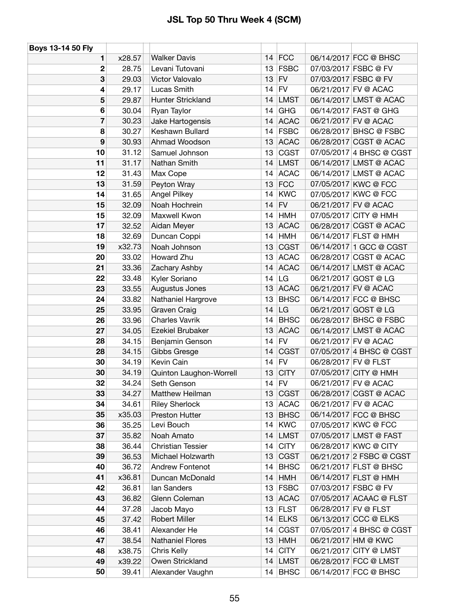| Boys 13-14 50 Fly |        |                          |    |             |                          |
|-------------------|--------|--------------------------|----|-------------|--------------------------|
| 1                 | x28.57 | <b>Walker Davis</b>      |    | $14$ FCC    | 06/14/2017 FCC @ BHSC    |
| $\mathbf{2}$      | 28.75  | Levani Tutovani          | 13 | <b>FSBC</b> | 07/03/2017 FSBC @ FV     |
| 3                 | 29.03  | Victor Valovalo          | 13 | <b>FV</b>   | 07/03/2017 FSBC @ FV     |
| 4                 | 29.17  | Lucas Smith              | 14 | <b>FV</b>   | 06/21/2017 FV @ ACAC     |
| 5                 | 29.87  | <b>Hunter Strickland</b> | 14 | <b>LMST</b> | 06/14/2017 LMST @ ACAC   |
| 6                 | 30.04  | Ryan Taylor              | 14 | <b>GHG</b>  | 06/14/2017 FAST @ GHG    |
| $\overline{7}$    | 30.23  | Jake Hartogensis         | 14 | <b>ACAC</b> | 06/21/2017 FV @ ACAC     |
| 8                 | 30.27  | Keshawn Bullard          | 14 | <b>FSBC</b> | 06/28/2017 BHSC @ FSBC   |
| 9                 | 30.93  | Ahmad Woodson            | 13 | <b>ACAC</b> | 06/28/2017 CGST @ ACAC   |
| 10                | 31.12  | Samuel Johnson           | 13 | <b>CGST</b> | 07/05/2017 4 BHSC @ CGST |
| 11                | 31.17  | Nathan Smith             | 14 | <b>LMST</b> | 06/14/2017 LMST @ ACAC   |
| 12                | 31.43  | Max Cope                 | 14 | <b>ACAC</b> | 06/14/2017 LMST @ ACAC   |
| 13                | 31.59  | Peyton Wray              | 13 | <b>FCC</b>  | 07/05/2017 KWC @ FCC     |
| 14                | 31.65  | Angel Pilkey             | 14 | <b>KWC</b>  | 07/05/2017 KWC @ FCC     |
| 15                | 32.09  | Noah Hochrein            | 14 | <b>FV</b>   | 06/21/2017 FV @ ACAC     |
| 15                | 32.09  | Maxwell Kwon             | 14 | <b>HMH</b>  | 07/05/2017 CITY @ HMH    |
| 17                | 32.52  | Aidan Meyer              | 13 | <b>ACAC</b> | 06/28/2017 CGST @ ACAC   |
| 18                | 32.69  | Duncan Coppi             | 14 | <b>HMH</b>  | 06/14/2017 FLST @ HMH    |
| 19                | x32.73 | Noah Johnson             | 13 | <b>CGST</b> | 06/14/2017 1 GCC @ CGST  |
| 20                | 33.02  | Howard Zhu               | 13 | <b>ACAC</b> | 06/28/2017 CGST @ ACAC   |
| 21                | 33.36  | Zachary Ashby            | 14 | <b>ACAC</b> | 06/14/2017 LMST @ ACAC   |
| 22                | 33.48  | Kyler Soriano            | 14 | LG          | 06/21/2017 GOST @ LG     |
| 23                | 33.55  | Augustus Jones           | 13 | <b>ACAC</b> | 06/21/2017 FV @ ACAC     |
| 24                | 33.82  | Nathaniel Hargrove       | 13 | <b>BHSC</b> | 06/14/2017 FCC @ BHSC    |
| 25                | 33.95  | Graven Craig             | 14 | LG          | 06/21/2017 GOST @ LG     |
| 26                | 33.96  | <b>Charles Vavrik</b>    | 14 | <b>BHSC</b> | 06/28/2017 BHSC @ FSBC   |
| 27                | 34.05  | Ezekiel Brubaker         | 13 | <b>ACAC</b> | 06/14/2017 LMST @ ACAC   |
| 28                | 34.15  | Benjamin Genson          | 14 | <b>FV</b>   | 06/21/2017 FV @ ACAC     |
| 28                | 34.15  | Gibbs Gresge             | 14 | <b>CGST</b> | 07/05/2017 4 BHSC @ CGST |
| 30                | 34.19  | Kevin Cain               | 14 | <b>FV</b>   | 06/28/2017 FV @ FLST     |
| 30                | 34.19  | Quinton Laughon-Worrell  | 13 | <b>CITY</b> | 07/05/2017 CITY @ HMH    |
| 32                | 34.24  | Seth Genson              | 14 | <b>FV</b>   | 06/21/2017 FV @ ACAC     |
| 33                | 34.27  | Matthew Heilman          | 13 | <b>CGST</b> | 06/28/2017 CGST @ ACAC   |
| 34                | 34.61  | <b>Riley Sherlock</b>    |    | 13 ACAC     | 06/21/2017 FV @ ACAC     |
| 35                | x35.03 | <b>Preston Hutter</b>    | 13 | <b>BHSC</b> | 06/14/2017 FCC @ BHSC    |
| 36                | 35.25  | Levi Bouch               | 14 | <b>KWC</b>  | 07/05/2017 KWC @ FCC     |
| 37                | 35.82  | Noah Amato               | 14 | <b>LMST</b> | 07/05/2017 LMST @ FAST   |
| 38                | 36.44  | <b>Christian Tessier</b> | 14 | <b>CITY</b> | 06/28/2017 KWC @ CITY    |
| 39                | 36.53  | Michael Holzwarth        | 13 | <b>CGST</b> | 06/21/2017 2 FSBC @ CGST |
| 40                | 36.72  | Andrew Fontenot          | 14 | <b>BHSC</b> | 06/21/2017 FLST @ BHSC   |
| 41                | x36.81 | Duncan McDonald          | 14 | <b>HMH</b>  | 06/14/2017 FLST @ HMH    |
| 42                | 36.81  | lan Sanders              | 13 | <b>FSBC</b> | 07/03/2017 FSBC @ FV     |
| 43                | 36.82  | Glenn Coleman            |    | 13 ACAC     | 07/05/2017 ACAAC @ FLST  |
| 44                | 37.28  | Jacob Mayo               | 13 | <b>FLST</b> | 06/28/2017 FV @ FLST     |
| 45                | 37.42  | <b>Robert Miller</b>     | 14 | <b>ELKS</b> | 06/13/2017 CCC @ ELKS    |
| 46                | 38.41  | Alexander He             | 14 | <b>CGST</b> | 07/05/2017 4 BHSC @ CGST |
| 47                | 38.54  | <b>Nathaniel Flores</b>  | 13 | <b>HMH</b>  | 06/21/2017 HM @ KWC      |
| 48                | x38.75 | Chris Kelly              | 14 | <b>CITY</b> | 06/21/2017 CITY @ LMST   |
| 49                | x39.22 | Owen Strickland          | 14 | <b>LMST</b> | 06/28/2017 FCC @ LMST    |
| 50                | 39.41  | Alexander Vaughn         | 14 | <b>BHSC</b> | 06/14/2017 FCC @ BHSC    |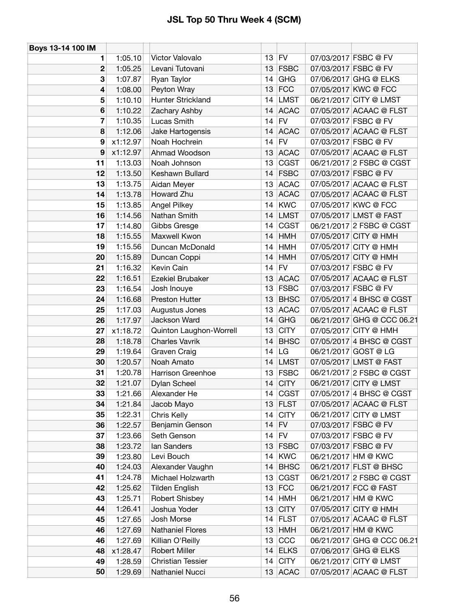| Boys 13-14 100 IM |          |                          |    |             |                            |
|-------------------|----------|--------------------------|----|-------------|----------------------------|
| 1                 | 1:05.10  | Victor Valovalo          |    | $13$ FV     | 07/03/2017 FSBC @ FV       |
| $\mathbf{2}$      | 1:05.25  | Levani Tutovani          | 13 | <b>FSBC</b> | 07/03/2017 FSBC @ FV       |
| 3                 | 1:07.87  | Ryan Taylor              | 14 | <b>GHG</b>  | 07/06/2017 GHG @ ELKS      |
| 4                 | 1:08.00  | Peyton Wray              | 13 | FCC         | 07/05/2017 KWC @ FCC       |
| 5                 | 1:10.10  | Hunter Strickland        | 14 | <b>LMST</b> | 06/21/2017 CITY @ LMST     |
| 6                 | 1:10.22  | Zachary Ashby            | 14 | <b>ACAC</b> | 07/05/2017 ACAAC @ FLST    |
| 7                 | 1:10.35  | Lucas Smith              |    | $14$ FV     | 07/03/2017 FSBC @ FV       |
| 8                 | 1:12.06  | Jake Hartogensis         |    | 14 ACAC     | 07/05/2017 ACAAC @ FLST    |
| 9                 | x1:12.97 | Noah Hochrein            | 14 | FV          | 07/03/2017 FSBC @ FV       |
| 9                 | x1:12.97 | Ahmad Woodson            |    | 13 ACAC     | 07/05/2017 ACAAC @ FLST    |
| 11                | 1:13.03  | Noah Johnson             | 13 | CGST        | 06/21/2017 2 FSBC @ CGST   |
| 12                | 1:13.50  | Keshawn Bullard          | 14 | <b>FSBC</b> | 07/03/2017 FSBC @ FV       |
| 13                | 1:13.75  | Aidan Meyer              |    | 13 ACAC     | 07/05/2017 ACAAC @ FLST    |
| 14                | 1:13.78  | Howard Zhu               |    | 13 ACAC     | 07/05/2017 ACAAC @ FLST    |
| 15                | 1:13.85  | Angel Pilkey             |    | $14$ KWC    | 07/05/2017 KWC @ FCC       |
| 16                | 1:14.56  | Nathan Smith             | 14 | <b>LMST</b> | 07/05/2017 LMST @ FAST     |
| 17                | 1:14.80  | Gibbs Gresge             | 14 | <b>CGST</b> | 06/21/2017 2 FSBC @ CGST   |
| 18                | 1:15.55  | Maxwell Kwon             | 14 | <b>HMH</b>  | 07/05/2017 CITY @ HMH      |
| 19                | 1:15.56  | Duncan McDonald          | 14 | <b>HMH</b>  | 07/05/2017 CITY @ HMH      |
| 20                | 1:15.89  | Duncan Coppi             | 14 | <b>HMH</b>  | 07/05/2017 CITY @ HMH      |
| 21                | 1:16.32  | Kevin Cain               | 14 | FV          | 07/03/2017 FSBC @ FV       |
| 22                | 1:16.51  | Ezekiel Brubaker         |    | 13 ACAC     | 07/05/2017 ACAAC @ FLST    |
| 23                | 1:16.54  | Josh Inouye              |    | $13$ FSBC   | 07/03/2017 FSBC @ FV       |
| 24                | 1:16.68  | Preston Hutter           |    | 13 BHSC     | 07/05/2017 4 BHSC @ CGST   |
| 25                | 1:17.03  | Augustus Jones           | 13 | <b>ACAC</b> | 07/05/2017 ACAAC @ FLST    |
| 26                | 1:17.97  | Jackson Ward             | 14 | <b>GHG</b>  | 06/21/2017 GHG @ CCC 06.21 |
| 27                | x1:18.72 | Quinton Laughon-Worrell  | 13 | <b>CITY</b> | 07/05/2017 CITY @ HMH      |
| 28                | 1:18.78  | <b>Charles Vavrik</b>    | 14 | <b>BHSC</b> | 07/05/2017 4 BHSC @ CGST   |
| 29                | 1:19.64  | Graven Craig             |    | $14$ LG     | 06/21/2017 GOST @ LG       |
| 30                | 1:20.57  | Noah Amato               |    | 14 LMST     | 07/05/2017 LMST @ FAST     |
| 31                | 1:20.78  | Harrison Greenhoe        |    | 13 FSBC     | 06/21/2017 2 FSBC @ CGST   |
| 32                | 1:21.07  | Dylan Scheel             |    | 14 $ CITY$  | 06/21/2017 CITY @ LMST     |
| 33                | 1:21.66  | Alexander He             |    | 14 CGST     | 07/05/2017 4 BHSC @ CGST   |
| 34                | 1:21.84  | Jacob Mayo               |    | $13$ FLST   | 07/05/2017 ACAAC @ FLST    |
| 35                | 1:22.31  | Chris Kelly              | 14 | <b>CITY</b> | 06/21/2017 CITY @ LMST     |
| 36                | 1:22.57  | Benjamin Genson          |    | $14$ FV     | 07/03/2017 FSBC @ FV       |
| 37                | 1:23.66  | Seth Genson              |    | $14$ FV     | 07/03/2017 FSBC @ FV       |
| 38                | 1:23.72  | lan Sanders              |    | $13$ FSBC   | 07/03/2017 FSBC @ FV       |
| 39                | 1:23.80  | Levi Bouch               |    | 14 KWC      | 06/21/2017 HM @ KWC        |
| 40                | 1:24.03  | Alexander Vaughn         |    | 14 BHSC     | 06/21/2017 FLST @ BHSC     |
| 41                | 1:24.78  | Michael Holzwarth        | 13 | <b>CGST</b> | 06/21/2017 2 FSBC @ CGST   |
| 42                | 1:25.62  | <b>Tilden English</b>    |    | $13$ FCC    | 06/21/2017 FCC @ FAST      |
| 43                | 1:25.71  | Robert Shisbey           |    | $14$ HMH    | 06/21/2017 HM @ KWC        |
| 44                | 1:26.41  | Joshua Yoder             | 13 | <b>CITY</b> | 07/05/2017 CITY @ HMH      |
| 45                | 1:27.65  | Josh Morse               | 14 | <b>FLST</b> | 07/05/2017 ACAAC @ FLST    |
| 46                | 1:27.69  | Nathaniel Flores         |    | $13$ HMH    | 06/21/2017 HM @ KWC        |
| 46                | 1:27.69  | Killian O'Reilly         |    | $13$ CCC    | 06/21/2017 GHG @ CCC 06.21 |
| 48                | x1:28.47 | Robert Miller            |    | $14$ ELKS   | 07/06/2017 GHG @ ELKS      |
| 49                | 1:28.59  | <b>Christian Tessier</b> |    | $14$ CITY   | 06/21/2017 CITY @ LMST     |
| 50                | 1:29.69  | Nathaniel Nucci          |    | $13$ ACAC   | 07/05/2017 ACAAC @ FLST    |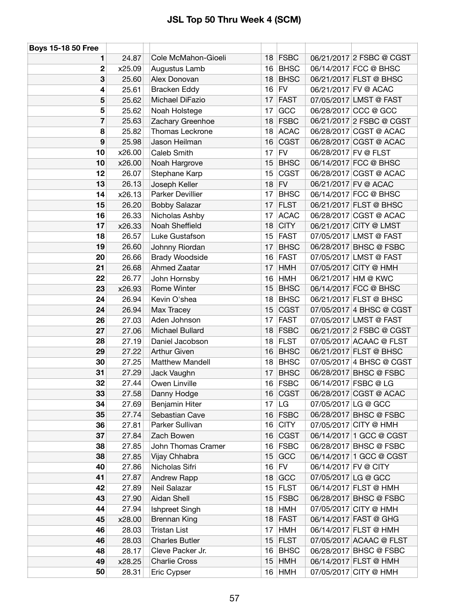| <b>Boys 15-18 50 Free</b> |                |                                       |          |                           |                      |                                                 |
|---------------------------|----------------|---------------------------------------|----------|---------------------------|----------------------|-------------------------------------------------|
| 1                         | 24.87          | Cole McMahon-Gioeli                   |          | $18$ FSBC                 |                      | 06/21/2017 2 FSBC @ CGST                        |
| $\mathbf{2}$              | x25.09         | Augustus Lamb                         | 16       | <b>BHSC</b>               |                      | 06/14/2017 FCC @ BHSC                           |
| 3                         | 25.60          | Alex Donovan                          | 18       | <b>BHSC</b>               |                      | 06/21/2017 FLST @ BHSC                          |
| 4                         | 25.61          | <b>Bracken Eddy</b>                   | 16       | <b>FV</b>                 | 06/21/2017 FV @ ACAC |                                                 |
| 5                         | 25.62          | Michael DiFazio                       | 17       | <b>FAST</b>               |                      | 07/05/2017 LMST @ FAST                          |
| 5                         | 25.62          | Noah Holstege                         | 17       | GCC                       |                      | 06/28/2017 CCC @ GCC                            |
| $\overline{\mathbf{r}}$   | 25.63          | Zachary Greenhoe                      | 18       | <b>FSBC</b>               |                      | 06/21/2017 2 FSBC @ CGST                        |
| 8                         | 25.82          | Thomas Leckrone                       | 18       | <b>ACAC</b>               |                      | 06/28/2017 CGST @ ACAC                          |
| 9                         | 25.98          | Jason Heilman                         | 16       | <b>CGST</b>               |                      | 06/28/2017 CGST @ ACAC                          |
| 10                        | x26.00         | Caleb Smith                           | 17       | ${\sf FV}$                | 06/28/2017 FV @ FLST |                                                 |
| 10                        | x26.00         | Noah Hargrove                         | 15       | <b>BHSC</b>               |                      | 06/14/2017 FCC @ BHSC                           |
| 12                        | 26.07          | Stephane Karp                         | 15       | CGST                      |                      | 06/28/2017 CGST @ ACAC                          |
| 13                        | 26.13          | Joseph Keller                         | 18       | ${\sf FV}$                | 06/21/2017 FV @ ACAC |                                                 |
| 14                        | x26.13         | Parker Devillier                      | 17       | <b>BHSC</b>               |                      | 06/14/2017 FCC @ BHSC                           |
| 15                        | 26.20          | <b>Bobby Salazar</b>                  | 17       | <b>FLST</b>               |                      | 06/21/2017 FLST @ BHSC                          |
| 16                        | 26.33          | Nicholas Ashby                        | 17       | <b>ACAC</b>               |                      | 06/28/2017 CGST @ ACAC                          |
| 17                        | x26.33         | Noah Sheffield                        | 18       | <b>CITY</b>               |                      | 06/21/2017 CITY @ LMST                          |
| 18                        | 26.57          | Luke Gustafson                        | 15       | <b>FAST</b>               |                      | 07/05/2017 LMST @ FAST                          |
| 19                        | 26.60          | Johnny Riordan                        | 17       | <b>BHSC</b>               |                      | 06/28/2017 BHSC @ FSBC                          |
| 20                        | 26.66          | <b>Brady Woodside</b>                 | 16       | <b>FAST</b>               |                      | 07/05/2017 LMST @ FAST                          |
| 21                        | 26.68          | Ahmed Zaatar                          | 17       | <b>HMH</b>                |                      | 07/05/2017 CITY @ HMH                           |
| 22                        | 26.77          | John Hornsby                          | 16       | <b>HMH</b>                | 06/21/2017 HM @ KWC  |                                                 |
| 23                        | x26.93         | Rome Winter                           | 15       | <b>BHSC</b>               |                      | 06/14/2017 FCC @ BHSC                           |
| 24                        | 26.94          | Kevin O'shea                          | 18       | <b>BHSC</b>               |                      | 06/21/2017 FLST @ BHSC                          |
| 24                        | 26.94          | Max Tracey                            | 15       | <b>CGST</b>               |                      | 07/05/2017 4 BHSC @ CGST                        |
| 26                        | 27.03          | Aden Johnson                          | 17       | <b>FAST</b>               |                      | 07/05/2017 LMST @ FAST                          |
| 27                        | 27.06          | Michael Bullard                       | 18       | <b>FSBC</b>               |                      | 06/21/2017 2 FSBC @ CGST                        |
| 28                        | 27.19          | Daniel Jacobson                       | 18       | <b>FLST</b>               |                      | 07/05/2017 ACAAC @ FLST                         |
| 29                        | 27.22          | <b>Arthur Given</b>                   | 16       | <b>BHSC</b>               |                      | 06/21/2017 FLST @ BHSC                          |
| 30                        | 27.25          | <b>Matthew Mandell</b>                | 18       | <b>BHSC</b>               |                      | 07/05/2017 4 BHSC @ CGST                        |
| 31                        | 27.29          | Jack Vaughn                           | 17       | <b>BHSC</b>               |                      | 06/28/2017 BHSC @ FSBC                          |
| 32                        | 27.44          | Owen Linville                         |          | 16 FSBC                   | 06/14/2017 FSBC @ LG |                                                 |
| 33                        | 27.58          | Danny Hodge                           | 16       | <b>CGST</b>               |                      | 06/28/2017 CGST @ ACAC                          |
| 34                        | 27.69          | <b>Benjamin Hiter</b>                 | 17       | LG                        | 07/05/2017 LG @ GCC  |                                                 |
| 35                        | 27.74          | Sebastian Cave                        | 16       | <b>FSBC</b>               |                      | 06/28/2017 BHSC @ FSBC                          |
| 36                        | 27.81          | Parker Sullivan                       | 16       | <b>CITY</b>               |                      | 07/05/2017 CITY @ HMH                           |
| 37                        | 27.84          | Zach Bowen                            | 16       | <b>CGST</b>               |                      | 06/14/2017 1 GCC @ CGST                         |
| 38                        | 27.85          | John Thomas Cramer                    | 16       | <b>FSBC</b>               |                      | 06/28/2017 BHSC @ FSBC                          |
| 38                        | 27.85          | Vijay Chhabra                         | 15       | GCC                       |                      | 06/14/2017 1 GCC @ CGST                         |
| 40                        | 27.86          | Nicholas Sifri                        | 16       | <b>FV</b>                 | 06/14/2017 FV @ CITY |                                                 |
| 41                        | 27.87          | Andrew Rapp<br>Neil Salazar           | 18       | GCC                       | 07/05/2017 LG @ GCC  |                                                 |
| 42                        | 27.89          |                                       | 15       | <b>FLST</b>               |                      | 06/14/2017 FLST @ HMH                           |
| 43<br>44                  | 27.90<br>27.94 | Aidan Shell                           | 15       | <b>FSBC</b><br><b>HMH</b> |                      | 06/28/2017 BHSC @ FSBC<br>07/05/2017 CITY @ HMH |
| 45                        | x28.00         | Ishpreet Singh<br><b>Brennan King</b> | 18<br>18 | <b>FAST</b>               |                      | 06/14/2017 FAST @ GHG                           |
| 46                        | 28.03          | <b>Tristan List</b>                   | 17       | <b>HMH</b>                |                      | 06/14/2017 FLST @ HMH                           |
| 46                        | 28.03          | <b>Charles Butler</b>                 | 15       | <b>FLST</b>               |                      | 07/05/2017 ACAAC @ FLST                         |
| 48                        | 28.17          | Cleve Packer Jr.                      | 16       | <b>BHSC</b>               |                      | 06/28/2017 BHSC @ FSBC                          |
| 49                        | x28.25         | <b>Charlie Cross</b>                  | 15       | <b>HMH</b>                |                      | 06/14/2017 FLST @ HMH                           |
| 50                        | 28.31          | Eric Cypser                           |          | 16 HMH                    |                      | 07/05/2017 CITY @ HMH                           |
|                           |                |                                       |          |                           |                      |                                                 |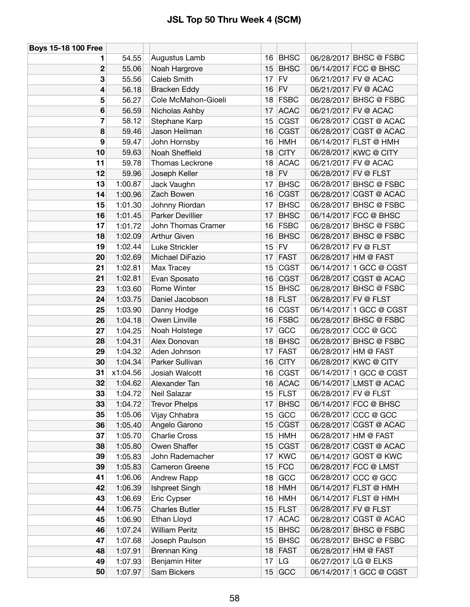| <b>Boys 15-18 100 Free</b> |          |                         |    |             |                      |                         |
|----------------------------|----------|-------------------------|----|-------------|----------------------|-------------------------|
| 1                          | 54.55    | Augustus Lamb           | 16 | <b>BHSC</b> |                      | 06/28/2017 BHSC @ FSBC  |
| $\mathbf 2$                | 55.06    | Noah Hargrove           | 15 | <b>BHSC</b> |                      | 06/14/2017 FCC @ BHSC   |
| 3                          | 55.56    | Caleb Smith             | 17 | <b>FV</b>   |                      | 06/21/2017 FV @ ACAC    |
| 4                          | 56.18    | <b>Bracken Eddy</b>     | 16 | <b>FV</b>   |                      | 06/21/2017 FV @ ACAC    |
| 5                          | 56.27    | Cole McMahon-Gioeli     | 18 | <b>FSBC</b> |                      | 06/28/2017 BHSC @ FSBC  |
| $6\phantom{1}6$            | 56.59    | Nicholas Ashby          | 17 | <b>ACAC</b> |                      | 06/21/2017 FV @ ACAC    |
| $\overline{\mathbf{r}}$    | 58.12    | Stephane Karp           | 15 | <b>CGST</b> |                      | 06/28/2017 CGST @ ACAC  |
| 8                          | 59.46    | Jason Heilman           | 16 | <b>CGST</b> |                      | 06/28/2017 CGST @ ACAC  |
| 9                          | 59.47    | John Hornsby            | 16 | <b>HMH</b>  |                      | 06/14/2017 FLST @ HMH   |
| 10                         | 59.63    | Noah Sheffield          | 18 | <b>CITY</b> |                      | 06/28/2017 KWC @ CITY   |
| 11                         | 59.78    | Thomas Leckrone         | 18 | <b>ACAC</b> |                      | 06/21/2017 FV @ ACAC    |
| 12                         | 59.96    | Joseph Keller           |    | $18$ FV     |                      | 06/28/2017 FV @ FLST    |
| 13                         | 1:00.87  | Jack Vaughn             | 17 | <b>BHSC</b> |                      | 06/28/2017 BHSC @ FSBC  |
| 14                         | 1:00.96  | Zach Bowen              | 16 | <b>CGST</b> |                      | 06/28/2017 CGST @ ACAC  |
| 15                         | 1:01.30  | Johnny Riordan          | 17 | <b>BHSC</b> |                      | 06/28/2017 BHSC @ FSBC  |
| 16                         | 1:01.45  | <b>Parker Devillier</b> | 17 | <b>BHSC</b> |                      | 06/14/2017 FCC @ BHSC   |
| 17                         | 1:01.72  | John Thomas Cramer      | 16 | <b>FSBC</b> |                      | 06/28/2017 BHSC @ FSBC  |
| 18                         | 1:02.09  | <b>Arthur Given</b>     | 16 | <b>BHSC</b> |                      | 06/28/2017 BHSC @ FSBC  |
| 19                         | 1:02.44  | Luke Strickler          | 15 | <b>FV</b>   |                      | 06/28/2017 FV @ FLST    |
| 20                         | 1:02.69  | Michael DiFazio         | 17 | <b>FAST</b> |                      | 06/28/2017 HM @ FAST    |
| 21                         | 1:02.81  | Max Tracey              | 15 | <b>CGST</b> |                      | 06/14/2017 1 GCC @ CGST |
| 21                         | 1:02.81  | Evan Sposato            | 16 | <b>CGST</b> |                      | 06/28/2017 CGST @ ACAC  |
| 23                         | 1:03.60  | Rome Winter             | 15 | <b>BHSC</b> |                      | 06/28/2017 BHSC @ FSBC  |
| 24                         | 1:03.75  | Daniel Jacobson         | 18 | <b>FLST</b> | 06/28/2017 FV @ FLST |                         |
| 25                         | 1:03.90  | Danny Hodge             | 16 | <b>CGST</b> |                      | 06/14/2017 1 GCC @ CGST |
| 26                         | 1:04.18  | Owen Linville           | 16 | <b>FSBC</b> |                      | 06/28/2017 BHSC @ FSBC  |
| 27                         | 1:04.25  | Noah Holstege           | 17 | GCC         |                      | 06/28/2017 CCC @ GCC    |
| 28                         | 1:04.31  | Alex Donovan            | 18 | <b>BHSC</b> |                      | 06/28/2017 BHSC @ FSBC  |
| 29                         | 1:04.32  | Aden Johnson            | 17 | <b>FAST</b> |                      | 06/28/2017 HM @ FAST    |
| 30                         | 1:04.34  | Parker Sullivan         | 16 | <b>CITY</b> |                      | 06/28/2017 KWC @ CITY   |
| 31                         | x1:04.56 | Josiah Walcott          | 16 | <b>CGST</b> |                      | 06/14/2017 1 GCC @ CGST |
| 32                         | 1:04.62  | Alexander Tan           | 16 | <b>ACAC</b> |                      | 06/14/2017 LMST @ ACAC  |
| 33                         | 1:04.72  | Neil Salazar            |    | 15 $ FLST$  |                      | 06/28/2017 FV @ FLST    |
| 33                         | 1:04.72  | <b>Trevor Phelps</b>    | 17 | <b>BHSC</b> |                      | 06/14/2017 FCC @ BHSC   |
| 35                         | 1:05.06  | Vijay Chhabra           | 15 | GCC         |                      | 06/28/2017 CCC @ GCC    |
| 36                         | 1:05.40  | Angelo Garono           | 15 | <b>CGST</b> |                      | 06/28/2017 CGST @ ACAC  |
| 37                         | 1:05.70  | <b>Charlie Cross</b>    | 15 | <b>HMH</b>  |                      | 06/28/2017 HM @ FAST    |
| 38                         | 1:05.80  | Owen Shaffer            | 15 | <b>CGST</b> |                      | 06/28/2017 CGST @ ACAC  |
| 39                         | 1:05.83  | John Rademacher         | 17 | <b>KWC</b>  |                      | 06/14/2017 GOST @ KWC   |
| 39                         | 1:05.83  | Cameron Greene          | 15 | <b>FCC</b>  |                      | 06/28/2017 FCC @ LMST   |
| 41                         | 1:06.06  | Andrew Rapp             | 18 | GCC         |                      | 06/28/2017 CCC @ GCC    |
| 42                         | 1:06.39  | Ishpreet Singh          | 18 | <b>HMH</b>  |                      | 06/14/2017 FLST @ HMH   |
| 43                         | 1:06.69  | Eric Cypser             | 16 | <b>HMH</b>  |                      | 06/14/2017 FLST @ HMH   |
| 44                         | 1:06.75  | <b>Charles Butler</b>   | 15 | <b>FLST</b> |                      | 06/28/2017 FV @ FLST    |
| 45                         | 1:06.90  | Ethan Lloyd             | 17 | <b>ACAC</b> |                      | 06/28/2017 CGST @ ACAC  |
| 46                         | 1:07.24  | <b>William Peritz</b>   | 15 | <b>BHSC</b> |                      | 06/28/2017 BHSC @ FSBC  |
| 47                         | 1:07.68  | Joseph Paulson          | 15 | <b>BHSC</b> |                      | 06/28/2017 BHSC @ FSBC  |
| 48                         | 1:07.91  | <b>Brennan King</b>     |    | 18 FAST     |                      | 06/28/2017 HM @ FAST    |
| 49                         | 1:07.93  | Benjamin Hiter          | 17 | LG          |                      | 06/27/2017 LG @ ELKS    |
| 50                         | 1:07.97  | Sam Bickers             | 15 | GCC         |                      | 06/14/2017 1 GCC @ CGST |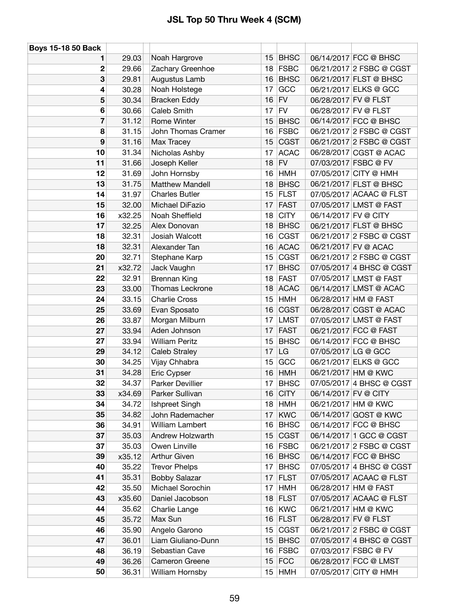| <b>Boys 15-18 50 Back</b> |        |                       |    |             |                      |                          |
|---------------------------|--------|-----------------------|----|-------------|----------------------|--------------------------|
| 1                         | 29.03  | Noah Hargrove         | 15 | <b>BHSC</b> |                      | 06/14/2017 FCC @ BHSC    |
| 2                         | 29.66  | Zachary Greenhoe      | 18 | <b>FSBC</b> |                      | 06/21/2017 2 FSBC @ CGST |
| 3                         | 29.81  | Augustus Lamb         | 16 | <b>BHSC</b> |                      | 06/21/2017 FLST @ BHSC   |
| 4                         | 30.28  | Noah Holstege         | 17 | GCC         |                      | 06/21/2017 ELKS @ GCC    |
| 5                         | 30.34  | <b>Bracken Eddy</b>   | 16 | <b>FV</b>   |                      | 06/28/2017 FV @ FLST     |
| 6                         | 30.66  | Caleb Smith           | 17 | <b>FV</b>   |                      | 06/28/2017 FV @ FLST     |
| 7                         | 31.12  | Rome Winter           | 15 | <b>BHSC</b> |                      | 06/14/2017 FCC @ BHSC    |
| 8                         | 31.15  | John Thomas Cramer    | 16 | <b>FSBC</b> |                      | 06/21/2017 2 FSBC @ CGST |
| 9                         | 31.16  | Max Tracey            | 15 | <b>CGST</b> |                      | 06/21/2017 2 FSBC @ CGST |
| 10                        | 31.34  | Nicholas Ashby        | 17 | <b>ACAC</b> |                      | 06/28/2017 CGST @ ACAC   |
| 11                        | 31.66  | Joseph Keller         | 18 | FV          |                      | 07/03/2017 FSBC @ FV     |
| 12                        | 31.69  | John Hornsby          | 16 | <b>HMH</b>  |                      | 07/05/2017 CITY @ HMH    |
| 13                        | 31.75  | Matthew Mandell       | 18 | <b>BHSC</b> |                      | 06/21/2017 FLST @ BHSC   |
| 14                        | 31.97  | <b>Charles Butler</b> | 15 | <b>FLST</b> |                      | 07/05/2017 ACAAC @ FLST  |
| 15                        | 32.00  | Michael DiFazio       | 17 | <b>FAST</b> |                      | 07/05/2017 LMST @ FAST   |
| 16                        | x32.25 | Noah Sheffield        | 18 | <b>CITY</b> | 06/14/2017 FV @ CITY |                          |
| 17                        | 32.25  | Alex Donovan          | 18 | <b>BHSC</b> |                      | 06/21/2017 FLST @ BHSC   |
| 18                        | 32.31  | Josiah Walcott        | 16 | <b>CGST</b> |                      | 06/21/2017 2 FSBC @ CGST |
| 18                        | 32.31  | Alexander Tan         | 16 | <b>ACAC</b> |                      | 06/21/2017 FV @ ACAC     |
| 20                        | 32.71  | Stephane Karp         | 15 | <b>CGST</b> |                      | 06/21/2017 2 FSBC @ CGST |
| 21                        | x32.72 | Jack Vaughn           | 17 | <b>BHSC</b> |                      | 07/05/2017 4 BHSC @ CGST |
| 22                        | 32.91  | <b>Brennan King</b>   | 18 | <b>FAST</b> |                      | 07/05/2017 LMST @ FAST   |
| 23                        | 33.00  | Thomas Leckrone       | 18 | <b>ACAC</b> |                      | 06/14/2017 LMST @ ACAC   |
| 24                        | 33.15  | <b>Charlie Cross</b>  | 15 | <b>HMH</b>  |                      | 06/28/2017 HM @ FAST     |
| 25                        | 33.69  | Evan Sposato          | 16 | <b>CGST</b> |                      | 06/28/2017 CGST @ ACAC   |
| 26                        | 33.87  | Morgan Milburn        | 17 | <b>LMST</b> |                      | 07/05/2017 LMST @ FAST   |
| 27                        | 33.94  | Aden Johnson          | 17 | <b>FAST</b> |                      | 06/21/2017 FCC @ FAST    |
| 27                        | 33.94  | <b>William Peritz</b> | 15 | <b>BHSC</b> |                      | 06/14/2017 FCC @ BHSC    |
| 29                        | 34.12  | Caleb Straley         | 17 | LG          |                      | 07/05/2017 LG @ GCC      |
| 30                        | 34.25  | Vijay Chhabra         | 15 | GCC         |                      | 06/21/2017 ELKS @ GCC    |
| 31                        | 34.28  | Eric Cypser           | 16 | <b>HMH</b>  |                      | 06/21/2017 HM @ KWC      |
| 32                        | 34.37  | Parker Devillier      | 17 | <b>BHSC</b> |                      | 07/05/2017 4 BHSC @ CGST |
| 33                        | x34.69 | Parker Sullivan       | 16 | <b>CITY</b> | 06/14/2017 FV @ CITY |                          |
| 34                        | 34.72  | Ishpreet Singh        | 18 | <b>HMH</b>  |                      | 06/21/2017 HM @ KWC      |
| 35                        | 34.82  | John Rademacher       | 17 | <b>KWC</b>  |                      | 06/14/2017 GOST @ KWC    |
| 36                        | 34.91  | William Lambert       | 16 | <b>BHSC</b> |                      | 06/14/2017 FCC @ BHSC    |
| 37                        | 35.03  | Andrew Holzwarth      | 15 | <b>CGST</b> |                      | 06/14/2017 1 GCC @ CGST  |
| 37                        | 35.03  | Owen Linville         | 16 | <b>FSBC</b> |                      | 06/21/2017 2 FSBC @ CGST |
| 39                        | x35.12 | Arthur Given          | 16 | <b>BHSC</b> |                      | 06/14/2017 FCC @ BHSC    |
| 40                        | 35.22  | <b>Trevor Phelps</b>  | 17 | <b>BHSC</b> |                      | 07/05/2017 4 BHSC @ CGST |
| 41                        | 35.31  | <b>Bobby Salazar</b>  | 17 | <b>FLST</b> |                      | 07/05/2017 ACAAC @ FLST  |
| 42                        | 35.50  | Michael Sorochin      | 17 | <b>HMH</b>  |                      | 06/28/2017 HM @ FAST     |
| 43                        | x35.60 | Daniel Jacobson       | 18 | <b>FLST</b> |                      | 07/05/2017 ACAAC @ FLST  |
| 44                        | 35.62  | Charlie Lange         | 16 | <b>KWC</b>  |                      | 06/21/2017 HM @ KWC      |
| 45                        | 35.72  | Max Sun               | 16 | <b>FLST</b> |                      | 06/28/2017 FV @ FLST     |
| 46                        | 35.90  | Angelo Garono         | 15 | <b>CGST</b> |                      | 06/21/2017 2 FSBC @ CGST |
| 47                        | 36.01  | Liam Giuliano-Dunn    | 15 | <b>BHSC</b> |                      | 07/05/2017 4 BHSC @ CGST |
| 48                        | 36.19  | Sebastian Cave        | 16 | <b>FSBC</b> |                      | 07/03/2017 FSBC @ FV     |
| 49                        | 36.26  | Cameron Greene        | 15 | <b>FCC</b>  |                      | 06/28/2017 FCC @ LMST    |
| 50                        | 36.31  | William Hornsby       | 15 | <b>HMH</b>  |                      | 07/05/2017 CITY @ HMH    |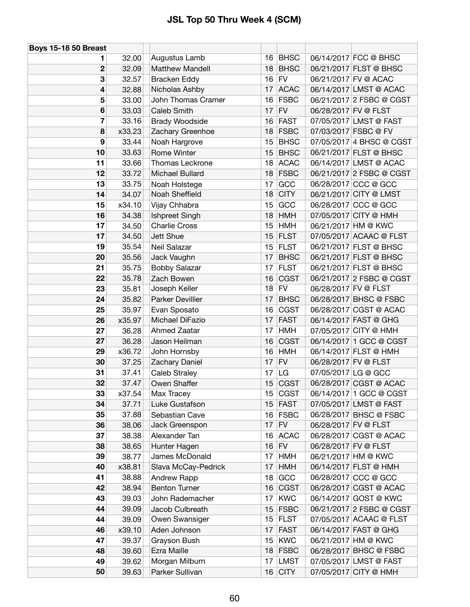| <b>Boys 15-18 50 Breast</b> |        |                        |      |             |                      |                          |
|-----------------------------|--------|------------------------|------|-------------|----------------------|--------------------------|
| 1                           | 32.00  | Augustus Lamb          | 16 I | <b>BHSC</b> |                      | 06/14/2017 FCC @ BHSC    |
| $\boldsymbol{2}$            | 32.09  | <b>Matthew Mandell</b> | 18   | <b>BHSC</b> |                      | 06/21/2017 FLST @ BHSC   |
| 3                           | 32.57  | <b>Bracken Eddy</b>    | 16   | <b>FV</b>   |                      | 06/21/2017 FV @ ACAC     |
| 4                           | 32.88  | Nicholas Ashby         | 17   | <b>ACAC</b> |                      | 06/14/2017 LMST @ ACAC   |
| 5                           | 33.00  | John Thomas Cramer     | 16   | <b>FSBC</b> |                      | 06/21/2017 2 FSBC @ CGST |
| 6                           | 33.03  | Caleb Smith            | 17   | <b>FV</b>   |                      | 06/28/2017 FV @ FLST     |
| 7                           | 33.16  | <b>Brady Woodside</b>  | 16   | <b>FAST</b> |                      | 07/05/2017 LMST @ FAST   |
| 8                           | x33.23 | Zachary Greenhoe       | 18   | <b>FSBC</b> |                      | 07/03/2017 FSBC @ FV     |
| 9                           | 33.44  | Noah Hargrove          | 15   | <b>BHSC</b> |                      | 07/05/2017 4 BHSC @ CGST |
| 10                          | 33.63  | Rome Winter            | 15   | <b>BHSC</b> |                      | 06/21/2017 FLST @ BHSC   |
| 11                          | 33.66  | Thomas Leckrone        | 18   | <b>ACAC</b> |                      | 06/14/2017 LMST @ ACAC   |
| 12                          | 33.72  | Michael Bullard        | 18   | <b>FSBC</b> |                      | 06/21/2017 2 FSBC @ CGST |
| 13                          | 33.75  | Noah Holstege          | 17   | GCC         |                      | 06/28/2017 CCC @ GCC     |
| 14                          | 34.07  | Noah Sheffield         | 18   | <b>CITY</b> |                      | 06/21/2017 CITY @ LMST   |
| 15                          | x34.10 | Vijay Chhabra          | 15   | GCC         |                      | 06/28/2017 CCC @ GCC     |
| 16                          | 34.38  | Ishpreet Singh         | 18   | <b>HMH</b>  |                      | 07/05/2017 CITY @ HMH    |
| 17                          | 34.50  | <b>Charlie Cross</b>   | 15   | <b>HMH</b>  |                      | 06/21/2017 HM @ KWC      |
| 17                          | 34.50  | Jett Shue              | 15   | <b>FLST</b> |                      | 07/05/2017 ACAAC @ FLST  |
| 19                          | 35.54  | Neil Salazar           | 15   | <b>FLST</b> |                      | 06/21/2017 FLST @ BHSC   |
| 20                          | 35.56  | Jack Vaughn            | 17   | <b>BHSC</b> |                      | 06/21/2017 FLST @ BHSC   |
| 21                          | 35.75  | <b>Bobby Salazar</b>   | 17   | <b>FLST</b> |                      | 06/21/2017 FLST @ BHSC   |
| 22                          | 35.78  | Zach Bowen             | 16   | <b>CGST</b> |                      | 06/21/2017 2 FSBC @ CGST |
| 23                          | 35.81  | Joseph Keller          | 18   | <b>FV</b>   | 06/28/2017 FV @ FLST |                          |
| 24                          | 35.82  | Parker Devillier       | 17   | <b>BHSC</b> |                      | 06/28/2017 BHSC @ FSBC   |
| 25                          | 35.97  | Evan Sposato           | 16   | <b>CGST</b> |                      | 06/28/2017 CGST @ ACAC   |
| 26                          | x35.97 | Michael DiFazio        | 17   | <b>FAST</b> |                      | 06/14/2017 FAST @ GHG    |
| 27                          | 36.28  | Ahmed Zaatar           | 17   | <b>HMH</b>  |                      | 07/05/2017 CITY @ HMH    |
| 27                          | 36.28  | Jason Heilman          | 16   | <b>CGST</b> |                      | 06/14/2017 1 GCC @ CGST  |
| 29                          | x36.72 | John Hornsby           | 16   | <b>HMH</b>  |                      | 06/14/2017 FLST @ HMH    |
| 30                          | 37.25  | Zachary Daniel         | 17   | <b>FV</b>   |                      | 06/28/2017 FV @ FLST     |
| 31                          | 37.41  | <b>Caleb Straley</b>   | 17   | LG          | 07/05/2017 LG @ GCC  |                          |
| 32                          | 37.47  | Owen Shaffer           | 15   | <b>CGST</b> |                      | 06/28/2017 CGST @ ACAC   |
| 33                          | x37.54 | Max Tracey             | 15   | <b>CGST</b> |                      | 06/14/2017 1 GCC @ CGST  |
| 34                          | 37.71  | Luke Gustafson         | 15   | <b>FAST</b> |                      | 07/05/2017 LMST @ FAST   |
| 35                          | 37.88  | Sebastian Cave         | 16   | <b>FSBC</b> |                      | 06/28/2017 BHSC @ FSBC   |
| 36                          | 38.06  | Jack Greenspon         | 17   | <b>FV</b>   | 06/28/2017 FV @ FLST |                          |
| 37                          | 38.38  | Alexander Tan          | 16   | <b>ACAC</b> |                      | 06/28/2017 CGST @ ACAC   |
| 38                          | 38.65  | Hunter Hagen           | 16   | <b>FV</b>   |                      | 06/28/2017 FV @ FLST     |
| 39                          | 38.77  | James McDonald         | 17   | <b>HMH</b>  |                      | 06/21/2017 HM @ KWC      |
| 40                          | x38.81 | Slava McCay-Pedrick    | 17   | HMH         |                      | 06/14/2017 FLST @ HMH    |
| 41                          | 38.88  | Andrew Rapp            | 18   | GCC         |                      | 06/28/2017 CCC @ GCC     |
| 42                          | 38.94  | <b>Benton Turner</b>   | 16   | <b>CGST</b> |                      | 06/28/2017 CGST @ ACAC   |
| 43                          | 39.03  | John Rademacher        | 17   | <b>KWC</b>  |                      | 06/14/2017 GOST @ KWC    |
| 44                          | 39.09  | Jacob Culbreath        | 15   | <b>FSBC</b> |                      | 06/21/2017 2 FSBC @ CGST |
| 44                          | 39.09  | Owen Swansiger         | 15   | <b>FLST</b> |                      | 07/05/2017 ACAAC @ FLST  |
| 46                          | x39.10 | Aden Johnson           | 17   | <b>FAST</b> |                      | 06/14/2017 FAST @ GHG    |
| 47                          | 39.37  | Grayson Bush           | 15   | <b>KWC</b>  |                      | 06/21/2017 HM @ KWC      |
| 48                          | 39.60  | Ezra Maille            | 18   | <b>FSBC</b> |                      | 06/28/2017 BHSC @ FSBC   |
| 49                          | 39.62  | Morgan Milburn         | 17   | <b>LMST</b> |                      | 07/05/2017 LMST @ FAST   |
| 50                          | 39.63  | Parker Sullivan        | 16   | <b>CITY</b> |                      | 07/05/2017 CITY @ HMH    |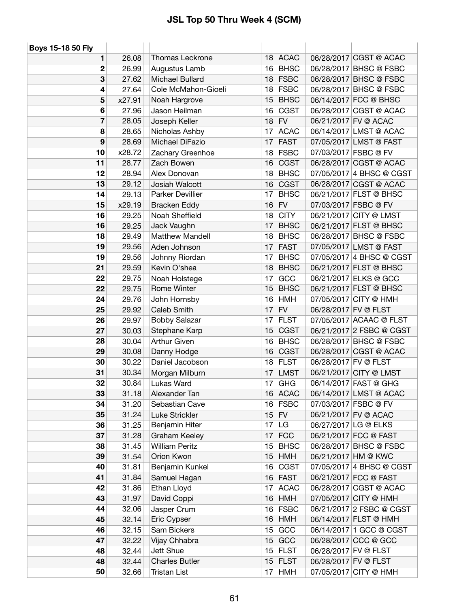| Boys 15-18 50 Fly       |        |                        |    |             |                      |                          |
|-------------------------|--------|------------------------|----|-------------|----------------------|--------------------------|
| 1                       | 26.08  | Thomas Leckrone        | 18 | <b>ACAC</b> |                      | 06/28/2017 CGST @ ACAC   |
| 2                       | 26.99  | Augustus Lamb          | 16 | <b>BHSC</b> |                      | 06/28/2017 BHSC @ FSBC   |
| 3                       | 27.62  | Michael Bullard        | 18 | <b>FSBC</b> |                      | 06/28/2017 BHSC @ FSBC   |
| 4                       | 27.64  | Cole McMahon-Gioeli    | 18 | <b>FSBC</b> |                      | 06/28/2017 BHSC @ FSBC   |
| 5                       | x27.91 | Noah Hargrove          | 15 | <b>BHSC</b> |                      | 06/14/2017 FCC @ BHSC    |
| 6                       | 27.96  | Jason Heilman          | 16 | <b>CGST</b> |                      | 06/28/2017 CGST @ ACAC   |
| $\overline{\mathbf{z}}$ | 28.05  | Joseph Keller          | 18 | ${\sf FV}$  |                      | 06/21/2017 FV @ ACAC     |
| 8                       | 28.65  | Nicholas Ashby         | 17 | <b>ACAC</b> |                      | 06/14/2017 LMST @ ACAC   |
| 9                       | 28.69  | Michael DiFazio        | 17 | <b>FAST</b> |                      | 07/05/2017 LMST @ FAST   |
| 10                      | x28.72 | Zachary Greenhoe       | 18 | <b>FSBC</b> |                      | 07/03/2017 FSBC @ FV     |
| 11                      | 28.77  | Zach Bowen             | 16 | <b>CGST</b> |                      | 06/28/2017 CGST @ ACAC   |
| 12                      | 28.94  | Alex Donovan           | 18 | <b>BHSC</b> |                      | 07/05/2017 4 BHSC @ CGST |
| 13                      | 29.12  | Josiah Walcott         | 16 | <b>CGST</b> |                      | 06/28/2017 CGST @ ACAC   |
| 14                      | 29.13  | Parker Devillier       | 17 | <b>BHSC</b> |                      | 06/21/2017 FLST @ BHSC   |
| 15                      | x29.19 | <b>Bracken Eddy</b>    | 16 | <b>FV</b>   |                      | 07/03/2017 FSBC @ FV     |
| 16                      | 29.25  | Noah Sheffield         | 18 | <b>CITY</b> |                      | 06/21/2017 CITY @ LMST   |
| 16                      | 29.25  | Jack Vaughn            | 17 | <b>BHSC</b> |                      | 06/21/2017 FLST @ BHSC   |
| 18                      | 29.49  | <b>Matthew Mandell</b> | 18 | <b>BHSC</b> |                      | 06/28/2017 BHSC @ FSBC   |
| 19                      | 29.56  | Aden Johnson           | 17 | <b>FAST</b> |                      | 07/05/2017 LMST @ FAST   |
| 19                      | 29.56  | Johnny Riordan         | 17 | <b>BHSC</b> |                      | 07/05/2017 4 BHSC @ CGST |
| 21                      | 29.59  | Kevin O'shea           | 18 | <b>BHSC</b> |                      | 06/21/2017 FLST @ BHSC   |
| 22                      | 29.75  | Noah Holstege          | 17 | GCC         |                      | 06/21/2017 ELKS @ GCC    |
| 22                      | 29.75  | Rome Winter            | 15 | <b>BHSC</b> |                      | 06/21/2017 FLST @ BHSC   |
| 24                      | 29.76  | John Hornsby           | 16 | <b>HMH</b>  |                      | 07/05/2017 CITY @ HMH    |
| 25                      | 29.92  | Caleb Smith            | 17 | <b>FV</b>   |                      | 06/28/2017 FV @ FLST     |
| 26                      | 29.97  | <b>Bobby Salazar</b>   | 17 | <b>FLST</b> |                      | 07/05/2017 ACAAC @ FLST  |
| 27                      | 30.03  | Stephane Karp          | 15 | <b>CGST</b> |                      | 06/21/2017 2 FSBC @ CGST |
| 28                      | 30.04  | Arthur Given           | 16 | <b>BHSC</b> |                      | 06/28/2017 BHSC @ FSBC   |
| 29                      | 30.08  | Danny Hodge            | 16 | <b>CGST</b> |                      | 06/28/2017 CGST @ ACAC   |
| 30                      | 30.22  | Daniel Jacobson        |    | 18 FLST     | 06/28/2017 FV @ FLST |                          |
| 31                      | 30.34  | Morgan Milburn         | 17 | <b>LMST</b> |                      | 06/21/2017 CITY @ LMST   |
| 32                      | 30.84  | Lukas Ward             | 17 | <b>GHG</b>  |                      | 06/14/2017 FAST @ GHG    |
| 33                      | 31.18  | Alexander Tan          |    | 16 ACAC     |                      | 06/14/2017 LMST @ ACAC   |
| 34                      | 31.20  | Sebastian Cave         |    | 16 FSBC     |                      | 07/03/2017 FSBC @ FV     |
| 35                      | 31.24  | Luke Strickler         | 15 | <b>FV</b>   |                      | 06/21/2017 FV @ ACAC     |
| 36                      | 31.25  | Benjamin Hiter         | 17 | <b>LG</b>   |                      | 06/27/2017 LG @ ELKS     |
| 37                      | 31.28  | Graham Keeley          | 17 | <b>FCC</b>  |                      | 06/21/2017 FCC @ FAST    |
| 38                      | 31.45  | <b>William Peritz</b>  | 15 | <b>BHSC</b> |                      | 06/28/2017 BHSC @ FSBC   |
| 39                      | 31.54  | Orion Kwon             | 15 | <b>HMH</b>  |                      | 06/21/2017 HM @ KWC      |
| 40                      | 31.81  | Benjamin Kunkel        | 16 | <b>CGST</b> |                      | 07/05/2017 4 BHSC @ CGST |
| 41                      | 31.84  | Samuel Hagan           |    | 16 FAST     |                      | 06/21/2017 FCC @ FAST    |
| 42                      | 31.86  | Ethan Lloyd            | 17 | <b>ACAC</b> |                      | 06/28/2017 CGST @ ACAC   |
| 43                      | 31.97  | David Coppi            | 16 | <b>HMH</b>  |                      | 07/05/2017 CITY @ HMH    |
| 44                      | 32.06  | Jasper Crum            | 16 | <b>FSBC</b> |                      | 06/21/2017 2 FSBC @ CGST |
| 45                      | 32.14  | Eric Cypser            | 16 | <b>HMH</b>  |                      | 06/14/2017 FLST @ HMH    |
| 46                      | 32.15  | Sam Bickers            | 15 | GCC         |                      | 06/14/2017 1 GCC @ CGST  |
| 47                      | 32.22  | Vijay Chhabra          | 15 | GCC         |                      | 06/28/2017 CCC @ GCC     |
| 48                      | 32.44  | Jett Shue              | 15 | <b>FLST</b> |                      | 06/28/2017 FV @ FLST     |
| 48                      | 32.44  | <b>Charles Butler</b>  | 15 | <b>FLST</b> |                      | 06/28/2017 FV @ FLST     |
| 50                      | 32.66  | <b>Tristan List</b>    | 17 | <b>HMH</b>  |                      | 07/05/2017 CITY @ HMH    |